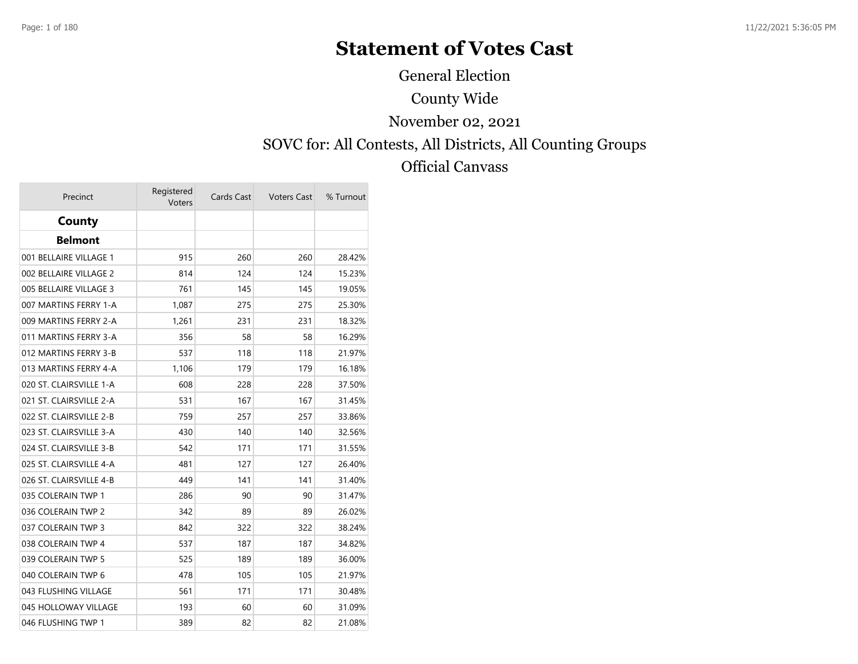# **Statement of Votes Cast**

General Election

#### County Wide

#### November 02, 2021

#### SOVC for: All Contests, All Districts, All Counting Groups

#### Official Canvass

| Precinct                | Registered<br>Voters | Cards Cast | <b>Voters Cast</b> | % Turnout |
|-------------------------|----------------------|------------|--------------------|-----------|
| County                  |                      |            |                    |           |
| <b>Belmont</b>          |                      |            |                    |           |
| 001 BELLAIRE VILLAGE 1  | 915                  | 260        | 260                | 28.42%    |
| 002 BELLAIRE VILLAGE 2  | 814                  | 124        | 124                | 15.23%    |
| 005 BELLAIRE VILLAGE 3  | 761                  | 145        | 145                | 19.05%    |
| 007 MARTINS FERRY 1-A   | 1,087                | 275        | 275                | 25.30%    |
| 009 MARTINS FERRY 2-A   | 1,261                | 231        | 231                | 18.32%    |
| 011 MARTINS FERRY 3-A   | 356                  | 58         | 58                 | 16.29%    |
| 012 MARTINS FERRY 3-B   | 537                  | 118        | 118                | 21.97%    |
| 013 MARTINS FERRY 4-A   | 1,106                | 179        | 179                | 16.18%    |
| 020 ST. CLAIRSVILLE 1-A | 608                  | 228        | 228                | 37.50%    |
| 021 ST. CLAIRSVILLE 2-A | 531                  | 167        | 167                | 31.45%    |
| 022 ST. CLAIRSVILLE 2-B | 759                  | 257        | 257                | 33.86%    |
| 023 ST. CLAIRSVILLE 3-A | 430                  | 140        | 140                | 32.56%    |
| 024 ST. CLAIRSVILLE 3-B | 542                  | 171        | 171                | 31.55%    |
| 025 ST. CLAIRSVILLE 4-A | 481                  | 127        | 127                | 26.40%    |
| 026 ST. CLAIRSVILLE 4-B | 449                  | 141        | 141                | 31.40%    |
| 035 COLERAIN TWP 1      | 286                  | 90         | 90                 | 31.47%    |
| 036 COLERAIN TWP 2      | 342                  | 89         | 89                 | 26.02%    |
| 037 COLERAIN TWP 3      | 842                  | 322        | 322                | 38.24%    |
| 038 COLERAIN TWP 4      | 537                  | 187        | 187                | 34.82%    |
| 039 COLERAIN TWP 5      | 525                  | 189        | 189                | 36.00%    |
| 040 COLERAIN TWP 6      | 478                  | 105        | 105                | 21.97%    |
| 043 FLUSHING VILLAGE    | 561                  | 171        | 171                | 30.48%    |
| 045 HOLLOWAY VILLAGE    | 193                  | 60         | 60                 | 31.09%    |
| 046 FLUSHING TWP 1      | 389                  | 82         | 82                 | 21.08%    |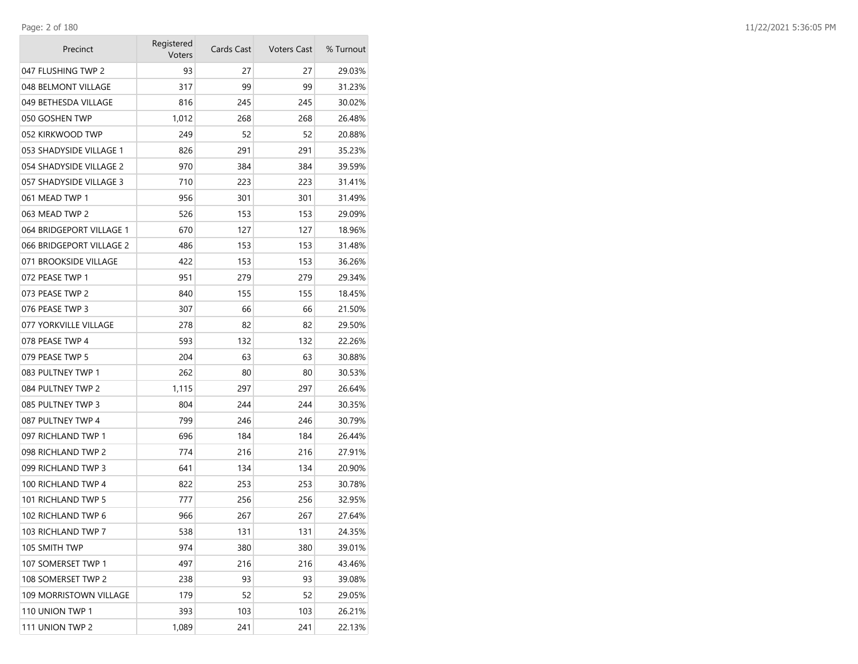**College** 

| Precinct                 | Registered<br>Voters | Cards Cast | <b>Voters Cast</b> | % Turnout |
|--------------------------|----------------------|------------|--------------------|-----------|
| 047 FLUSHING TWP 2       | 93                   | 27         | 27                 | 29.03%    |
| 048 BELMONT VILLAGE      | 317                  | 99         | 99                 | 31.23%    |
| 049 BETHESDA VILLAGE     | 816                  | 245        | 245                | 30.02%    |
| 050 GOSHEN TWP           | 1,012                | 268        | 268                | 26.48%    |
| 052 KIRKWOOD TWP         | 249                  | 52         | 52                 | 20.88%    |
| 053 SHADYSIDE VILLAGE 1  | 826                  | 291        | 291                | 35.23%    |
| 054 SHADYSIDE VILLAGE 2  | 970                  | 384        | 384                | 39.59%    |
| 057 SHADYSIDE VILLAGE 3  | 710                  | 223        | 223                | 31.41%    |
| 061 MEAD TWP 1           | 956                  | 301        | 301                | 31.49%    |
| 063 MEAD TWP 2           | 526                  | 153        | 153                | 29.09%    |
| 064 BRIDGEPORT VILLAGE 1 | 670                  | 127        | 127                | 18.96%    |
| 066 BRIDGEPORT VILLAGE 2 | 486                  | 153        | 153                | 31.48%    |
| 071 BROOKSIDE VILLAGE    | 422                  | 153        | 153                | 36.26%    |
| 072 PEASE TWP 1          | 951                  | 279        | 279                | 29.34%    |
| 073 PEASE TWP 2          | 840                  | 155        | 155                | 18.45%    |
| 076 PEASE TWP 3          | 307                  | 66         | 66                 | 21.50%    |
| 077 YORKVILLE VILLAGE    | 278                  | 82         | 82                 | 29.50%    |
| 078 PEASE TWP 4          | 593                  | 132        | 132                | 22.26%    |
| 079 PEASE TWP 5          | 204                  | 63         | 63                 | 30.88%    |
| 083 PULTNEY TWP 1        | 262                  | 80         | 80                 | 30.53%    |
| 084 PULTNEY TWP 2        | 1,115                | 297        | 297                | 26.64%    |
| 085 PULTNEY TWP 3        | 804                  | 244        | 244                | 30.35%    |
| 087 PULTNEY TWP 4        | 799                  | 246        | 246                | 30.79%    |
| 097 RICHLAND TWP 1       | 696                  | 184        | 184                | 26.44%    |
| 098 RICHLAND TWP 2       | 774                  | 216        | 216                | 27.91%    |
| 099 RICHLAND TWP 3       | 641                  | 134        | 134                | 20.90%    |
| 100 RICHLAND TWP 4       | 822                  | 253        | 253                | 30.78%    |
| 101 RICHLAND TWP 5       | 777                  | 256        | 256                | 32.95%    |
| 102 RICHLAND TWP 6       | 966                  | 267        | 267                | 27.64%    |
| 103 RICHLAND TWP 7       | 538                  | 131        | 131                | 24.35%    |
| 105 SMITH TWP            | 974                  | 380        | 380                | 39.01%    |
| 107 SOMERSET TWP 1       | 497                  | 216        | 216                | 43.46%    |
| 108 SOMERSET TWP 2       | 238                  | 93         | 93                 | 39.08%    |
| 109 MORRISTOWN VILLAGE   | 179                  | 52         | 52                 | 29.05%    |
| 110 UNION TWP 1          | 393                  | 103        | 103                | 26.21%    |
| 111 UNION TWP 2          | 1,089                | 241        | 241                | 22.13%    |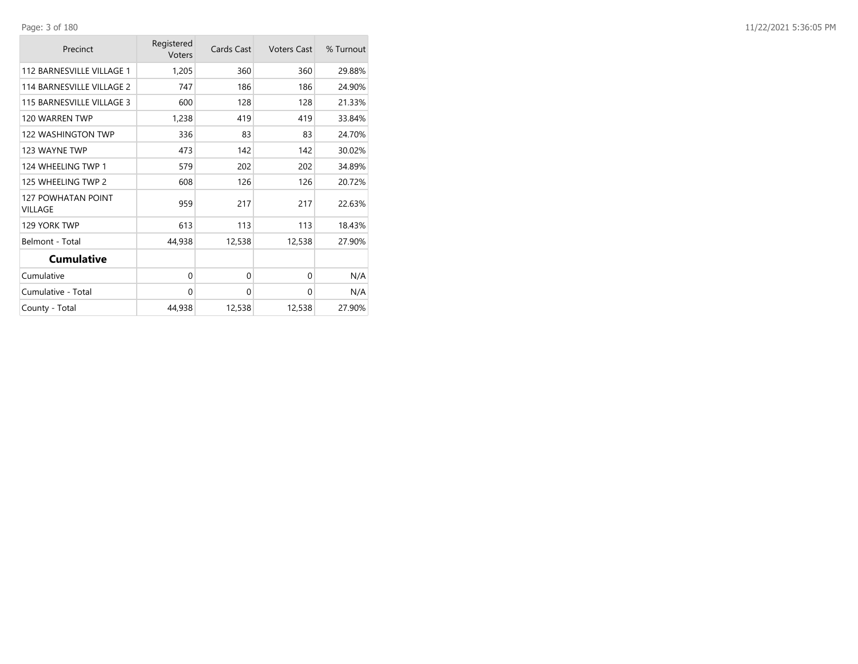| Precinct                                    | Registered<br>Voters | Cards Cast | <b>Voters Cast</b> | % Turnout |
|---------------------------------------------|----------------------|------------|--------------------|-----------|
| 112 BARNESVILLE VILLAGE 1                   | 1,205                | 360        | 360                | 29.88%    |
| 114 BARNESVILLE VILLAGE 2                   | 747                  | 186        | 186                | 24.90%    |
| 115 BARNESVILLE VILLAGE 3                   | 600                  | 128        | 128                | 21.33%    |
| 120 WARREN TWP                              | 1,238                | 419        | 419                | 33.84%    |
| 122 WASHINGTON TWP                          | 336                  | 83         | 83                 | 24.70%    |
| 123 WAYNE TWP                               | 473                  | 142        | 142                | 30.02%    |
| 124 WHEELING TWP 1                          | 579                  | 202        | 202                | 34.89%    |
| 125 WHEELING TWP 2                          | 608                  | 126        | 126                | 20.72%    |
| <b>127 POWHATAN POINT</b><br><b>VILLAGE</b> | 959                  | 217        | 217                | 22.63%    |
| 129 YORK TWP                                | 613                  | 113        | 113                | 18.43%    |
| Belmont - Total                             | 44,938               | 12,538     | 12,538             | 27.90%    |
| <b>Cumulative</b>                           |                      |            |                    |           |
| Cumulative                                  | 0                    | 0          | $\Omega$           | N/A       |
| Cumulative - Total                          | $\Omega$             | 0          | $\Omega$           | N/A       |
| County - Total                              | 44,938               | 12,538     | 12,538             | 27.90%    |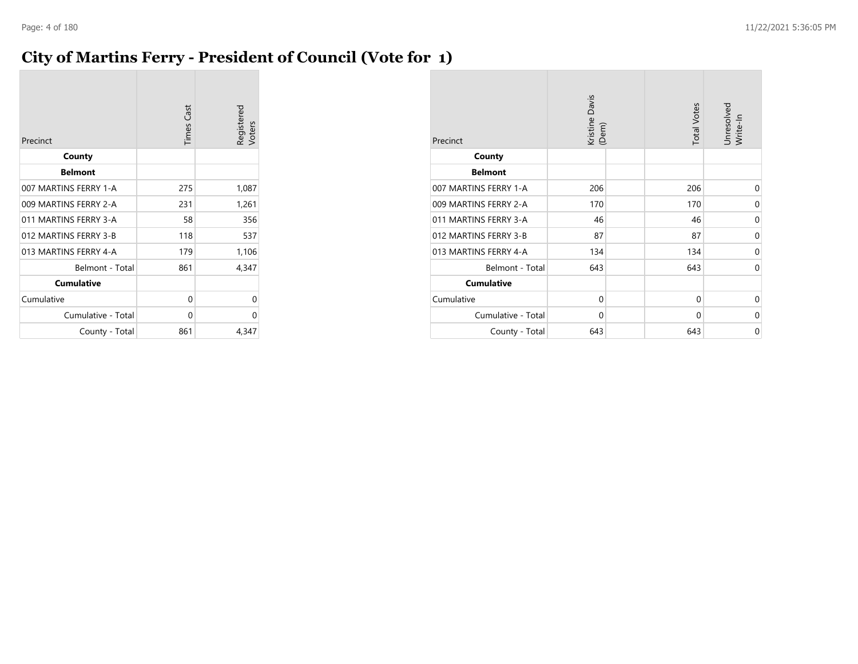### **City of Martins Ferry - President of Council (Vote for 1)**

| Precinct              | <b>Times Cast</b> | Registered<br>Voters |
|-----------------------|-------------------|----------------------|
| County                |                   |                      |
| <b>Belmont</b>        |                   |                      |
| 007 MARTINS FERRY 1-A | 275               | 1,087                |
| 009 MARTINS FERRY 2-A | 231               | 1,261                |
| 011 MARTINS FERRY 3-A | 58                | 356                  |
| 012 MARTINS FERRY 3-B | 118               | 537                  |
| 013 MARTINS FERRY 4-A | 179               | 1,106                |
| Belmont - Total       | 861               | 4,347                |
| <b>Cumulative</b>     |                   |                      |
| Cumulative            | 0                 | 0                    |
| Cumulative - Total    | 0                 | 0                    |
| County - Total        | 861               | 4,347                |

| Precinct              | Kristine Davis<br>(Dem) | <b>Total Votes</b> | Unresolved<br>Write-In |
|-----------------------|-------------------------|--------------------|------------------------|
| County                |                         |                    |                        |
| <b>Belmont</b>        |                         |                    |                        |
| 007 MARTINS FERRY 1-A | 206                     | 206                | 0                      |
| 009 MARTINS FERRY 2-A | 170                     | 170                | $\Omega$               |
| 011 MARTINS FERRY 3-A | 46                      | 46                 | 0                      |
| 012 MARTINS FERRY 3-B | 87                      | 87                 | 0                      |
| 013 MARTINS FERRY 4-A | 134                     | 134                | $\Omega$               |
| Belmont - Total       | 643                     | 643                | $\mathbf 0$            |
| <b>Cumulative</b>     |                         |                    |                        |
| Cumulative            | $\mathbf 0$             | $\Omega$           | $\Omega$               |
| Cumulative - Total    | 0                       | 0                  | 0                      |
| County - Total        | 643                     | 643                | $\mathbf 0$            |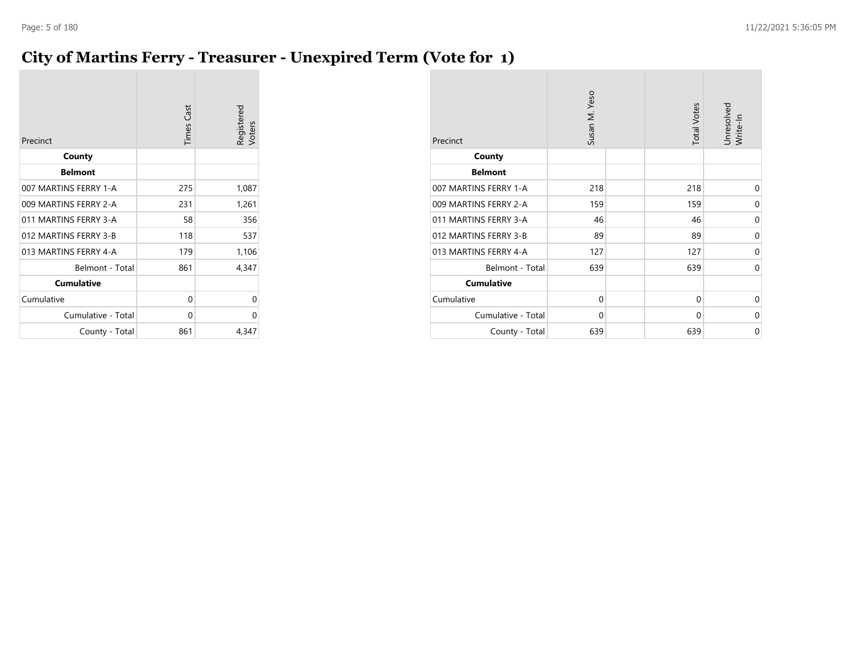# **City of Martins Ferry - Treasurer - Unexpired Term (Vote for 1)**

| Precinct              | <b>Times Cast</b> | Registered<br>Voters |
|-----------------------|-------------------|----------------------|
| County                |                   |                      |
| <b>Belmont</b>        |                   |                      |
| 007 MARTINS FERRY 1-A | 275               | 1,087                |
| 009 MARTINS FERRY 2-A | 231               | 1,261                |
| 011 MARTINS FERRY 3-A | 58                | 356                  |
| 012 MARTINS FERRY 3-B | 118               | 537                  |
| 013 MARTINS FERRY 4-A | 179               | 1,106                |
| Belmont - Total       | 861               | 4,347                |
| <b>Cumulative</b>     |                   |                      |
| Cumulative            | 0                 | 0                    |
| Cumulative - Total    | 0                 | 0                    |
| County - Total        | 861               | 4,347                |

| Precinct              | Susan M. Yeso | <b>Total Votes</b> | Unresolved<br>Write-In |
|-----------------------|---------------|--------------------|------------------------|
| County                |               |                    |                        |
| <b>Belmont</b>        |               |                    |                        |
| 007 MARTINS FERRY 1-A | 218           | 218                | 0                      |
| 009 MARTINS FERRY 2-A | 159           | 159                | 0                      |
| 011 MARTINS FERRY 3-A | 46            | 46                 | 0                      |
| 012 MARTINS FERRY 3-B | 89            | 89                 | 0                      |
| 013 MARTINS FERRY 4-A | 127           | 127                | 0                      |
| Belmont - Total       | 639           | 639                | $\Omega$               |
| <b>Cumulative</b>     |               |                    |                        |
| Cumulative            | $\mathbf 0$   | 0                  | 0                      |
| Cumulative - Total    | $\mathbf 0$   | 0                  | 0                      |
| County - Total        | 639           | 639                | 0                      |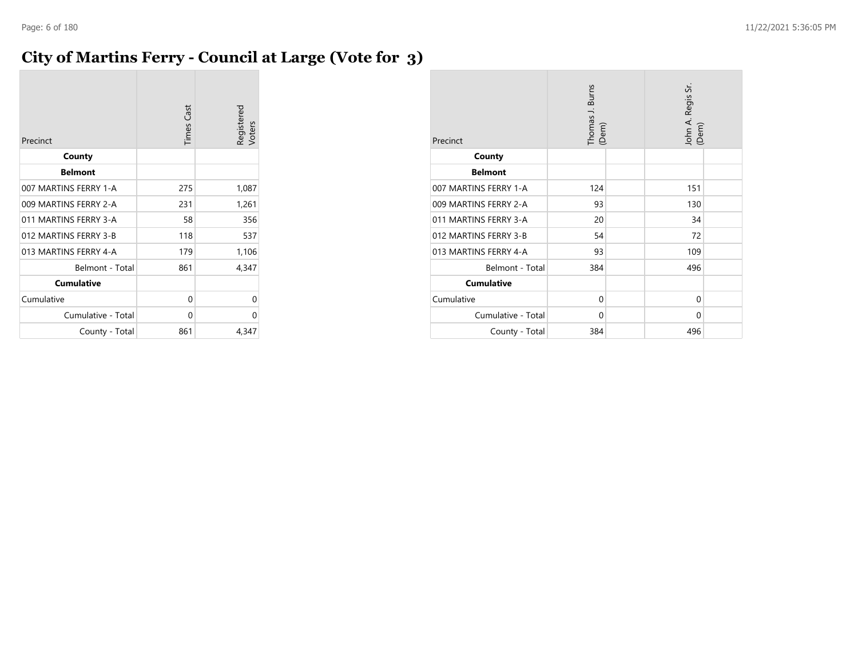### **City of Martins Ferry - Council at Large (Vote for 3)**

| Precinct              | <b>Times Cast</b> | Registered<br>Voters |
|-----------------------|-------------------|----------------------|
| County                |                   |                      |
| <b>Belmont</b>        |                   |                      |
| 007 MARTINS FERRY 1-A | 275               | 1,087                |
| 009 MARTINS FERRY 2-A | 231               | 1,261                |
| 011 MARTINS FERRY 3-A | 58                | 356                  |
| 012 MARTINS FERRY 3-B | 118               | 537                  |
| 013 MARTINS FERRY 4-A | 179               | 1,106                |
| Belmont - Total       | 861               | 4,347                |
| <b>Cumulative</b>     |                   |                      |
| Cumulative            | 0                 | 0                    |
| Cumulative - Total    | 0                 | 0                    |
| County - Total        | 861               | 4,347                |

| Precinct              | Thomas J. Burns<br>(Dem) | John A. Regis Sr.<br>(Dem) |  |
|-----------------------|--------------------------|----------------------------|--|
| County                |                          |                            |  |
| <b>Belmont</b>        |                          |                            |  |
| 007 MARTINS FERRY 1-A | 124                      | 151                        |  |
| 009 MARTINS FERRY 2-A | 93                       | 130                        |  |
| 011 MARTINS FERRY 3-A | 20                       | 34                         |  |
| 012 MARTINS FERRY 3-B | 54                       | 72                         |  |
| 013 MARTINS FERRY 4-A | 93                       | 109                        |  |
| Belmont - Total       | 384                      | 496                        |  |
| <b>Cumulative</b>     |                          |                            |  |
| Cumulative            | 0                        | 0                          |  |
| Cumulative - Total    | 0                        | 0                          |  |
| County - Total        | 384                      | 496                        |  |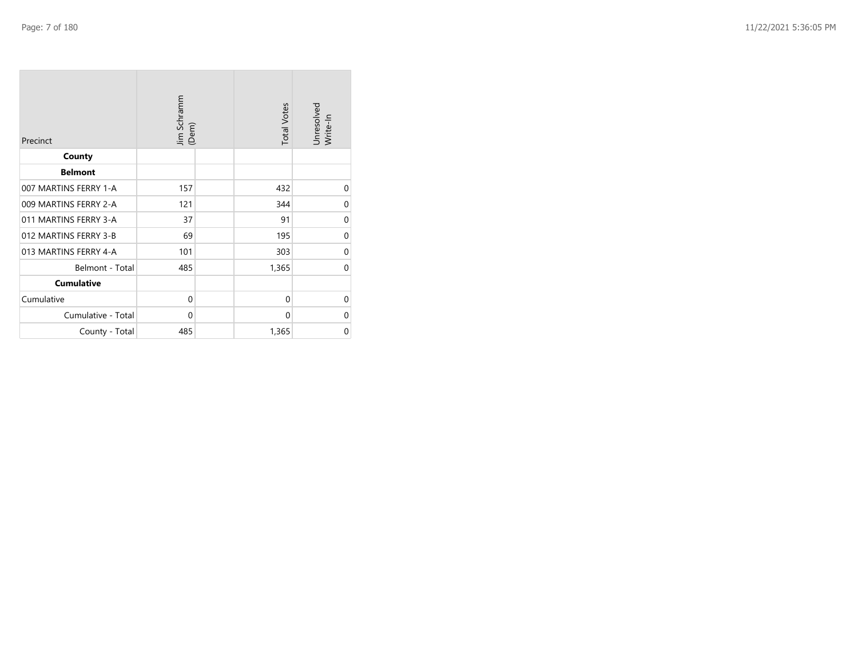| Precinct              | Jim Schramm<br>(Dem) | <b>Total Votes</b> | Unresolved<br>Write-In |
|-----------------------|----------------------|--------------------|------------------------|
| County                |                      |                    |                        |
| <b>Belmont</b>        |                      |                    |                        |
| 007 MARTINS FERRY 1-A | 157                  | 432                | 0                      |
| 009 MARTINS FERRY 2-A | 121                  | 344                | $\mathbf 0$            |
| 011 MARTINS FERRY 3-A | 37                   | 91                 | $\mathbf 0$            |
| 012 MARTINS FERRY 3-B | 69                   | 195                | $\mathbf 0$            |
| 013 MARTINS FERRY 4-A | 101                  | 303                | $\mathbf 0$            |
| Belmont - Total       | 485                  | 1,365              | $\Omega$               |
| <b>Cumulative</b>     |                      |                    |                        |
| Cumulative            | $\mathbf 0$          | $\mathbf{0}$       | $\mathbf 0$            |
| Cumulative - Total    | $\mathbf 0$          | $\mathbf{0}$       | 0                      |
| County - Total        | 485                  | 1,365              | $\mathbf 0$            |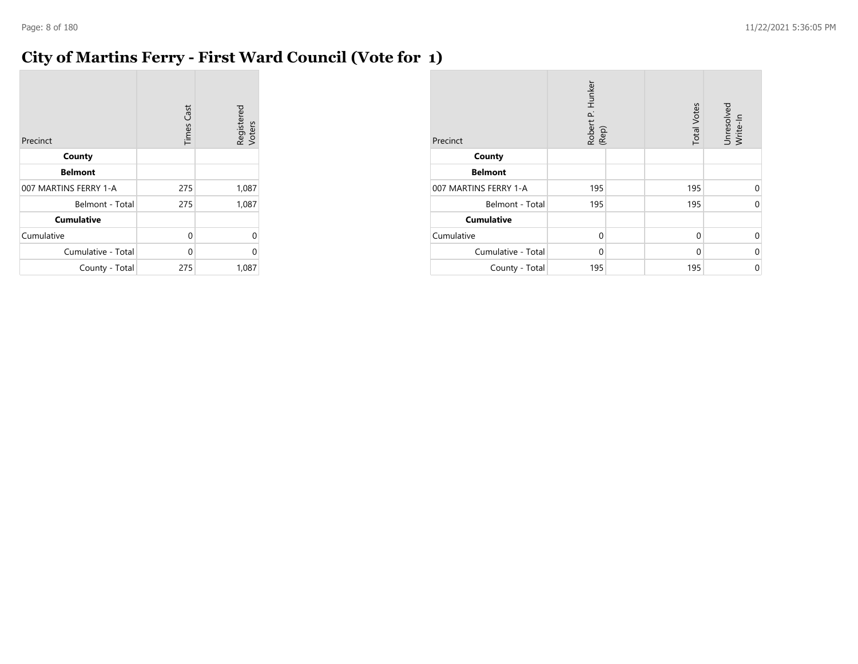### **City of Martins Ferry - First Ward Council (Vote for 1)**

| Precinct              | <b>Times Cast</b> | Registered<br>Voters |
|-----------------------|-------------------|----------------------|
| County                |                   |                      |
| <b>Belmont</b>        |                   |                      |
| 007 MARTINS FERRY 1-A | 275               | 1,087                |
| Belmont - Total       | 275               | 1,087                |
| <b>Cumulative</b>     |                   |                      |
| Cumulative            | 0                 |                      |
| Cumulative - Total    | 0                 |                      |
| County - Total        | 275               | 1,087                |

| Precinct              | Robert P. Hunker<br>(Rep) | <b>Total Votes</b> | Unresolved<br>Write-In |
|-----------------------|---------------------------|--------------------|------------------------|
| County                |                           |                    |                        |
| <b>Belmont</b>        |                           |                    |                        |
| 007 MARTINS FERRY 1-A | 195                       | 195                | $\Omega$               |
| Belmont - Total       | 195                       | 195                | $\Omega$               |
| <b>Cumulative</b>     |                           |                    |                        |
| Cumulative            | $\mathbf 0$               | $\mathbf 0$        | $\Omega$               |
| Cumulative - Total    | $\Omega$                  | $\Omega$           | $\Omega$               |
| County - Total        | 195                       | 195                | 0                      |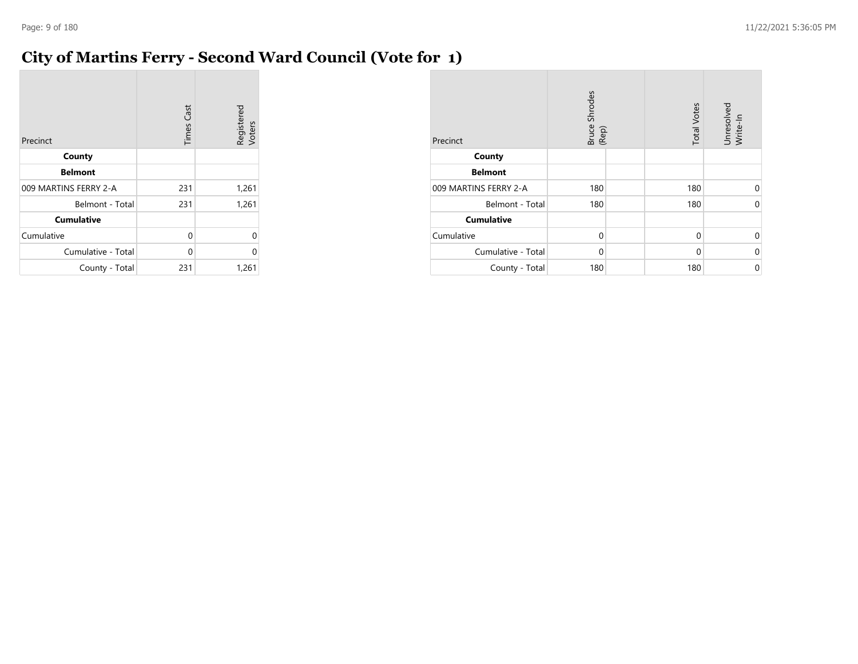### **City of Martins Ferry - Second Ward Council (Vote for 1)**

| Precinct              | <b>Times Cast</b> | Registered<br>Voters |
|-----------------------|-------------------|----------------------|
| County                |                   |                      |
| <b>Belmont</b>        |                   |                      |
| 009 MARTINS FERRY 2-A | 231               | 1,261                |
| Belmont - Total       | 231               | 1,261                |
| <b>Cumulative</b>     |                   |                      |
| Cumulative            | 0                 | 0                    |
| Cumulative - Total    | 0                 | 0                    |
| County - Total        | 231               | 1,261                |

| Precinct              | <b>Bruce Shrodes</b><br>(Rep) | <b>Total Votes</b> | Unresolved<br>Write-In |
|-----------------------|-------------------------------|--------------------|------------------------|
| County                |                               |                    |                        |
| <b>Belmont</b>        |                               |                    |                        |
| 009 MARTINS FERRY 2-A | 180                           | 180                | $\Omega$               |
| Belmont - Total       | 180                           | 180                | 0                      |
| <b>Cumulative</b>     |                               |                    |                        |
| Cumulative            | $\mathbf 0$                   | $\mathbf 0$        | $\Omega$               |
| Cumulative - Total    | $\Omega$                      | $\Omega$           | 0                      |
| County - Total        | 180                           | 180                | 0                      |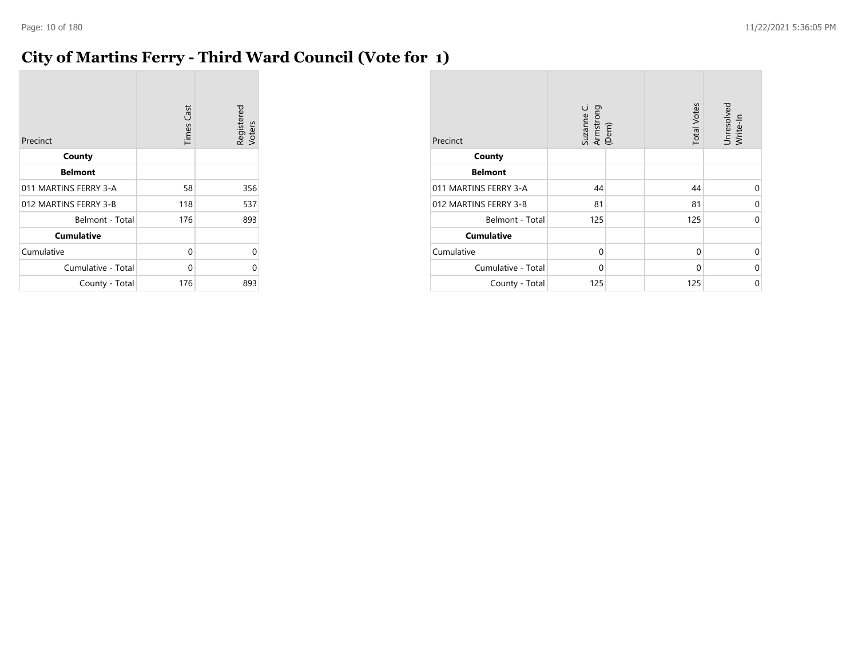### **City of Martins Ferry - Third Ward Council (Vote for 1)**

| Precinct              | <b>Times Cast</b> | Registered<br>Voters |
|-----------------------|-------------------|----------------------|
| County                |                   |                      |
| <b>Belmont</b>        |                   |                      |
| 011 MARTINS FERRY 3-A | 58                | 356                  |
| 012 MARTINS FERRY 3-B | 118               | 537                  |
| Belmont - Total       | 176               | 893                  |
| <b>Cumulative</b>     |                   |                      |
| Cumulative            | 0                 | 0                    |
| Cumulative - Total    | 0                 | 0                    |
| County - Total        | 176               | 893                  |

| Precinct              | Suzanne C.<br>Armstrong<br>(Dem) | <b>Total Votes</b> | Unresolved<br>Write-In |
|-----------------------|----------------------------------|--------------------|------------------------|
| County                |                                  |                    |                        |
| <b>Belmont</b>        |                                  |                    |                        |
| 011 MARTINS FERRY 3-A | 44                               | 44                 | 0                      |
| 012 MARTINS FERRY 3-B | 81                               | 81                 | 0                      |
| Belmont - Total       | 125                              | 125                | $\mathbf 0$            |
| <b>Cumulative</b>     |                                  |                    |                        |
| Cumulative            | 0                                | 0                  | $\Omega$               |
| Cumulative - Total    | $\mathbf 0$                      | 0                  | 0                      |
| County - Total        | 125                              | 125                | 0                      |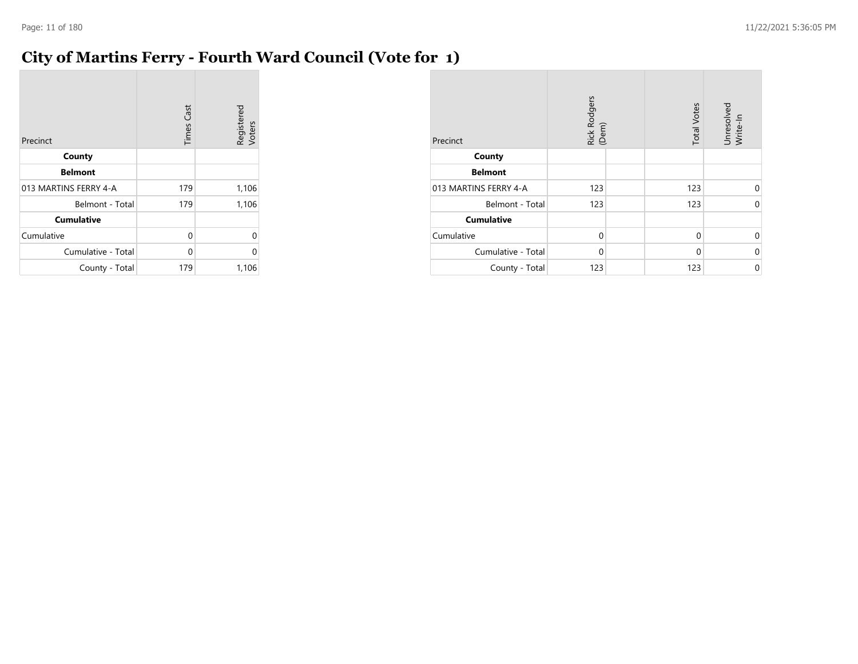### **City of Martins Ferry - Fourth Ward Council (Vote for 1)**

| Precinct              | <b>Times Cast</b> | Registered<br>Voters |
|-----------------------|-------------------|----------------------|
| County                |                   |                      |
| <b>Belmont</b>        |                   |                      |
| 013 MARTINS FERRY 4-A | 179               | 1,106                |
| Belmont - Total       | 179               | 1,106                |
| <b>Cumulative</b>     |                   |                      |
| Cumulative            | 0                 | $\Omega$             |
| Cumulative - Total    | 0                 | O                    |
| County - Total        | 179               | 1,106                |

| Precinct              | Rick Rodgers<br>(Dem) | <b>Total Votes</b> | Unresolved<br>Write-In |
|-----------------------|-----------------------|--------------------|------------------------|
| County                |                       |                    |                        |
| <b>Belmont</b>        |                       |                    |                        |
| 013 MARTINS FERRY 4-A | 123                   | 123                | $\Omega$               |
| Belmont - Total       | 123                   | 123                | $\Omega$               |
| <b>Cumulative</b>     |                       |                    |                        |
| Cumulative            | $\Omega$              | $\Omega$           | $\Omega$               |
| Cumulative - Total    | $\Omega$              | $\Omega$           | $\Omega$               |
| County - Total        | 123                   | 123                | 0                      |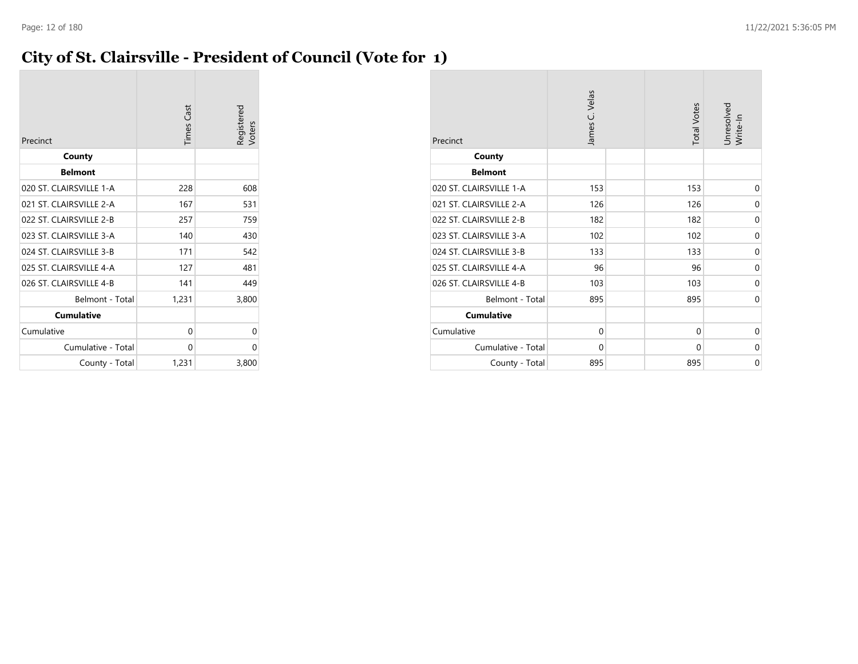### **City of St. Clairsville - President of Council (Vote for 1)**

| Precinct                | <b>Times Cast</b> | Registered<br>/oters |
|-------------------------|-------------------|----------------------|
| County                  |                   |                      |
| <b>Belmont</b>          |                   |                      |
| 020 ST. CLAIRSVILLE 1-A | 228               | 608                  |
| 021 ST. CLAIRSVILLE 2-A | 167               | 531                  |
| 022 ST. CLAIRSVILLE 2-B | 257               | 759                  |
| 023 ST. CLAIRSVILLE 3-A | 140               | 430                  |
| 024 ST. CLAIRSVILLE 3-B | 171               | 542                  |
| 025 ST. CLAIRSVILLE 4-A | 127               | 481                  |
| 026 ST. CLAIRSVILLE 4-B | 141               | 449                  |
| Belmont - Total         | 1,231             | 3,800                |
| <b>Cumulative</b>       |                   |                      |
| Cumulative              | $\Omega$          | 0                    |
| Cumulative - Total      | 0                 | 0                    |
| County - Total          | 1,231             | 3,800                |

| Precinct                | James C. Velas | <b>Total Votes</b> | Unresolved<br>Write-In |
|-------------------------|----------------|--------------------|------------------------|
| County                  |                |                    |                        |
| <b>Belmont</b>          |                |                    |                        |
| 020 ST. CLAIRSVILLE 1-A | 153            | 153                | 0                      |
| 021 ST. CLAIRSVILLE 2-A | 126            | 126                | 0                      |
| 022 ST. CLAIRSVILLE 2-B | 182            | 182                | $\mathbf 0$            |
| 023 ST. CLAIRSVILLE 3-A | 102            | 102                | 0                      |
| 024 ST. CLAIRSVILLE 3-B | 133            | 133                | 0                      |
| 025 ST. CLAIRSVILLE 4-A | 96             | 96                 | $\mathbf 0$            |
| 026 ST. CLAIRSVILLE 4-B | 103            | 103                | $\mathbf 0$            |
| Belmont - Total         | 895            | 895                | $\mathbf 0$            |
| <b>Cumulative</b>       |                |                    |                        |
| Cumulative              | $\Omega$       | $\Omega$           | $\mathbf 0$            |
| Cumulative - Total      | 0              | 0                  | 0                      |
| County - Total          | 895            | 895                | $\mathbf 0$            |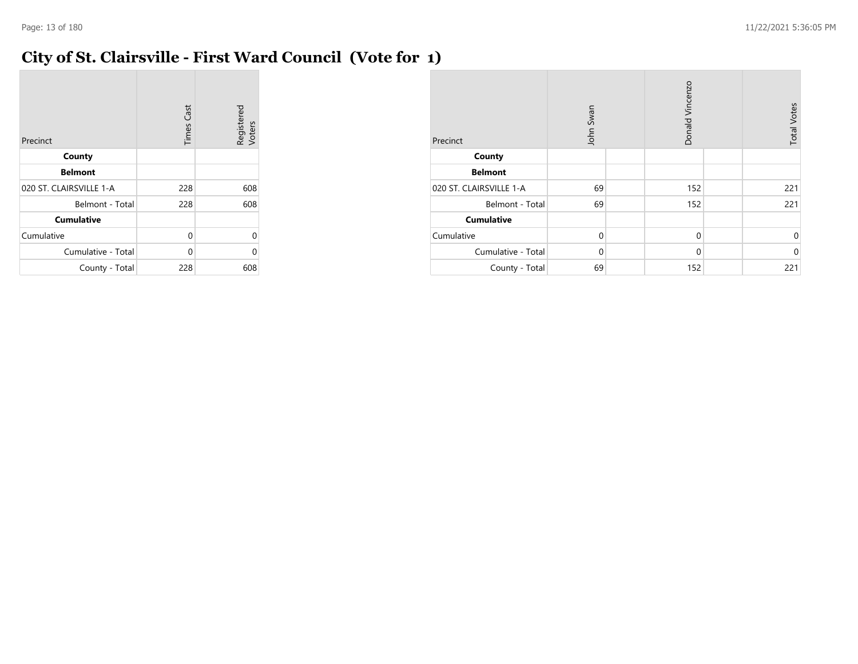### **City of St. Clairsville - First Ward Council (Vote for 1)**

| Precinct                | <b>Times Cast</b> | Registered<br>Voters |
|-------------------------|-------------------|----------------------|
| County                  |                   |                      |
| <b>Belmont</b>          |                   |                      |
| 020 ST. CLAIRSVILLE 1-A | 228               | 608                  |
| Belmont - Total         | 228               | 608                  |
| <b>Cumulative</b>       |                   |                      |
| Cumulative              | 0                 | 0                    |
| Cumulative - Total      | 0                 | U                    |
| County - Total          | 228               | 608                  |

| Precinct                | John Swan   | Donald Vincenzo | <b>Total Votes</b> |
|-------------------------|-------------|-----------------|--------------------|
| County                  |             |                 |                    |
| <b>Belmont</b>          |             |                 |                    |
| 020 ST. CLAIRSVILLE 1-A | 69          | 152             | 221                |
| Belmont - Total         | 69          | 152             | 221                |
| <b>Cumulative</b>       |             |                 |                    |
| Cumulative              | $\mathbf 0$ | $\mathbf 0$     | 0                  |
| Cumulative - Total      | $\Omega$    | $\mathbf 0$     | $\mathbf 0$        |
| County - Total          | 69          | 152             | 221                |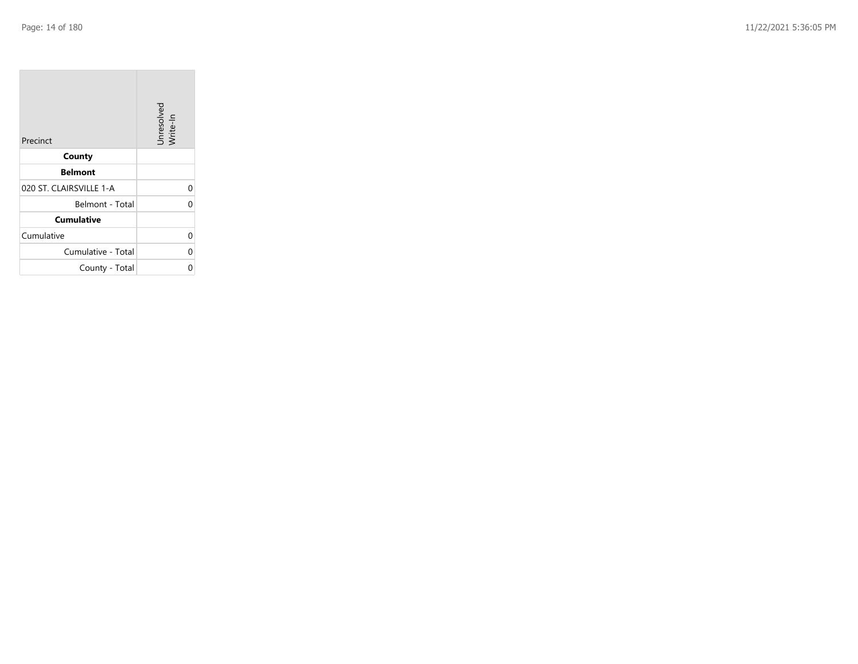| Precinct                | Unresolved<br>Write-In |
|-------------------------|------------------------|
| County                  |                        |
| <b>Belmont</b>          |                        |
| 020 ST. CLAIRSVILLE 1-A | 0                      |
| Belmont - Total         | 0                      |
| <b>Cumulative</b>       |                        |
| Cumulative              | 0                      |
| Cumulative - Total      | 0                      |
| County - Total          | Ω                      |

the property of the control of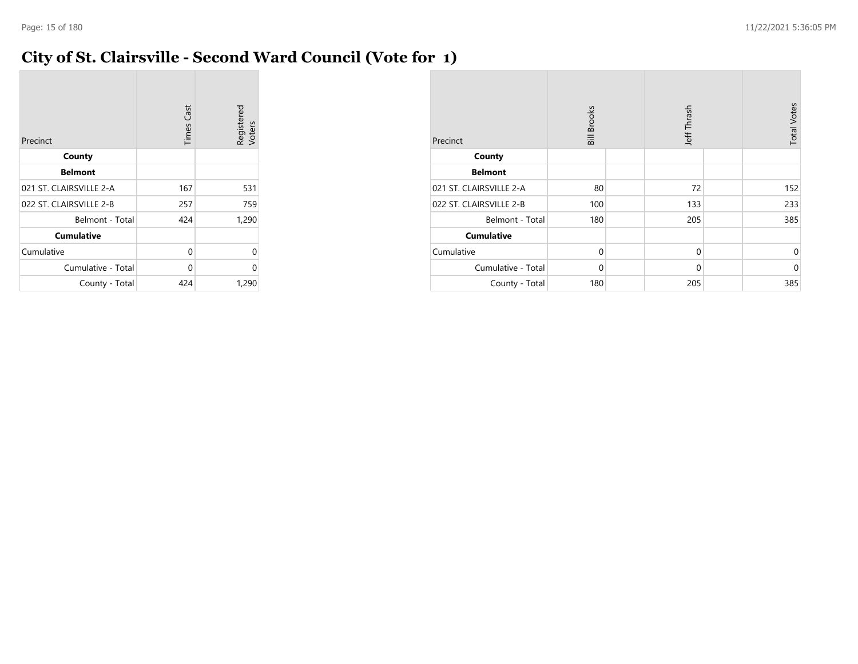### **City of St. Clairsville - Second Ward Council (Vote for 1)**

| Precinct                | <b>Times Cast</b> | Registered<br>Voters |
|-------------------------|-------------------|----------------------|
| County                  |                   |                      |
| <b>Belmont</b>          |                   |                      |
| 021 ST. CLAIRSVILLE 2-A | 167               | 531                  |
| 022 ST. CLAIRSVILLE 2-B | 257               | 759                  |
| Belmont - Total         | 424               | 1,290                |
| <b>Cumulative</b>       |                   |                      |
| Cumulative              | 0                 | 0                    |
| Cumulative - Total      | 0                 | 0                    |
| County - Total          | 424               | 1,290                |

| Precinct                | Jeff Thrash<br><b>Bill Brooks</b> |  |             |  |             |  | <b>Total Votes</b> |
|-------------------------|-----------------------------------|--|-------------|--|-------------|--|--------------------|
| County                  |                                   |  |             |  |             |  |                    |
| <b>Belmont</b>          |                                   |  |             |  |             |  |                    |
| 021 ST. CLAIRSVILLE 2-A | 80                                |  | 72          |  | 152         |  |                    |
| 022 ST. CLAIRSVILLE 2-B | 100                               |  | 133         |  | 233         |  |                    |
| Belmont - Total         | 180                               |  | 205         |  | 385         |  |                    |
| <b>Cumulative</b>       |                                   |  |             |  |             |  |                    |
| Cumulative              | $\mathbf 0$                       |  | 0           |  | 0           |  |                    |
| Cumulative - Total      | $\mathbf 0$                       |  | $\mathbf 0$ |  | $\mathbf 0$ |  |                    |
| County - Total          | 180                               |  | 205         |  | 385         |  |                    |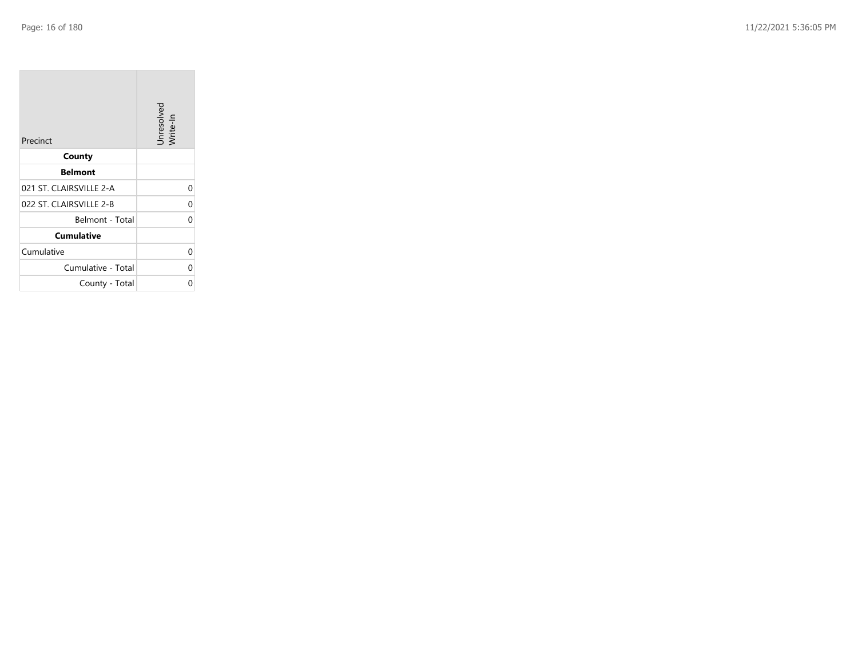**College** 

| Precinct                | Unresolved<br>Write-In |
|-------------------------|------------------------|
| County                  |                        |
| <b>Belmont</b>          |                        |
| 021 ST. CLAIRSVILLE 2-A | 0                      |
| 022 ST. CLAIRSVILLE 2-B | 0                      |
| Belmont - Total         | 0                      |
| <b>Cumulative</b>       |                        |
| Cumulative              | 0                      |
| Cumulative - Total      | 0                      |
| County - Total          | 0                      |

the company of the company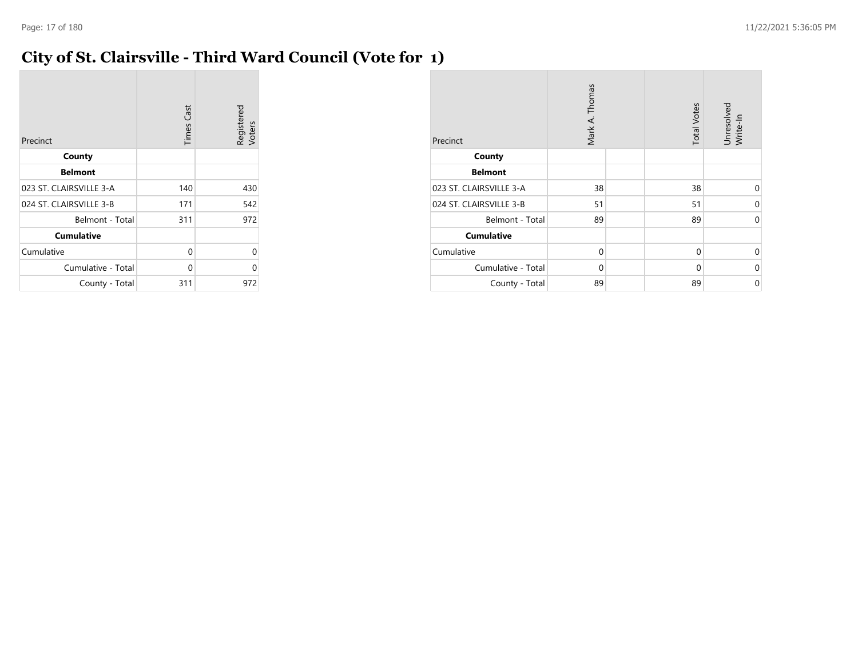### **City of St. Clairsville - Third Ward Council (Vote for 1)**

| Precinct                | <b>Times Cast</b> | Registered<br>Voters |
|-------------------------|-------------------|----------------------|
| County                  |                   |                      |
| <b>Belmont</b>          |                   |                      |
| 023 ST. CLAIRSVILLE 3-A | 140               | 430                  |
| 024 ST. CLAIRSVILLE 3-B | 171               | 542                  |
| Belmont - Total         | 311               | 972                  |
| <b>Cumulative</b>       |                   |                      |
| Cumulative              | 0                 | U                    |
| Cumulative - Total      | 0                 | 0                    |
| County - Total          | 311               | 972                  |

| Precinct                | Mark A. Thomas |  | <b>Total Votes</b> | Unresolved<br>Write-In |
|-------------------------|----------------|--|--------------------|------------------------|
| County                  |                |  |                    |                        |
| <b>Belmont</b>          |                |  |                    |                        |
| 023 ST. CLAIRSVILLE 3-A | 38             |  | 38                 | $\Omega$               |
| 024 ST. CLAIRSVILLE 3-B | 51             |  | 51                 | 0                      |
| Belmont - Total         | 89             |  | 89                 | 0                      |
| <b>Cumulative</b>       |                |  |                    |                        |
| Cumulative              | $\mathbf 0$    |  | 0                  | 0                      |
| Cumulative - Total      | $\mathbf 0$    |  | 0                  | 0                      |
| County - Total          | 89             |  | 89                 | 0                      |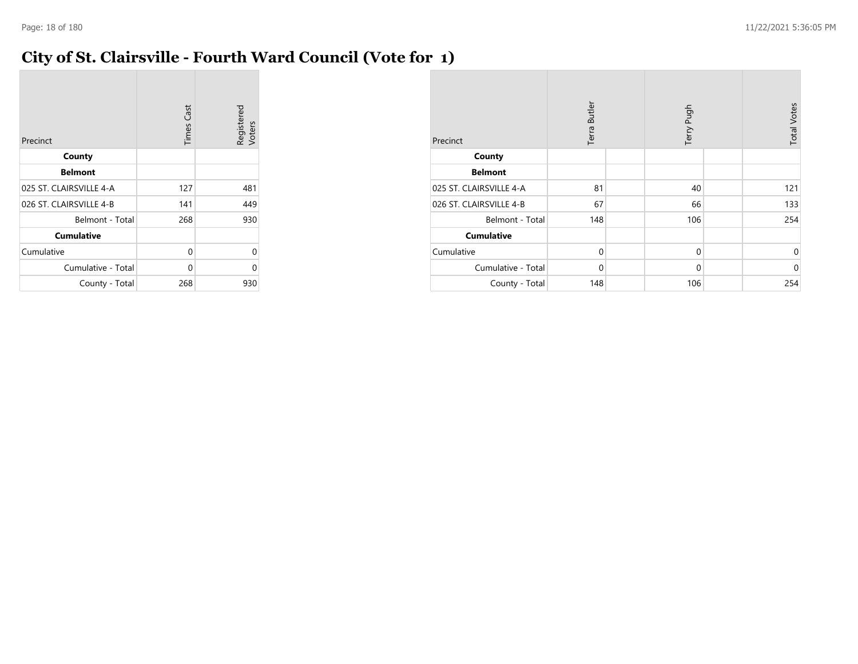### **City of St. Clairsville - Fourth Ward Council (Vote for 1)**

| Precinct                | <b>Times Cast</b> | Registered<br>Voters |
|-------------------------|-------------------|----------------------|
| County                  |                   |                      |
| <b>Belmont</b>          |                   |                      |
| 025 ST. CLAIRSVILLE 4-A | 127               | 481                  |
| 026 ST. CLAIRSVILLE 4-B | 141               | 449                  |
| Belmont - Total         | 268               | 930                  |
| <b>Cumulative</b>       |                   |                      |
| Cumulative              | 0                 | 0                    |
| Cumulative - Total      | 0                 | 0                    |
| County - Total          | 268               | 930                  |

| Precinct                | Terra Butler |  | Terry Pugh  |  | <b>Total Votes</b> |
|-------------------------|--------------|--|-------------|--|--------------------|
| County                  |              |  |             |  |                    |
| <b>Belmont</b>          |              |  |             |  |                    |
| 025 ST. CLAIRSVILLE 4-A | 81           |  | 40          |  | 121                |
| 026 ST. CLAIRSVILLE 4-B | 67           |  | 66          |  | 133                |
| Belmont - Total         | 148          |  | 106         |  | 254                |
| <b>Cumulative</b>       |              |  |             |  |                    |
| Cumulative              | $\mathbf 0$  |  | 0           |  | $\mathbf 0$        |
| Cumulative - Total      | $\mathbf 0$  |  | $\mathbf 0$ |  | $\mathbf 0$        |
| County - Total          | 148          |  | 106         |  | 254                |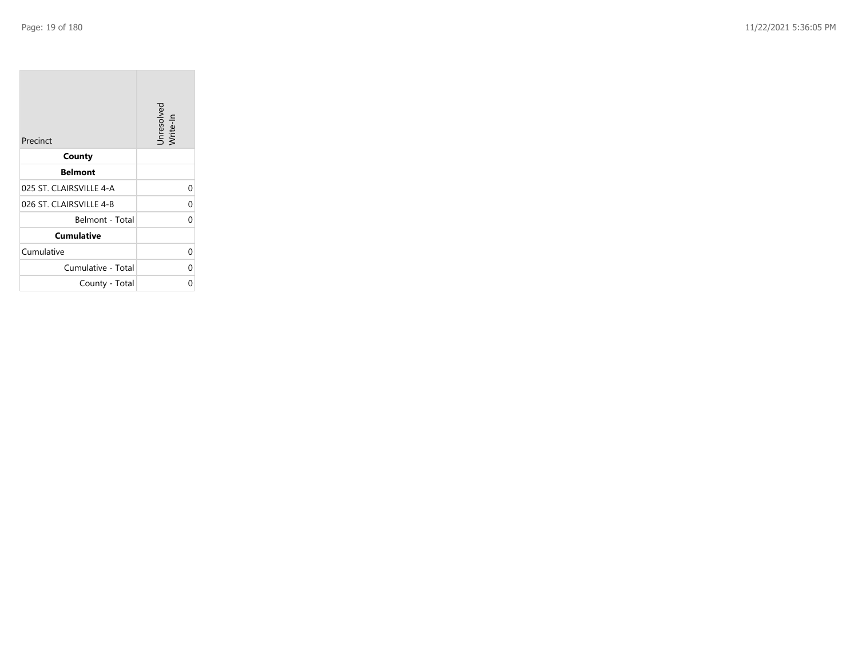**COL** 

| Precinct                | Unresolved<br>Write-In |
|-------------------------|------------------------|
| County                  |                        |
| <b>Belmont</b>          |                        |
| 025 ST. CLAIRSVILLE 4-A | 0                      |
| 026 ST. CLAIRSVILLE 4-B | 0                      |
| Belmont - Total         | 0                      |
| <b>Cumulative</b>       |                        |
| Cumulative              | 0                      |
| Cumulative - Total      | 0                      |
| County - Total          | 0                      |

the company of the company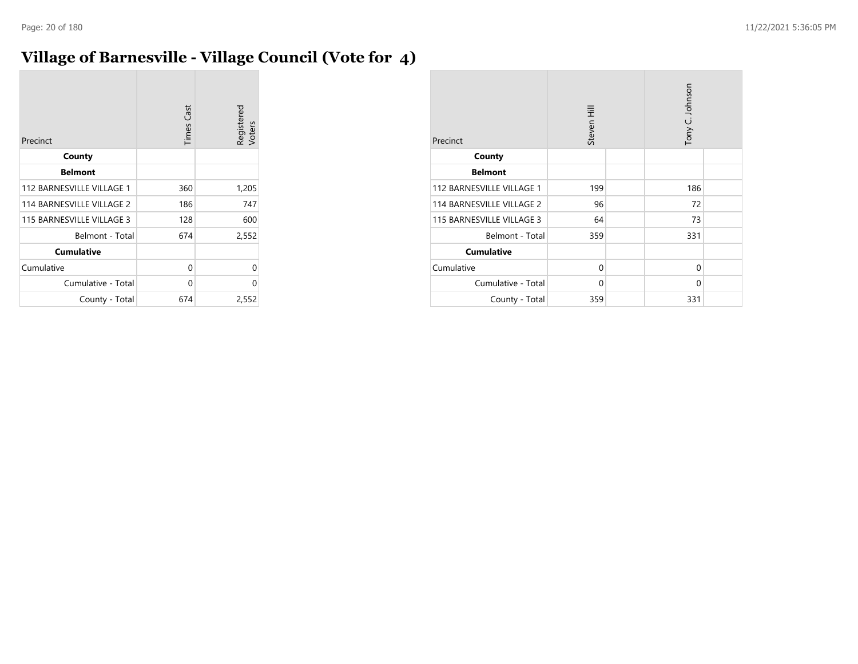# **Village of Barnesville - Village Council (Vote for 4)**

| Precinct                  | <b>Times Cast</b> | Registered<br>Voters |
|---------------------------|-------------------|----------------------|
| County                    |                   |                      |
| <b>Belmont</b>            |                   |                      |
| 112 BARNESVILLE VILLAGE 1 | 360               | 1,205                |
| 114 BARNESVILLE VILLAGE 2 | 186               | 747                  |
| 115 BARNESVILLE VILLAGE 3 | 128               | 600                  |
| Belmont - Total           | 674               | 2,552                |
| <b>Cumulative</b>         |                   |                      |
| Cumulative                | 0                 | 0                    |
| Cumulative - Total        | 0                 | 0                    |
| County - Total            | 674               | 2,552                |

| Precinct                  | Steven Hill  |  | Tony C. Johnson |  |
|---------------------------|--------------|--|-----------------|--|
| County                    |              |  |                 |  |
| <b>Belmont</b>            |              |  |                 |  |
| 112 BARNESVILLE VILLAGE 1 | 199          |  | 186             |  |
| 114 BARNESVILLE VILLAGE 2 | 96           |  | 72              |  |
| 115 BARNESVILLE VILLAGE 3 | 64           |  | 73              |  |
| Belmont - Total           | 359          |  | 331             |  |
| <b>Cumulative</b>         |              |  |                 |  |
| Cumulative                | $\Omega$     |  | 0               |  |
| Cumulative - Total        | $\mathbf{0}$ |  | $\Omega$        |  |
| County - Total            | 359          |  | 331             |  |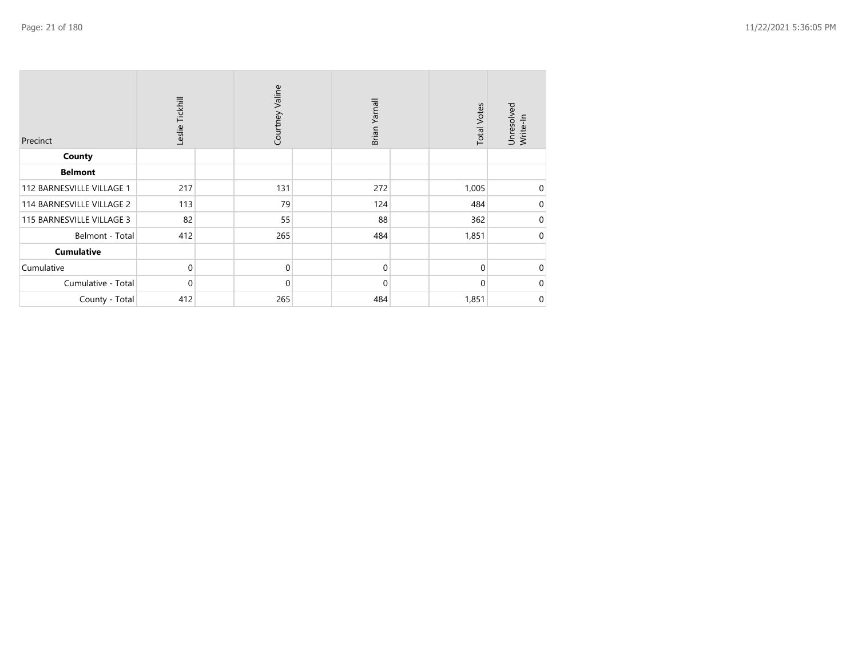| Precinct                  | Leslie Tickhill | Courtney Valine | Brian Yarnall | <b>Total Votes</b> | Unresolved<br>Write-In |
|---------------------------|-----------------|-----------------|---------------|--------------------|------------------------|
| County                    |                 |                 |               |                    |                        |
| <b>Belmont</b>            |                 |                 |               |                    |                        |
| 112 BARNESVILLE VILLAGE 1 | 217             | 131             | 272           | 1,005              | 0                      |
| 114 BARNESVILLE VILLAGE 2 | 113             | 79              | 124           | 484                | 0                      |
| 115 BARNESVILLE VILLAGE 3 | 82              | 55              | 88            | 362                | 0                      |
| Belmont - Total           | 412             | 265             | 484           | 1,851              | $\Omega$               |
| <b>Cumulative</b>         |                 |                 |               |                    |                        |
| Cumulative                | $\mathbf 0$     | $\mathbf 0$     | $\Omega$      | $\Omega$           | $\Omega$               |
| Cumulative - Total        | $\mathbf 0$     | $\mathbf 0$     | $\Omega$      | $\Omega$           | $\Omega$               |
| County - Total            | 412             | 265             | 484           | 1,851              | 0                      |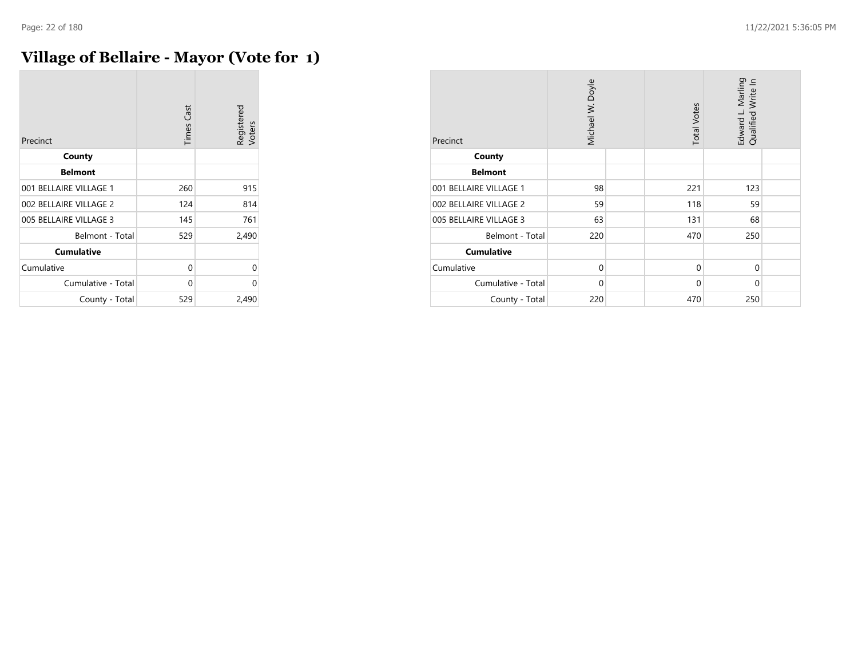### **Village of Bellaire - Mayor (Vote for 1)**

| Precinct               | <b>Times Cast</b> | Registered<br>Voters |
|------------------------|-------------------|----------------------|
| County                 |                   |                      |
| <b>Belmont</b>         |                   |                      |
| 001 BELLAIRE VILLAGE 1 | 260               | 915                  |
| 002 BELLAIRE VILLAGE 2 | 124               | 814                  |
| 005 BELLAIRE VILLAGE 3 | 145               | 761                  |
| Belmont - Total        | 529               | 2,490                |
| <b>Cumulative</b>      |                   |                      |
| Cumulative             | 0                 | 0                    |
| Cumulative - Total     | 0                 | 0                    |
| County - Total         | 529               | 2,490                |

| Precinct               | Michael W. Doyle | <b>Total Votes</b> | Edward L. Marling<br>Qualified Write In |  |
|------------------------|------------------|--------------------|-----------------------------------------|--|
| County                 |                  |                    |                                         |  |
| <b>Belmont</b>         |                  |                    |                                         |  |
| 001 BELLAIRE VILLAGE 1 | 98               | 221                | 123                                     |  |
| 002 BELLAIRE VILLAGE 2 | 59               | 118                | 59                                      |  |
| 005 BELLAIRE VILLAGE 3 | 63               | 131                | 68                                      |  |
| Belmont - Total        | 220              | 470                | 250                                     |  |
| <b>Cumulative</b>      |                  |                    |                                         |  |
| Cumulative             | $\mathbf 0$      | $\Omega$           | $\Omega$                                |  |
| Cumulative - Total     | $\mathbf 0$      | $\Omega$           | $\Omega$                                |  |
| County - Total         | 220              | 470                | 250                                     |  |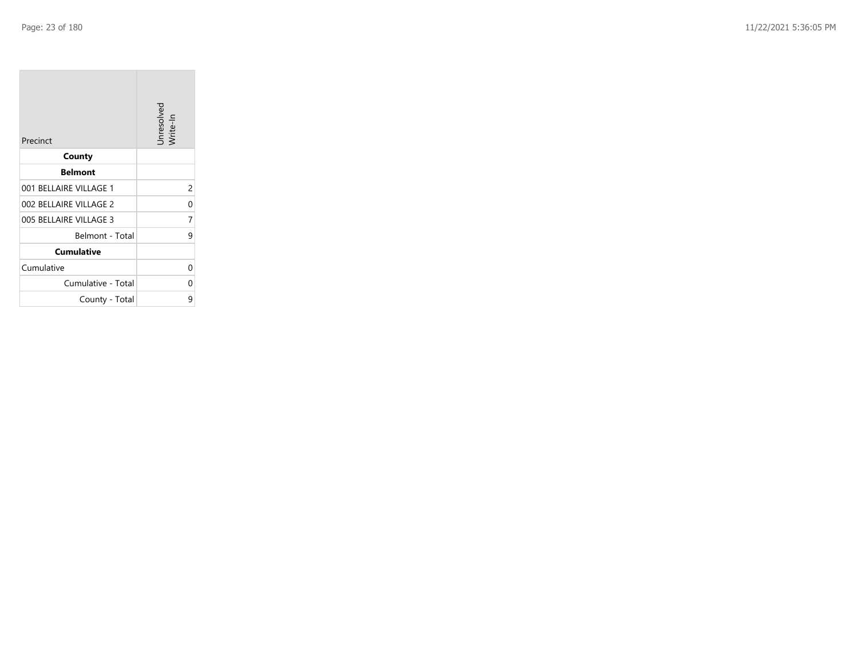**COL** 

| Precinct               | Unresolved<br>Write-In |
|------------------------|------------------------|
| County                 |                        |
| <b>Belmont</b>         |                        |
| 001 BELLAIRE VILLAGE 1 | 2                      |
| 002 BELLAIRE VILLAGE 2 | 0                      |
| 005 BELLAIRE VILLAGE 3 | 7                      |
| Belmont - Total        | 9                      |
| <b>Cumulative</b>      |                        |
| Cumulative             | 0                      |
| Cumulative - Total     | 0                      |
| County - Total         | 9                      |

the company's company's com-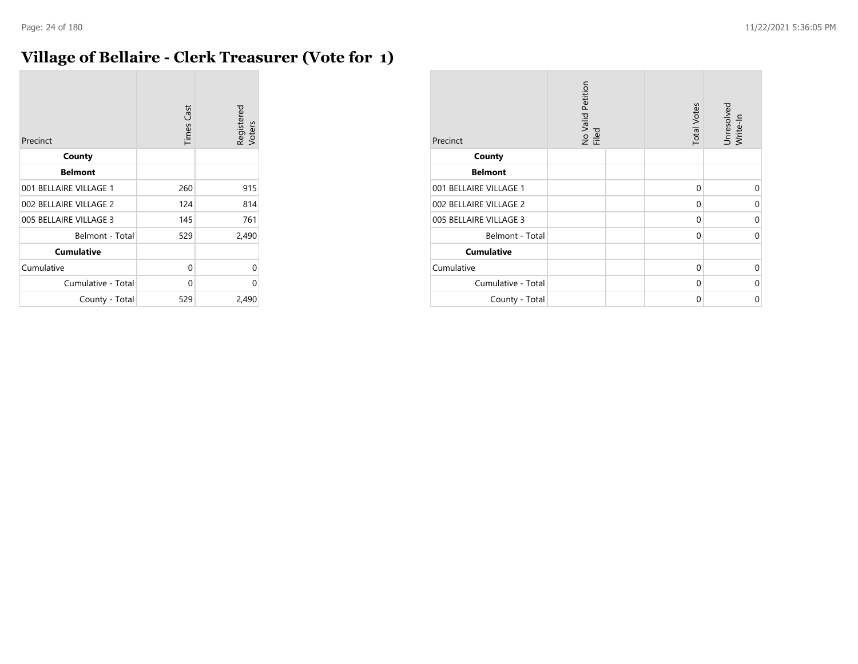### **Village of Bellaire - Clerk Treasurer (Vote for 1)**

| Precinct               | <b>Times Cast</b> | Registered<br>Voters |
|------------------------|-------------------|----------------------|
| County                 |                   |                      |
| <b>Belmont</b>         |                   |                      |
| 001 BELLAIRE VILLAGE 1 | 260               | 915                  |
| 002 BELLAIRE VILLAGE 2 | 124               | 814                  |
| 005 BELLAIRE VILLAGE 3 | 145               | 761                  |
| Belmont - Total        | 529               | 2,490                |
| <b>Cumulative</b>      |                   |                      |
| Cumulative             | 0                 | U                    |
| Cumulative - Total     | 0                 | ი                    |
| County - Total         | 529               | 2,490                |

| Precinct               | No Valid Petition<br>Filed | <b>Total Votes</b> | Unresolved<br>Write-In |
|------------------------|----------------------------|--------------------|------------------------|
| County                 |                            |                    |                        |
| <b>Belmont</b>         |                            |                    |                        |
| 001 BELLAIRE VILLAGE 1 |                            | $\mathbf 0$        | 0                      |
| 002 BELLAIRE VILLAGE 2 |                            | 0                  | 0                      |
| 005 BELLAIRE VILLAGE 3 |                            | 0                  | 0                      |
| Belmont - Total        |                            | 0                  | 0                      |
| <b>Cumulative</b>      |                            |                    |                        |
| Cumulative             |                            | 0                  | 0                      |
| Cumulative - Total     |                            | 0                  | 0                      |
| County - Total         |                            | 0                  | 0                      |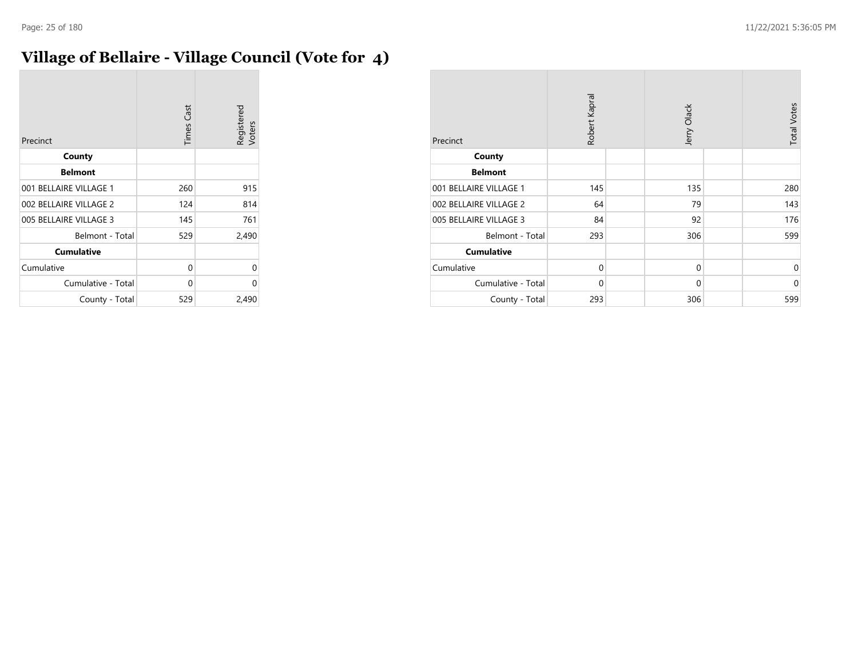# **Village of Bellaire - Village Council (Vote for 4)**

| Precinct               | <b>Times Cast</b> | Registered<br>Voters |
|------------------------|-------------------|----------------------|
| County                 |                   |                      |
| <b>Belmont</b>         |                   |                      |
| 001 BELLAIRE VILLAGE 1 | 260               | 915                  |
| 002 BELLAIRE VILLAGE 2 | 124               | 814                  |
| 005 BELLAIRE VILLAGE 3 | 145               | 761                  |
| Belmont - Total        | 529               | 2,490                |
| <b>Cumulative</b>      |                   |                      |
| Cumulative             | 0                 | 0                    |
| Cumulative - Total     | 0                 | U                    |
| County - Total         | 529               | 2,490                |

| Precinct               | Robert Kapral | Jerry Olack | <b>Total Votes</b> |
|------------------------|---------------|-------------|--------------------|
| County                 |               |             |                    |
| <b>Belmont</b>         |               |             |                    |
| 001 BELLAIRE VILLAGE 1 | 145           | 135         | 280                |
| 002 BELLAIRE VILLAGE 2 | 64            | 79          | 143                |
| 005 BELLAIRE VILLAGE 3 | 84            | 92          | 176                |
| Belmont - Total        | 293           | 306         | 599                |
| <b>Cumulative</b>      |               |             |                    |
| Cumulative             | $\mathbf 0$   | $\mathbf 0$ | 0                  |
| Cumulative - Total     | $\mathbf 0$   | $\mathbf 0$ | 0                  |
| County - Total         | 293           | 306         | 599                |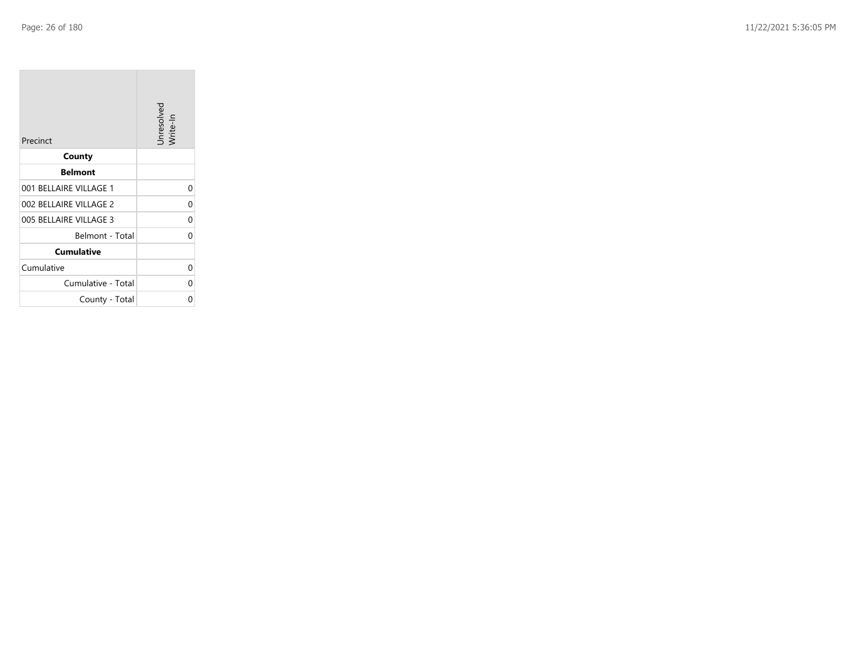**College** 

| Precinct               | Unresolved<br>Write-In |
|------------------------|------------------------|
| County                 |                        |
| <b>Belmont</b>         |                        |
| 001 BELLAIRE VILLAGE 1 | 0                      |
| 002 BELLAIRE VILLAGE 2 | 0                      |
| 005 BELLAIRE VILLAGE 3 | 0                      |
| Belmont - Total        | 0                      |
| <b>Cumulative</b>      |                        |
| Cumulative             | 0                      |
| Cumulative - Total     | 0                      |
| County - Total         | ი                      |

the property of the control of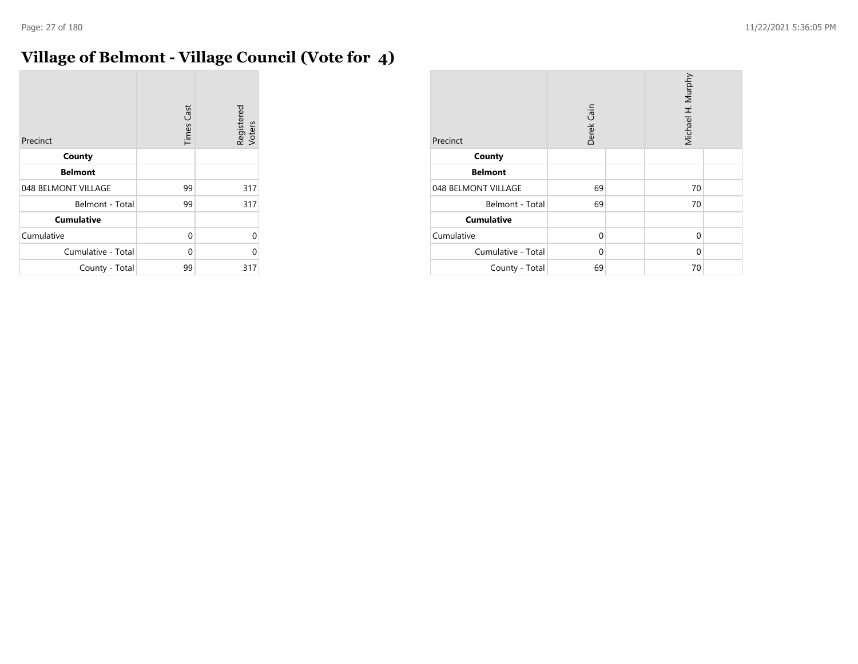$\sim$ 

# **Village of Belmont - Village Council (Vote for 4)**

| Precinct            | <b>Times Cast</b> | Registered<br>Voters |
|---------------------|-------------------|----------------------|
| County              |                   |                      |
| <b>Belmont</b>      |                   |                      |
| 048 BELMONT VILLAGE | 99                | 317                  |
| Belmont - Total     | 99                | 317                  |
| <b>Cumulative</b>   |                   |                      |
| Cumulative          | 0                 | 0                    |
| Cumulative - Total  | 0                 | U                    |
| County - Total      | 99                | 317                  |

| Precinct            | Derek Cain |  | Michael H. Murphy |  |
|---------------------|------------|--|-------------------|--|
| County              |            |  |                   |  |
| <b>Belmont</b>      |            |  |                   |  |
| 048 BELMONT VILLAGE | 69         |  | 70                |  |
| Belmont - Total     | 69         |  | 70                |  |
| <b>Cumulative</b>   |            |  |                   |  |
| Cumulative          | $\Omega$   |  | 0                 |  |
| Cumulative - Total  | $\Omega$   |  | 0                 |  |
| County - Total      | 69         |  | 70                |  |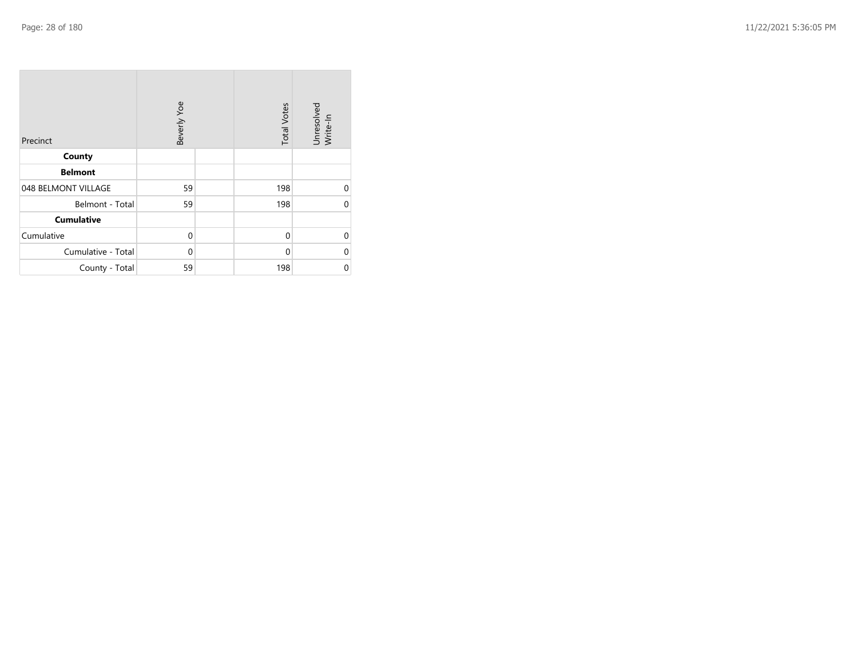| Precinct            | Beverly Yoe | <b>Total Votes</b> | Unresolved<br>Write-In |
|---------------------|-------------|--------------------|------------------------|
| County              |             |                    |                        |
| <b>Belmont</b>      |             |                    |                        |
| 048 BELMONT VILLAGE | 59          | 198                | 0                      |
| Belmont - Total     | 59          | 198                | $\Omega$               |
| <b>Cumulative</b>   |             |                    |                        |
| Cumulative          | 0           | $\mathbf{0}$       | $\Omega$               |
| Cumulative - Total  | $\mathbf 0$ | 0                  | $\Omega$               |
| County - Total      | 59          | 198                | 0                      |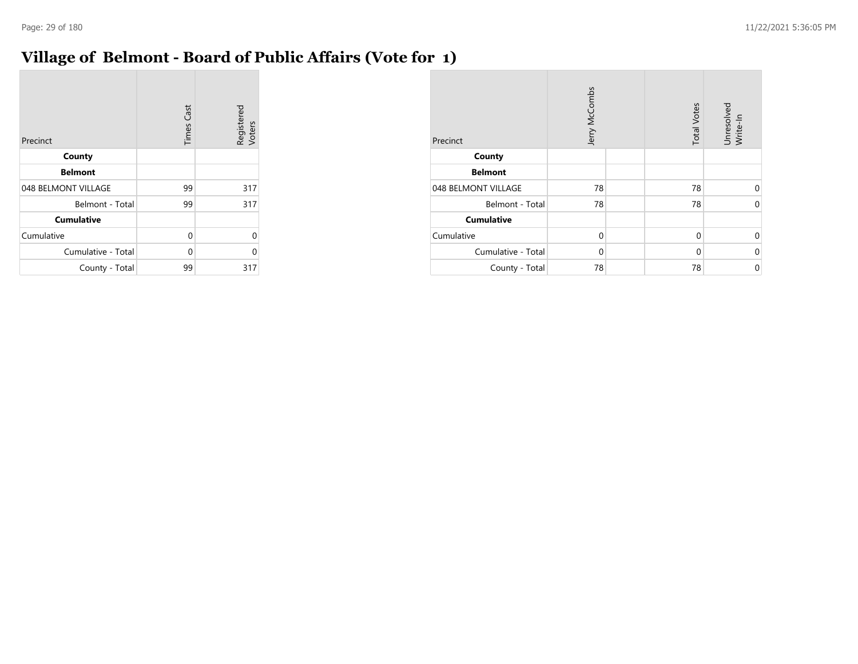### **Village of Belmont - Board of Public Affairs (Vote for 1)**

| Precinct            | <b>Times Cast</b> | Registered<br>Voters |
|---------------------|-------------------|----------------------|
| County              |                   |                      |
| <b>Belmont</b>      |                   |                      |
| 048 BELMONT VILLAGE | 99                | 317                  |
| Belmont - Total     | 99                | 317                  |
| <b>Cumulative</b>   |                   |                      |
| Cumulative          | 0                 | 0                    |
| Cumulative - Total  | $\Omega$          | ი                    |
| County - Total      | 99                | 317                  |

| Precinct            | Jerry McCombs | <b>Total Votes</b> | Unresolved<br>Write-In |
|---------------------|---------------|--------------------|------------------------|
| County              |               |                    |                        |
| <b>Belmont</b>      |               |                    |                        |
| 048 BELMONT VILLAGE | 78            | 78                 | $\Omega$               |
| Belmont - Total     | 78            | 78                 | $\Omega$               |
| <b>Cumulative</b>   |               |                    |                        |
| Cumulative          | $\Omega$      | $\mathbf 0$        | $\Omega$               |
| Cumulative - Total  | $\Omega$      | $\Omega$           | $\Omega$               |
| County - Total      | 78            | 78                 | 0                      |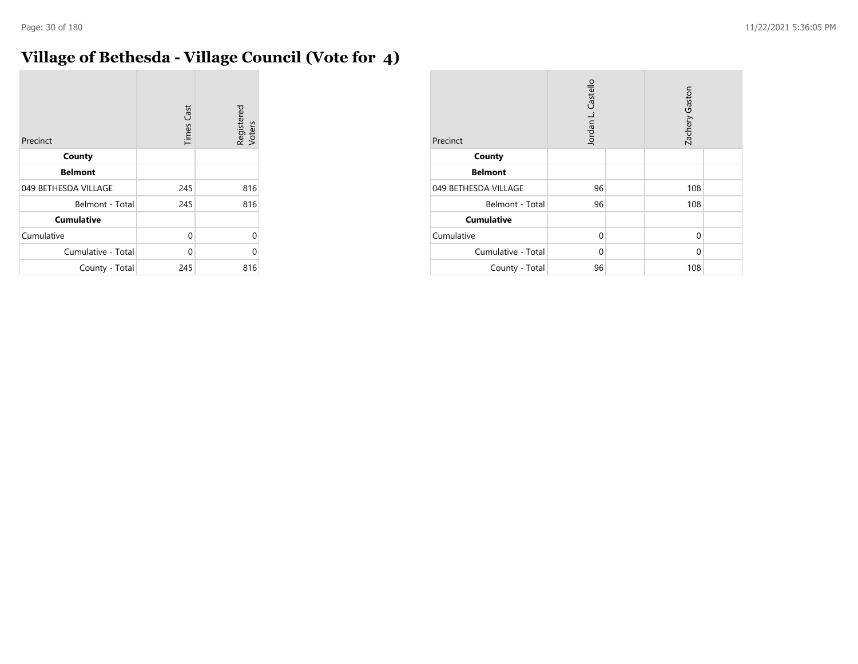# **Village of Bethesda - Village Council (Vote for 4)**

| Precinct             | <b>Times Cast</b> | Registered<br>Voters |
|----------------------|-------------------|----------------------|
| County               |                   |                      |
| <b>Belmont</b>       |                   |                      |
| 049 BETHESDA VILLAGE | 245               | 816                  |
| Belmont - Total      | 245               | 816                  |
| <b>Cumulative</b>    |                   |                      |
| Cumulative           | 0                 | U                    |
| Cumulative - Total   | 0                 | U                    |
| County - Total       | 245               | 816                  |

| Precinct             | Jordan L. Castello |  | Zachery Gaston |  |
|----------------------|--------------------|--|----------------|--|
| County               |                    |  |                |  |
| <b>Belmont</b>       |                    |  |                |  |
| 049 BETHESDA VILLAGE | 96                 |  | 108            |  |
| Belmont - Total      | 96                 |  | 108            |  |
| <b>Cumulative</b>    |                    |  |                |  |
| Cumulative           | $\Omega$           |  | 0              |  |
| Cumulative - Total   | $\Omega$           |  | 0              |  |
| County - Total       | 96                 |  | 108            |  |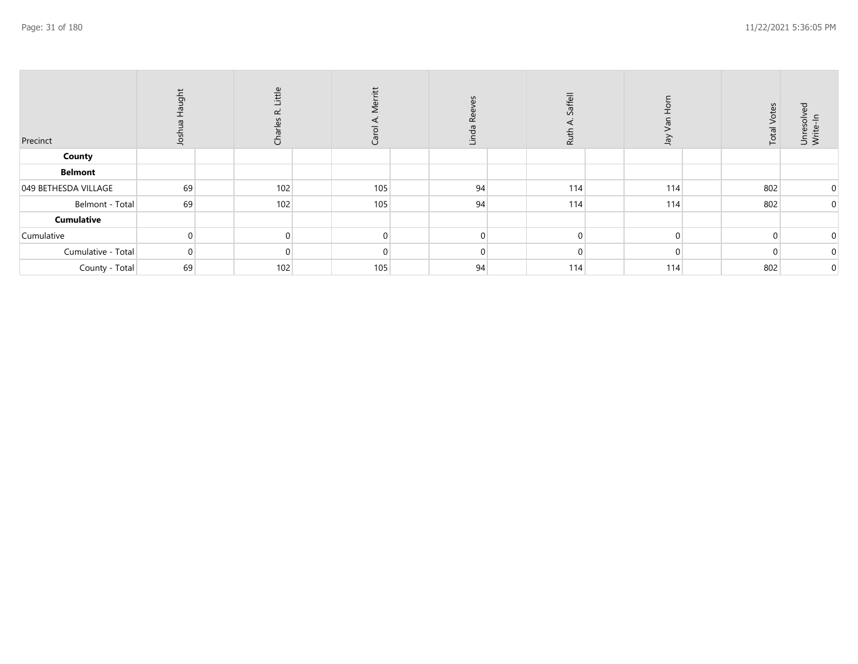| Precinct             | Haught<br>Josh | Little<br>$\propto$<br>Ğ | Merritt<br>⋖<br>Carol | χ<br>Linda | Saffell<br>Ruth | λer      | Votes<br>Total | ್ಳಾ<br>Unresolve<br>Write-In |
|----------------------|----------------|--------------------------|-----------------------|------------|-----------------|----------|----------------|------------------------------|
| County               |                |                          |                       |            |                 |          |                |                              |
| <b>Belmont</b>       |                |                          |                       |            |                 |          |                |                              |
| 049 BETHESDA VILLAGE | 69             | 102                      | 105                   | 94         | 114             | 114      | 802            | $\mathbf 0$                  |
| Belmont - Total      | 69             | 102                      | 105                   | 94         | 114             | 114      | 802            | $\mathbf 0$                  |
| <b>Cumulative</b>    |                |                          |                       |            |                 |          |                |                              |
| Cumulative           |                |                          |                       |            |                 | $\Omega$ |                | $\mathbf 0$                  |
| Cumulative - Total   | $\Omega$       |                          |                       |            |                 |          |                | 0                            |
| County - Total       | 69             | 102                      | 105                   | 94         | 114             | 114      | 802            | 0                            |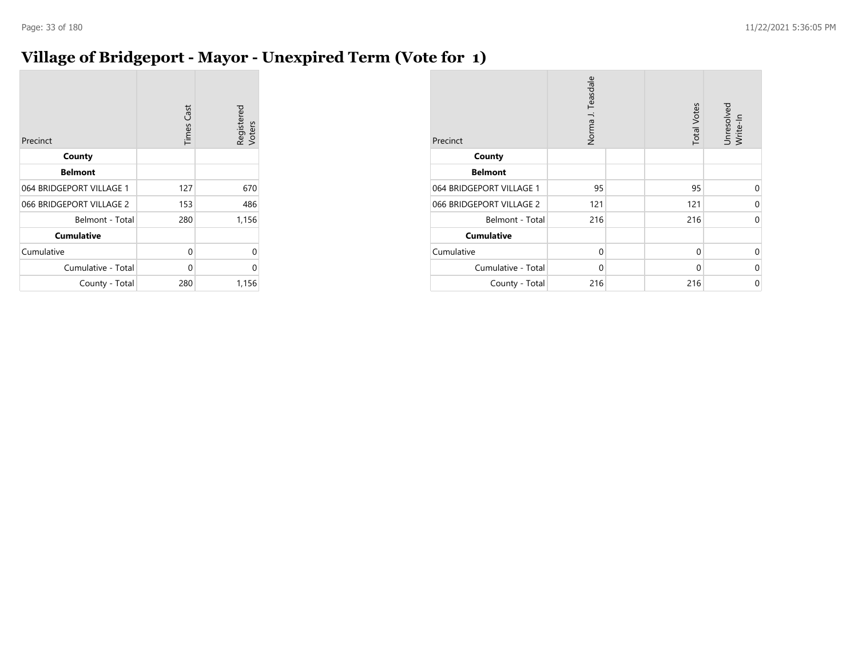### **Village of Bridgeport - Mayor - Unexpired Term (Vote for 1)**

| Precinct                 | <b>Times Cast</b> | Registered<br>Voters |
|--------------------------|-------------------|----------------------|
| County                   |                   |                      |
| <b>Belmont</b>           |                   |                      |
| 064 BRIDGEPORT VILLAGE 1 | 127               | 670                  |
| 066 BRIDGEPORT VILLAGE 2 | 153               | 486                  |
| Belmont - Total          | 280               | 1,156                |
| <b>Cumulative</b>        |                   |                      |
| Cumulative               | 0                 | 0                    |
| Cumulative - Total       | 0                 | 0                    |
| County - Total           | 280               | 1,156                |

| Precinct                 | Norma J. Teasdale | <b>Total Votes</b> | Unresolved<br>Write-In |
|--------------------------|-------------------|--------------------|------------------------|
| County                   |                   |                    |                        |
| <b>Belmont</b>           |                   |                    |                        |
| 064 BRIDGEPORT VILLAGE 1 | 95                | 95                 | 0                      |
| 066 BRIDGEPORT VILLAGE 2 | 121               | 121                | 0                      |
| Belmont - Total          | 216               | 216                | $\mathbf 0$            |
| <b>Cumulative</b>        |                   |                    |                        |
| Cumulative               | 0                 | $\mathbf 0$        | $\Omega$               |
| Cumulative - Total       | $\Omega$          | 0                  | $\Omega$               |
| County - Total           | 216               | 216                | 0                      |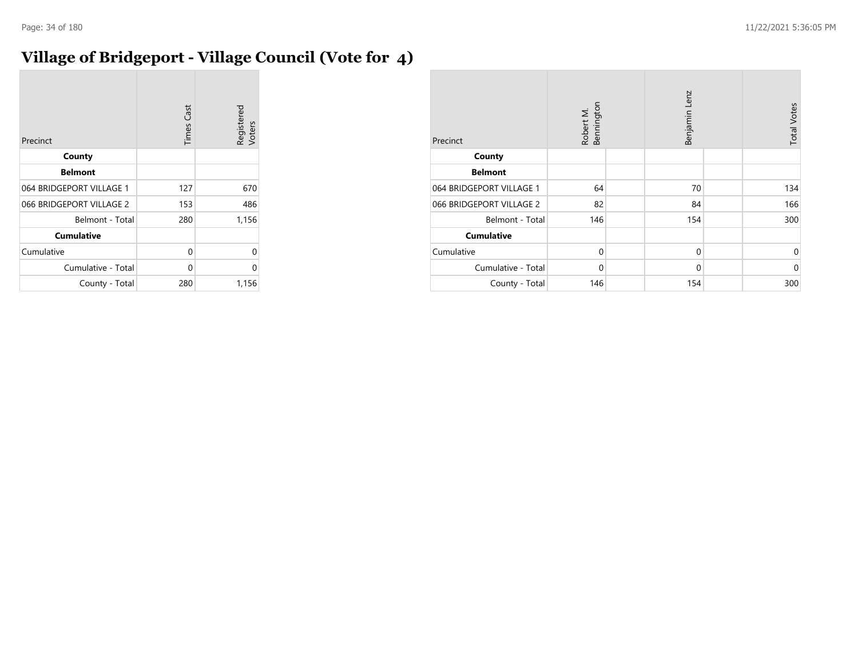# **Village of Bridgeport - Village Council (Vote for 4)**

| Precinct                 | <b>Times Cast</b> | Registered<br>Voters |
|--------------------------|-------------------|----------------------|
| County                   |                   |                      |
| <b>Belmont</b>           |                   |                      |
| 064 BRIDGEPORT VILLAGE 1 | 127               | 670                  |
| 066 BRIDGEPORT VILLAGE 2 | 153               | 486                  |
| Belmont - Total          | 280               | 1,156                |
| <b>Cumulative</b>        |                   |                      |
| Cumulative               | 0                 | U                    |
| Cumulative - Total       | 0                 | 0                    |
| County - Total           | 280               | 1,156                |

| Precinct                 | Robert M.<br>Bennington |  | Benjamin Lenz | <b>Total Votes</b> |             |
|--------------------------|-------------------------|--|---------------|--------------------|-------------|
| County                   |                         |  |               |                    |             |
| <b>Belmont</b>           |                         |  |               |                    |             |
| 064 BRIDGEPORT VILLAGE 1 | 64                      |  | 70            |                    | 134         |
| 066 BRIDGEPORT VILLAGE 2 | 82                      |  | 84            |                    | 166         |
| Belmont - Total          | 146                     |  | 154           |                    | 300         |
| <b>Cumulative</b>        |                         |  |               |                    |             |
| Cumulative               | $\mathbf 0$             |  | $\mathbf 0$   |                    | $\mathbf 0$ |
| Cumulative - Total       | $\Omega$                |  | $\mathbf 0$   |                    | $\mathbf 0$ |
| County - Total           | 146                     |  | 154           |                    | 300         |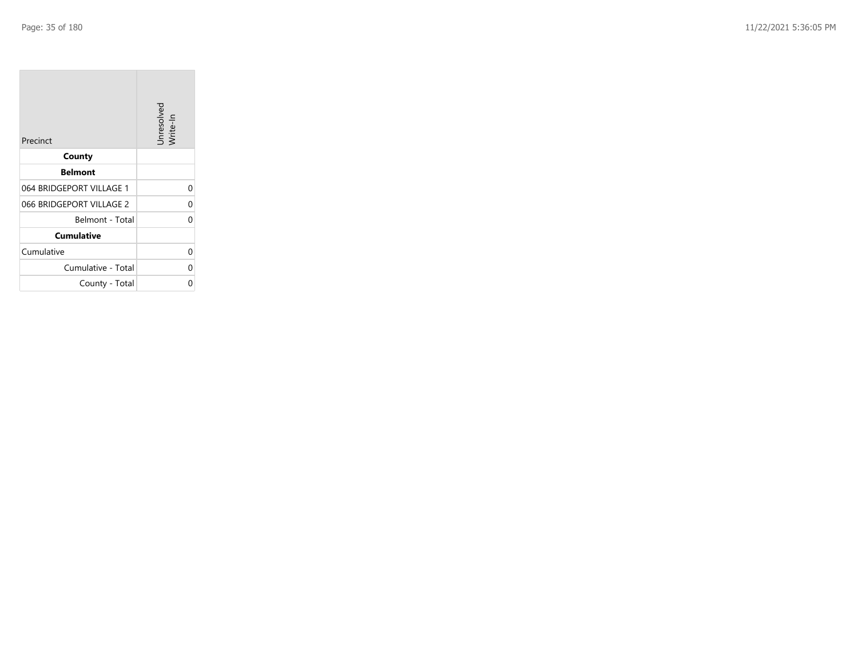**College** 

| Precinct                 | Unresolved<br>Write-In |
|--------------------------|------------------------|
| County                   |                        |
| <b>Belmont</b>           |                        |
| 064 BRIDGEPORT VILLAGE 1 | 0                      |
| 066 BRIDGEPORT VILLAGE 2 | 0                      |
| Belmont - Total          | O                      |
| <b>Cumulative</b>        |                        |
| Cumulative               | 0                      |
| Cumulative - Total       | 0                      |
| County - Total           | 0                      |

the control of the control of the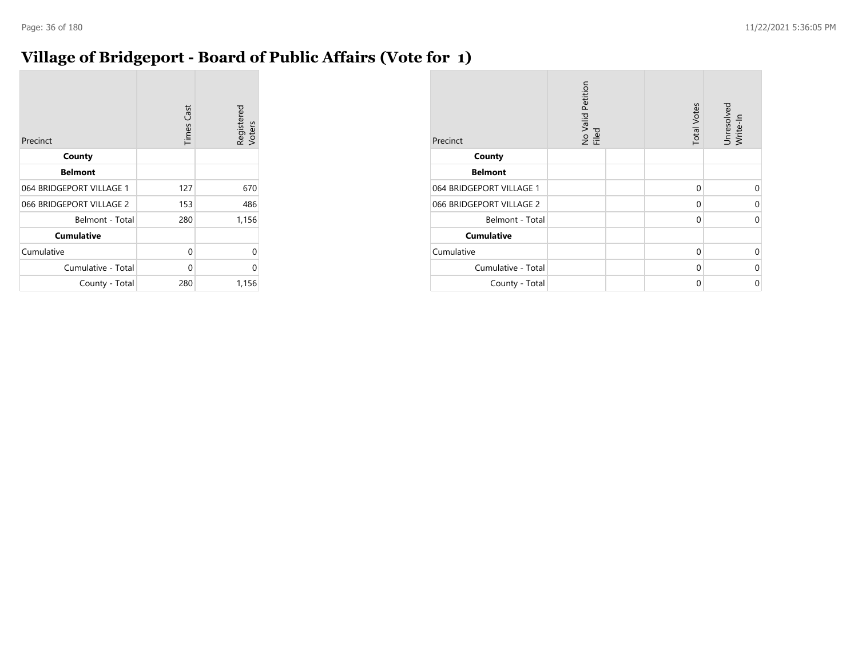### **Village of Bridgeport - Board of Public Affairs (Vote for 1)**

| Precinct                 | <b>Times Cast</b> | Registered<br>Voters |
|--------------------------|-------------------|----------------------|
| County                   |                   |                      |
| <b>Belmont</b>           |                   |                      |
| 064 BRIDGEPORT VILLAGE 1 | 127               | 670                  |
| 066 BRIDGEPORT VILLAGE 2 | 153               | 486                  |
| Belmont - Total          | 280               | 1,156                |
| <b>Cumulative</b>        |                   |                      |
| Cumulative               | 0                 | 0                    |
| Cumulative - Total       | 0                 | 0                    |
| County - Total           | 280               | 1,156                |

| Precinct                 | No Valid Petition<br>Filed | <b>Total Votes</b> | Unresolved<br>Write-In |
|--------------------------|----------------------------|--------------------|------------------------|
| County                   |                            |                    |                        |
| <b>Belmont</b>           |                            |                    |                        |
| 064 BRIDGEPORT VILLAGE 1 |                            | 0                  | 0                      |
| 066 BRIDGEPORT VILLAGE 2 |                            | 0                  | 0                      |
| Belmont - Total          |                            | 0                  | 0                      |
| <b>Cumulative</b>        |                            |                    |                        |
| Cumulative               |                            | 0                  | 0                      |
| Cumulative - Total       |                            | 0                  | $\Omega$               |
| County - Total           |                            | 0                  | 0                      |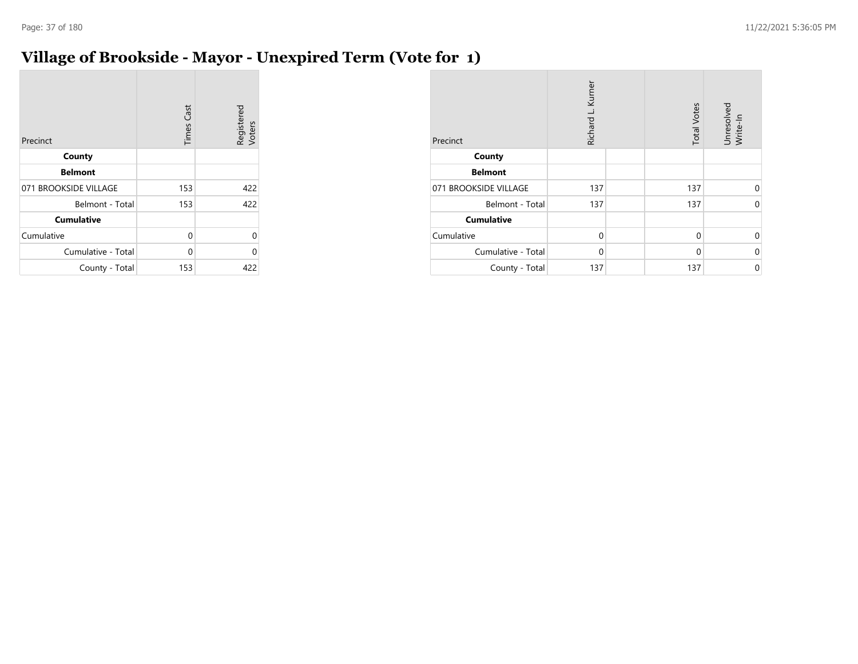## **Village of Brookside - Mayor - Unexpired Term (Vote for 1)**

| Precinct              | <b>Times Cast</b> | Registered<br>Voters |
|-----------------------|-------------------|----------------------|
| County                |                   |                      |
| <b>Belmont</b>        |                   |                      |
| 071 BROOKSIDE VILLAGE | 153               | 422                  |
| Belmont - Total       | 153               | 422                  |
| <b>Cumulative</b>     |                   |                      |
| Cumulative            | 0                 | 0                    |
| Cumulative - Total    | 0                 | 0                    |
| County - Total        | 153               | 422                  |

| Precinct              | Richard L. Kurner |  | <b>Total Votes</b> | Unresolved<br>Write-In |
|-----------------------|-------------------|--|--------------------|------------------------|
| County                |                   |  |                    |                        |
| <b>Belmont</b>        |                   |  |                    |                        |
| 071 BROOKSIDE VILLAGE | 137               |  | 137                | $\Omega$               |
| Belmont - Total       | 137               |  | 137                | $\Omega$               |
| <b>Cumulative</b>     |                   |  |                    |                        |
| Cumulative            | $\Omega$          |  | $\Omega$           | $\Omega$               |
| Cumulative - Total    | $\Omega$          |  | 0                  | 0                      |
| County - Total        | 137               |  | 137                | $\Omega$               |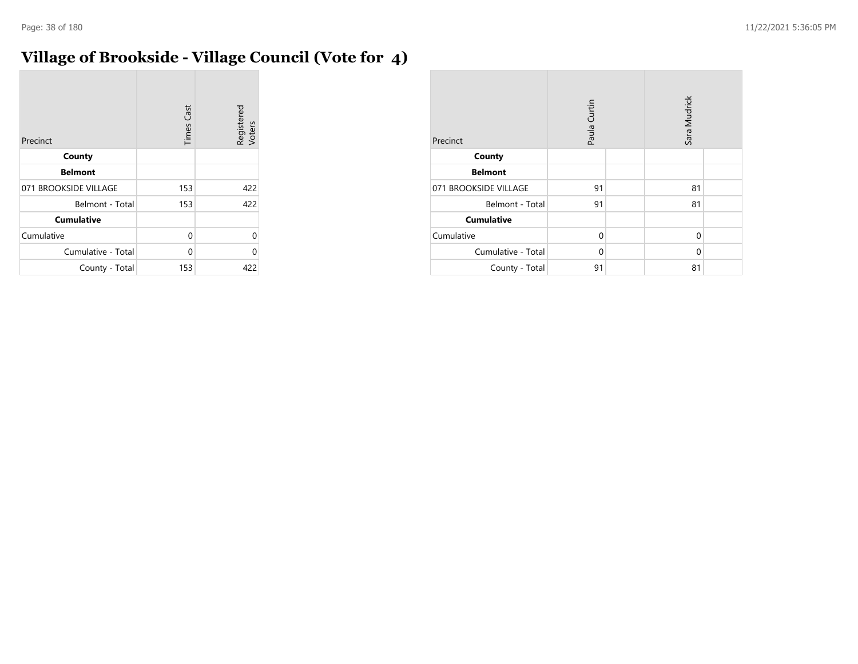# **Village of Brookside - Village Council (Vote for 4)**

| Precinct              | <b>Times Cast</b> | Registered<br>Voters |
|-----------------------|-------------------|----------------------|
| County                |                   |                      |
| <b>Belmont</b>        |                   |                      |
| 071 BROOKSIDE VILLAGE | 153               | 422                  |
| Belmont - Total       | 153               | 422                  |
| <b>Cumulative</b>     |                   |                      |
| Cumulative            | 0                 | U                    |
| Cumulative - Total    | 0                 | በ                    |
| County - Total        | 153               | 422                  |

| Precinct              | Paula Curtin | Sara Mudrick |  |  |
|-----------------------|--------------|--------------|--|--|
| County                |              |              |  |  |
| <b>Belmont</b>        |              |              |  |  |
| 071 BROOKSIDE VILLAGE | 91           | 81           |  |  |
| Belmont - Total       | 91           | 81           |  |  |
| <b>Cumulative</b>     |              |              |  |  |
| Cumulative            | $\Omega$     | 0            |  |  |
| Cumulative - Total    | 0            | $\mathbf 0$  |  |  |
| County - Total        | 91           | 81           |  |  |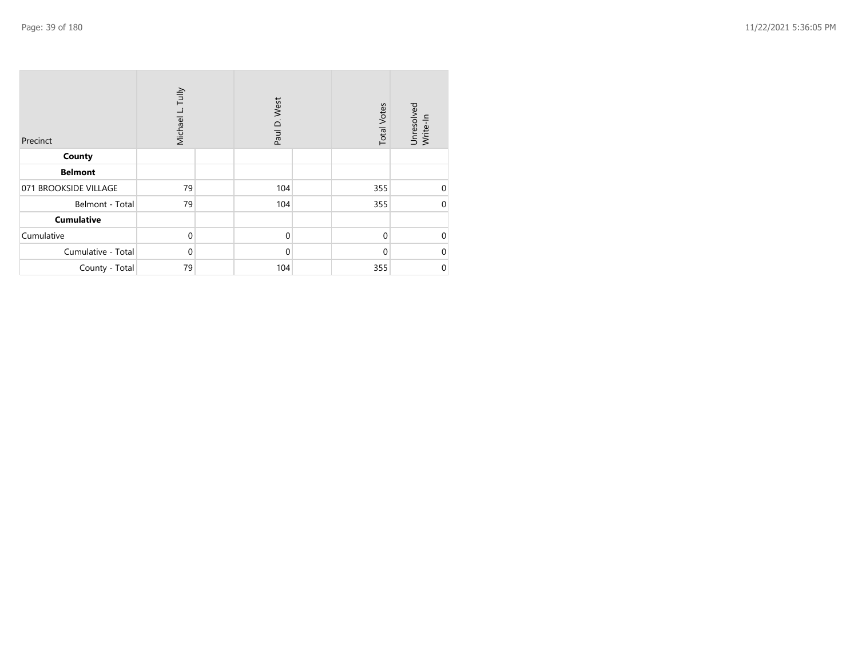| Precinct              | Michael L. Tully |  | Paul D. West |  | <b>Total Votes</b> | Unresolved<br>Write-In |
|-----------------------|------------------|--|--------------|--|--------------------|------------------------|
| County                |                  |  |              |  |                    |                        |
| <b>Belmont</b>        |                  |  |              |  |                    |                        |
| 071 BROOKSIDE VILLAGE | 79               |  | 104          |  | 355                | $\mathbf 0$            |
| Belmont - Total       | 79               |  | 104          |  | 355                | $\mathbf 0$            |
| <b>Cumulative</b>     |                  |  |              |  |                    |                        |
| Cumulative            | $\mathbf 0$      |  | $\mathbf 0$  |  | $\Omega$           | $\mathbf 0$            |
| Cumulative - Total    | $\mathbf 0$      |  | $\mathbf 0$  |  | $\Omega$           | $\mathbf 0$            |
| County - Total        | 79               |  | 104          |  | 355                | $\pmb{0}$              |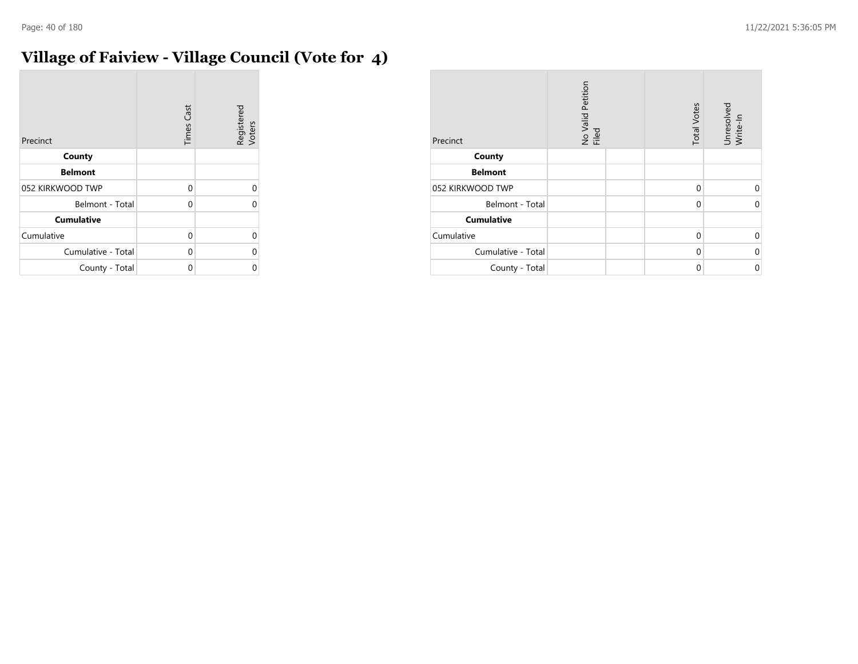# **Village of Faiview - Village Council (Vote for 4)**

| Precinct           | <b>Times Cast</b> | Registered<br>Voters |
|--------------------|-------------------|----------------------|
| County             |                   |                      |
| <b>Belmont</b>     |                   |                      |
| 052 KIRKWOOD TWP   | 0                 | Λ                    |
| Belmont - Total    | 0                 |                      |
| <b>Cumulative</b>  |                   |                      |
| Cumulative         | 0                 |                      |
| Cumulative - Total | 0                 |                      |
| County - Total     | 0                 |                      |

| Precinct           | No Valid Petition<br>Filed | <b>Total Votes</b> | Unresolved<br>Write-In |
|--------------------|----------------------------|--------------------|------------------------|
| County             |                            |                    |                        |
| <b>Belmont</b>     |                            |                    |                        |
| 052 KIRKWOOD TWP   |                            | $\Omega$           | $\Omega$               |
| Belmont - Total    |                            | 0                  | $\Omega$               |
| <b>Cumulative</b>  |                            |                    |                        |
| Cumulative         |                            | $\Omega$           | $\Omega$               |
| Cumulative - Total |                            | $\Omega$           | $\Omega$               |
| County - Total     |                            | 0                  | 0                      |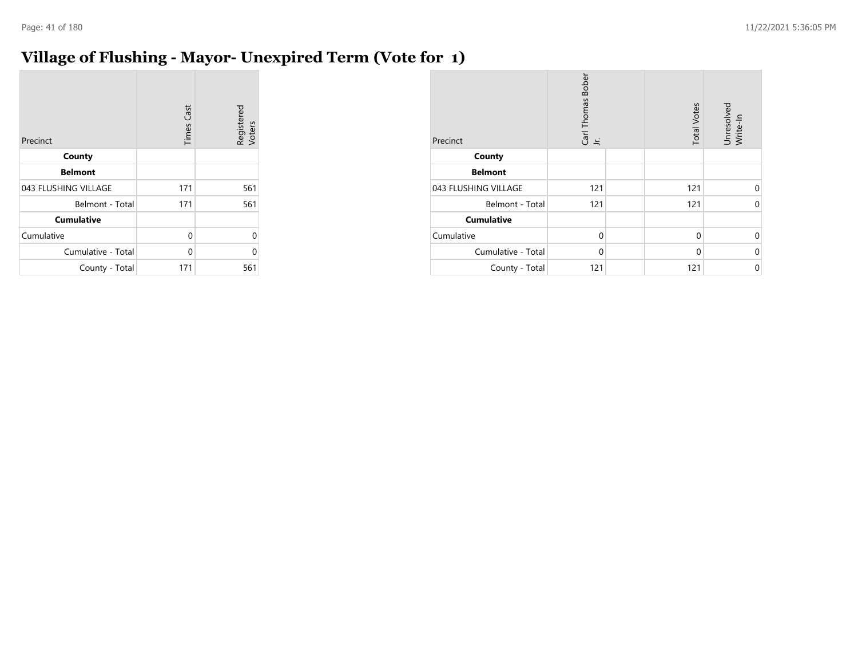# **Village of Flushing - Mayor- Unexpired Term (Vote for 1)**

| Precinct             | <b>Times Cast</b> | Registered<br>Voters |
|----------------------|-------------------|----------------------|
| County               |                   |                      |
| <b>Belmont</b>       |                   |                      |
| 043 FLUSHING VILLAGE | 171               | 561                  |
| Belmont - Total      | 171               | 561                  |
| <b>Cumulative</b>    |                   |                      |
| Cumulative           | 0                 | 0                    |
| Cumulative - Total   | 0                 | 0                    |
| County - Total       | 171               | 561                  |

| Precinct             | Carl Thomas Bober<br>Jr. | <b>Total Votes</b> | Unresolved<br>Write-In |
|----------------------|--------------------------|--------------------|------------------------|
| County               |                          |                    |                        |
| <b>Belmont</b>       |                          |                    |                        |
| 043 FLUSHING VILLAGE | 121                      | 121                | $\Omega$               |
| Belmont - Total      | 121                      | 121                | $\Omega$               |
| <b>Cumulative</b>    |                          |                    |                        |
| Cumulative           | $\mathbf 0$              | 0                  | 0                      |
| Cumulative - Total   | $\Omega$                 | $\Omega$           | $\Omega$               |
| County - Total       | 121                      | 121                | $\mathbf 0$            |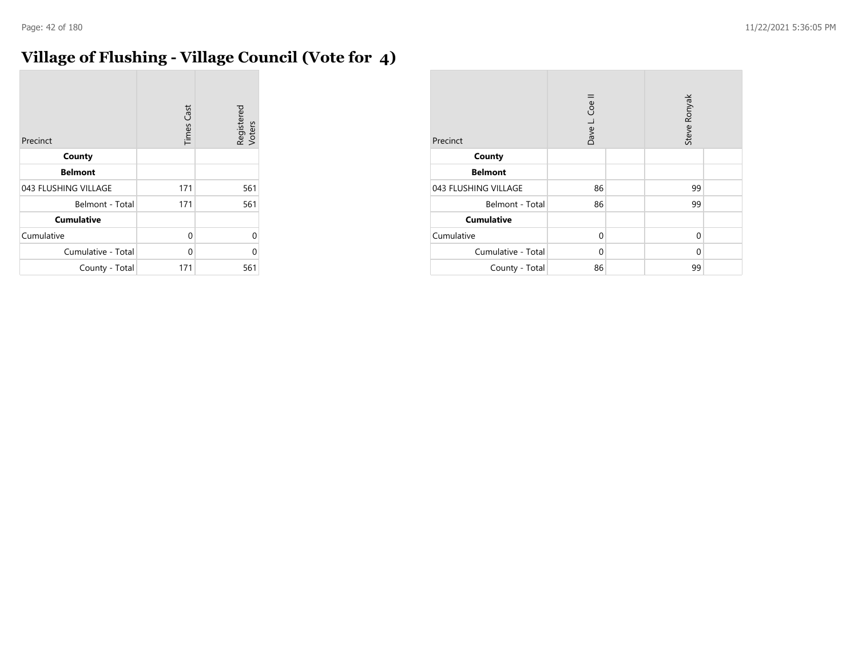$\sim$ 

# **Village of Flushing - Village Council (Vote for 4)**

| Precinct             | <b>Times Cast</b> | Registered<br>Voters |
|----------------------|-------------------|----------------------|
| County               |                   |                      |
| <b>Belmont</b>       |                   |                      |
| 043 FLUSHING VILLAGE | 171               | 561                  |
| Belmont - Total      | 171               | 561                  |
| <b>Cumulative</b>    |                   |                      |
| Cumulative           | 0                 | U                    |
| Cumulative - Total   | 0                 | U                    |
| County - Total       | 171               | 561                  |

| Precinct             | Dave L. Coe II |  | Steve Ronyak |  |
|----------------------|----------------|--|--------------|--|
| County               |                |  |              |  |
| <b>Belmont</b>       |                |  |              |  |
| 043 FLUSHING VILLAGE | 86             |  | 99           |  |
| Belmont - Total      | 86             |  | 99           |  |
| <b>Cumulative</b>    |                |  |              |  |
| Cumulative           | $\Omega$       |  | 0            |  |
| Cumulative - Total   | $\Omega$       |  | 0            |  |
| County - Total       | 86             |  | 99           |  |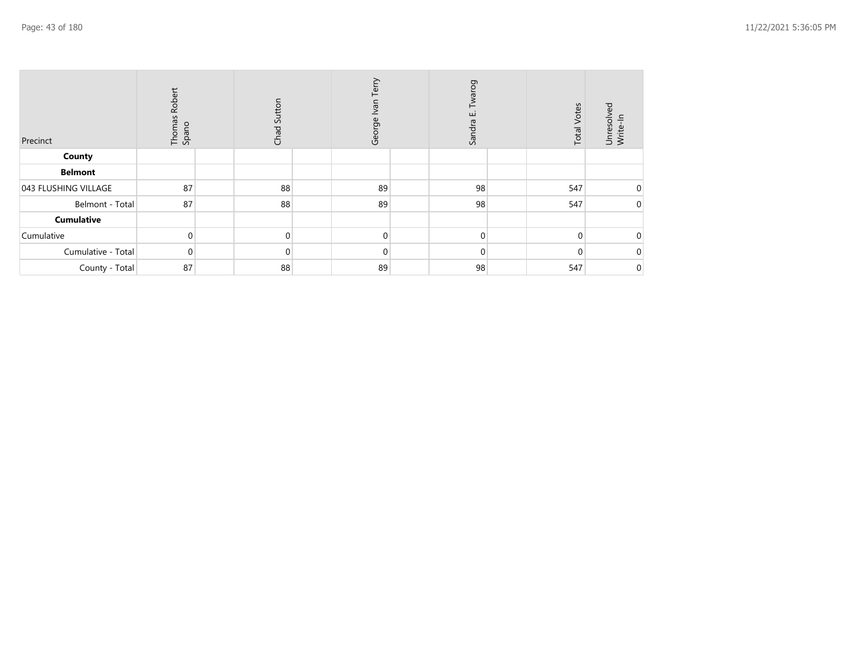| Precinct             | Thomas Robert<br>Spano | Chad Sutton | Terry<br>George Ivan | Twarog<br>ш<br>Sandra | <b>Total Votes</b> | Unresolved<br>Write-In |
|----------------------|------------------------|-------------|----------------------|-----------------------|--------------------|------------------------|
| County               |                        |             |                      |                       |                    |                        |
| <b>Belmont</b>       |                        |             |                      |                       |                    |                        |
| 043 FLUSHING VILLAGE | 87                     | 88          | 89                   | 98                    | 547                | $\overline{0}$         |
| Belmont - Total      | 87                     | 88          | 89                   | 98                    | 547                | $\overline{0}$         |
| <b>Cumulative</b>    |                        |             |                      |                       |                    |                        |
| Cumulative           | $\Omega$               | $\Omega$    | $\overline{0}$       | $\Omega$              | $\Omega$           | $\overline{0}$         |
| Cumulative - Total   | 0                      | 0           | $\Omega$             | $\Omega$              |                    | 0                      |
| County - Total       | 87                     | 88          | 89                   | 98                    | 547                | $\mathbf 0$            |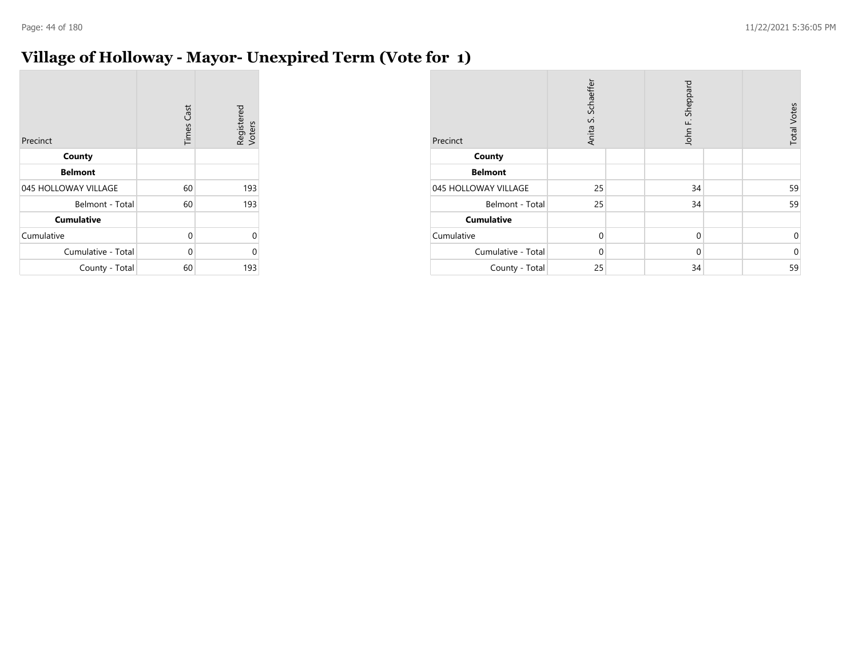## **Village of Holloway - Mayor- Unexpired Term (Vote for 1)**

| Precinct             | <b>Times Cast</b> | Registered<br>Voters |
|----------------------|-------------------|----------------------|
| County               |                   |                      |
| <b>Belmont</b>       |                   |                      |
| 045 HOLLOWAY VILLAGE | 60                | 193                  |
| Belmont - Total      | 60                | 193                  |
| <b>Cumulative</b>    |                   |                      |
| Cumulative           | 0                 | 0                    |
| Cumulative - Total   | 0                 | ი                    |
| County - Total       | 60                | 193                  |

| Precinct             | Schaeffer<br>vi<br>Anita |  | John F. Sheppard |  | <b>Total Votes</b> |
|----------------------|--------------------------|--|------------------|--|--------------------|
| County               |                          |  |                  |  |                    |
| <b>Belmont</b>       |                          |  |                  |  |                    |
| 045 HOLLOWAY VILLAGE | 25                       |  | 34               |  | 59                 |
| Belmont - Total      | 25                       |  | 34               |  | 59                 |
| <b>Cumulative</b>    |                          |  |                  |  |                    |
| Cumulative           | $\mathbf 0$              |  | $\mathbf 0$      |  | 0                  |
| Cumulative - Total   | $\Omega$                 |  | $\Omega$         |  | $\mathbf 0$        |
| County - Total       | 25                       |  | 34               |  | 59                 |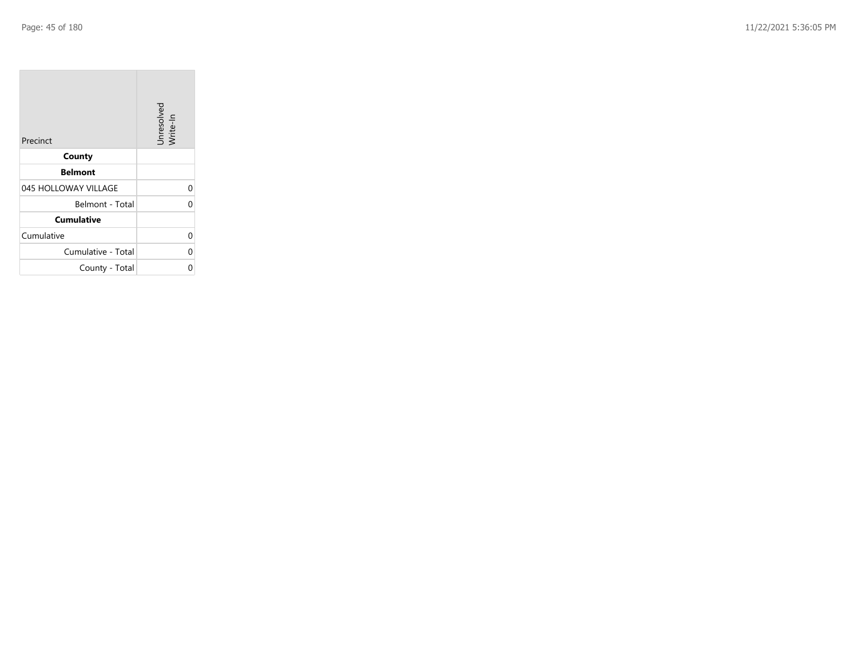$\sim$ 

| Precinct             | Unresolved<br>Write-In |
|----------------------|------------------------|
| County               |                        |
| <b>Belmont</b>       |                        |
| 045 HOLLOWAY VILLAGE | 0                      |
| Belmont - Total      | ሰ                      |
| <b>Cumulative</b>    |                        |
| Cumulative           | 0                      |
| Cumulative - Total   | 0                      |
| County - Total       |                        |

**Contract Contract** 

 $\overline{\phantom{a}}$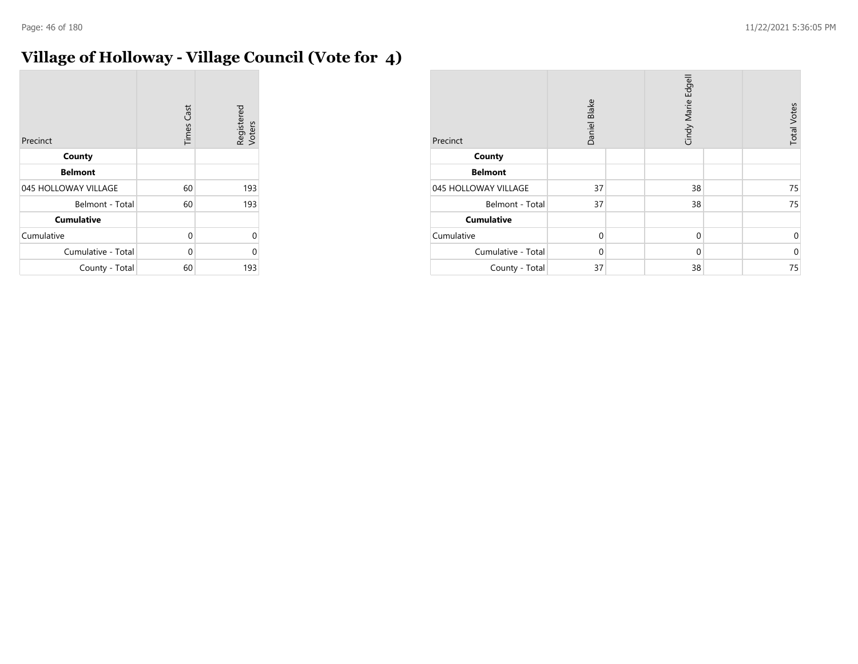# **Village of Holloway - Village Council (Vote for 4)**

| Precinct             | <b>Times Cast</b> | Registered<br>Voters |
|----------------------|-------------------|----------------------|
| County               |                   |                      |
| <b>Belmont</b>       |                   |                      |
| 045 HOLLOWAY VILLAGE | 60                | 193                  |
| Belmont - Total      | 60                | 193                  |
| <b>Cumulative</b>    |                   |                      |
| Cumulative           | 0                 | U                    |
| Cumulative - Total   | 0                 | Λ                    |
| County - Total       | 60                | 193                  |

| Precinct             | Daniel Blake |  | Cindy Marie Edgell |  | <b>Total Votes</b> |
|----------------------|--------------|--|--------------------|--|--------------------|
| County               |              |  |                    |  |                    |
| <b>Belmont</b>       |              |  |                    |  |                    |
| 045 HOLLOWAY VILLAGE | 37           |  | 38                 |  | 75                 |
| Belmont - Total      | 37           |  | 38                 |  | 75                 |
| <b>Cumulative</b>    |              |  |                    |  |                    |
| Cumulative           | $\Omega$     |  | $\mathbf 0$        |  | 0                  |
| Cumulative - Total   | $\Omega$     |  | $\mathbf 0$        |  | $\mathbf 0$        |
| County - Total       | 37           |  | 38                 |  | 75                 |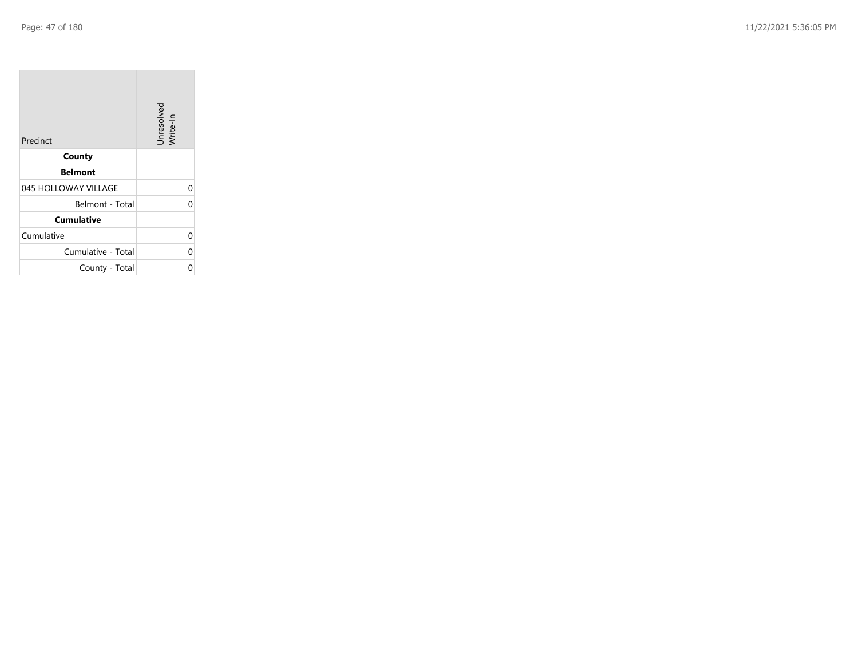| Precinct             | Unresolved<br>Write-In |
|----------------------|------------------------|
| County               |                        |
| <b>Belmont</b>       |                        |
| 045 HOLLOWAY VILLAGE | 0                      |
| Belmont - Total      | ሰ                      |
| <b>Cumulative</b>    |                        |
| Cumulative           | 0                      |
| Cumulative - Total   | 0                      |
| County - Total       |                        |

the property of the control of

m.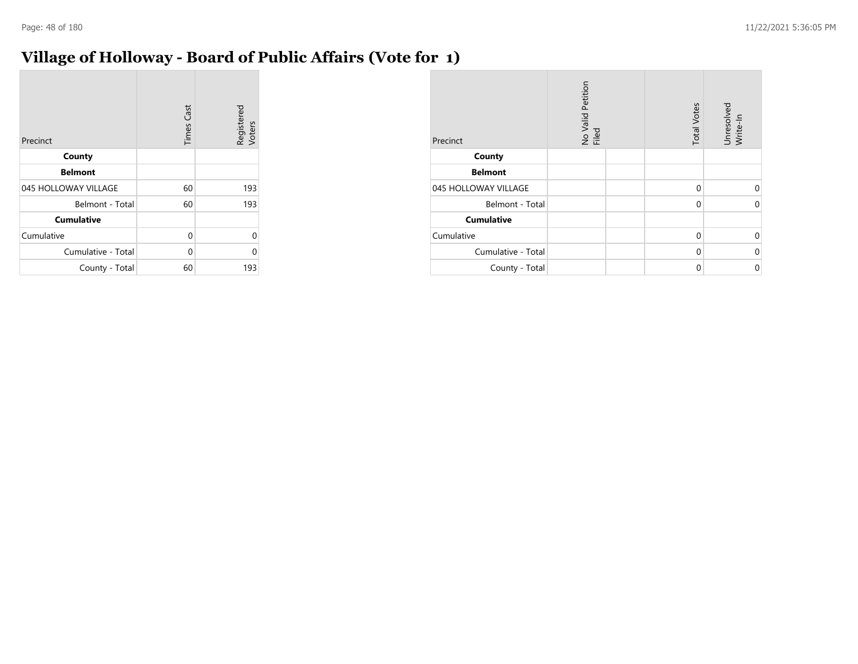## **Village of Holloway - Board of Public Affairs (Vote for 1)**

| Precinct             | <b>Times Cast</b> | Registered<br>Voters |
|----------------------|-------------------|----------------------|
| County               |                   |                      |
| <b>Belmont</b>       |                   |                      |
| 045 HOLLOWAY VILLAGE | 60                | 193                  |
| Belmont - Total      | 60                | 193                  |
| <b>Cumulative</b>    |                   |                      |
| Cumulative           | 0                 | U                    |
| Cumulative - Total   | 0                 | ი                    |
| County - Total       | 60                | 193                  |

| Precinct             | No Valid Petition<br>Filed | <b>Total Votes</b> | Unresolved<br>Write-In |
|----------------------|----------------------------|--------------------|------------------------|
| County               |                            |                    |                        |
| <b>Belmont</b>       |                            |                    |                        |
| 045 HOLLOWAY VILLAGE |                            | $\Omega$           | 0                      |
| Belmont - Total      |                            | $\Omega$           | $\Omega$               |
| <b>Cumulative</b>    |                            |                    |                        |
| Cumulative           |                            | $\Omega$           | $\Omega$               |
| Cumulative - Total   |                            | $\Omega$           | $\Omega$               |
| County - Total       |                            | $\Omega$           | $\mathbf 0$            |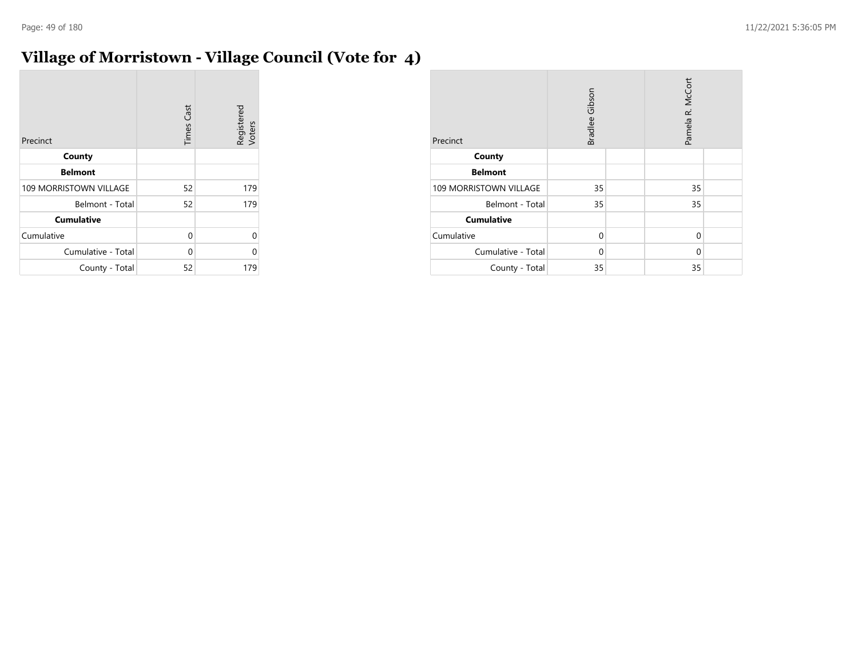# **Village of Morristown - Village Council (Vote for 4)**

| Precinct               | <b>Times Cast</b> | Registered<br>Voters |
|------------------------|-------------------|----------------------|
| County                 |                   |                      |
| <b>Belmont</b>         |                   |                      |
| 109 MORRISTOWN VILLAGE | 52                | 179                  |
| Belmont - Total        | 52                | 179                  |
| <b>Cumulative</b>      |                   |                      |
| Cumulative             | 0                 | Λ                    |
| Cumulative - Total     | 0                 | U                    |
| County - Total         | 52                | 179                  |

| Precinct               | Bradlee Gibson |  | Pamela R. McCort |  |
|------------------------|----------------|--|------------------|--|
| County                 |                |  |                  |  |
| <b>Belmont</b>         |                |  |                  |  |
| 109 MORRISTOWN VILLAGE | 35             |  | 35               |  |
| Belmont - Total        | 35             |  | 35               |  |
| <b>Cumulative</b>      |                |  |                  |  |
| Cumulative             | $\Omega$       |  | 0                |  |
| Cumulative - Total     | $\Omega$       |  | 0                |  |
| County - Total         | 35             |  | 35               |  |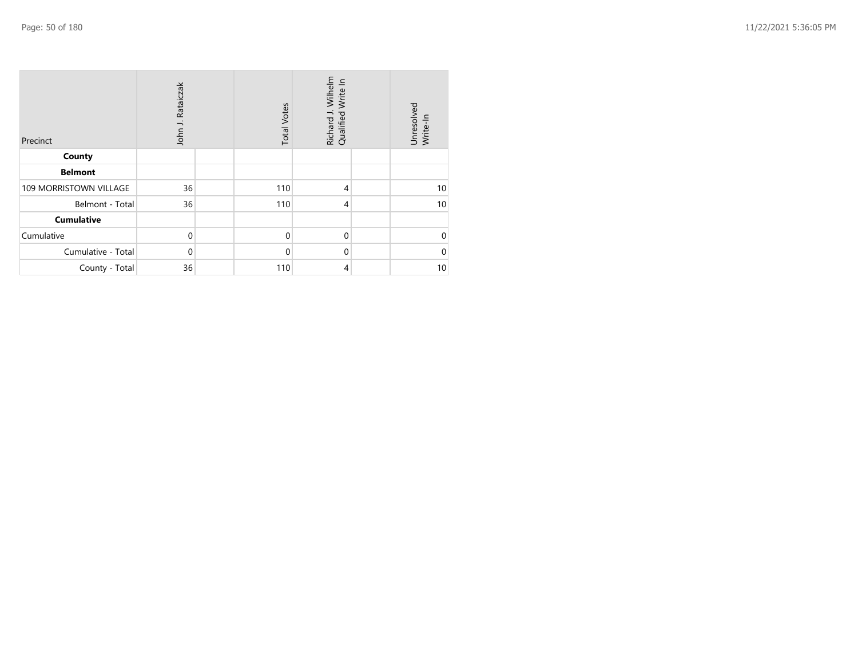| Precinct               | John J. Rataiczak | <b>Total Votes</b> | Richard J. Wilhelm<br>Qualified Write In | Unresolved<br>Write-In |
|------------------------|-------------------|--------------------|------------------------------------------|------------------------|
| County                 |                   |                    |                                          |                        |
| <b>Belmont</b>         |                   |                    |                                          |                        |
| 109 MORRISTOWN VILLAGE | 36                | 110                | $\overline{4}$                           | 10                     |
| Belmont - Total        | 36                | 110                | 4                                        | 10 <sup>1</sup>        |
| <b>Cumulative</b>      |                   |                    |                                          |                        |
| Cumulative             | $\mathbf 0$       | $\mathbf 0$        | $\mathbf 0$                              | $\Omega$               |
| Cumulative - Total     | $\mathbf 0$       | $\mathbf 0$        | $\mathbf 0$                              | $\Omega$               |
| County - Total         | 36                | 110                | 4                                        | 10                     |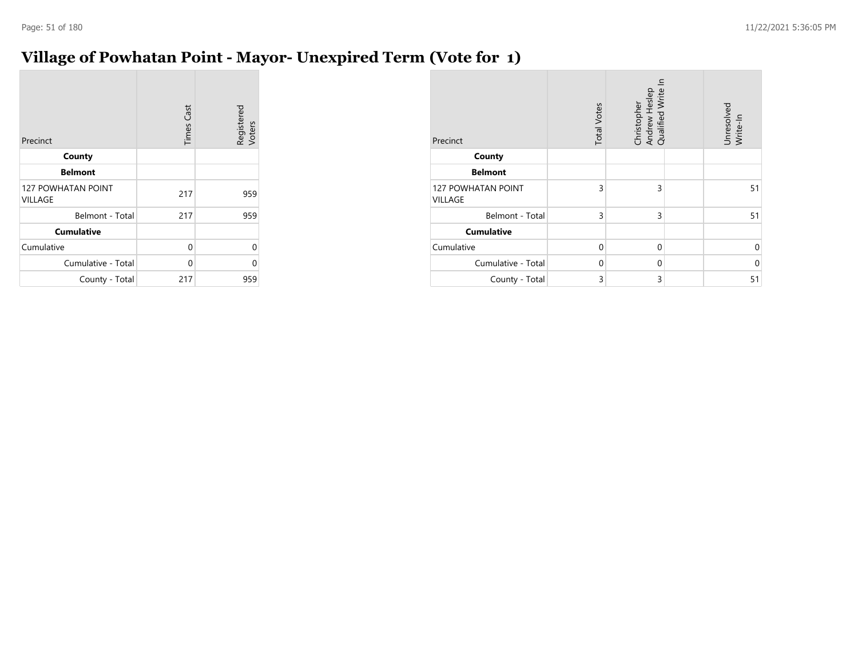## **Village of Powhatan Point - Mayor- Unexpired Term (Vote for 1)**

| Precinct                                    | <b>Times Cast</b> | Registered<br>Voters |
|---------------------------------------------|-------------------|----------------------|
| County                                      |                   |                      |
| <b>Belmont</b>                              |                   |                      |
| <b>127 POWHATAN POINT</b><br><b>VILLAGE</b> | 217               | 959                  |
| Belmont - Total                             | 217               | 959                  |
| <b>Cumulative</b>                           |                   |                      |
| Cumulative                                  | 0                 | 0                    |
| Cumulative - Total                          | 0                 | 0                    |
| County - Total                              | 217               | 959                  |

| Precinct                             | <b>Total Votes</b> | Christopher<br>Andrew Heslep<br>Qualified Write In | Unresolved<br>Write-In |
|--------------------------------------|--------------------|----------------------------------------------------|------------------------|
| County                               |                    |                                                    |                        |
| <b>Belmont</b>                       |                    |                                                    |                        |
| <b>127 POWHATAN POINT</b><br>VILLAGE | 3                  | 3                                                  | 51                     |
| Belmont - Total                      | 3                  | 3                                                  | 51                     |
| <b>Cumulative</b>                    |                    |                                                    |                        |
| Cumulative                           | $\Omega$           | $\Omega$                                           | 0                      |
| Cumulative - Total                   | $\Omega$           | 0                                                  | $\Omega$               |
| County - Total                       | 3                  | 3                                                  | 51                     |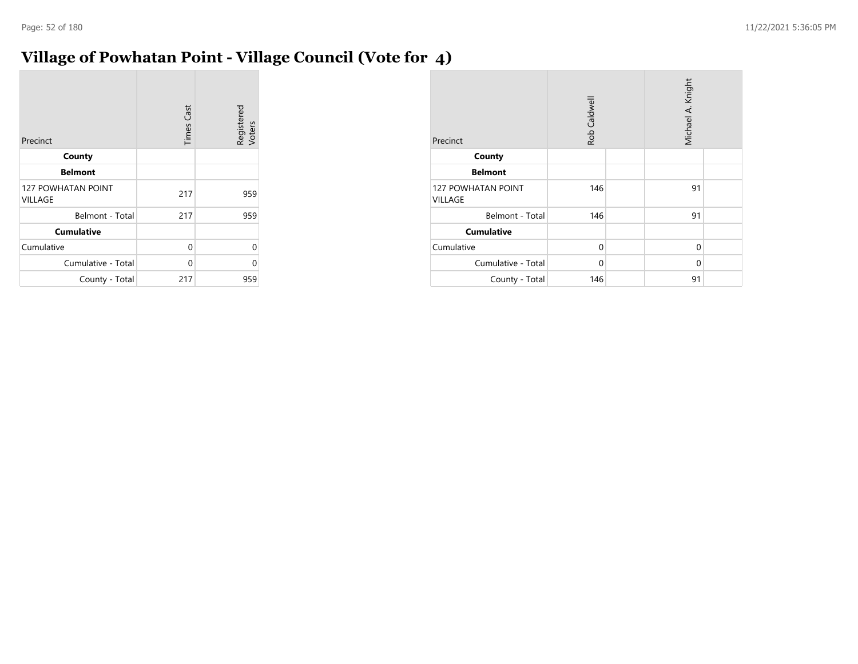## **Village of Powhatan Point - Village Council (Vote for 4)**

| Precinct                                    | <b>Times Cast</b> | Registered<br>Voters |
|---------------------------------------------|-------------------|----------------------|
| County                                      |                   |                      |
| <b>Belmont</b>                              |                   |                      |
| <b>127 POWHATAN POINT</b><br><b>VILLAGE</b> | 217               | 959                  |
| Belmont - Total                             | 217               | 959                  |
| <b>Cumulative</b>                           |                   |                      |
| Cumulative                                  | 0                 | 0                    |
| Cumulative - Total                          | 0                 | 0                    |
| County - Total                              | 217               | 959                  |

| Precinct                                    | Rob Caldwell | Michael A. Knight |  |  |
|---------------------------------------------|--------------|-------------------|--|--|
| County                                      |              |                   |  |  |
| <b>Belmont</b>                              |              |                   |  |  |
| <b>127 POWHATAN POINT</b><br><b>VILLAGE</b> | 146          | 91                |  |  |
| Belmont - Total                             | 146          | 91                |  |  |
| <b>Cumulative</b>                           |              |                   |  |  |
| Cumulative                                  | $\Omega$     | $\Omega$          |  |  |
| Cumulative - Total                          | $\Omega$     | 0                 |  |  |
| County - Total                              | 146          | 91                |  |  |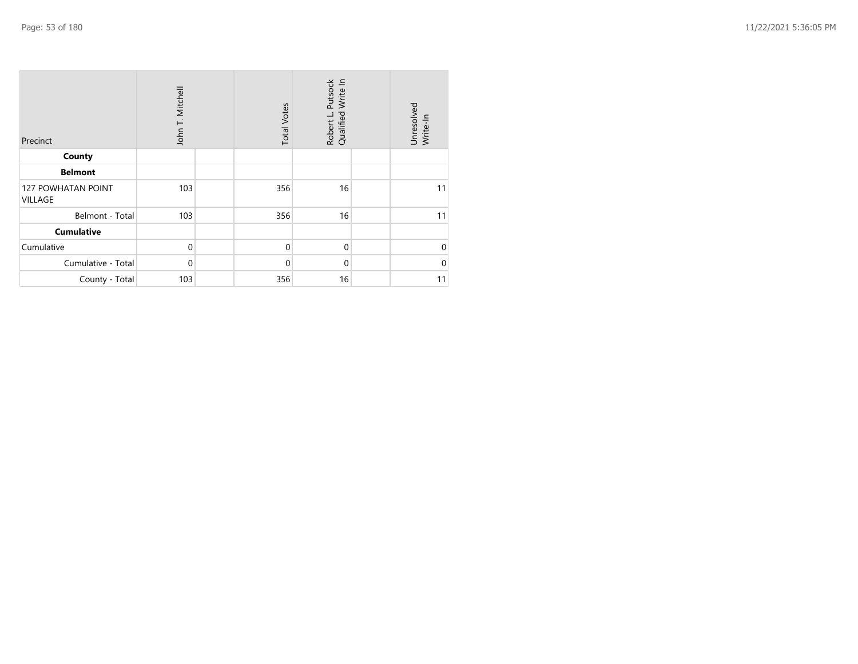| Precinct                      | John T. Mitchell |  | <b>Total Votes</b> | Robert L. Putsock<br>Qualified Write In | Unresolved<br>Write-In |  |  |
|-------------------------------|------------------|--|--------------------|-----------------------------------------|------------------------|--|--|
| County                        |                  |  |                    |                                         |                        |  |  |
| <b>Belmont</b>                |                  |  |                    |                                         |                        |  |  |
| 127 POWHATAN POINT<br>VILLAGE | 103              |  | 356                | 16                                      | 11                     |  |  |
| Belmont - Total               | 103              |  | 356                | 16                                      | 11                     |  |  |
| <b>Cumulative</b>             |                  |  |                    |                                         |                        |  |  |
| Cumulative                    | $\mathbf 0$      |  | $\mathbf 0$        | $\mathbf{0}$                            | $\mathbf 0$            |  |  |
| Cumulative - Total            | $\mathbf 0$      |  | $\mathbf 0$        | $\mathbf{0}$                            | $\Omega$               |  |  |
| County - Total                | 103              |  | 356                | 16                                      | 11                     |  |  |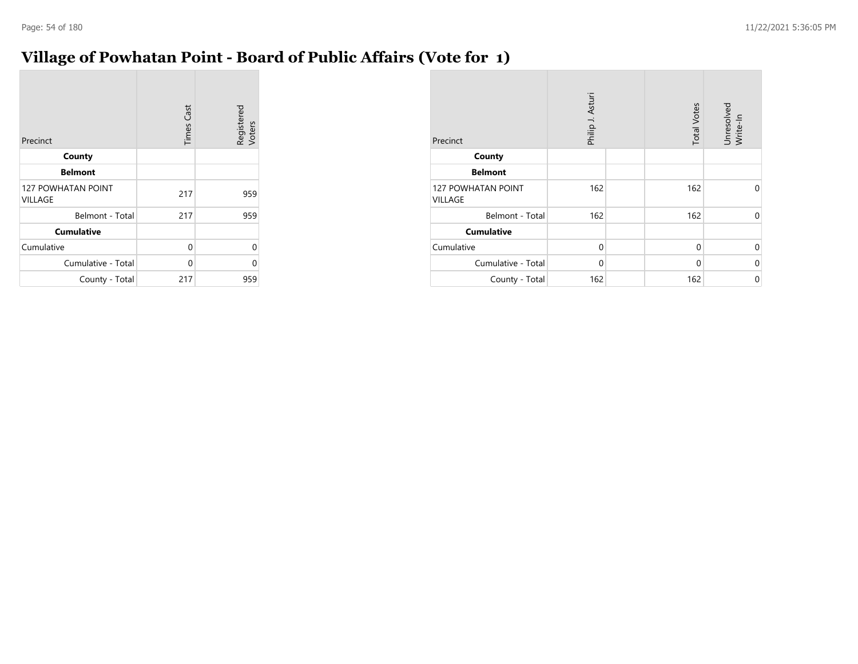## **Village of Powhatan Point - Board of Public Affairs (Vote for 1)**

| Precinct                                    | <b>Times Cast</b> | Registered<br>Voters |
|---------------------------------------------|-------------------|----------------------|
| County                                      |                   |                      |
| <b>Belmont</b>                              |                   |                      |
| <b>127 POWHATAN POINT</b><br><b>VILLAGE</b> | 217               | 959                  |
| Belmont - Total                             | 217               | 959                  |
| <b>Cumulative</b>                           |                   |                      |
| Cumulative                                  | 0                 | 0                    |
| Cumulative - Total                          | 0                 | 0                    |
| County - Total                              | 217               | 959                  |

| Precinct                             | Philip J. Asturi | <b>Total Votes</b> | Unresolved<br>Write-In |
|--------------------------------------|------------------|--------------------|------------------------|
| County                               |                  |                    |                        |
| <b>Belmont</b>                       |                  |                    |                        |
| <b>127 POWHATAN POINT</b><br>VILLAGE | 162              | 162                | $\Omega$               |
| Belmont - Total                      | 162              | 162                | $\Omega$               |
| <b>Cumulative</b>                    |                  |                    |                        |
| Cumulative                           | $\Omega$         | $\Omega$           | $\Omega$               |
| Cumulative - Total                   | $\Omega$         | 0                  | $\Omega$               |
| County - Total                       | 162              | 162                | 0                      |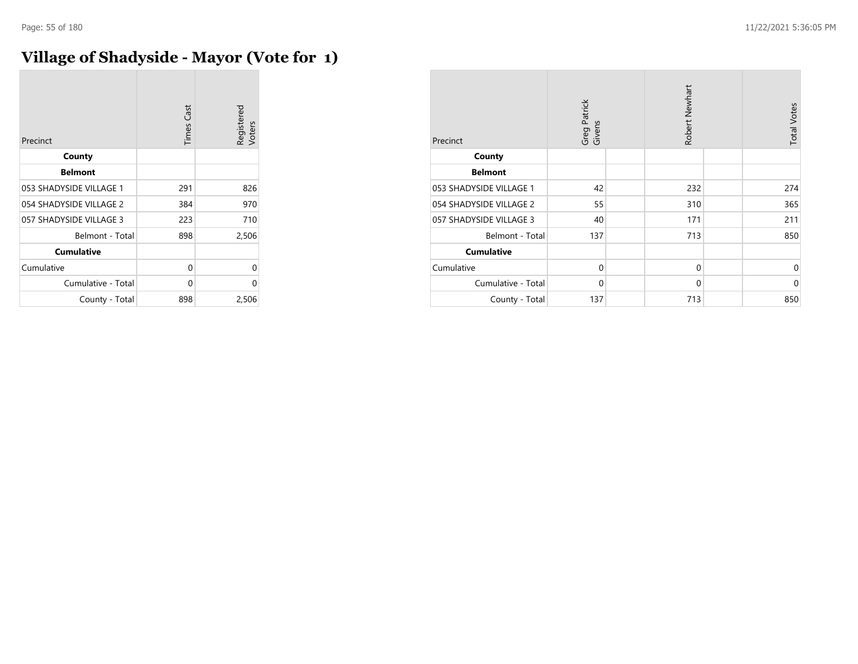## **Village of Shadyside - Mayor (Vote for 1)**

| Precinct                | <b>Times Cast</b> | Registered<br>Voters |
|-------------------------|-------------------|----------------------|
| County                  |                   |                      |
| <b>Belmont</b>          |                   |                      |
| 053 SHADYSIDE VILLAGE 1 | 291               | 826                  |
| 054 SHADYSIDE VILLAGE 2 | 384               | 970                  |
| 057 SHADYSIDE VILLAGE 3 | 223               | 710                  |
| Belmont - Total         | 898               | 2,506                |
| <b>Cumulative</b>       |                   |                      |
| Cumulative              | 0                 | 0                    |
| Cumulative - Total      | 0                 | U                    |
| County - Total          | 898               | 2,506                |

| Precinct                | Greg Patrick<br>Givens | Robert Newhart | <b>Total Votes</b> |             |
|-------------------------|------------------------|----------------|--------------------|-------------|
| County                  |                        |                |                    |             |
| <b>Belmont</b>          |                        |                |                    |             |
| 053 SHADYSIDE VILLAGE 1 | 42                     | 232            |                    | 274         |
| 054 SHADYSIDE VILLAGE 2 | 55                     | 310            |                    | 365         |
| 057 SHADYSIDE VILLAGE 3 | 40                     | 171            |                    | 211         |
| Belmont - Total         | 137                    | 713            |                    | 850         |
| <b>Cumulative</b>       |                        |                |                    |             |
| Cumulative              | $\Omega$               | $\mathbf 0$    |                    | $\mathbf 0$ |
| Cumulative - Total      | $\mathbf 0$            | $\mathbf 0$    |                    | $\mathbf 0$ |
| County - Total          | 137                    | 713            |                    | 850         |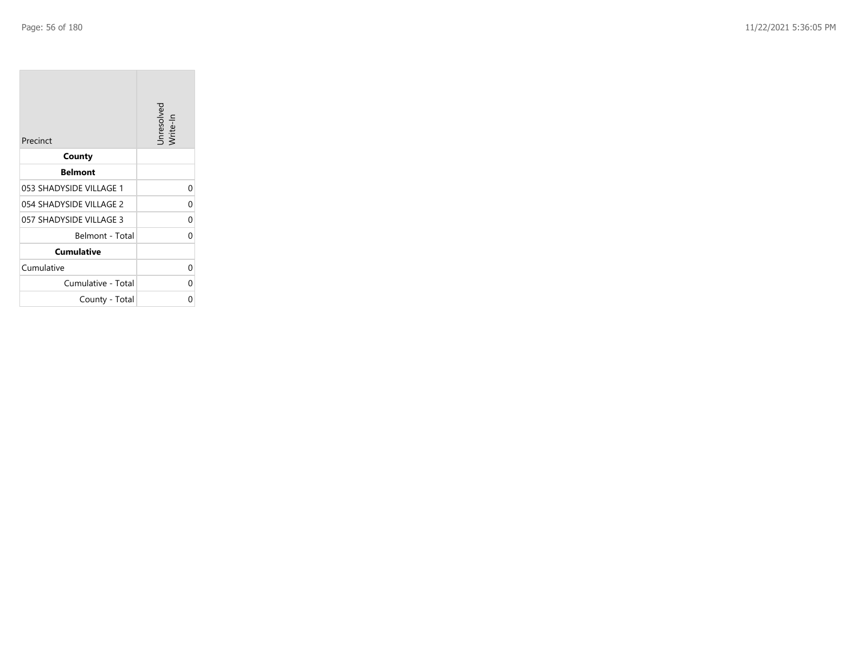**College** 

| Precinct                | Unresolved<br>Write-In |
|-------------------------|------------------------|
| County                  |                        |
| <b>Belmont</b>          |                        |
| 053 SHADYSIDE VILLAGE 1 | 0                      |
| 054 SHADYSIDE VILLAGE 2 | 0                      |
| 057 SHADYSIDE VILLAGE 3 | 0                      |
| Belmont - Total         | 0                      |
| <b>Cumulative</b>       |                        |
| Cumulative              | 0                      |
| Cumulative - Total      | 0                      |
| County - Total          | ი                      |

the control of the control of the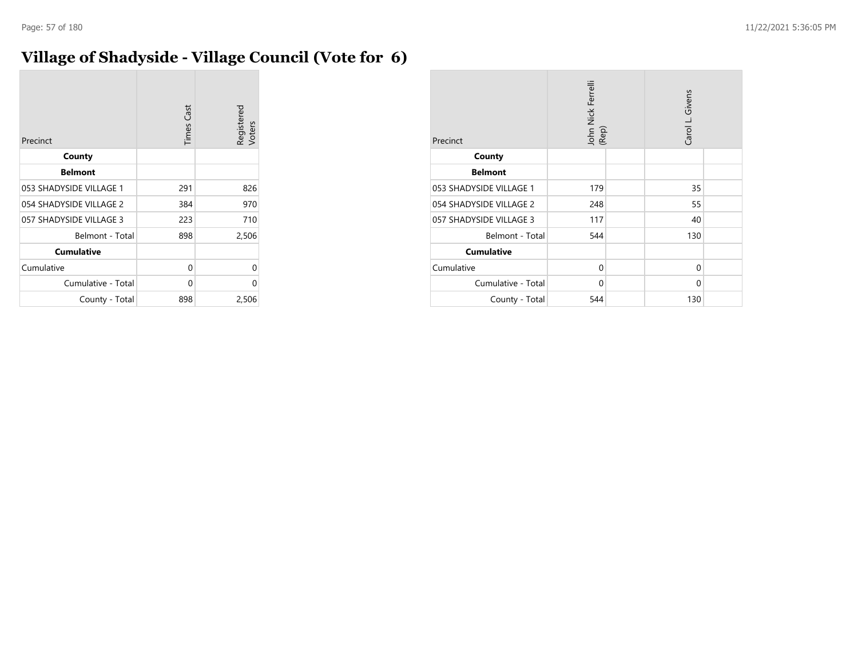# **Village of Shadyside - Village Council (Vote for 6)**

| Precinct                | <b>Times Cast</b> | Registered<br>Voters |
|-------------------------|-------------------|----------------------|
| County                  |                   |                      |
| <b>Belmont</b>          |                   |                      |
| 053 SHADYSIDE VILLAGE 1 | 291               | 826                  |
| 054 SHADYSIDE VILLAGE 2 | 384               | 970                  |
| 057 SHADYSIDE VILLAGE 3 | 223               | 710                  |
| Belmont - Total         | 898               | 2,506                |
| <b>Cumulative</b>       |                   |                      |
| Cumulative              | 0                 | 0                    |
| Cumulative - Total      | 0                 | 0                    |
| County - Total          | 898               | 2,506                |

| Precinct                | John Nick Ferrelli<br>(Rep) | Carol L. Givens |
|-------------------------|-----------------------------|-----------------|
| County                  |                             |                 |
| <b>Belmont</b>          |                             |                 |
| 053 SHADYSIDE VILLAGE 1 | 179                         | 35              |
| 054 SHADYSIDE VILLAGE 2 | 248                         | 55              |
| 057 SHADYSIDE VILLAGE 3 | 117                         | 40              |
| Belmont - Total         | 544                         | 130             |
| <b>Cumulative</b>       |                             |                 |
| Cumulative              | $\Omega$                    | 0               |
| Cumulative - Total      | $\Omega$                    | 0               |
| County - Total          | 544                         | 130             |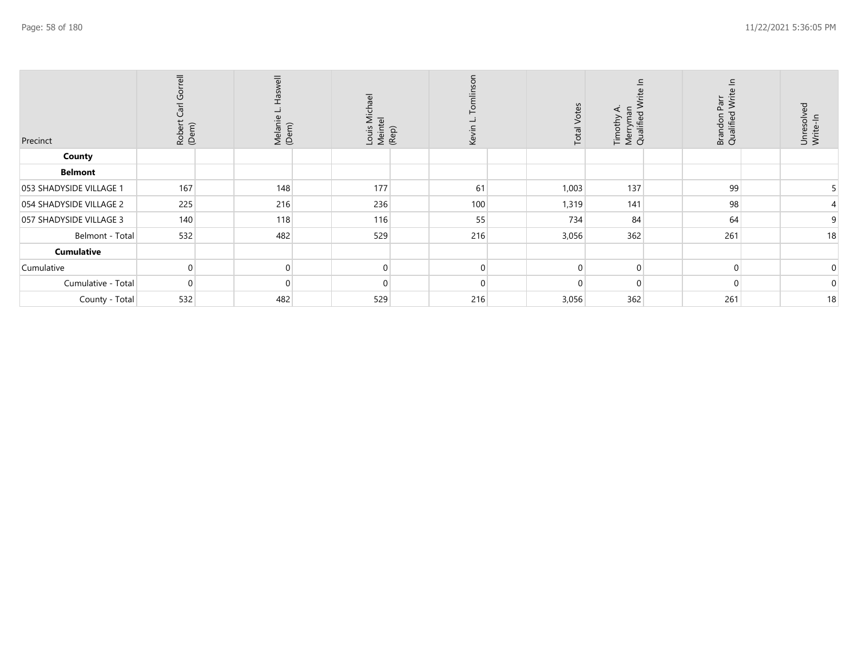|                         | $\overline{\overline{6}}$<br>Gorr<br>Robert Carl | $\equiv$<br>Melanie<br>(Dem) | Louis Michael<br>Meintel<br>(Rep) |          | <b>Total Votes</b> | Merryman<br>Qualified V<br>$\blacktriangleleft$<br>Timothy | Parr<br>Writ<br>Brandon<br>Qualified | Unresolved<br>Write-In |
|-------------------------|--------------------------------------------------|------------------------------|-----------------------------------|----------|--------------------|------------------------------------------------------------|--------------------------------------|------------------------|
| Precinct                | (Dem)                                            |                              |                                   | Kevir    |                    |                                                            |                                      |                        |
| County                  |                                                  |                              |                                   |          |                    |                                                            |                                      |                        |
| <b>Belmont</b>          |                                                  |                              |                                   |          |                    |                                                            |                                      |                        |
| 053 SHADYSIDE VILLAGE 1 | 167                                              | 148                          | 177                               | 61       | 1,003              | 137                                                        | 99                                   |                        |
| 054 SHADYSIDE VILLAGE 2 | 225                                              | 216                          | 236                               | 100      | 1,319              | 141                                                        | 98                                   |                        |
| 057 SHADYSIDE VILLAGE 3 | 140                                              | 118                          | 116                               | 55       | 734                | 84                                                         | 64                                   | 9                      |
| Belmont - Total         | 532                                              | 482                          | 529                               | 216      | 3,056              | 362                                                        | 261                                  | 18                     |
| Cumulative              |                                                  |                              |                                   |          |                    |                                                            |                                      |                        |
| Cumulative              | $\Omega$                                         | 0                            |                                   | $\Omega$ |                    | $\Omega$                                                   | $\Omega$                             | 0                      |
| Cumulative - Total      | $\Omega$                                         | $\Omega$                     |                                   |          |                    | $\Omega$                                                   | $\Omega$                             | 0                      |
| County - Total          | 532                                              | 482                          | 529                               | 216      | 3,056              | 362                                                        | 261                                  | 18                     |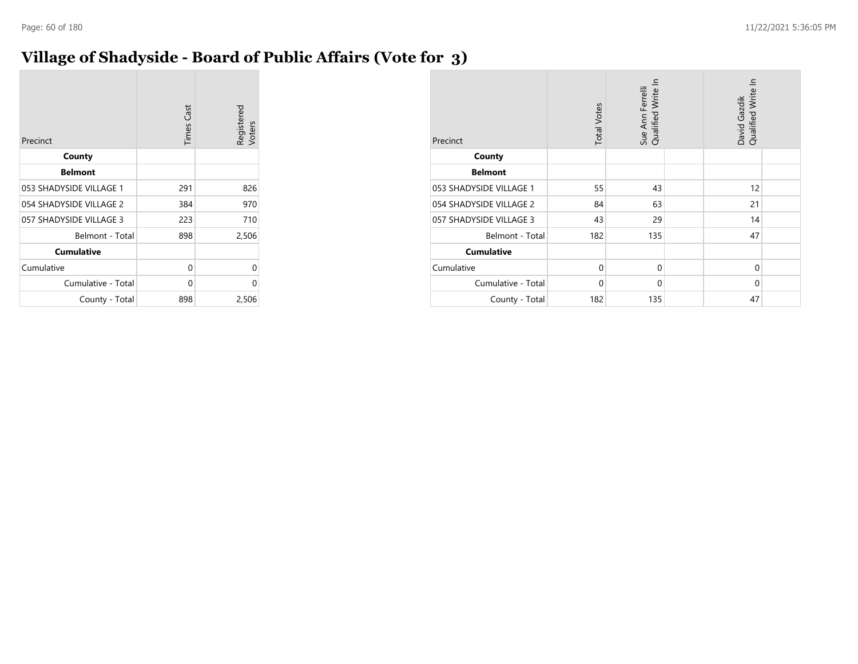## **Village of Shadyside - Board of Public Affairs (Vote for 3)**

| Precinct                | <b>Times Cast</b> | Registered<br>Voters |
|-------------------------|-------------------|----------------------|
| County                  |                   |                      |
| <b>Belmont</b>          |                   |                      |
| 053 SHADYSIDE VILLAGE 1 | 291               | 826                  |
| 054 SHADYSIDE VILLAGE 2 | 384               | 970                  |
| 057 SHADYSIDE VILLAGE 3 | 223               | 710                  |
| Belmont - Total         | 898               | 2,506                |
| <b>Cumulative</b>       |                   |                      |
| Cumulative              | 0                 | 0                    |
| Cumulative - Total      | 0                 | 0                    |
| County - Total          | 898               | 2,506                |

| Precinct                | <b>Total Votes</b> | Sue Ann Ferrelli<br>Qualified Write In | Qualified Write In<br>David Gazdik |  |
|-------------------------|--------------------|----------------------------------------|------------------------------------|--|
| County                  |                    |                                        |                                    |  |
| <b>Belmont</b>          |                    |                                        |                                    |  |
| 053 SHADYSIDE VILLAGE 1 | 55                 | 43                                     | 12                                 |  |
| 054 SHADYSIDE VILLAGE 2 | 84                 | 63                                     | 21                                 |  |
| 057 SHADYSIDE VILLAGE 3 | 43                 | 29                                     | 14                                 |  |
| Belmont - Total         | 182                | 135                                    | 47                                 |  |
| <b>Cumulative</b>       |                    |                                        |                                    |  |
| Cumulative              | $\Omega$           | $\mathbf 0$                            | $\Omega$                           |  |
| Cumulative - Total      | $\Omega$           | $\mathbf 0$                            | $\Omega$                           |  |
| County - Total          | 182                | 135                                    | 47                                 |  |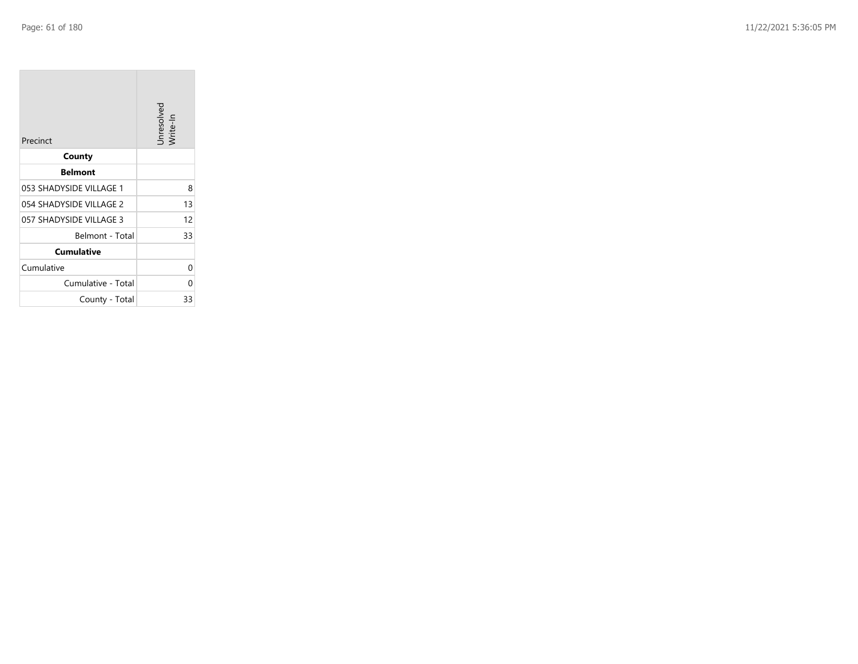**COL** 

| Precinct                | Unresolved<br>Write-In |
|-------------------------|------------------------|
| County                  |                        |
| <b>Belmont</b>          |                        |
| 053 SHADYSIDE VILLAGE 1 | 8                      |
| 054 SHADYSIDE VILLAGE 2 | 13                     |
| 057 SHADYSIDE VILLAGE 3 | 12                     |
| Belmont - Total         | 33                     |
| <b>Cumulative</b>       |                        |
| Cumulative              | 0                      |
| Cumulative - Total      | N                      |
| County - Total          | 33                     |

the control of the control of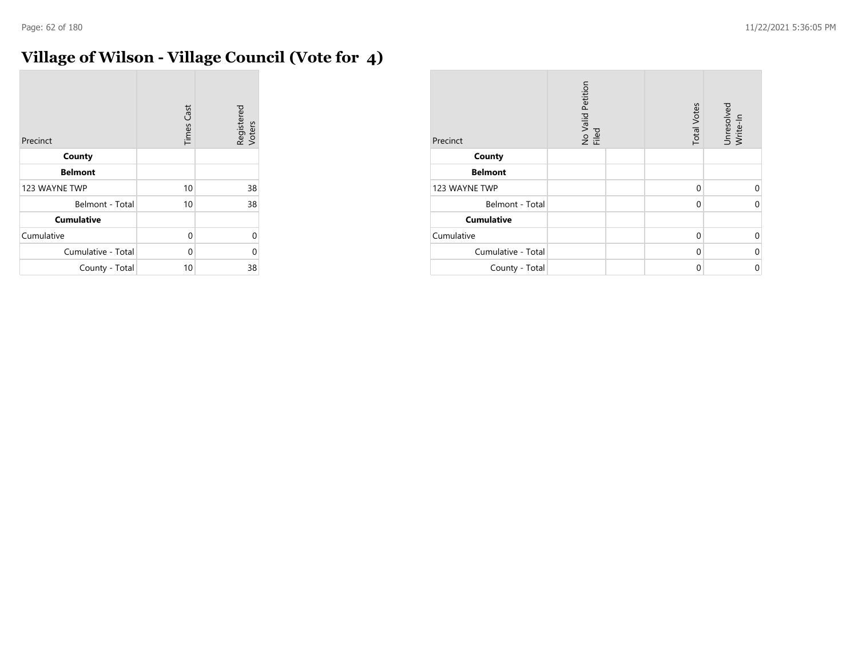# **Village of Wilson - Village Council (Vote for 4)**

| Precinct           | <b>Times Cast</b> | Registered<br>Voters |
|--------------------|-------------------|----------------------|
| County             |                   |                      |
| <b>Belmont</b>     |                   |                      |
| 123 WAYNE TWP      | 10                | 38                   |
| Belmont - Total    | 10                | 38                   |
| <b>Cumulative</b>  |                   |                      |
| Cumulative         | 0                 | 0                    |
| Cumulative - Total | 0                 | U                    |
| County - Total     | 10                | 38                   |

| Precinct           | No Valid Petition<br>Filed | <b>Total Votes</b> | Unresolved<br>Write-In |
|--------------------|----------------------------|--------------------|------------------------|
| County             |                            |                    |                        |
| <b>Belmont</b>     |                            |                    |                        |
| 123 WAYNE TWP      |                            | $\Omega$           | U                      |
| Belmont - Total    |                            | 0                  | $\Omega$               |
| <b>Cumulative</b>  |                            |                    |                        |
| Cumulative         |                            | $\Omega$           | ∩                      |
| Cumulative - Total |                            | $\Omega$           | $\Omega$               |
| County - Total     |                            | 0                  | 0                      |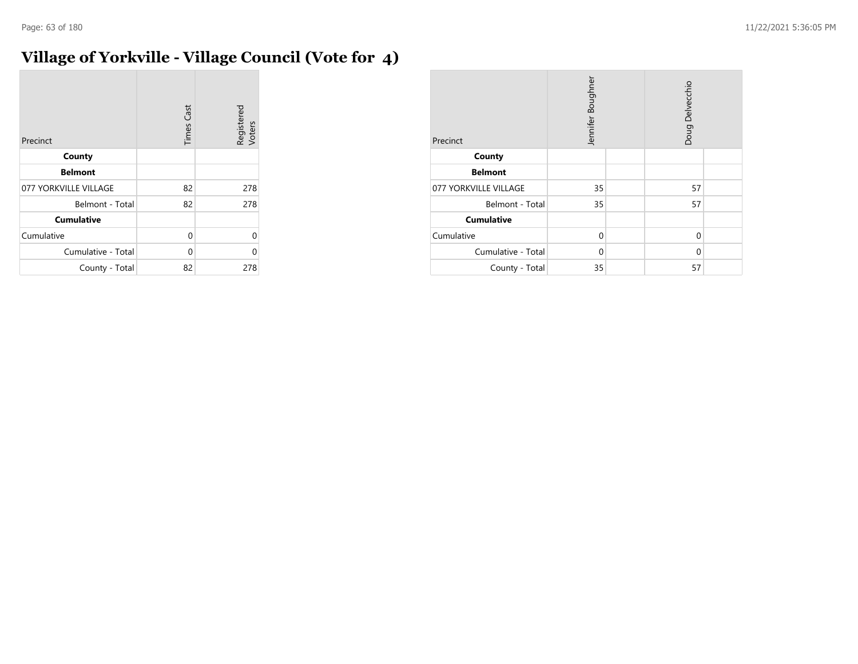# **Village of Yorkville - Village Council (Vote for 4)**

| Precinct              | <b>Times Cast</b> | Registered<br>Voters |
|-----------------------|-------------------|----------------------|
| County                |                   |                      |
| <b>Belmont</b>        |                   |                      |
| 077 YORKVILLE VILLAGE | 82                | 278                  |
| Belmont - Total       | 82                | 278                  |
| <b>Cumulative</b>     |                   |                      |
| Cumulative            | 0                 | U                    |
| Cumulative - Total    | 0                 | በ                    |
| County - Total        | 82                | 278                  |

| Precinct              | Jennifer Boughner |  | Doug Delvecchio |  |
|-----------------------|-------------------|--|-----------------|--|
| County                |                   |  |                 |  |
| <b>Belmont</b>        |                   |  |                 |  |
| 077 YORKVILLE VILLAGE | 35                |  | 57              |  |
| Belmont - Total       | 35                |  | 57              |  |
| <b>Cumulative</b>     |                   |  |                 |  |
| Cumulative            | $\Omega$          |  | $\Omega$        |  |
| Cumulative - Total    | $\Omega$          |  | $\Omega$        |  |
| County - Total        | 35                |  | 57              |  |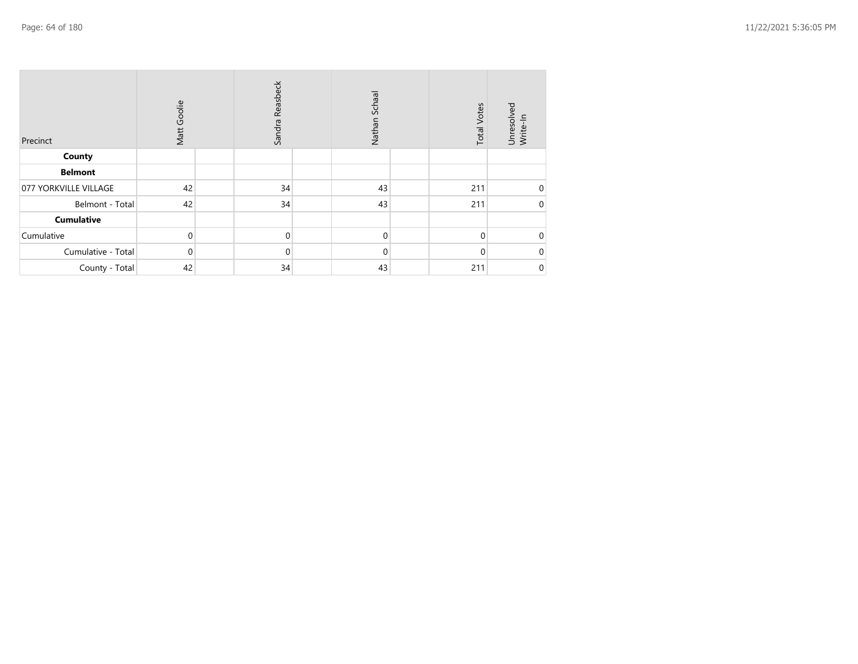| Precinct              | Matt Goolie | Sandra Reasbeck | Nathan Schaal | <b>Total Votes</b> | Unresolved<br>Write-In |
|-----------------------|-------------|-----------------|---------------|--------------------|------------------------|
| County                |             |                 |               |                    |                        |
| <b>Belmont</b>        |             |                 |               |                    |                        |
| 077 YORKVILLE VILLAGE | 42          | 34              | 43            | 211                | 0                      |
| Belmont - Total       | 42          | 34              | 43            | 211                | 0                      |
| <b>Cumulative</b>     |             |                 |               |                    |                        |
| Cumulative            | 0           | 0               | $\Omega$      | $\Omega$           | $\Omega$               |
| Cumulative - Total    | $\mathbf 0$ | 0               | $\mathbf 0$   | $\Omega$           | 0                      |
| County - Total        | 42          | 34              | 43            | 211                | 0                      |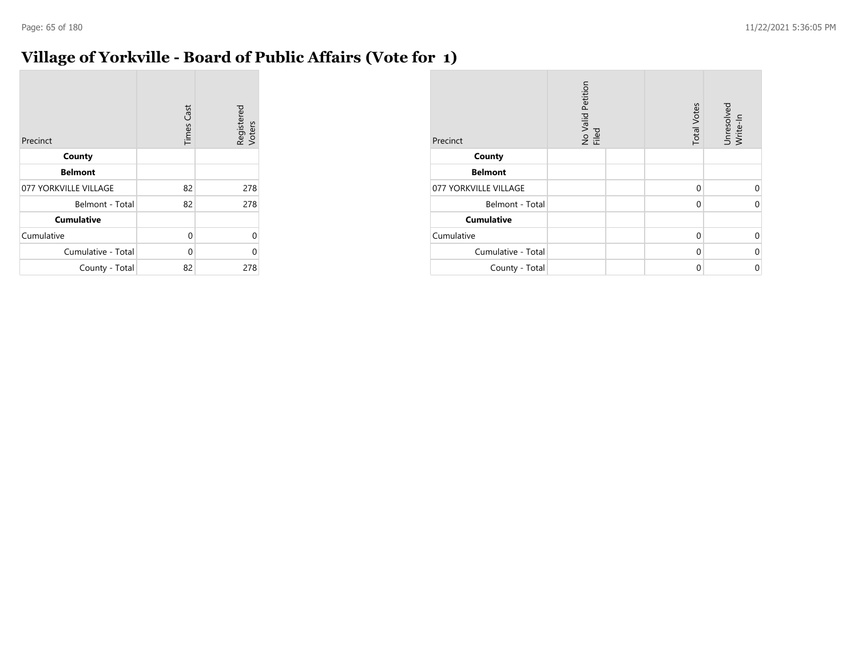## **Village of Yorkville - Board of Public Affairs (Vote for 1)**

| Precinct              | <b>Times Cast</b> | Registered<br>Voters |
|-----------------------|-------------------|----------------------|
| County                |                   |                      |
| <b>Belmont</b>        |                   |                      |
| 077 YORKVILLE VILLAGE | 82                | 278                  |
| Belmont - Total       | 82                | 278                  |
| <b>Cumulative</b>     |                   |                      |
| Cumulative            | 0                 | 0                    |
| Cumulative - Total    | 0                 | ი                    |
| County - Total        | 82                | 278                  |

| Precinct              | No Valid Petition<br>Filed | <b>Total Votes</b> | Unresolved<br>Write-In |
|-----------------------|----------------------------|--------------------|------------------------|
| County                |                            |                    |                        |
| <b>Belmont</b>        |                            |                    |                        |
| 077 YORKVILLE VILLAGE |                            | $\Omega$           | 0                      |
| Belmont - Total       |                            | 0                  | $\Omega$               |
| <b>Cumulative</b>     |                            |                    |                        |
| Cumulative            |                            | $\Omega$           | $\mathbf 0$            |
| Cumulative - Total    |                            | 0                  | $\mathbf 0$            |
| County - Total        |                            | $\Omega$           | $\mathbf 0$            |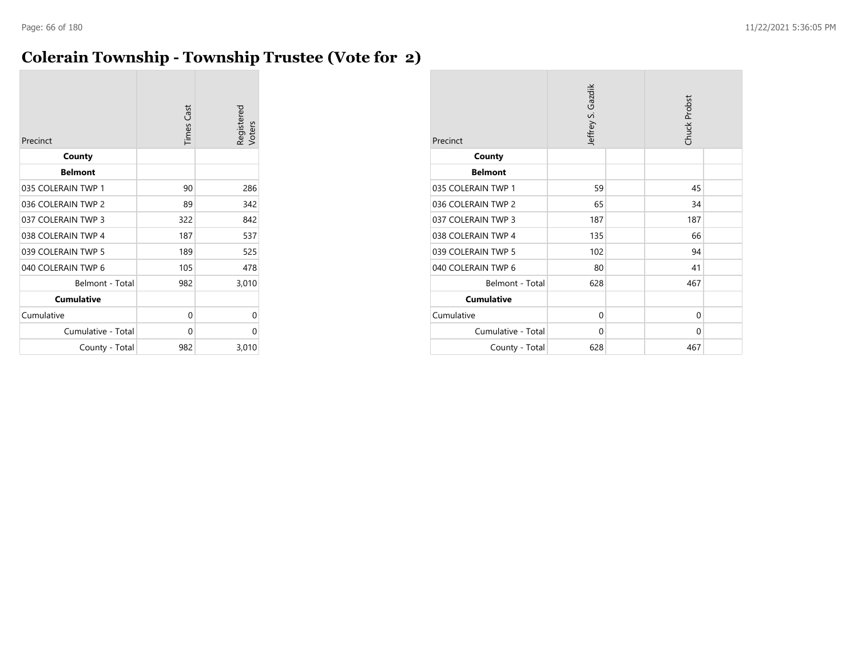## **Colerain Township - Township Trustee (Vote for 2)**

| Precinct           | <b>Times Cast</b> | Registered<br>Voters |
|--------------------|-------------------|----------------------|
| County             |                   |                      |
| <b>Belmont</b>     |                   |                      |
| 035 COLERAIN TWP 1 | 90                | 286                  |
| 036 COLERAIN TWP 2 | 89                | 342                  |
| 037 COLERAIN TWP 3 | 322               | 842                  |
| 038 COLERAIN TWP 4 | 187               | 537                  |
| 039 COLERAIN TWP 5 | 189               | 525                  |
| 040 COLERAIN TWP 6 | 105               | 478                  |
| Belmont - Total    | 982               | 3,010                |
| <b>Cumulative</b>  |                   |                      |
| Cumulative         | 0                 | 0                    |
| Cumulative - Total | 0                 | 0                    |
| County - Total     | 982               | 3,010                |

| Precinct           | Jeffrey S. Gazdik |  | Chuck Probst |  |
|--------------------|-------------------|--|--------------|--|
| County             |                   |  |              |  |
| <b>Belmont</b>     |                   |  |              |  |
| 035 COLERAIN TWP 1 | 59                |  | 45           |  |
| 036 COLERAIN TWP 2 | 65                |  | 34           |  |
| 037 COLERAIN TWP 3 | 187               |  | 187          |  |
| 038 COLERAIN TWP 4 | 135               |  | 66           |  |
| 039 COLERAIN TWP 5 | 102               |  | 94           |  |
| 040 COLERAIN TWP 6 | 80                |  | 41           |  |
| Belmont - Total    | 628               |  | 467          |  |
| <b>Cumulative</b>  |                   |  |              |  |
| Cumulative         | 0                 |  | $\Omega$     |  |
| Cumulative - Total | 0                 |  | $\Omega$     |  |
| County - Total     | 628               |  | 467          |  |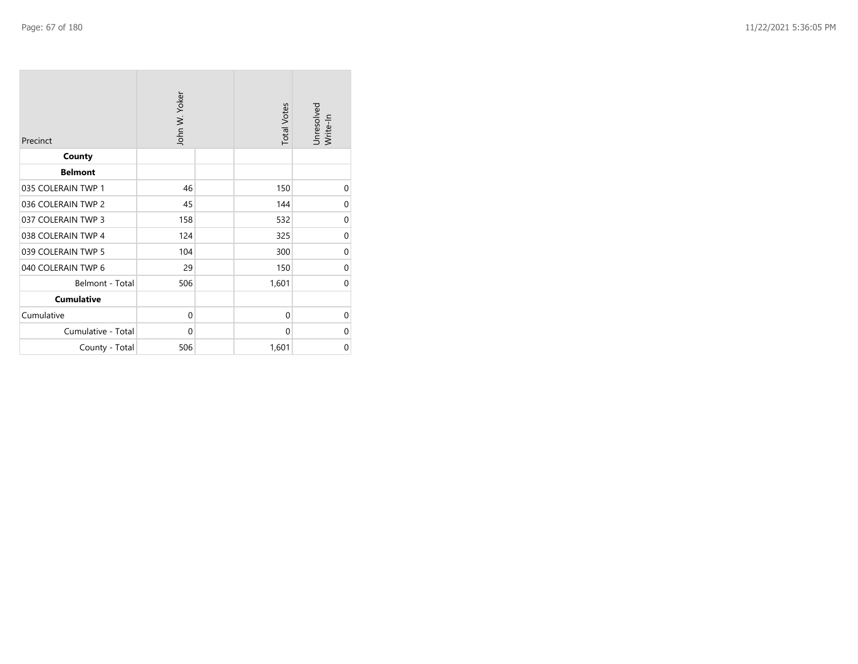| Precinct           | John W. Yoker |  | <b>Total Votes</b> | Unresolved<br>Write-In |
|--------------------|---------------|--|--------------------|------------------------|
| County             |               |  |                    |                        |
| <b>Belmont</b>     |               |  |                    |                        |
| 035 COLERAIN TWP 1 | 46            |  | 150                | 0                      |
| 036 COLERAIN TWP 2 | 45            |  | 144                | $\mathbf 0$            |
| 037 COLERAIN TWP 3 | 158           |  | 532                | $\mathbf 0$            |
| 038 COLERAIN TWP 4 | 124           |  | 325                | 0                      |
| 039 COLERAIN TWP 5 | 104           |  | 300                | 0                      |
| 040 COLERAIN TWP 6 | 29            |  | 150                | $\mathbf 0$            |
| Belmont - Total    | 506           |  | 1,601              | $\mathbf 0$            |
| <b>Cumulative</b>  |               |  |                    |                        |
| Cumulative         | $\mathbf 0$   |  | $\mathbf{0}$       | $\mathbf 0$            |
| Cumulative - Total | 0             |  | 0                  | 0                      |
| County - Total     | 506           |  | 1,601              | 0                      |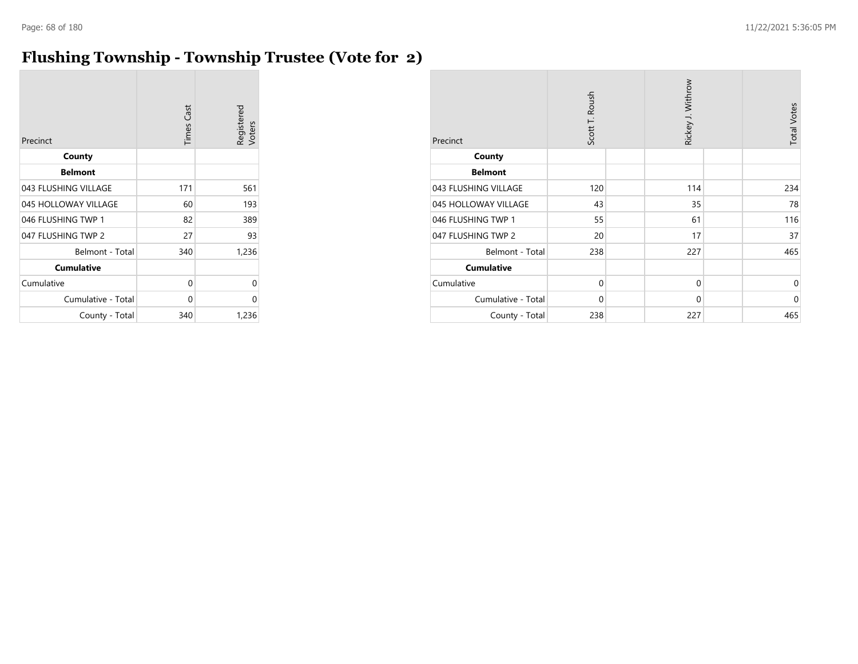## **Flushing Township - Township Trustee (Vote for 2)**

| Precinct             | <b>Times Cast</b> | Registered<br>Voters |
|----------------------|-------------------|----------------------|
| County               |                   |                      |
| <b>Belmont</b>       |                   |                      |
| 043 FLUSHING VILLAGE | 171               | 561                  |
| 045 HOLLOWAY VILLAGE | 60                | 193                  |
| 046 FLUSHING TWP 1   | 82                | 389                  |
| 047 FLUSHING TWP 2   | 27                | 93                   |
| Belmont - Total      | 340               | 1,236                |
| <b>Cumulative</b>    |                   |                      |
| Cumulative           | 0                 | 0                    |
| Cumulative - Total   | 0                 | 0                    |
| County - Total       | 340               | 1,236                |

| Precinct             | Scott T. Roush | Rickey J. Withrow | <b>Total Votes</b> |
|----------------------|----------------|-------------------|--------------------|
| County               |                |                   |                    |
| <b>Belmont</b>       |                |                   |                    |
| 043 FLUSHING VILLAGE | 120            | 114               | 234                |
| 045 HOLLOWAY VILLAGE | 43             | 35                | 78                 |
| 046 FLUSHING TWP 1   | 55             | 61                | 116                |
| 047 FLUSHING TWP 2   | 20             | 17                | 37                 |
| Belmont - Total      | 238            | 227               | 465                |
| <b>Cumulative</b>    |                |                   |                    |
| Cumulative           | $\mathbf 0$    | $\mathbf 0$       | $\mathbf 0$        |
| Cumulative - Total   | $\Omega$       | $\mathbf 0$       | $\mathbf 0$        |
| County - Total       | 238            | 227               | 465                |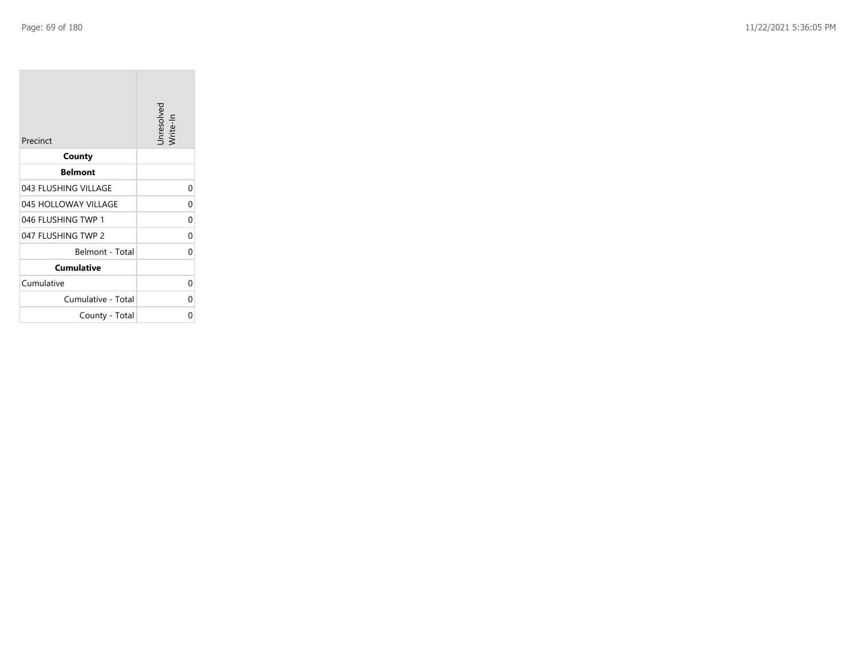**College** 

| Precinct             | Unresolved<br>Write-In |
|----------------------|------------------------|
| County               |                        |
| <b>Belmont</b>       |                        |
| 043 FLUSHING VILLAGE | 0                      |
| 045 HOLLOWAY VILLAGE | U                      |
| 046 FLUSHING TWP 1   | 0                      |
| 047 FLUSHING TWP 2   | 0                      |
| Belmont - Total      | 0                      |
| <b>Cumulative</b>    |                        |
| Cumulative           | 0                      |
| Cumulative - Total   |                        |
| County - Total       | ი                      |

the control of the control of the control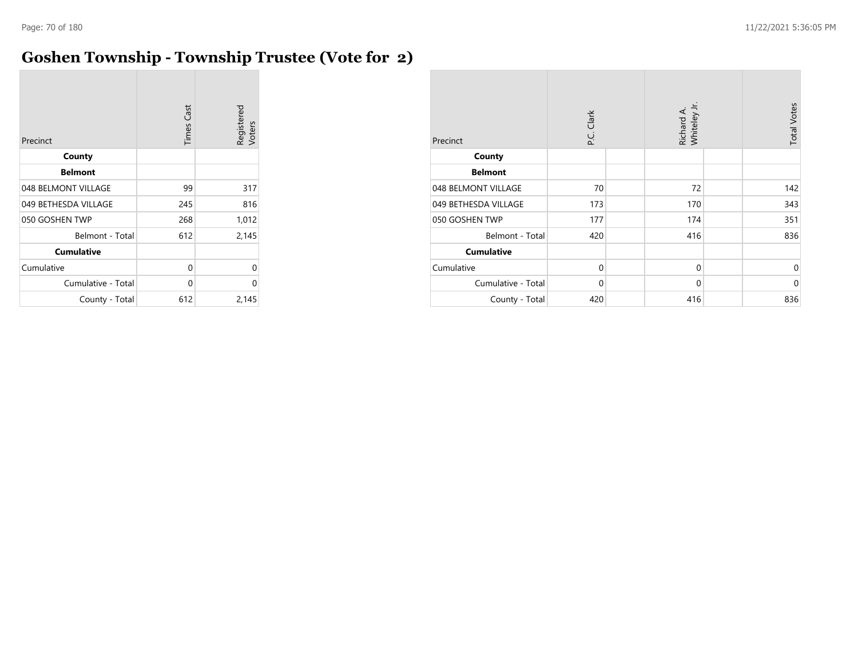## **Goshen Township - Township Trustee (Vote for 2)**

| Precinct             | <b>Times Cast</b> | Registered<br>Voters |
|----------------------|-------------------|----------------------|
| County               |                   |                      |
| <b>Belmont</b>       |                   |                      |
| 048 BELMONT VILLAGE  | 99                | 317                  |
| 049 BETHESDA VILLAGE | 245               | 816                  |
| 050 GOSHEN TWP       | 268               | 1,012                |
| Belmont - Total      | 612               | 2,145                |
| <b>Cumulative</b>    |                   |                      |
| Cumulative           | 0                 | 0                    |
| Cumulative - Total   | 0                 | 0                    |
| County - Total       | 612               | 2,145                |

| Precinct             | P.C. Clark  | Richard A.<br>Whiteley Jr. | <b>Total Votes</b> |
|----------------------|-------------|----------------------------|--------------------|
| County               |             |                            |                    |
| <b>Belmont</b>       |             |                            |                    |
| 048 BELMONT VILLAGE  | 70          | 72                         | 142                |
| 049 BETHESDA VILLAGE | 173         | 170                        | 343                |
| 050 GOSHEN TWP       | 177         | 174                        | 351                |
| Belmont - Total      | 420         | 416                        | 836                |
| <b>Cumulative</b>    |             |                            |                    |
| Cumulative           | $\mathbf 0$ | $\mathbf 0$                | $\Omega$           |
| Cumulative - Total   | 0           | $\mathbf 0$                | $\Omega$           |
| County - Total       | 420         | 416                        | 836                |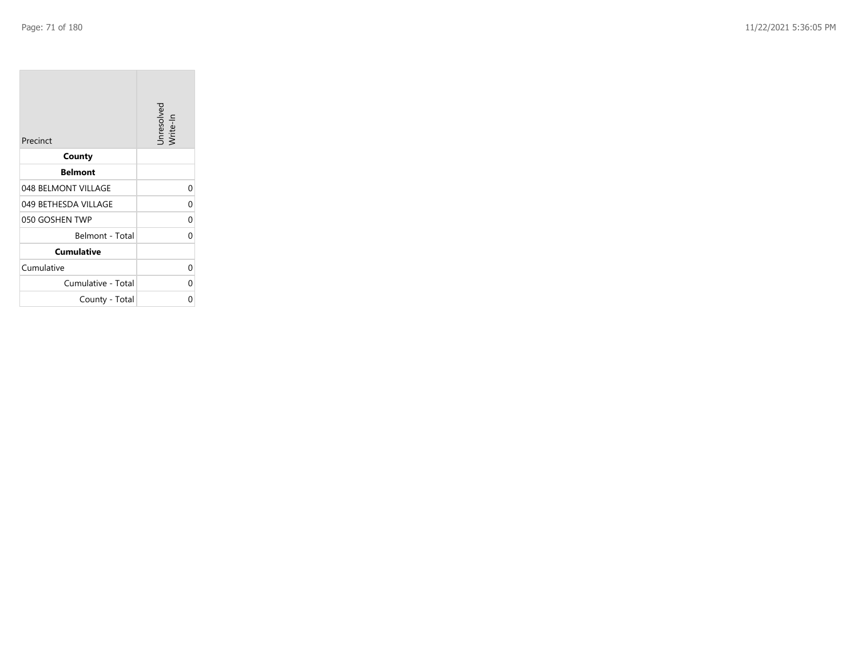**College** 

| Precinct             | Unresolved<br>Write-In |
|----------------------|------------------------|
| County               |                        |
| <b>Belmont</b>       |                        |
| 048 BELMONT VILLAGE  | 0                      |
| 049 BETHESDA VILLAGE | 0                      |
| 050 GOSHEN TWP       | 0                      |
| Belmont - Total      | 0                      |
| <b>Cumulative</b>    |                        |
| Cumulative           | 0                      |
| Cumulative - Total   | 0                      |
| County - Total       | ი                      |

the company's company's company's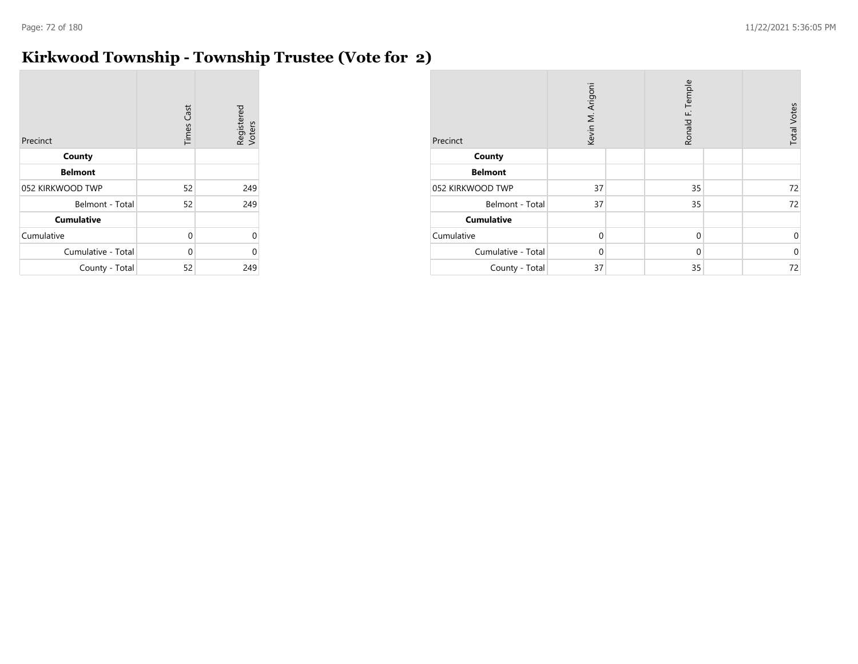## **Kirkwood Township - Township Trustee (Vote for 2)**

| Precinct           | <b>Times Cast</b> | Registered<br>Voters |
|--------------------|-------------------|----------------------|
| County             |                   |                      |
| <b>Belmont</b>     |                   |                      |
| 052 KIRKWOOD TWP   | 52                | 249                  |
| Belmont - Total    | 52                | 249                  |
| <b>Cumulative</b>  |                   |                      |
| Cumulative         | 0                 | 0                    |
| Cumulative - Total | 0                 | U                    |
| County - Total     | 52                | 249                  |

| Precinct           | Kevin M. Arigoni |  | Ronald F. Temple |  | <b>Total Votes</b> |
|--------------------|------------------|--|------------------|--|--------------------|
| County             |                  |  |                  |  |                    |
| <b>Belmont</b>     |                  |  |                  |  |                    |
| 052 KIRKWOOD TWP   | 37               |  | 35               |  | 72                 |
| Belmont - Total    | 37               |  | 35               |  | 72                 |
| <b>Cumulative</b>  |                  |  |                  |  |                    |
| Cumulative         | $\mathbf 0$      |  | $\mathbf 0$      |  | 0                  |
| Cumulative - Total | $\Omega$         |  | $\mathbf 0$      |  | $\Omega$           |
| County - Total     | 37               |  | 35               |  | 72                 |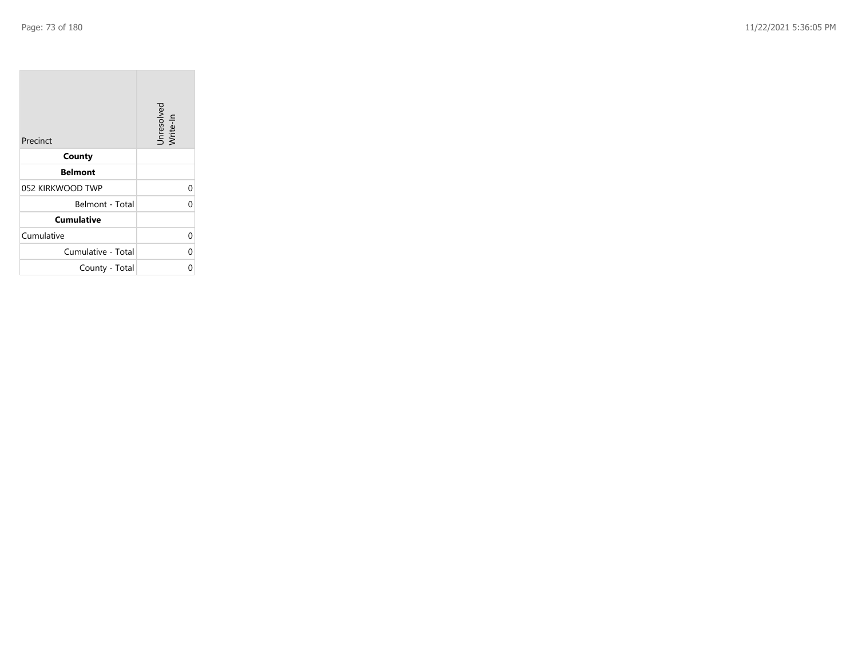| Precinct           | Unresolved<br>Write-In |
|--------------------|------------------------|
| County             |                        |
| <b>Belmont</b>     |                        |
| 052 KIRKWOOD TWP   | 0                      |
| Belmont - Total    | 0                      |
| <b>Cumulative</b>  |                        |
| Cumulative         | 0                      |
| Cumulative - Total | 0                      |
| County - Total     | Ω                      |

the property of the control of

m.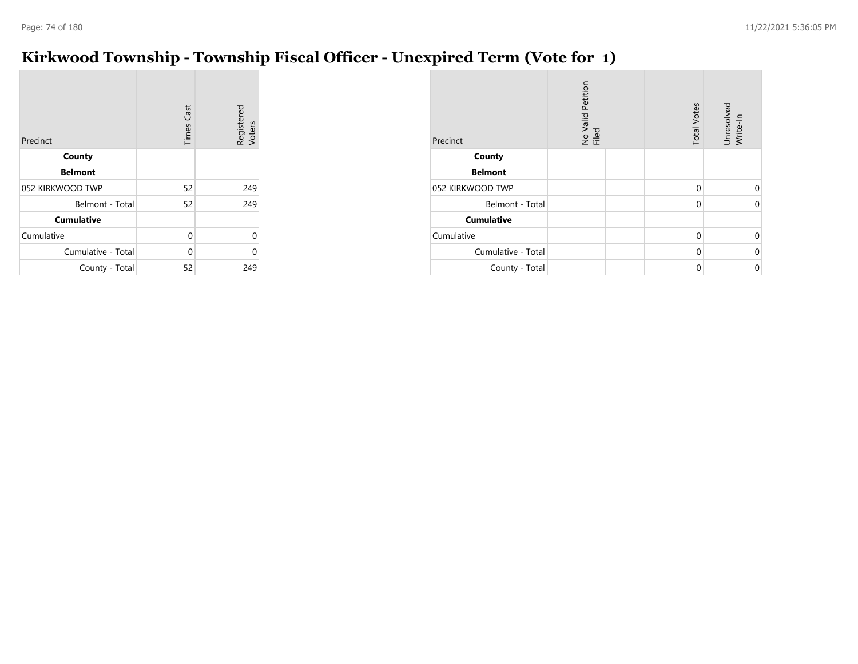#### **Kirkwood Township - Township Fiscal Officer - Unexpired Term (Vote for 1)**

| Precinct           | <b>Times Cast</b> | Registered<br>Voters |
|--------------------|-------------------|----------------------|
| County             |                   |                      |
| <b>Belmont</b>     |                   |                      |
| 052 KIRKWOOD TWP   | 52                | 249                  |
| Belmont - Total    | 52                | 249                  |
| <b>Cumulative</b>  |                   |                      |
| Cumulative         | 0                 | $\Omega$             |
| Cumulative - Total | 0                 | ሰ                    |
| County - Total     | 52                | 249                  |

| Precinct           | No Valid Petition<br>Filed | <b>Total Votes</b> | Unresolved<br>Write-In |
|--------------------|----------------------------|--------------------|------------------------|
| County             |                            |                    |                        |
| <b>Belmont</b>     |                            |                    |                        |
| 052 KIRKWOOD TWP   |                            | $\Omega$           | U                      |
| Belmont - Total    |                            | $\Omega$           | $\Omega$               |
| <b>Cumulative</b>  |                            |                    |                        |
| Cumulative         |                            | $\mathbf 0$        | 0                      |
| Cumulative - Total |                            | $\Omega$           | $\Omega$               |
| County - Total     |                            | 0                  | $\mathbf 0$            |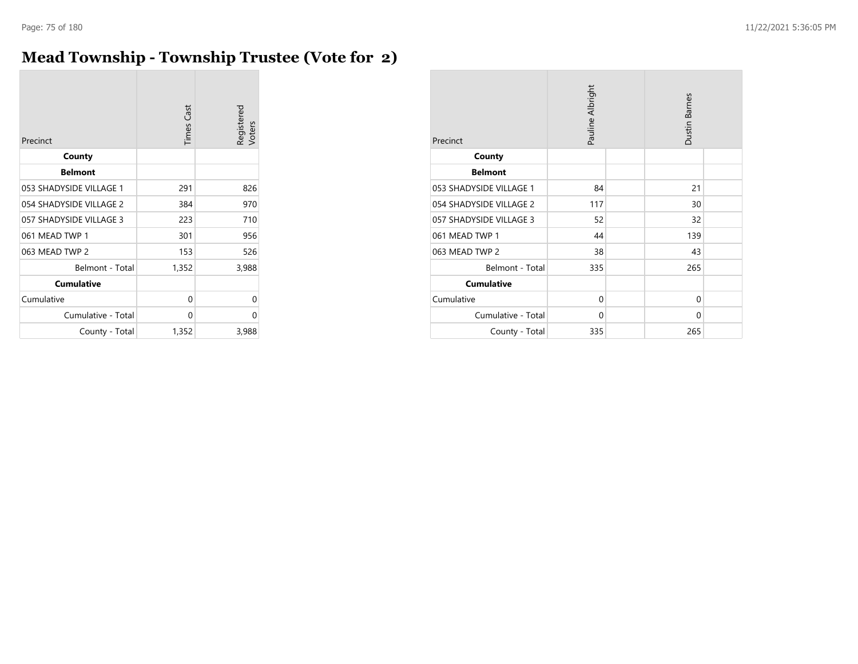#### **Mead Township - Township Trustee (Vote for 2)**

| Precinct                | <b>Times Cast</b> | Registered<br>Voters |
|-------------------------|-------------------|----------------------|
| County                  |                   |                      |
| <b>Belmont</b>          |                   |                      |
| 053 SHADYSIDE VILLAGE 1 | 291               | 826                  |
| 054 SHADYSIDE VILLAGE 2 | 384               | 970                  |
| 057 SHADYSIDE VILLAGE 3 | 223               | 710                  |
| 061 MEAD TWP 1          | 301               | 956                  |
| 063 MEAD TWP 2          | 153               | 526                  |
| Belmont - Total         | 1,352             | 3,988                |
| <b>Cumulative</b>       |                   |                      |
| Cumulative              | 0                 | 0                    |
| Cumulative - Total      | 0                 | 0                    |
| County - Total          | 1,352             | 3,988                |

| Precinct                | Pauline Albright | <b>Dustin Barnes</b> |  |
|-------------------------|------------------|----------------------|--|
| County                  |                  |                      |  |
| <b>Belmont</b>          |                  |                      |  |
| 053 SHADYSIDE VILLAGE 1 | 84               | 21                   |  |
| 054 SHADYSIDE VILLAGE 2 | 117              | 30                   |  |
| 057 SHADYSIDE VILLAGE 3 | 52               | 32                   |  |
| 061 MEAD TWP 1          | 44               | 139                  |  |
| 063 MEAD TWP 2          | 38               | 43                   |  |
| Belmont - Total         | 335              | 265                  |  |
| <b>Cumulative</b>       |                  |                      |  |
| Cumulative              | 0                | $\Omega$             |  |
| Cumulative - Total      | 0                | $\Omega$             |  |
| County - Total          | 335              | 265                  |  |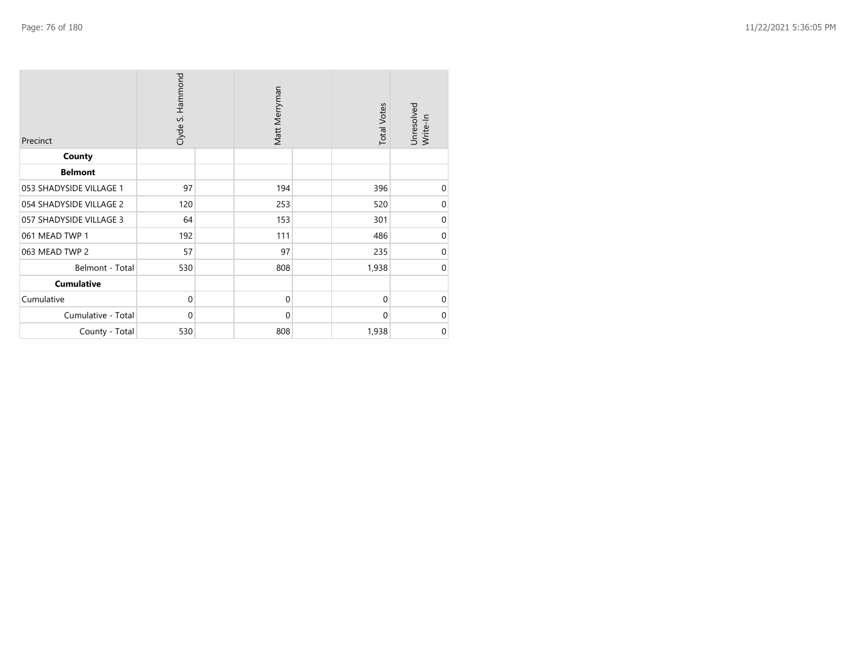| Precinct                | Clyde S. Hammond | Matt Merryman | <b>Total Votes</b> | Unresolved<br>Write-In |
|-------------------------|------------------|---------------|--------------------|------------------------|
| County                  |                  |               |                    |                        |
| <b>Belmont</b>          |                  |               |                    |                        |
| 053 SHADYSIDE VILLAGE 1 | 97               | 194           | 396                | 0                      |
| 054 SHADYSIDE VILLAGE 2 | 120              | 253           | 520                | $\mathbf 0$            |
| 057 SHADYSIDE VILLAGE 3 | 64               | 153           | 301                | $\mathbf 0$            |
| 061 MEAD TWP 1          | 192              | 111           | 486                | $\mathbf 0$            |
| 063 MEAD TWP 2          | 57               | 97            | 235                | $\mathbf 0$            |
| Belmont - Total         | 530              | 808           | 1,938              | $\mathbf 0$            |
| <b>Cumulative</b>       |                  |               |                    |                        |
| Cumulative              | $\mathbf 0$      | $\mathbf 0$   | $\mathbf 0$        | $\mathbf 0$            |
| Cumulative - Total      | 0                | $\mathbf 0$   | $\mathbf 0$        | $\boldsymbol{0}$       |
| County - Total          | 530              | 808           | 1,938              | $\boldsymbol{0}$       |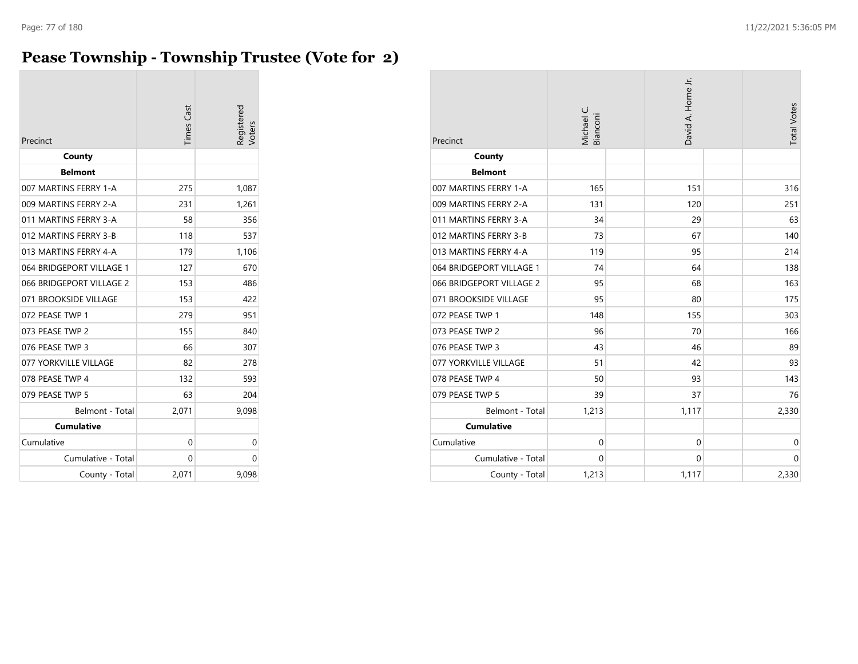#### **Pease Township - Township Trustee (Vote for 2)**

| Precinct                 | <b>Times Cast</b> | Registered<br>/oters |
|--------------------------|-------------------|----------------------|
| County                   |                   |                      |
| <b>Belmont</b>           |                   |                      |
| 007 MARTINS FERRY 1-A    | 275               | 1,087                |
| 009 MARTINS FERRY 2-A    | 231               | 1,261                |
| 011 MARTINS FERRY 3-A    | 58                | 356                  |
| 012 MARTINS FERRY 3-B    | 118               | 537                  |
| 013 MARTINS FERRY 4-A    | 179               | 1,106                |
| 064 BRIDGEPORT VILLAGE 1 | 127               | 670                  |
| 066 BRIDGEPORT VILLAGE 2 | 153               | 486                  |
| 071 BROOKSIDE VILLAGE    | 153               | 422                  |
| 072 PEASE TWP 1          | 279               | 951                  |
| 073 PEASE TWP 2          | 155               | 840                  |
| 076 PEASE TWP 3          | 66                | 307                  |
| 077 YORKVILLE VILLAGE    | 82                | 278                  |
| 078 PEASE TWP 4          | 132               | 593                  |
| 079 PEASE TWP 5          | 63                | 204                  |
| Belmont - Total          | 2,071             | 9,098                |
| <b>Cumulative</b>        |                   |                      |
| Cumulative               | 0                 | 0                    |
| Cumulative - Total       | 0                 | 0                    |
| County - Total           | 2,071             | 9,098                |

| Precinct                 | Michael C.<br>Bianconi | David A. Horne Jr. | <b>Total Votes</b> |
|--------------------------|------------------------|--------------------|--------------------|
| County                   |                        |                    |                    |
| <b>Belmont</b>           |                        |                    |                    |
| 007 MARTINS FERRY 1-A    | 165                    | 151                | 316                |
| 009 MARTINS FERRY 2-A    | 131                    | 120                | 251                |
| 011 MARTINS FERRY 3-A    | 34                     | 29                 | 63                 |
| 012 MARTINS FERRY 3-B    | 73                     | 67                 | 140                |
| 013 MARTINS FERRY 4-A    | 119                    | 95                 | 214                |
| 064 BRIDGEPORT VILLAGE 1 | 74                     | 64                 | 138                |
| 066 BRIDGEPORT VILLAGE 2 | 95                     | 68                 | 163                |
| 071 BROOKSIDE VILLAGE    | 95                     | 80                 | 175                |
| 072 PEASE TWP 1          | 148                    | 155                | 303                |
| 073 PEASE TWP 2          | 96                     | 70                 | 166                |
| 076 PEASE TWP 3          | 43                     | 46                 | 89                 |
| 077 YORKVILLE VILLAGE    | 51                     | 42                 | 93                 |
| 078 PEASE TWP 4          | 50                     | 93                 | 143                |
| 079 PEASE TWP 5          | 39                     | 37                 | 76                 |
| Belmont - Total          | 1,213                  | 1,117              | 2,330              |
| <b>Cumulative</b>        |                        |                    |                    |
| Cumulative               | $\mathbf 0$            | $\mathbf 0$        | $\mathbf 0$        |
| Cumulative - Total       | $\mathbf 0$            | $\mathbf 0$        | $\mathbf 0$        |
| County - Total           | 1,213                  | 1,117              | 2,330              |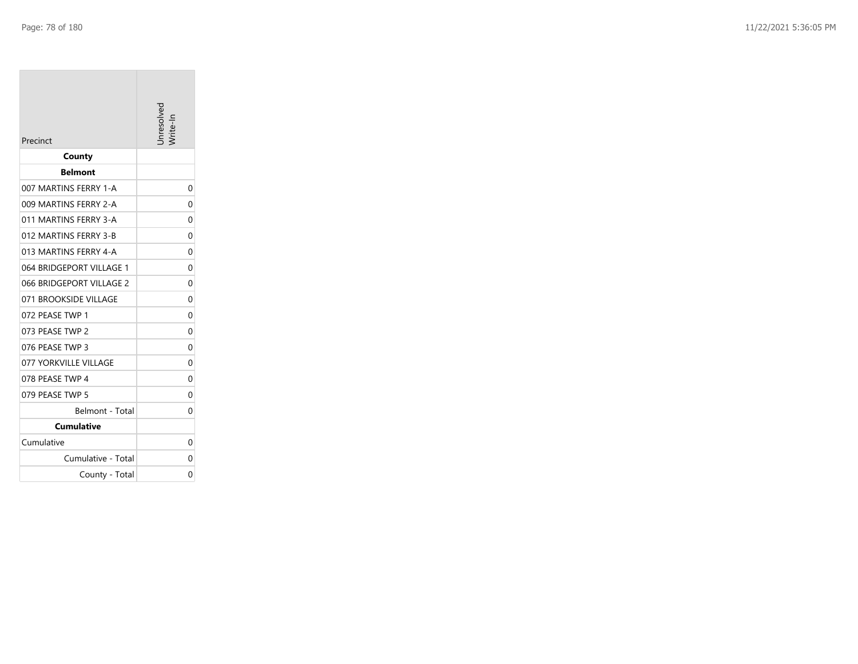| Precinct                 | nresolveo |
|--------------------------|-----------|
| County                   |           |
| <b>Belmont</b>           |           |
| 007 MARTINS FERRY 1-A    | 0         |
| 009 MARTINS FERRY 2-A    | 0         |
| 011 MARTINS FERRY 3-A    | 0         |
| 012 MARTINS FERRY 3-B    | 0         |
| 013 MARTINS FERRY 4-A    | 0         |
| 064 BRIDGEPORT VILLAGE 1 | 0         |
| 066 BRIDGEPORT VILLAGE 2 | 0         |
| 071 BROOKSIDE VILLAGE    | $\Omega$  |
| 072 PEASE TWP 1          | $\Omega$  |
| 073 PEASE TWP 2          | 0         |
| 076 PEASE TWP 3          | 0         |
| 077 YORKVILLE VILLAGE    | $\Omega$  |
| 078 PEASE TWP 4          | $\Omega$  |
| 079 PEASE TWP 5          | 0         |
| Belmont - Total          | 0         |
| <b>Cumulative</b>        |           |
| Cumulative               | 0         |
| Cumulative - Total       | 0         |
| County - Total           | 0         |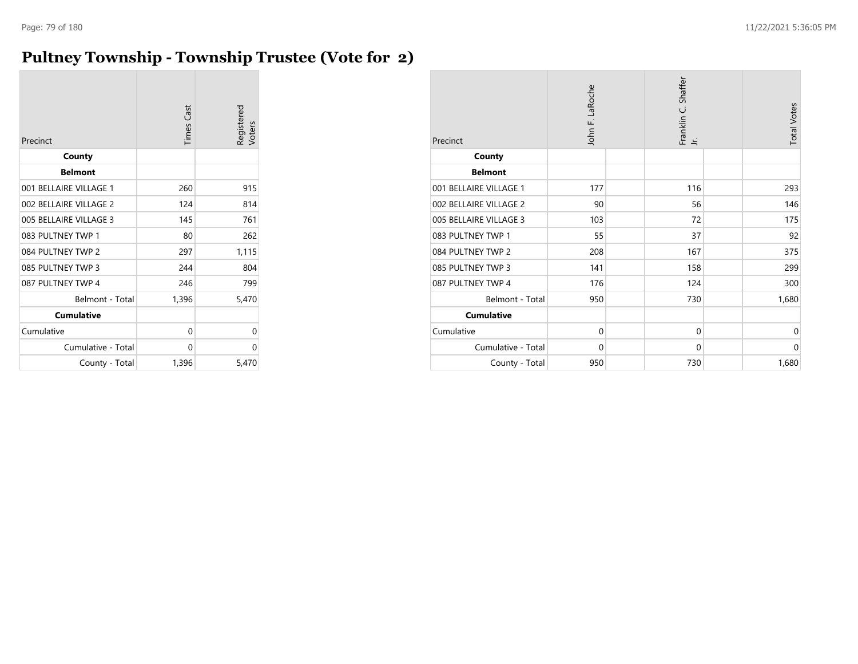#### **Pultney Township - Township Trustee (Vote for 2)**

| Precinct               | <b>Times Cast</b> | Registered<br>Voters |
|------------------------|-------------------|----------------------|
| County                 |                   |                      |
| <b>Belmont</b>         |                   |                      |
| 001 BELLAIRE VILLAGE 1 | 260               | 915                  |
| 002 BELLAIRE VILLAGE 2 | 124               | 814                  |
| 005 BELLAIRE VILLAGE 3 | 145               | 761                  |
| 083 PULTNEY TWP 1      | 80                | 262                  |
| 084 PULTNEY TWP 2      | 297               | 1,115                |
| 085 PULTNEY TWP 3      | 244               | 804                  |
| 087 PULTNEY TWP 4      | 246               | 799                  |
| Belmont - Total        | 1,396             | 5,470                |
| <b>Cumulative</b>      |                   |                      |
| Cumulative             | 0                 | 0                    |
| Cumulative - Total     | 0                 | 0                    |
| County - Total         | 1,396             | 5,470                |

| Precinct               | John F. LaRoche | Franklin C. Shaffer<br>Ξ | <b>Total Votes</b> |
|------------------------|-----------------|--------------------------|--------------------|
| County                 |                 |                          |                    |
| <b>Belmont</b>         |                 |                          |                    |
| 001 BELLAIRE VILLAGE 1 | 177             | 116                      | 293                |
| 002 BELLAIRE VILLAGE 2 | 90              | 56                       | 146                |
| 005 BELLAIRE VILLAGE 3 | 103             | 72                       | 175                |
| 083 PULTNEY TWP 1      | 55              | 37                       | 92                 |
| 084 PULTNEY TWP 2      | 208             | 167                      | 375                |
| 085 PULTNEY TWP 3      | 141             | 158                      | 299                |
| 087 PULTNEY TWP 4      | 176             | 124                      | 300                |
| Belmont - Total        | 950             | 730                      | 1,680              |
| <b>Cumulative</b>      |                 |                          |                    |
| Cumulative             | $\mathbf 0$     | $\mathbf 0$              | $\mathbf 0$        |
| Cumulative - Total     | $\mathbf 0$     | $\mathbf 0$              | $\mathbf 0$        |
| County - Total         | 950             | 730                      | 1,680              |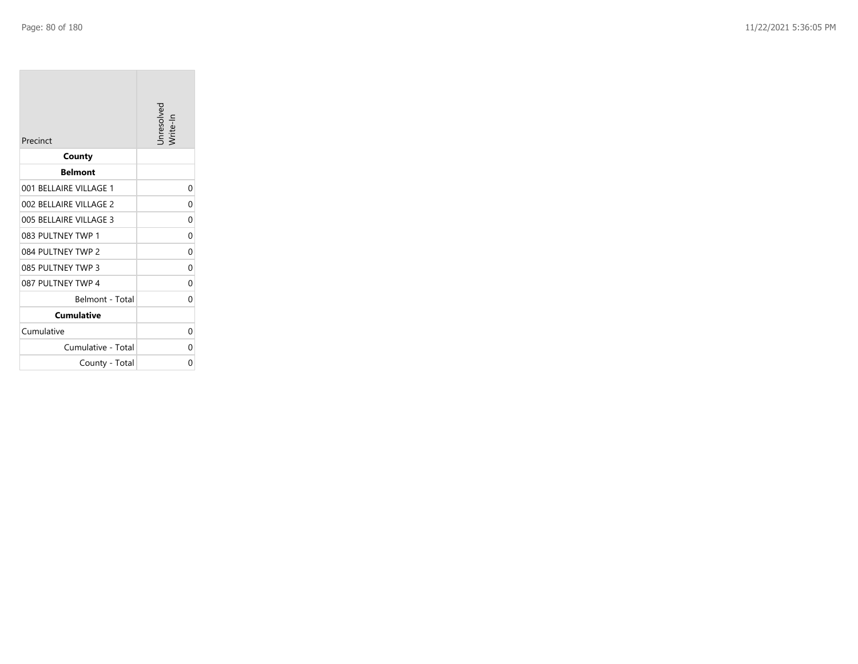| Precinct               | Unresolved<br>rite-In |
|------------------------|-----------------------|
| County                 |                       |
| <b>Belmont</b>         |                       |
| 001 BELLAIRE VILLAGE 1 | 0                     |
| 002 BELLAIRE VILLAGE 2 | 0                     |
| 005 BELLAIRE VILLAGE 3 | 0                     |
| 083 PULTNEY TWP 1      | 0                     |
| 084 PULTNEY TWP 2      | 0                     |
| 085 PULTNEY TWP 3      | 0                     |
| 087 PULTNEY TWP 4      | 0                     |
| Belmont - Total        | 0                     |
| <b>Cumulative</b>      |                       |
| Cumulative             | 0                     |
| Cumulative - Total     | 0                     |
| County - Total         | 0                     |

the control of the control of the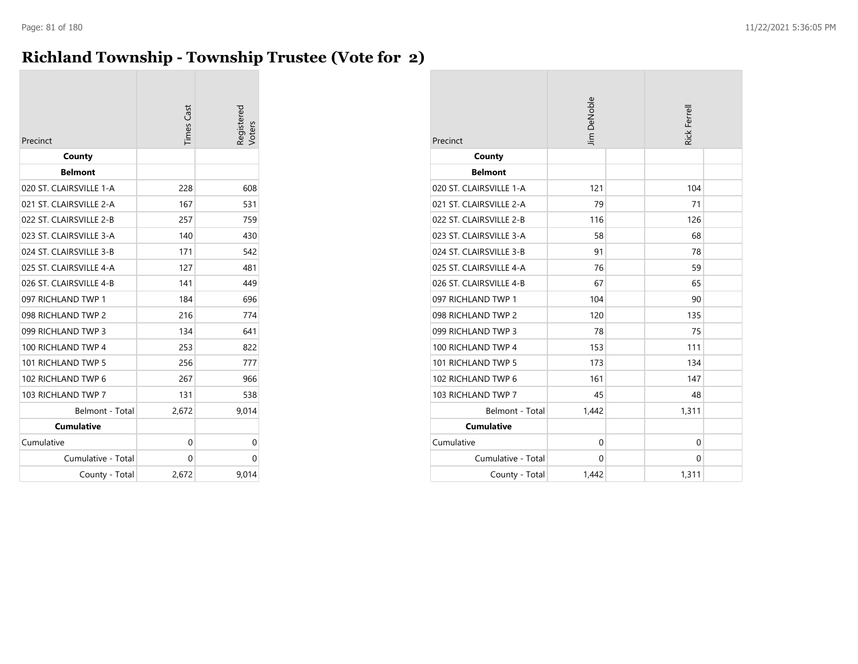#### **Richland Township - Township Trustee (Vote for 2)**

| Precinct                | <b>Times Cast</b> | Registered<br>oters |
|-------------------------|-------------------|---------------------|
| County                  |                   |                     |
| <b>Belmont</b>          |                   |                     |
| 020 ST. CLAIRSVILLE 1-A | 228               | 608                 |
| 021 ST. CLAIRSVILLE 2-A | 167               | 531                 |
| 022 ST. CLAIRSVILLE 2-B | 257               | 759                 |
| 023 ST. CLAIRSVILLE 3-A | 140               | 430                 |
| 024 ST. CLAIRSVILLE 3-B | 171               | 542                 |
| 025 ST. CLAIRSVILLE 4-A | 127               | 481                 |
| 026 ST. CLAIRSVILLE 4-B | 141               | 449                 |
| 097 RICHLAND TWP 1      | 184               | 696                 |
| 098 RICHLAND TWP 2      | 216               | 774                 |
| 099 RICHLAND TWP 3      | 134               | 641                 |
| 100 RICHLAND TWP 4      | 253               | 822                 |
| 101 RICHLAND TWP 5      | 256               | 777                 |
| 102 RICHLAND TWP 6      | 267               | 966                 |
| 103 RICHLAND TWP 7      | 131               | 538                 |
| Belmont - Total         | 2,672             | 9,014               |
| <b>Cumulative</b>       |                   |                     |
| Cumulative              | 0                 | 0                   |
| Cumulative - Total      | 0                 | 0                   |
| County - Total          | 2,672             | 9,014               |

| Precinct                | <b>Jim DeNoble</b> | <b>Rick Ferrell</b> |
|-------------------------|--------------------|---------------------|
| County                  |                    |                     |
| <b>Belmont</b>          |                    |                     |
| 020 ST. CLAIRSVILLE 1-A | 121                | 104                 |
| 021 ST. CLAIRSVILLE 2-A | 79                 | 71                  |
| 022 ST. CLAIRSVILLE 2-B | 116                | 126                 |
| 023 ST. CLAIRSVILLE 3-A | 58                 | 68                  |
| 024 ST. CLAIRSVILLE 3-B | 91                 | 78                  |
| 025 ST. CLAIRSVILLE 4-A | 76                 | 59                  |
| 026 ST. CLAIRSVILLE 4-B | 67                 | 65                  |
| 097 RICHLAND TWP 1      | 104                | 90                  |
| 098 RICHLAND TWP 2      | 120                | 135                 |
| 099 RICHLAND TWP 3      | 78                 | 75                  |
| 100 RICHLAND TWP 4      | 153                | 111                 |
| 101 RICHLAND TWP 5      | 173                | 134                 |
| 102 RICHLAND TWP 6      | 161                | 147                 |
| 103 RICHLAND TWP 7      | 45                 | 48                  |
| Belmont - Total         | 1,442              | 1,311               |
| <b>Cumulative</b>       |                    |                     |
| Cumulative              | $\mathbf 0$        | $\mathbf 0$         |
| Cumulative - Total      | $\mathbf{0}$       | $\Omega$            |
| County - Total          | 1,442              | 1,311               |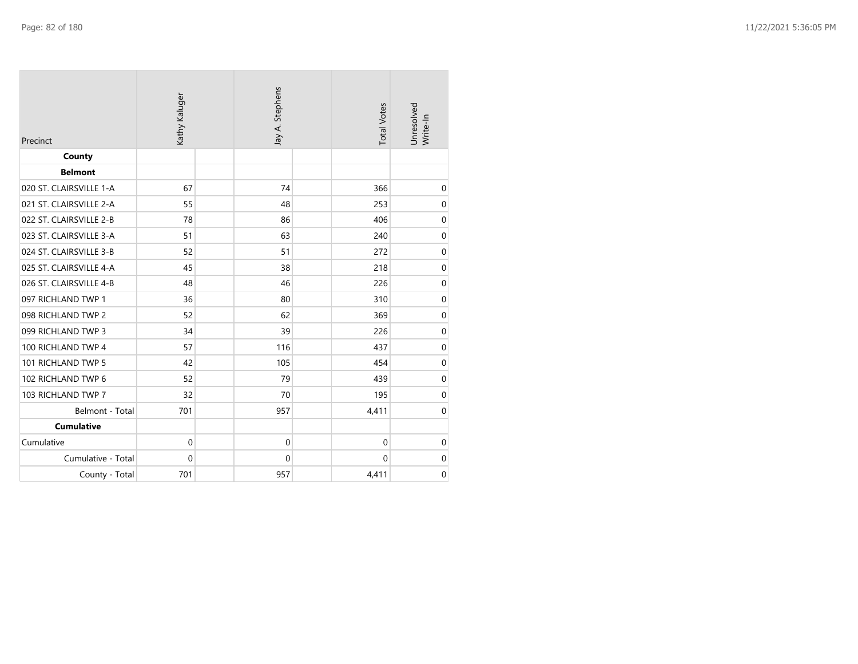| Precinct                | Kathy Kaluger | Jay A. Stephens | <b>Total Votes</b> | Unresolved<br>Write-In |
|-------------------------|---------------|-----------------|--------------------|------------------------|
| County                  |               |                 |                    |                        |
| <b>Belmont</b>          |               |                 |                    |                        |
| 020 ST. CLAIRSVILLE 1-A | 67            | 74              | 366                | $\boldsymbol{0}$       |
| 021 ST. CLAIRSVILLE 2-A | 55            | 48              | 253                | $\boldsymbol{0}$       |
| 022 ST. CLAIRSVILLE 2-B | 78            | 86              | 406                | $\mbox{O}$             |
| 023 ST. CLAIRSVILLE 3-A | 51            | 63              | 240                | $\boldsymbol{0}$       |
| 024 ST. CLAIRSVILLE 3-B | 52            | 51              | 272                | $\boldsymbol{0}$       |
| 025 ST. CLAIRSVILLE 4-A | 45            | 38              | 218                | $\pmb{0}$              |
| 026 ST. CLAIRSVILLE 4-B | 48            | 46              | 226                | $\boldsymbol{0}$       |
| 097 RICHLAND TWP 1      | 36            | 80              | 310                | $\boldsymbol{0}$       |
| 098 RICHLAND TWP 2      | 52            | 62              | 369                | $\boldsymbol{0}$       |
| 099 RICHLAND TWP 3      | 34            | 39              | 226                | $\mbox{O}$             |
| 100 RICHLAND TWP 4      | 57            | 116             | 437                | $\boldsymbol{0}$       |
| 101 RICHLAND TWP 5      | 42            | 105             | 454                | $\boldsymbol{0}$       |
| 102 RICHLAND TWP 6      | 52            | 79              | 439                | $\boldsymbol{0}$       |
| 103 RICHLAND TWP 7      | 32            | 70              | 195                | $\boldsymbol{0}$       |
| Belmont - Total         | 701           | 957             | 4,411              | $\boldsymbol{0}$       |
| <b>Cumulative</b>       |               |                 |                    |                        |
| Cumulative              | 0             | $\mathbf 0$     | $\mathbf 0$        | $\boldsymbol{0}$       |
| Cumulative - Total      | $\mathbf 0$   | $\mathbf 0$     | 0                  | $\boldsymbol{0}$       |
| County - Total          | 701           | 957             | 4,411              | $\mathbf 0$            |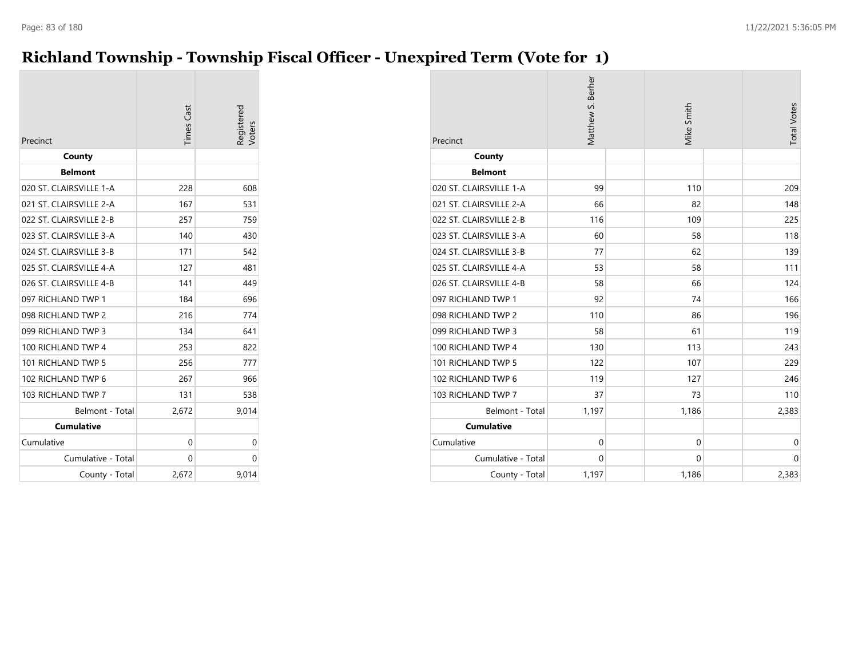#### **Richland Township - Township Fiscal Officer - Unexpired Term (Vote for 1)**

| Precinct                | <b>Times Cast</b> | Registered |
|-------------------------|-------------------|------------|
| County                  |                   |            |
| <b>Belmont</b>          |                   |            |
| 020 ST. CLAIRSVILLE 1-A | 228               | 608        |
| 021 ST. CLAIRSVILLE 2-A | 167               | 531        |
| 022 ST. CLAIRSVILLE 2-B | 257               | 759        |
| 023 ST. CLAIRSVILLE 3-A | 140               | 430        |
| 024 ST. CLAIRSVILLE 3-B | 171               | 542        |
| 025 ST. CLAIRSVILLE 4-A | 127               | 481        |
| 026 ST. CLAIRSVILLE 4-B | 141               | 449        |
| 097 RICHLAND TWP 1      | 184               | 696        |
| 098 RICHLAND TWP 2      | 216               | 774        |
| 099 RICHLAND TWP 3      | 134               | 641        |
| 100 RICHLAND TWP 4      | 253               | 822        |
| 101 RICHLAND TWP 5      | 256               | 777        |
| 102 RICHLAND TWP 6      | 267               | 966        |
| 103 RICHLAND TWP 7      | 131               | 538        |
| Belmont - Total         | 2,672             | 9,014      |
| <b>Cumulative</b>       |                   |            |
| Cumulative              | 0                 | 0          |
| Cumulative - Total      | 0                 | 0          |
| County - Total          | 2,672             | 9,014      |

| Precinct                | Matthew S. Berher | Mike Smith  | <b>Total Votes</b> |
|-------------------------|-------------------|-------------|--------------------|
| County                  |                   |             |                    |
| <b>Belmont</b>          |                   |             |                    |
| 020 ST. CLAIRSVILLE 1-A | 99                | 110         | 209                |
| 021 ST. CLAIRSVILLE 2-A | 66                | 82          | 148                |
| 022 ST. CLAIRSVILLE 2-B | 116               | 109         | 225                |
| 023 ST. CLAIRSVILLE 3-A | 60                | 58          | 118                |
| 024 ST. CLAIRSVILLE 3-B | 77                | 62          | 139                |
| 025 ST. CLAIRSVILLE 4-A | 53                | 58          | 111                |
| 026 ST. CLAIRSVILLE 4-B | 58                | 66          | 124                |
| 097 RICHLAND TWP 1      | 92                | 74          | 166                |
| 098 RICHLAND TWP 2      | 110               | 86          | 196                |
| 099 RICHLAND TWP 3      | 58                | 61          | 119                |
| 100 RICHLAND TWP 4      | 130               | 113         | 243                |
| 101 RICHLAND TWP 5      | 122               | 107         | 229                |
| 102 RICHLAND TWP 6      | 119               | 127         | 246                |
| 103 RICHLAND TWP 7      | 37                | 73          | 110                |
| Belmont - Total         | 1,197             | 1,186       | 2,383              |
| <b>Cumulative</b>       |                   |             |                    |
| Cumulative              | $\Omega$          | $\Omega$    | $\mathbf 0$        |
| Cumulative - Total      | $\mathbf 0$       | $\mathbf 0$ | $\mathbf 0$        |
| County - Total          | 1,197             | 1,186       | 2,383              |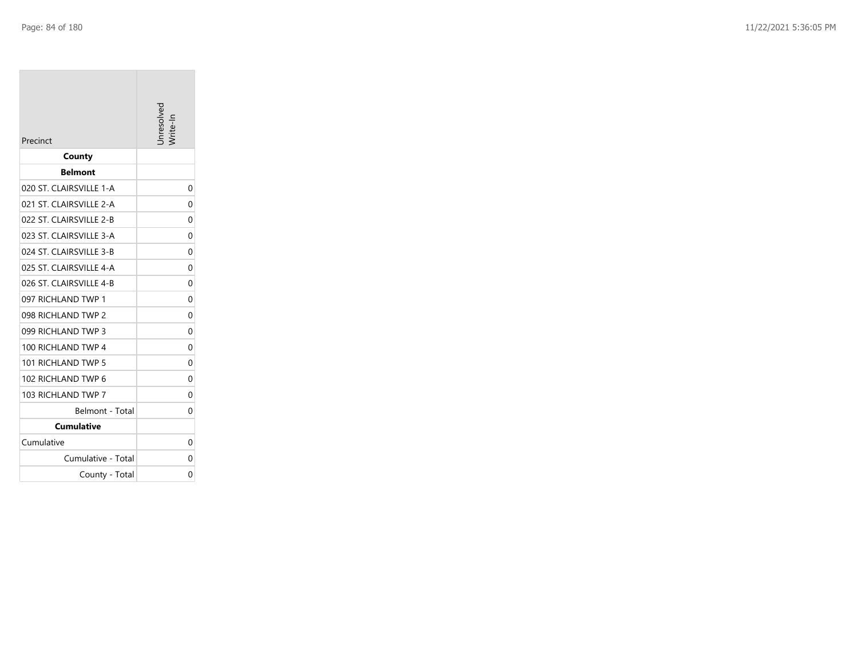| County<br><b>Belmont</b> | 0           |
|--------------------------|-------------|
|                          |             |
|                          |             |
| 020 ST. CLAIRSVILLE 1-A  |             |
| 021 ST. CLAIRSVILLE 2-A  | $\Omega$    |
| 022 ST. CLAIRSVILLE 2-B  | 0           |
| 023 ST. CLAIRSVILLE 3-A  | 0           |
| 024 ST. CLAIRSVILLE 3-B  | 0           |
| 025 ST. CLAIRSVILLE 4-A  | $\Omega$    |
| 026 ST. CLAIRSVILLE 4-B  | 0           |
| 097 RICHLAND TWP 1       | 0           |
| 098 RICHLAND TWP 2       | 0           |
| 099 RICHLAND TWP 3       | $\mathbf 0$ |
| 100 RICHLAND TWP 4       | 0           |
| 101 RICHLAND TWP 5       | 0           |
| 102 RICHLAND TWP 6       | 0           |
| 103 RICHLAND TWP 7       | 0           |
| Belmont - Total          | 0           |
| <b>Cumulative</b>        |             |
| Cumulative               | 0           |
| Cumulative - Total       | 0           |
| County - Total           | 0           |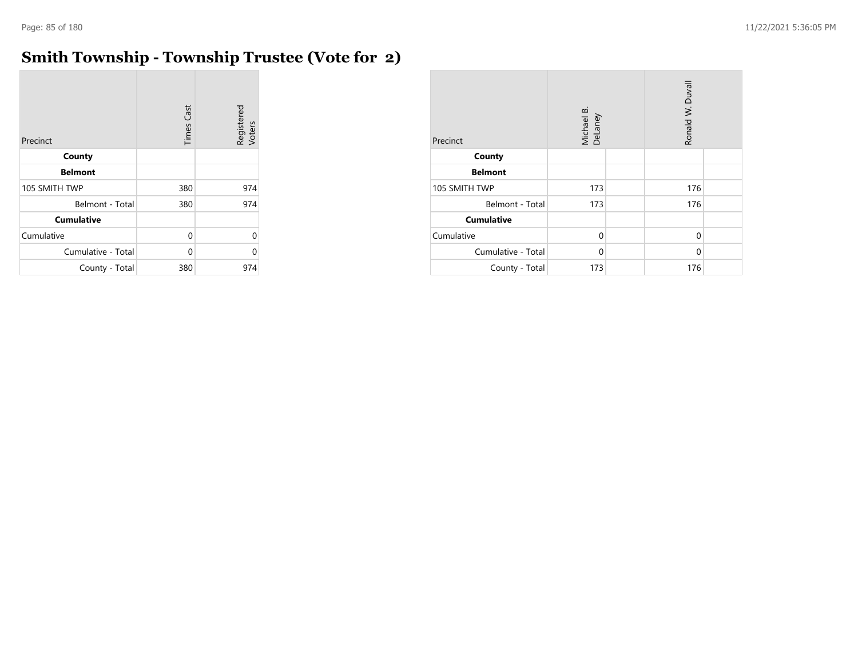$\sim$ 

# **Smith Township - Township Trustee (Vote for 2)**

| Precinct           | Cast<br>Times | Registered<br>Voters |
|--------------------|---------------|----------------------|
| County             |               |                      |
| <b>Belmont</b>     |               |                      |
| 105 SMITH TWP      | 380           | 974                  |
| Belmont - Total    | 380           | 974                  |
| <b>Cumulative</b>  |               |                      |
| Cumulative         | 0             | U                    |
| Cumulative - Total | 0             | U                    |
| County - Total     | 380           | 974                  |

| Precinct           | Michael B.<br>DeLaney | Ronald W. Duvall |  |  |
|--------------------|-----------------------|------------------|--|--|
| County             |                       |                  |  |  |
| <b>Belmont</b>     |                       |                  |  |  |
| 105 SMITH TWP      | 173                   | 176              |  |  |
| Belmont - Total    | 173                   | 176              |  |  |
| <b>Cumulative</b>  |                       |                  |  |  |
| Cumulative         | 0                     | 0                |  |  |
| Cumulative - Total | 0                     | $\Omega$         |  |  |
| County - Total     | 173                   | 176              |  |  |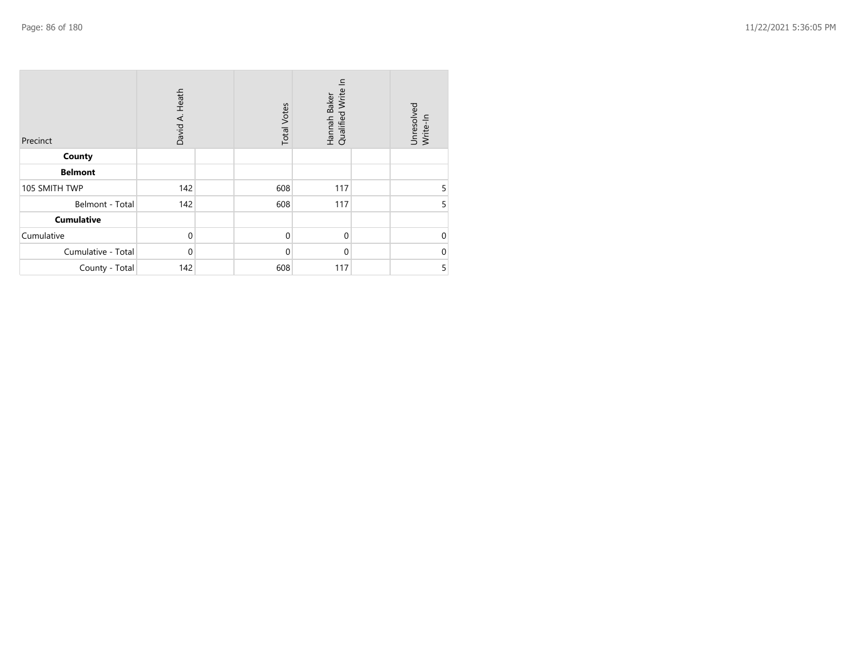| Precinct           | Heath<br>David A. | <b>Total Votes</b> | 드<br>Hannah Baker<br>Qualified Write I | Unresolved<br>Write-In |
|--------------------|-------------------|--------------------|----------------------------------------|------------------------|
| County             |                   |                    |                                        |                        |
| <b>Belmont</b>     |                   |                    |                                        |                        |
| 105 SMITH TWP      | 142               | 608                | 117                                    | 5                      |
| Belmont - Total    | 142               | 608                | 117                                    | 5                      |
| Cumulative         |                   |                    |                                        |                        |
| Cumulative         | $\Omega$          | $\mathbf 0$        | $\mathbf 0$                            | $\Omega$               |
| Cumulative - Total | $\Omega$          | $\mathbf 0$        | $\mathbf 0$                            | $\Omega$               |
| County - Total     | 142               | 608                | 117                                    | 5                      |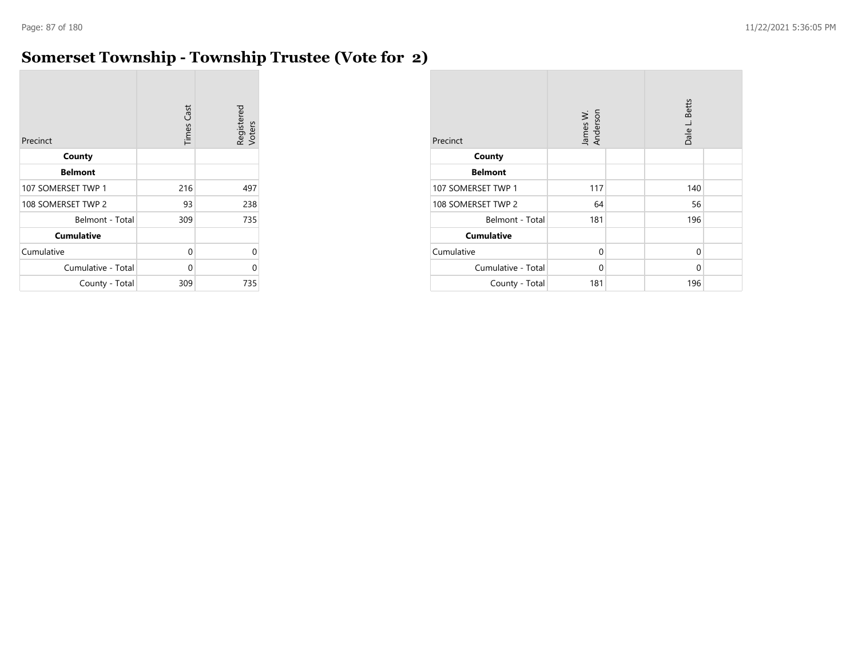#### **Somerset Township - Township Trustee (Vote for 2)**

| Precinct           | <b>Times Cast</b> | Registered<br>Voters |
|--------------------|-------------------|----------------------|
| County             |                   |                      |
| <b>Belmont</b>     |                   |                      |
| 107 SOMERSET TWP 1 | 216               | 497                  |
| 108 SOMERSET TWP 2 | 93                | 238                  |
| Belmont - Total    | 309               | 735                  |
| <b>Cumulative</b>  |                   |                      |
| Cumulative         | 0                 | U                    |
| Cumulative - Total | 0                 | U                    |
| County - Total     | 309               | 735                  |

| Precinct           | James W.<br>Anderson | <b>Betts</b><br>Dale L. |  |  |
|--------------------|----------------------|-------------------------|--|--|
| County             |                      |                         |  |  |
| <b>Belmont</b>     |                      |                         |  |  |
| 107 SOMERSET TWP 1 | 117                  | 140                     |  |  |
| 108 SOMERSET TWP 2 | 64                   | 56                      |  |  |
| Belmont - Total    | 181                  | 196                     |  |  |
| <b>Cumulative</b>  |                      |                         |  |  |
| Cumulative         | $\Omega$             | $\mathbf 0$             |  |  |
| Cumulative - Total | 0                    | $\Omega$                |  |  |
| County - Total     | 181                  | 196                     |  |  |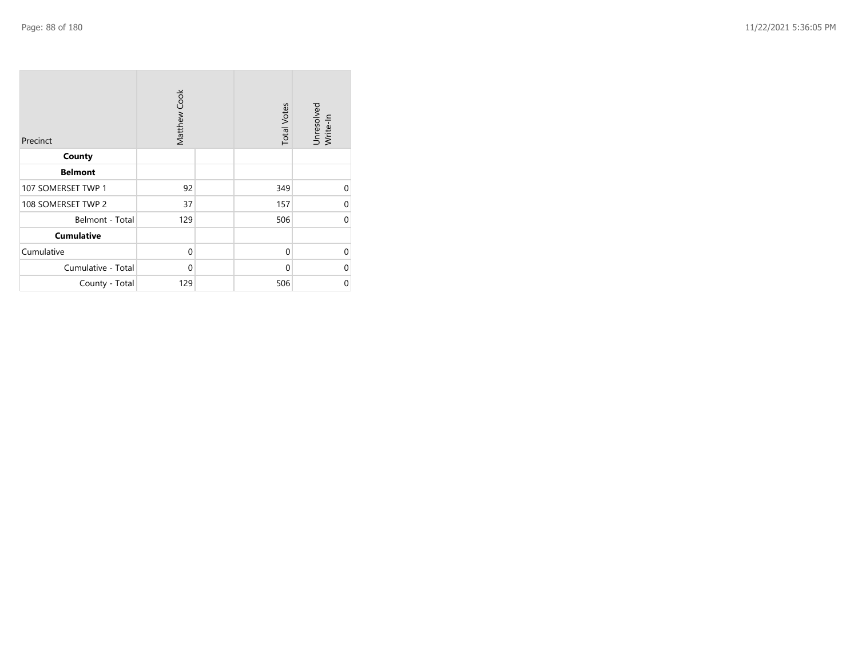| Precinct           | Matthew Cook | <b>Total Votes</b> | Unresolved<br>Write-In |
|--------------------|--------------|--------------------|------------------------|
| County             |              |                    |                        |
| <b>Belmont</b>     |              |                    |                        |
| 107 SOMERSET TWP 1 | 92           | 349                | $\Omega$               |
| 108 SOMERSET TWP 2 | 37           | 157                | $\Omega$               |
| Belmont - Total    | 129          | 506                | $\Omega$               |
| <b>Cumulative</b>  |              |                    |                        |
| Cumulative         | $\mathbf 0$  | $\mathbf 0$        | $\Omega$               |
| Cumulative - Total | $\mathbf 0$  | $\Omega$           | ∩                      |
| County - Total     | 129          | 506                | $\mathbf 0$            |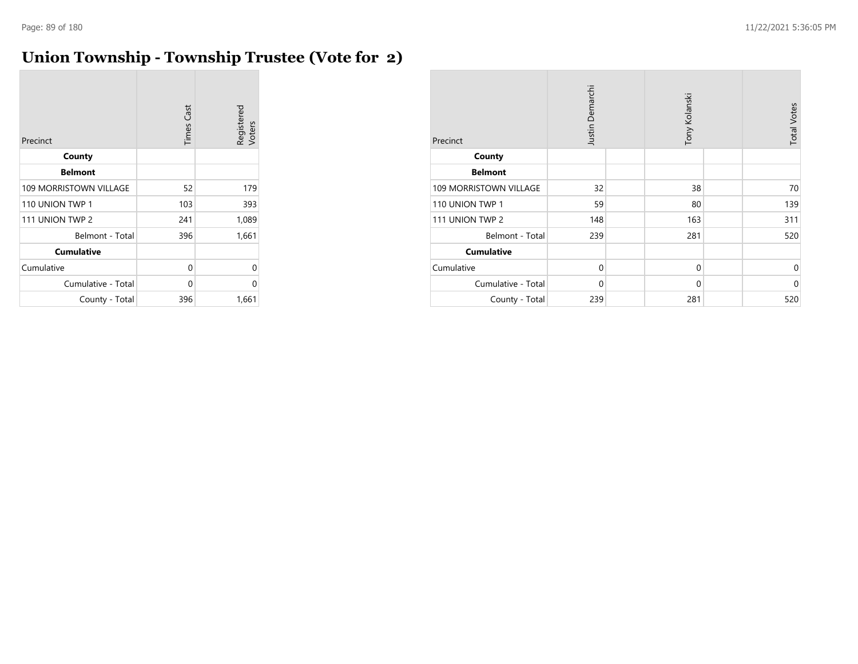#### **Union Township - Township Trustee (Vote for 2)**

| Precinct               | <b>Times Cast</b> | Registered<br>Voters |
|------------------------|-------------------|----------------------|
| County                 |                   |                      |
| <b>Belmont</b>         |                   |                      |
| 109 MORRISTOWN VILLAGE | 52                | 179                  |
| 110 UNION TWP 1        | 103               | 393                  |
| 111 UNION TWP 2        | 241               | 1,089                |
| Belmont - Total        | 396               | 1,661                |
| <b>Cumulative</b>      |                   |                      |
| Cumulative             | 0                 | U                    |
| Cumulative - Total     | 0                 | U                    |
| County - Total         | 396               | 1,661                |

| Precinct                      | Justin Demarchi | Tony Kolanski | <b>Total Votes</b> |
|-------------------------------|-----------------|---------------|--------------------|
| County                        |                 |               |                    |
| <b>Belmont</b>                |                 |               |                    |
| <b>109 MORRISTOWN VILLAGE</b> | 32              | 38            | 70                 |
| 110 UNION TWP 1               | 59              | 80            | 139                |
| 111 UNION TWP 2               | 148             | 163           | 311                |
| Belmont - Total               | 239             | 281           | 520                |
| <b>Cumulative</b>             |                 |               |                    |
| Cumulative                    | $\mathbf 0$     | $\mathbf 0$   | $\Omega$           |
| Cumulative - Total            | $\mathbf 0$     | $\mathbf 0$   | $\Omega$           |
| County - Total                | 239             | 281           | 520                |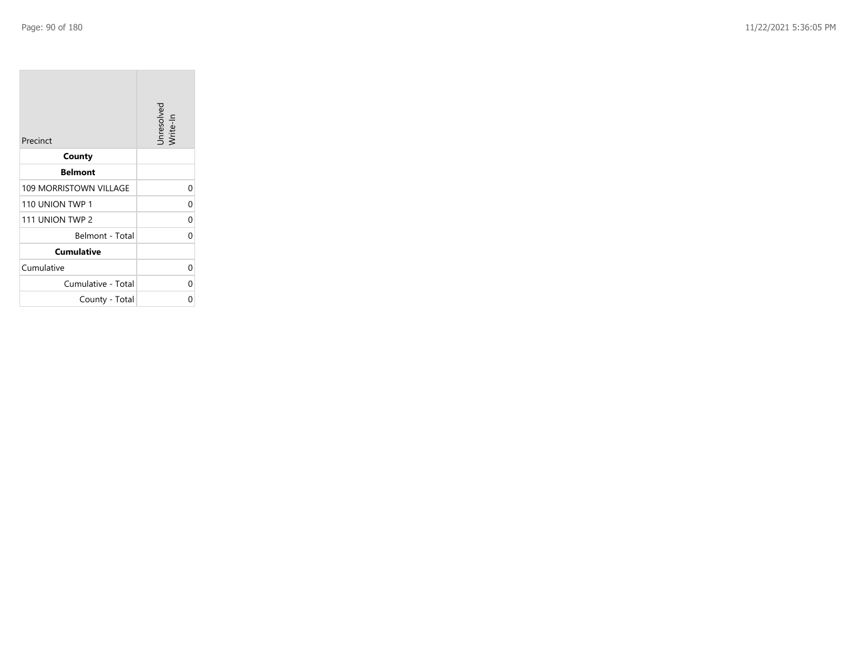**COL** 

| Precinct               | Unresolved<br>Write-In |
|------------------------|------------------------|
| County                 |                        |
| <b>Belmont</b>         |                        |
| 109 MORRISTOWN VILLAGE | 0                      |
| 110 UNION TWP 1        | 0                      |
| 111 UNION TWP 2        | 0                      |
| Belmont - Total        | 0                      |
| <b>Cumulative</b>      |                        |
| Cumulative             | 0                      |
| Cumulative - Total     | 0                      |
| County - Total         | ი                      |

the control of the control of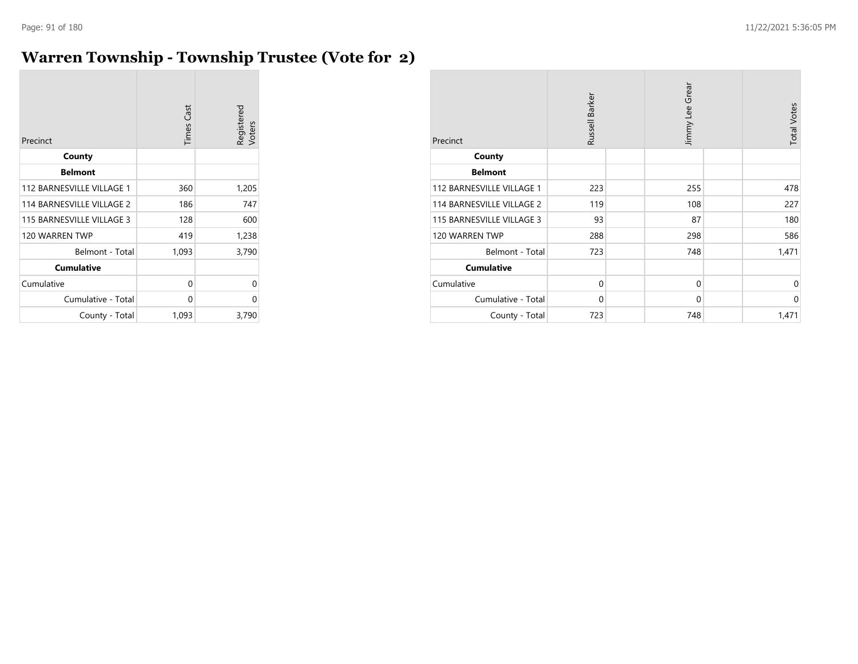#### **Warren Township - Township Trustee (Vote for 2)**

| Precinct                  | <b>Times Cast</b> | Registered<br>Voters |
|---------------------------|-------------------|----------------------|
| County                    |                   |                      |
| <b>Belmont</b>            |                   |                      |
| 112 BARNESVILLE VILLAGE 1 | 360               | 1,205                |
| 114 BARNESVILLE VILLAGE 2 | 186               | 747                  |
| 115 BARNESVILLE VILLAGE 3 | 128               | 600                  |
| 120 WARREN TWP            | 419               | 1,238                |
| Belmont - Total           | 1,093             | 3,790                |
| <b>Cumulative</b>         |                   |                      |
| Cumulative                | 0                 | 0                    |
| Cumulative - Total        | 0                 | 0                    |
| County - Total            | 1,093             | 3,790                |

| Precinct                  | Russell Barker | Jimmy Lee Grear | <b>Total Votes</b> |
|---------------------------|----------------|-----------------|--------------------|
| County                    |                |                 |                    |
| <b>Belmont</b>            |                |                 |                    |
| 112 BARNESVILLE VILLAGE 1 | 223            | 255             | 478                |
| 114 BARNESVILLE VILLAGE 2 | 119            | 108             | 227                |
| 115 BARNESVILLE VILLAGE 3 | 93             | 87              | 180                |
| 120 WARREN TWP            | 288            | 298             | 586                |
| Belmont - Total           | 723            | 748             | 1,471              |
| <b>Cumulative</b>         |                |                 |                    |
| Cumulative                | $\mathbf 0$    | 0               | $\mathbf 0$        |
| Cumulative - Total        | $\Omega$       | $\mathbf 0$     | $\mathbf 0$        |
| County - Total            | 723            | 748             | 1,471              |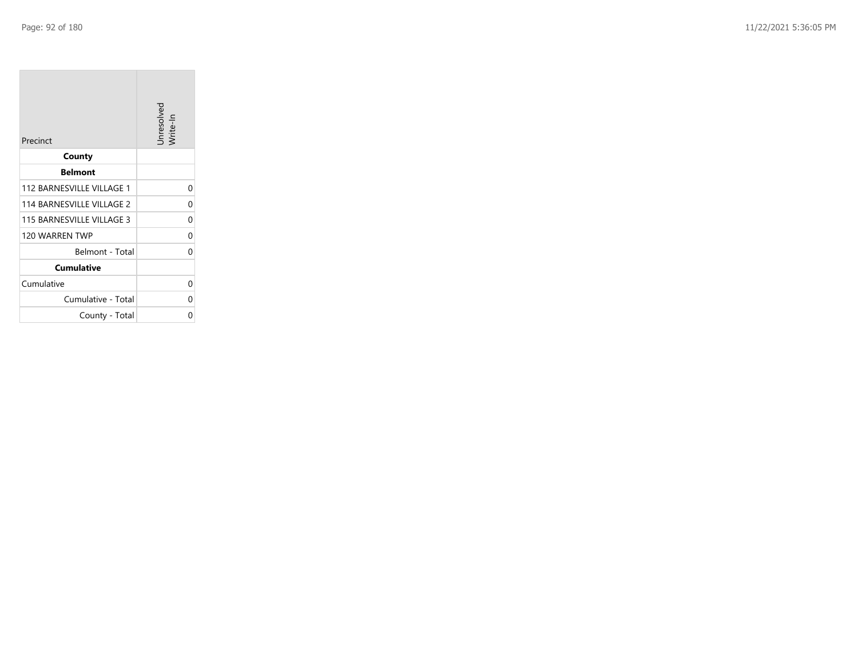**College** 

| Precinct                  | Unresolved<br>Write-In |
|---------------------------|------------------------|
| County                    |                        |
| <b>Belmont</b>            |                        |
| 112 BARNESVILLE VILLAGE 1 | 0                      |
| 114 BARNESVILLE VILLAGE 2 | 0                      |
| 115 BARNESVILLE VILLAGE 3 | 0                      |
| 120 WARREN TWP            | 0                      |
| Belmont - Total           | 0                      |
| <b>Cumulative</b>         |                        |
| Cumulative                | 0                      |
| Cumulative - Total        | ი                      |
| County - Total            | ი                      |

the control of the control of the control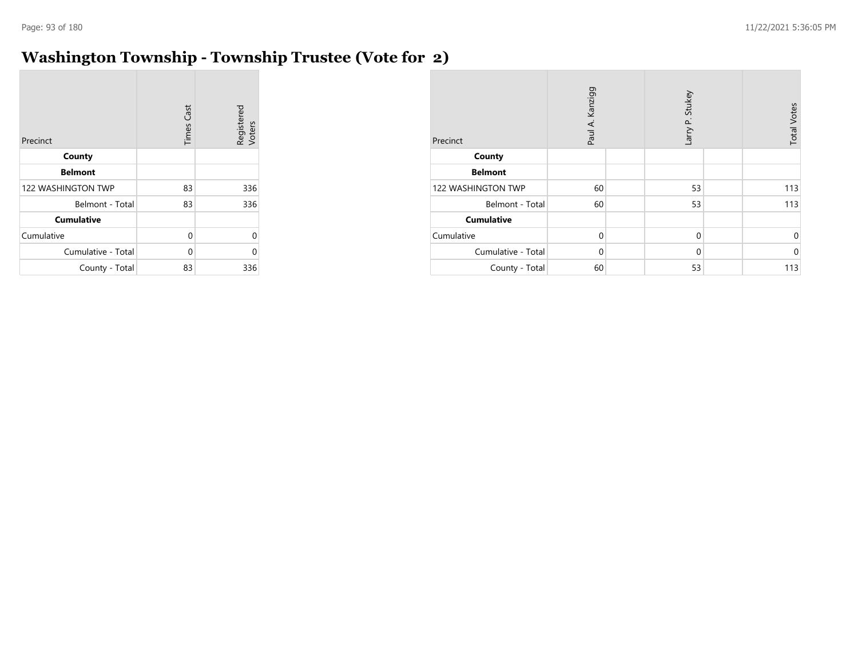#### **Washington Township - Township Trustee (Vote for 2)**

| Precinct                  | <b>Times Cast</b> | Registered<br>Voters |
|---------------------------|-------------------|----------------------|
| County                    |                   |                      |
| <b>Belmont</b>            |                   |                      |
| <b>122 WASHINGTON TWP</b> | 83                | 336                  |
| Belmont - Total           | 83                | 336                  |
| <b>Cumulative</b>         |                   |                      |
| Cumulative                | 0                 | 0                    |
| Cumulative - Total        | $\Omega$          | 0                    |
| County - Total            | 83                | 336                  |

| Precinct           | Paul A. Kanzigg | Larry P. Stukey | <b>Total Votes</b> |
|--------------------|-----------------|-----------------|--------------------|
| County             |                 |                 |                    |
| <b>Belmont</b>     |                 |                 |                    |
| 122 WASHINGTON TWP | 60              | 53              | 113                |
| Belmont - Total    | 60              | 53              | 113                |
| <b>Cumulative</b>  |                 |                 |                    |
| Cumulative         | $\Omega$        | $\mathbf 0$     | 0                  |
| Cumulative - Total | $\Omega$        | $\mathbf 0$     | $\mathbf 0$        |
| County - Total     | 60              | 53              | 113                |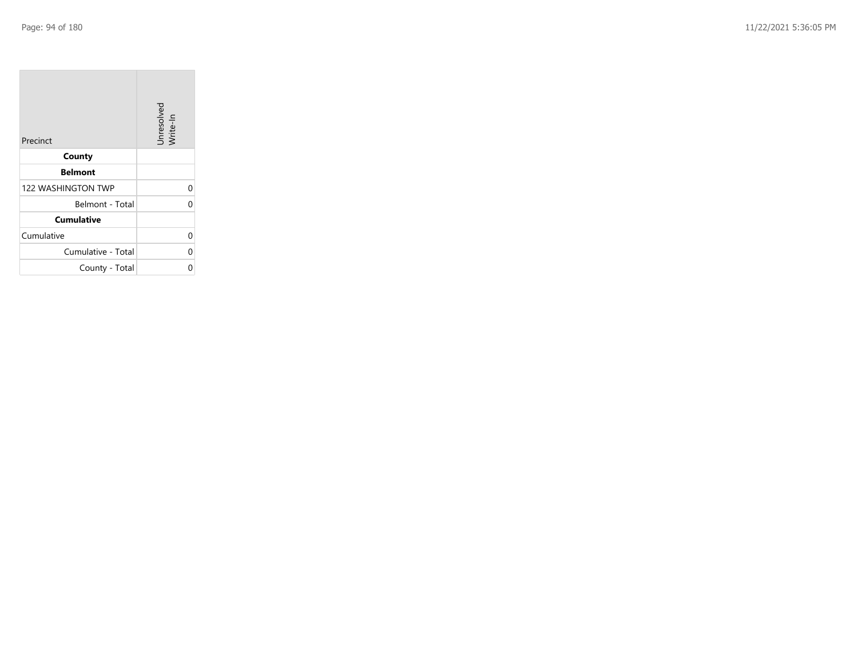| Precinct                  | Unresolved<br>Write-In |
|---------------------------|------------------------|
| County                    |                        |
| <b>Belmont</b>            |                        |
| <b>122 WASHINGTON TWP</b> | 0                      |
| Belmont - Total           | ሰ                      |
| <b>Cumulative</b>         |                        |
| Cumulative                | 0                      |
| Cumulative - Total        | 0                      |
| County - Total            |                        |

the company of the company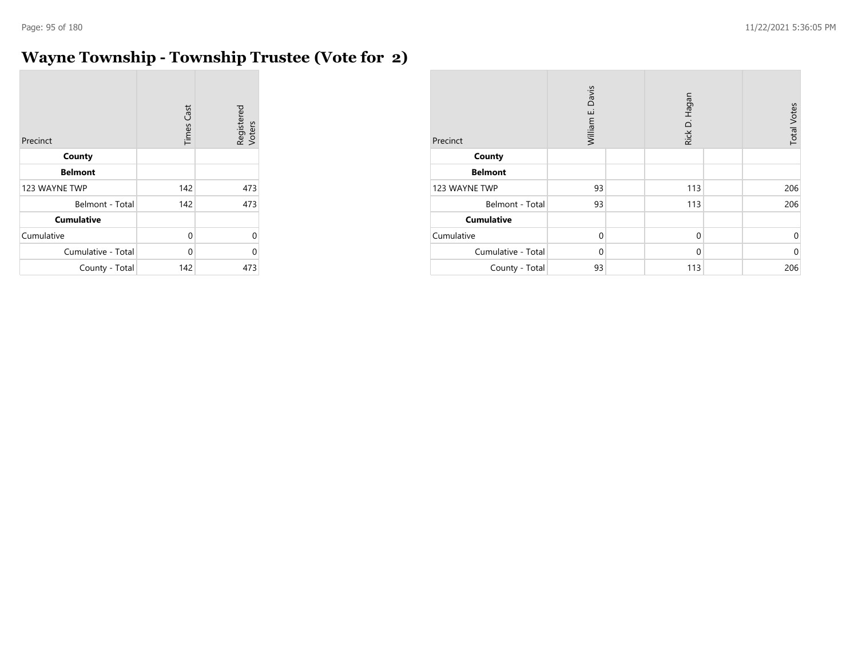$\overline{\phantom{a}}$ 

## **Wayne Township - Township Trustee (Vote for 2)**

| Precinct           | <b>Times Cast</b> | Registered<br>Voters |
|--------------------|-------------------|----------------------|
| County             |                   |                      |
| <b>Belmont</b>     |                   |                      |
| 123 WAYNE TWP      | 142               | 473                  |
| Belmont - Total    | 142               | 473                  |
| <b>Cumulative</b>  |                   |                      |
| Cumulative         | 0                 | U                    |
| Cumulative - Total | 0                 | በ                    |
| County - Total     | 142               | 473                  |

| Precinct           | Davis<br>William E. |  | Rick D. Hagan |  | <b>Total Votes</b> |
|--------------------|---------------------|--|---------------|--|--------------------|
| County             |                     |  |               |  |                    |
| <b>Belmont</b>     |                     |  |               |  |                    |
| 123 WAYNE TWP      | 93                  |  | 113           |  | 206                |
| Belmont - Total    | 93                  |  | 113           |  | 206                |
| <b>Cumulative</b>  |                     |  |               |  |                    |
| Cumulative         | $\mathbf 0$         |  | $\mathbf 0$   |  | 0                  |
| Cumulative - Total | $\Omega$            |  | $\mathbf 0$   |  | $\mathbf 0$        |
| County - Total     | 93                  |  | 113           |  | 206                |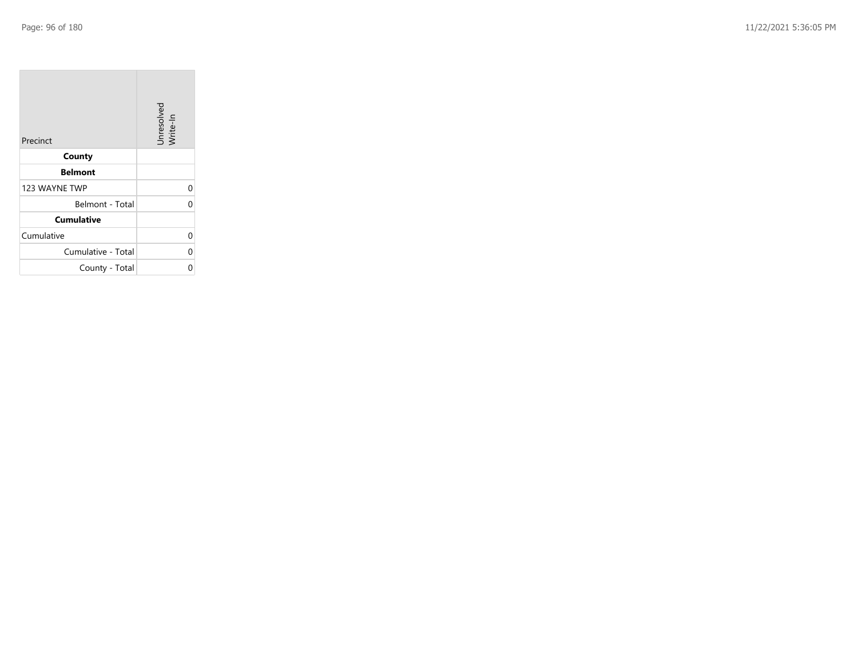| Precinct           | Unresolved<br>Write-In |
|--------------------|------------------------|
| County             |                        |
| <b>Belmont</b>     |                        |
| 123 WAYNE TWP      | 0                      |
| Belmont - Total    | 0                      |
| <b>Cumulative</b>  |                        |
| Cumulative         | 0                      |
| Cumulative - Total | 0                      |
| County - Total     | ი                      |

the company of the company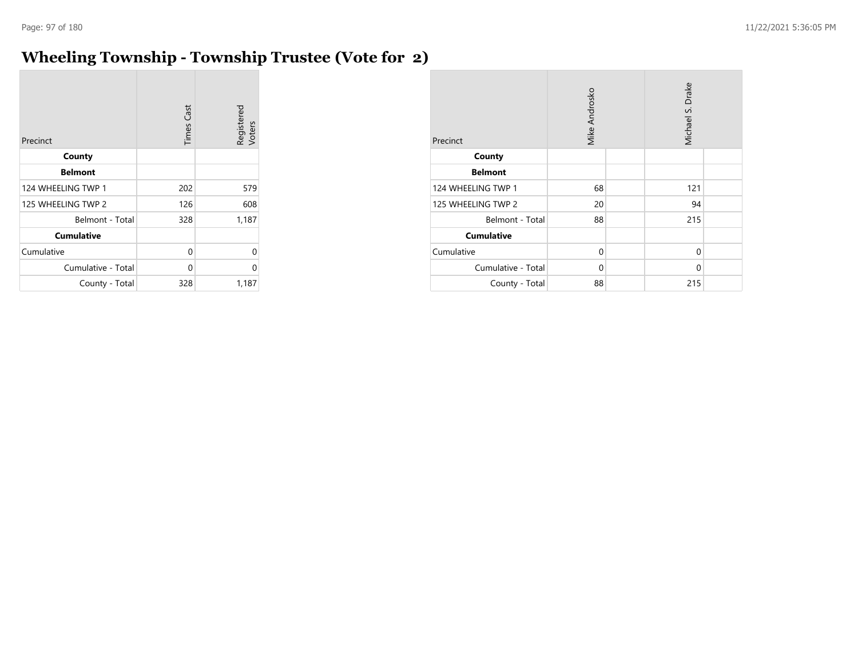#### **Wheeling Township - Township Trustee (Vote for 2)**

| Precinct           | <b>Times Cast</b> | Registered<br>Voters |
|--------------------|-------------------|----------------------|
| County             |                   |                      |
| <b>Belmont</b>     |                   |                      |
| 124 WHEELING TWP 1 | 202               | 579                  |
| 125 WHEELING TWP 2 | 126               | 608                  |
| Belmont - Total    | 328               | 1,187                |
| <b>Cumulative</b>  |                   |                      |
| Cumulative         | 0                 | 0                    |
| Cumulative - Total | 0                 | 0                    |
| County - Total     | 328               | 1,187                |

| Precinct           | Mike Androsko |  | Michael S. Drake |  |
|--------------------|---------------|--|------------------|--|
| County             |               |  |                  |  |
| <b>Belmont</b>     |               |  |                  |  |
| 124 WHEELING TWP 1 | 68            |  | 121              |  |
| 125 WHEELING TWP 2 | 20            |  | 94               |  |
| Belmont - Total    | 88            |  | 215              |  |
| <b>Cumulative</b>  |               |  |                  |  |
| Cumulative         | $\Omega$      |  | $\mathbf{0}$     |  |
| Cumulative - Total | 0             |  | 0                |  |
| County - Total     | 88            |  | 215              |  |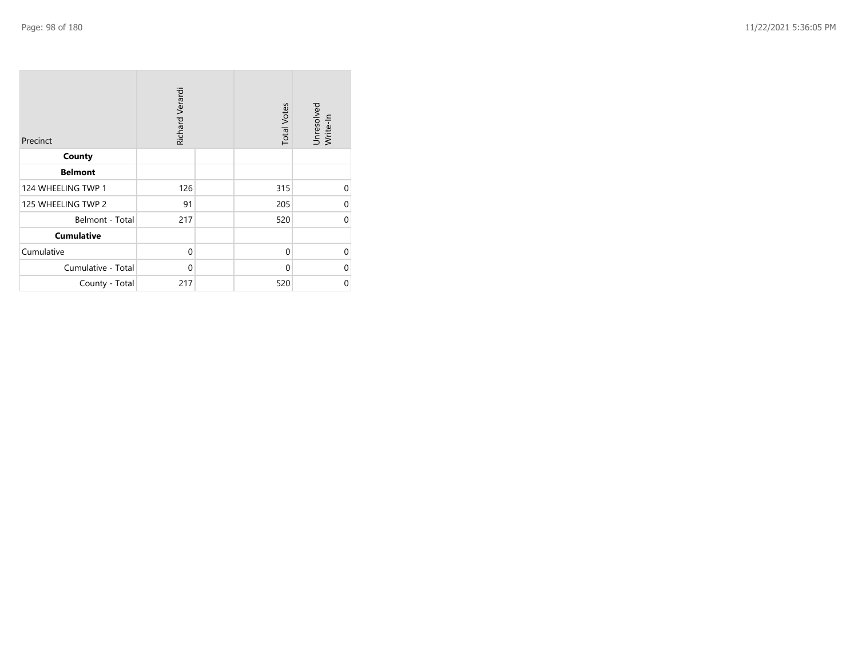| Precinct           | Richard Verardi | <b>Total Votes</b> | Unresolved<br>Write-In |
|--------------------|-----------------|--------------------|------------------------|
| County             |                 |                    |                        |
| <b>Belmont</b>     |                 |                    |                        |
| 124 WHEELING TWP 1 | 126             | 315                | $\Omega$               |
| 125 WHEELING TWP 2 | 91              | 205                | $\Omega$               |
| Belmont - Total    | 217             | 520                | $\Omega$               |
| <b>Cumulative</b>  |                 |                    |                        |
| Cumulative         | 0               | $\mathbf 0$        | $\Omega$               |
| Cumulative - Total | $\mathbf 0$     | $\Omega$           | $\Omega$               |
| County - Total     | 217             | 520                | 0                      |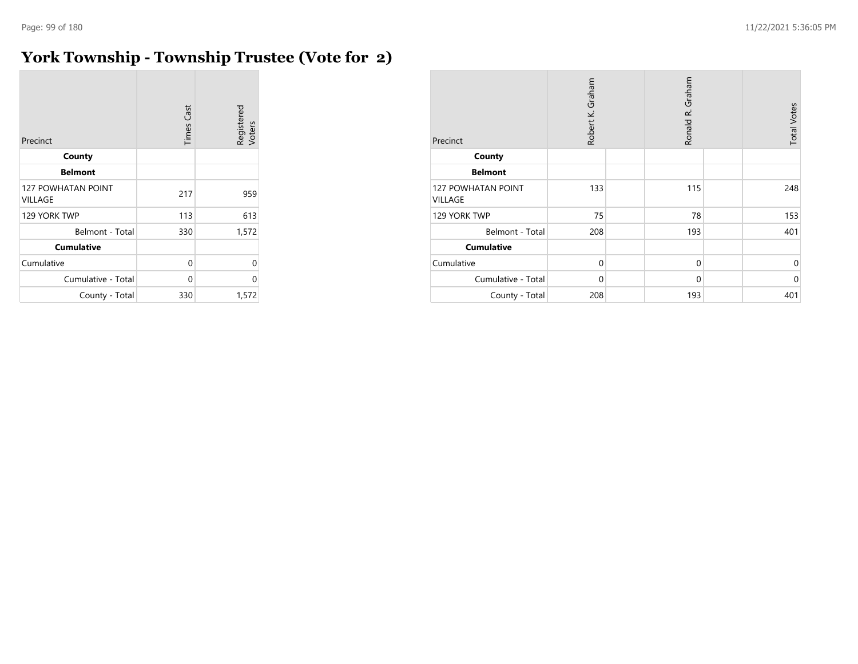## **York Township - Township Trustee (Vote for 2)**

| Precinct                                    | <b>Times Cast</b> | Registered<br>Voters |
|---------------------------------------------|-------------------|----------------------|
| County                                      |                   |                      |
| <b>Belmont</b>                              |                   |                      |
| <b>127 POWHATAN POINT</b><br><b>VILLAGE</b> | 217               | 959                  |
| 129 YORK TWP                                | 113               | 613                  |
| Belmont - Total                             | 330               | 1,572                |
| <b>Cumulative</b>                           |                   |                      |
| Cumulative                                  | 0                 | 0                    |
| Cumulative - Total                          | 0                 | U                    |
| County - Total                              | 330               | 1,572                |

| Precinct                             | Robert K. Graham | Ronald R. Graham | <b>Total Votes</b> |
|--------------------------------------|------------------|------------------|--------------------|
| County                               |                  |                  |                    |
| <b>Belmont</b>                       |                  |                  |                    |
| <b>127 POWHATAN POINT</b><br>VILLAGE | 133              | 115              | 248                |
| 129 YORK TWP                         | 75               | 78               | 153                |
| Belmont - Total                      | 208              | 193              | 401                |
| <b>Cumulative</b>                    |                  |                  |                    |
| Cumulative                           | $\Omega$         | $\mathbf 0$      | $\mathbf 0$        |
| Cumulative - Total                   | $\mathbf 0$      | $\mathbf 0$      | $\mathbf 0$        |
| County - Total                       | 208              | 193              | 401                |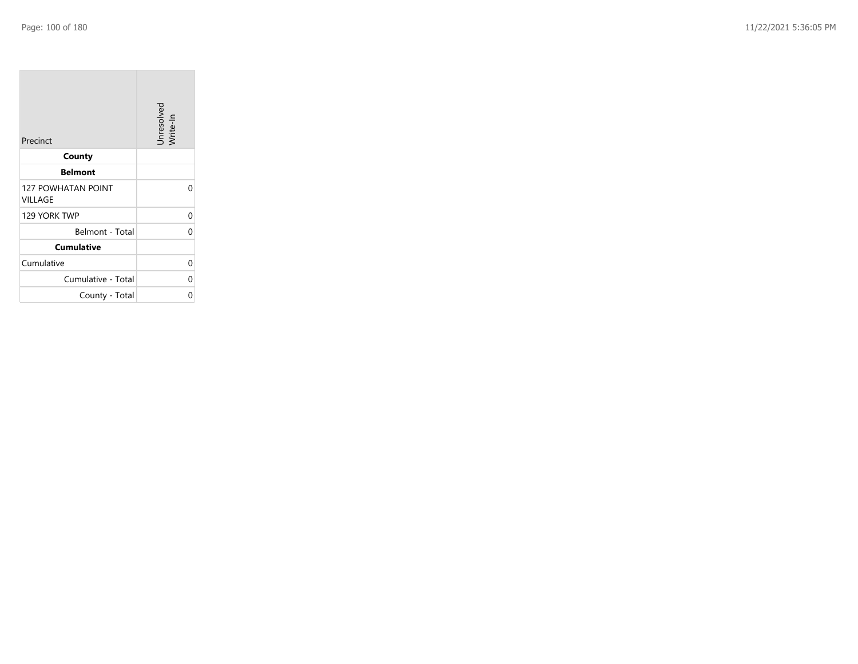| Precinct                                    | Unresolved<br>Write-In |
|---------------------------------------------|------------------------|
| County                                      |                        |
| <b>Belmont</b>                              |                        |
| <b>127 POWHATAN POINT</b><br><b>VILLAGE</b> | 0                      |
| 129 YORK TWP                                | 0                      |
| Belmont - Total                             | 0                      |
| <b>Cumulative</b>                           |                        |
| Cumulative                                  | 0                      |
| Cumulative - Total                          | 0                      |
| County - Total                              | Ω                      |

**State State**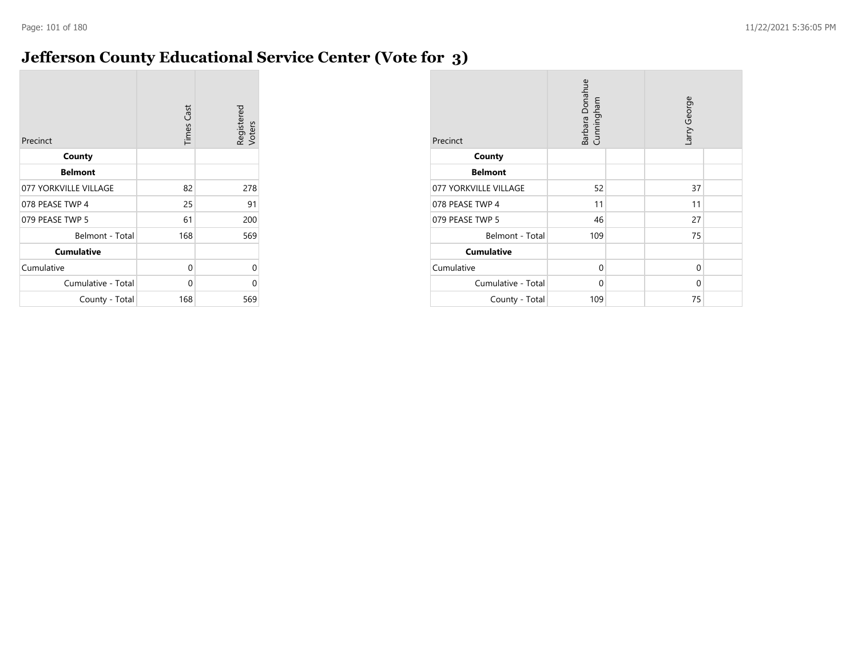#### **Jefferson County Educational Service Center (Vote for 3)**

| Precinct              | <b>Times Cast</b> | Registered<br>Voters |
|-----------------------|-------------------|----------------------|
| County                |                   |                      |
| <b>Belmont</b>        |                   |                      |
| 077 YORKVILLE VILLAGE | 82                | 278                  |
| 078 PEASE TWP 4       | 25                | 91                   |
| 079 PEASE TWP 5       | 61                | 200                  |
| Belmont - Total       | 168               | 569                  |
| <b>Cumulative</b>     |                   |                      |
| Cumulative            | 0                 | 0                    |
| Cumulative - Total    | 0                 | 0                    |
| County - Total        | 168               | 569                  |

| Precinct              | Barbara Donahue<br>Cunningham |  |    |  | Larry George |  |
|-----------------------|-------------------------------|--|----|--|--------------|--|
| County                |                               |  |    |  |              |  |
| <b>Belmont</b>        |                               |  |    |  |              |  |
| 077 YORKVILLE VILLAGE | 52                            |  | 37 |  |              |  |
| 078 PEASE TWP 4       | 11                            |  | 11 |  |              |  |
| 079 PEASE TWP 5       | 46                            |  | 27 |  |              |  |
| Belmont - Total       | 109                           |  | 75 |  |              |  |
| <b>Cumulative</b>     |                               |  |    |  |              |  |
| Cumulative            | $\Omega$                      |  | 0  |  |              |  |
| Cumulative - Total    | 0                             |  | 0  |  |              |  |
| County - Total        | 109                           |  | 75 |  |              |  |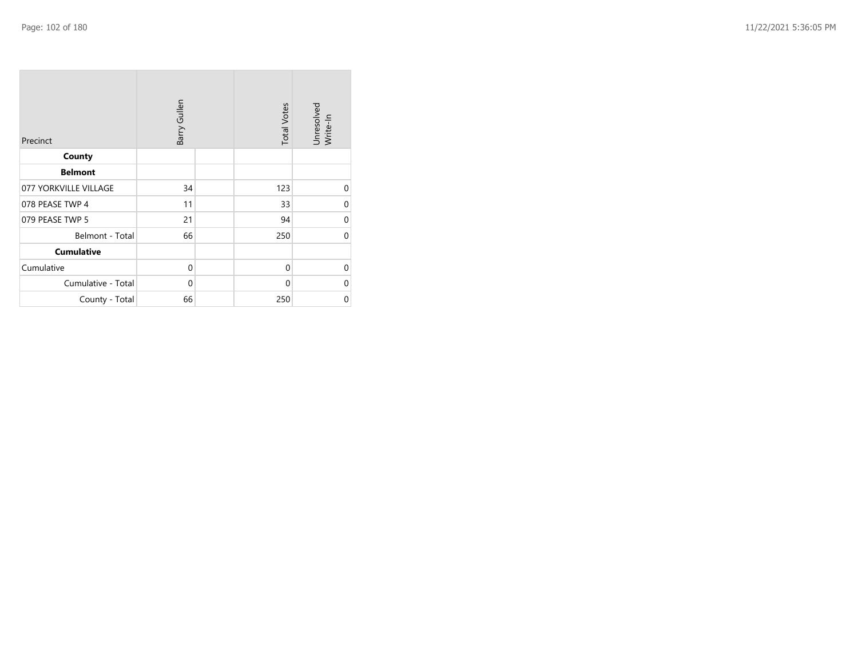| Precinct              | Barry Gullen | <b>Total Votes</b> | Unresolved<br>Write-In |
|-----------------------|--------------|--------------------|------------------------|
| County                |              |                    |                        |
| <b>Belmont</b>        |              |                    |                        |
| 077 YORKVILLE VILLAGE | 34           | 123                | $\mathbf 0$            |
| 078 PEASE TWP 4       | 11           | 33                 | $\Omega$               |
| 079 PEASE TWP 5       | 21           | 94                 | $\Omega$               |
| Belmont - Total       | 66           | 250                | $\Omega$               |
| <b>Cumulative</b>     |              |                    |                        |
| Cumulative            | 0            | $\mathbf 0$        | $\Omega$               |
| Cumulative - Total    | $\mathbf 0$  | $\mathbf 0$        | $\Omega$               |
| County - Total        | 66           | 250                | $\mathbf 0$            |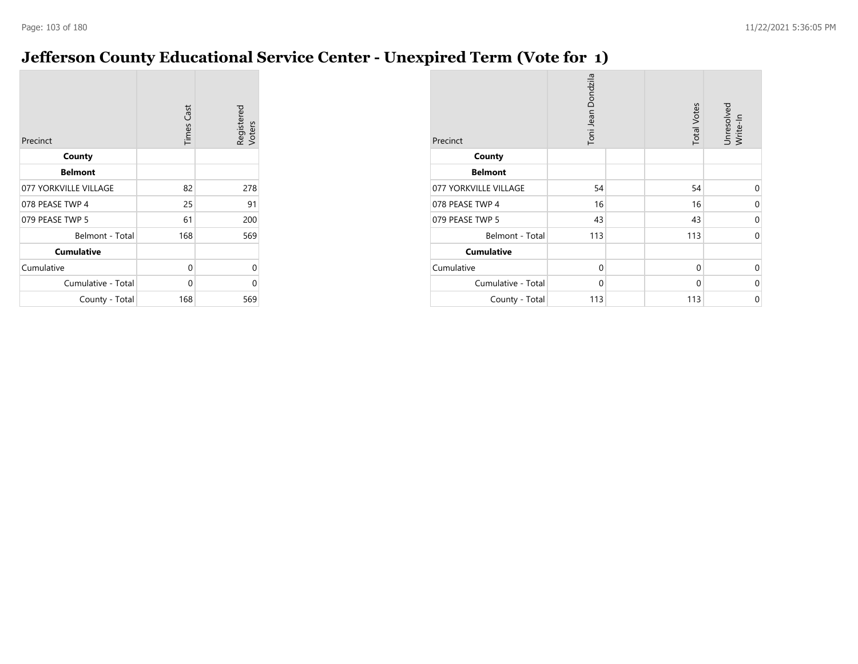# **Jefferson County Educational Service Center - Unexpired Term (Vote for 1)**

| Precinct              | <b>Times Cast</b> | Registered<br>Voters |
|-----------------------|-------------------|----------------------|
| County                |                   |                      |
| <b>Belmont</b>        |                   |                      |
| 077 YORKVILLE VILLAGE | 82                | 278                  |
| 078 PEASE TWP 4       | 25                | 91                   |
| 079 PEASE TWP 5       | 61                | 200                  |
| Belmont - Total       | 168               | 569                  |
| <b>Cumulative</b>     |                   |                      |
| Cumulative            | 0                 | 0                    |
| Cumulative - Total    | 0                 | U                    |
| County - Total        | 168               | 569                  |

| Precinct              | Toni Jean Dondzila | <b>Total Votes</b> | Unresolved<br>Write-In |
|-----------------------|--------------------|--------------------|------------------------|
| County                |                    |                    |                        |
| <b>Belmont</b>        |                    |                    |                        |
| 077 YORKVILLE VILLAGE | 54                 | 54                 | 0                      |
| 078 PEASE TWP 4       | 16                 | 16                 | $\Omega$               |
| 079 PEASE TWP 5       | 43                 | 43                 | $\Omega$               |
| Belmont - Total       | 113                | 113                | $\Omega$               |
| <b>Cumulative</b>     |                    |                    |                        |
| Cumulative            | $\mathbf 0$        | 0                  | $\Omega$               |
| Cumulative - Total    | 0                  | 0                  | 0                      |
| County - Total        | 113                | 113                | 0                      |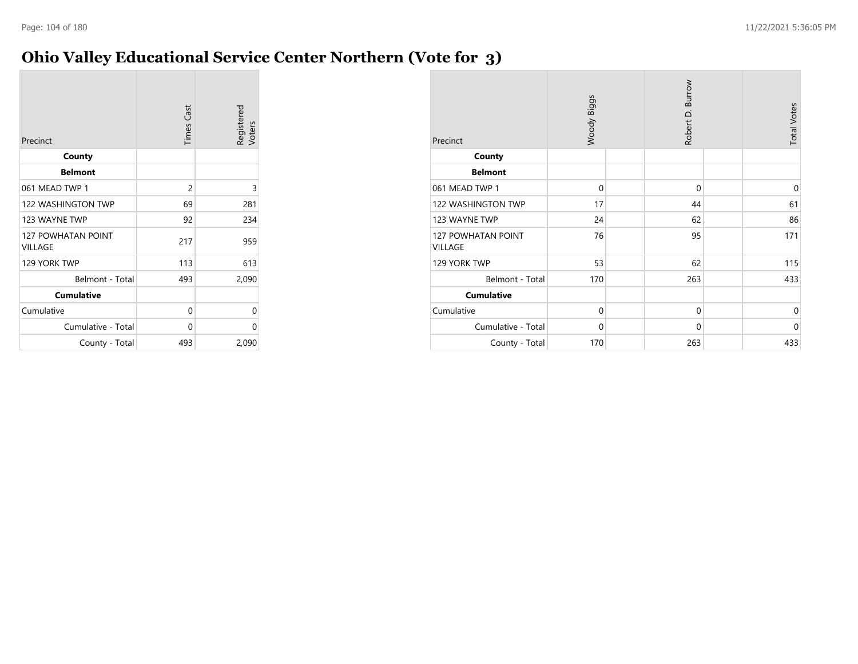#### **Ohio Valley Educational Service Center Northern (Vote for 3)**

| Precinct                             | <b>Times Cast</b> | Registered<br>Voters |
|--------------------------------------|-------------------|----------------------|
| County                               |                   |                      |
| <b>Belmont</b>                       |                   |                      |
| 061 MEAD TWP 1                       | 2                 | 3                    |
| <b>122 WASHINGTON TWP</b>            | 69                | 281                  |
| 123 WAYNE TWP                        | 92                | 234                  |
| <b>127 POWHATAN POINT</b><br>VILLAGE | 217               | 959                  |
| 129 YORK TWP                         | 113               | 613                  |
| Belmont - Total                      | 493               | 2,090                |
| <b>Cumulative</b>                    |                   |                      |
| Cumulative                           | $\Omega$          | 0                    |
| Cumulative - Total                   | 0                 | 0                    |
| County - Total                       | 493               | 2,090                |

| Precinct                      | Woody Biggs |  | Robert D. Burrow |  | <b>Total Votes</b> |
|-------------------------------|-------------|--|------------------|--|--------------------|
| County                        |             |  |                  |  |                    |
| <b>Belmont</b>                |             |  |                  |  |                    |
| 061 MEAD TWP 1                | $\mathbf 0$ |  | $\mathbf 0$      |  | $\mathbf 0$        |
| 122 WASHINGTON TWP            | 17          |  | 44               |  | 61                 |
| 123 WAYNE TWP                 | 24          |  | 62               |  | 86                 |
| 127 POWHATAN POINT<br>VILLAGE | 76          |  | 95               |  | 171                |
| 129 YORK TWP                  | 53          |  | 62               |  | 115                |
| Belmont - Total               | 170         |  | 263              |  | 433                |
| <b>Cumulative</b>             |             |  |                  |  |                    |
| Cumulative                    | $\mathbf 0$ |  | $\mathbf 0$      |  | 0                  |
| Cumulative - Total            | $\mathbf 0$ |  | $\mathbf 0$      |  | $\Omega$           |
| County - Total                | 170         |  | 263              |  | 433                |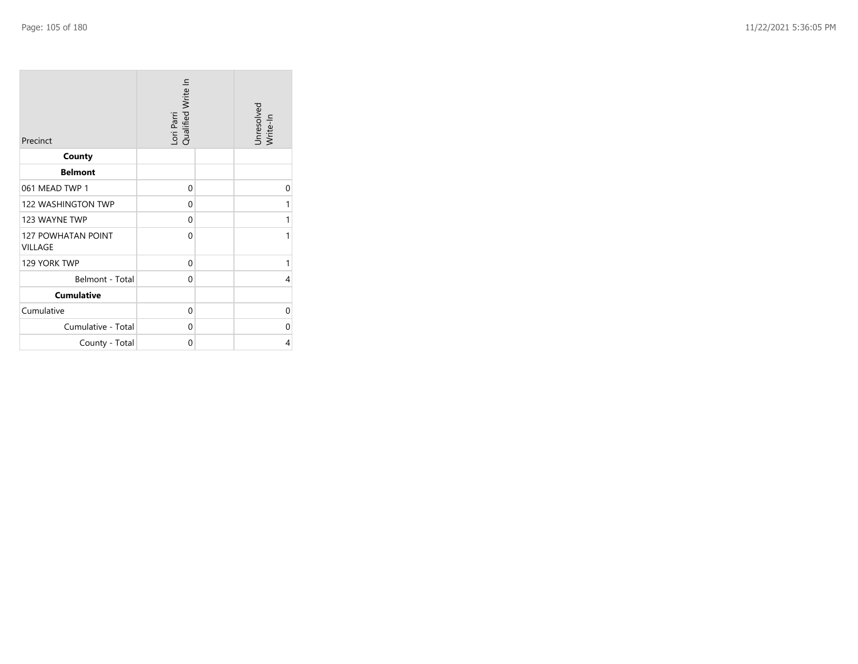| Precinct                             | Lori Parri<br>Qualified Write In | Unresolved<br>Write-In |
|--------------------------------------|----------------------------------|------------------------|
| County                               |                                  |                        |
| <b>Belmont</b>                       |                                  |                        |
| 061 MEAD TWP 1                       | 0                                | 0                      |
| <b>122 WASHINGTON TWP</b>            | 0                                | 1                      |
| 123 WAYNE TWP                        | 0                                | 1                      |
| <b>127 POWHATAN POINT</b><br>VILLAGE | $\Omega$                         | 1                      |
| 129 YORK TWP                         | 0                                | 1                      |
| Belmont - Total                      | 0                                | 4                      |
| <b>Cumulative</b>                    |                                  |                        |
| Cumulative                           | $\mathbf 0$                      | $\mathbf 0$            |
| Cumulative - Total                   | 0                                | 0                      |
| County - Total                       | 0                                | 4                      |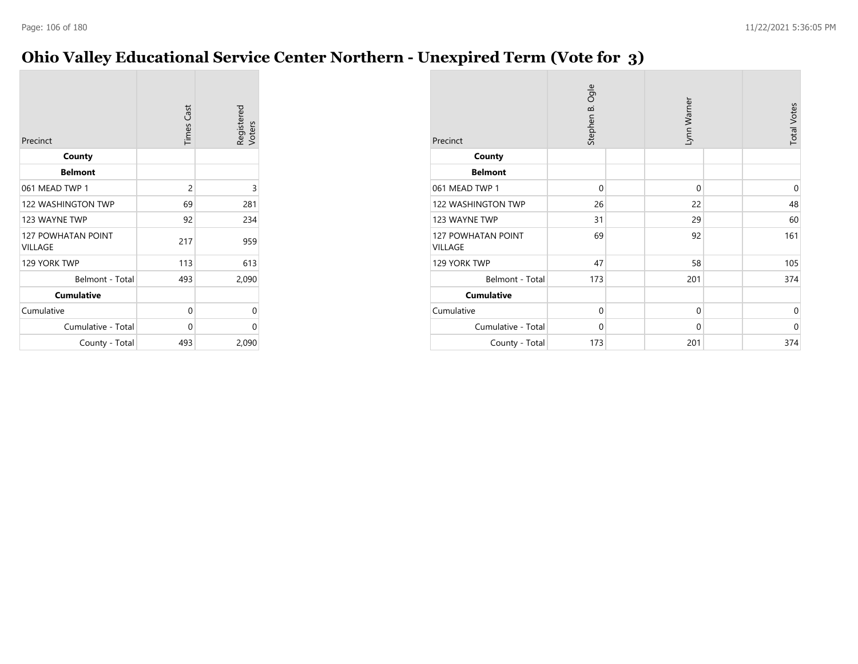## **Ohio Valley Educational Service Center Northern - Unexpired Term (Vote for 3)**

| Precinct                             | <b>Times</b> Cast | Registered<br>Voters |
|--------------------------------------|-------------------|----------------------|
| County                               |                   |                      |
| <b>Belmont</b>                       |                   |                      |
| 061 MEAD TWP 1                       | 2                 | 3                    |
| <b>122 WASHINGTON TWP</b>            | 69                | 281                  |
| 123 WAYNE TWP                        | 92                | 234                  |
| <b>127 POWHATAN POINT</b><br>VILLAGE | 217               | 959                  |
| 129 YORK TWP                         | 113               | 613                  |
| Belmont - Total                      | 493               | 2,090                |
| <b>Cumulative</b>                    |                   |                      |
| Cumulative                           | 0                 | 0                    |
| Cumulative - Total                   | 0                 | 0                    |
| County - Total                       | 493               | 2,090                |

| Precinct                             | Stephen B. Ogle |  | Lynn Warner |  | <b>Total Votes</b> |
|--------------------------------------|-----------------|--|-------------|--|--------------------|
| County                               |                 |  |             |  |                    |
| <b>Belmont</b>                       |                 |  |             |  |                    |
| 061 MEAD TWP 1                       | $\mathbf 0$     |  | $\mathbf 0$ |  | 0                  |
| 122 WASHINGTON TWP                   | 26              |  | 22          |  | 48                 |
| 123 WAYNE TWP                        | 31              |  | 29          |  | 60                 |
| <b>127 POWHATAN POINT</b><br>VILLAGE | 69              |  | 92          |  | 161                |
| 129 YORK TWP                         | 47              |  | 58          |  | 105                |
| Belmont - Total                      | 173             |  | 201         |  | 374                |
| <b>Cumulative</b>                    |                 |  |             |  |                    |
| Cumulative                           | $\mathbf 0$     |  | $\mathbf 0$ |  | 0                  |
| Cumulative - Total                   | 0               |  | 0           |  | 0                  |
| County - Total                       | 173             |  | 201         |  | 374                |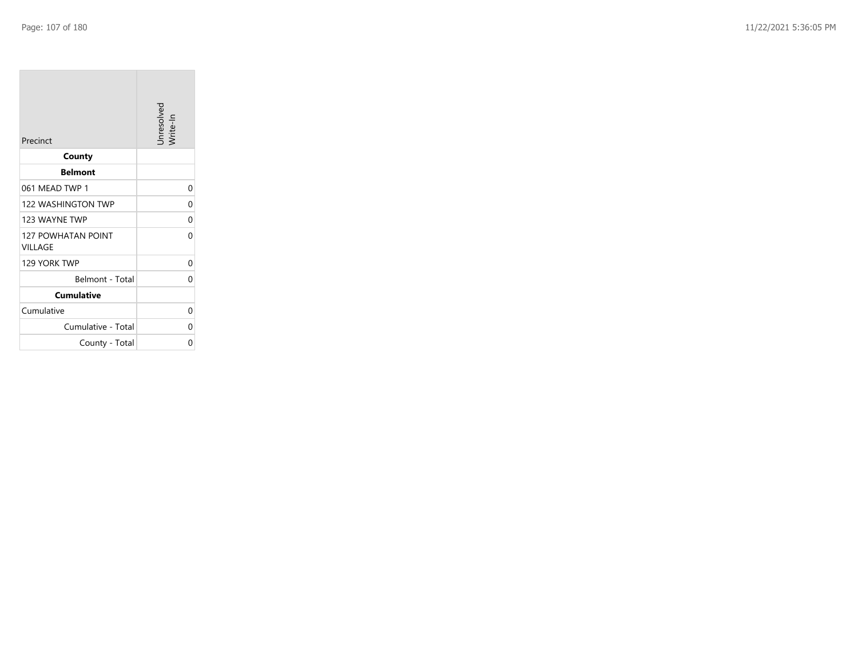**College** 

| Precinct                             | Unresolved<br>Write-In |
|--------------------------------------|------------------------|
| County                               |                        |
| <b>Belmont</b>                       |                        |
| 061 MEAD TWP 1                       | 0                      |
| 122 WASHINGTON TWP                   | 0                      |
| 123 WAYNE TWP                        | 0                      |
| <b>127 POWHATAN POINT</b><br>VILLAGE | 0                      |
| 129 YORK TWP                         | 0                      |
| Belmont - Total                      | 0                      |
| <b>Cumulative</b>                    |                        |
| Cumulative                           | 0                      |
| Cumulative - Total                   | 0                      |
| County - Total                       | 0                      |

the control of the control of the control of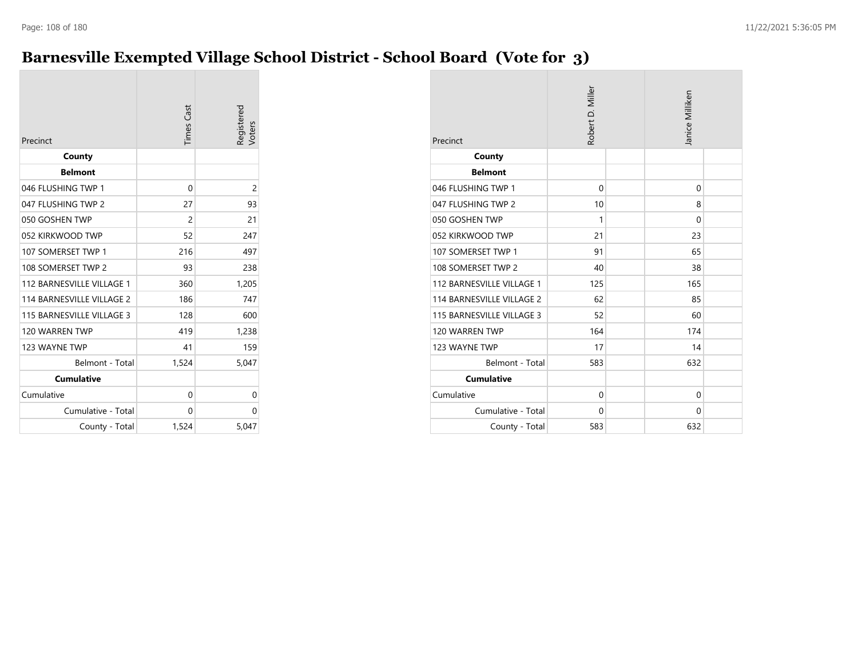# **Barnesville Exempted Village School District - School Board (Vote for 3)**

| Precinct                  | <b>Times</b> Cast | Registered<br>Voters |
|---------------------------|-------------------|----------------------|
| County                    |                   |                      |
| <b>Belmont</b>            |                   |                      |
| 046 FLUSHING TWP 1        | 0                 | 2                    |
| 047 FLUSHING TWP 2        | 27                | 93                   |
| 050 GOSHEN TWP            | $\overline{c}$    | 21                   |
| 052 KIRKWOOD TWP          | 52                | 247                  |
| 107 SOMERSET TWP 1        | 216               | 497                  |
| 108 SOMERSET TWP 2        | 93                | 238                  |
| 112 BARNESVILLE VILLAGE 1 | 360               | 1,205                |
| 114 BARNESVILLE VILLAGE 2 | 186               | 747                  |
| 115 BARNESVILLE VILLAGE 3 | 128               | 600                  |
| 120 WARREN TWP            | 419               | 1,238                |
| 123 WAYNE TWP             | 41                | 159                  |
| Belmont - Total           | 1,524             | 5,047                |
| <b>Cumulative</b>         |                   |                      |
| Cumulative                | 0                 | 0                    |
| Cumulative - Total        | 0                 | 0                    |
| County - Total            | 1,524             | 5,047                |

| Precinct                  | Robert D. Miller |  | Janice Milliken |  |
|---------------------------|------------------|--|-----------------|--|
| County                    |                  |  |                 |  |
| <b>Belmont</b>            |                  |  |                 |  |
| 046 FLUSHING TWP 1        | $\mathbf 0$      |  | 0               |  |
| 047 FLUSHING TWP 2        | 10               |  | 8               |  |
| 050 GOSHEN TWP            | 1                |  | $\Omega$        |  |
| 052 KIRKWOOD TWP          | 21               |  | 23              |  |
| 107 SOMERSET TWP 1        | 91               |  | 65              |  |
| 108 SOMERSET TWP 2        | 40               |  | 38              |  |
| 112 BARNESVILLE VILLAGE 1 | 125              |  | 165             |  |
| 114 BARNESVILLE VILLAGE 2 | 62               |  | 85              |  |
| 115 BARNESVILLE VILLAGE 3 | 52               |  | 60              |  |
| 120 WARREN TWP            | 164              |  | 174             |  |
| 123 WAYNE TWP             | 17               |  | 14              |  |
| Belmont - Total           | 583              |  | 632             |  |
| <b>Cumulative</b>         |                  |  |                 |  |
| Cumulative                | $\Omega$         |  | $\Omega$        |  |
| Cumulative - Total        | $\Omega$         |  | 0               |  |
| County - Total            | 583              |  | 632             |  |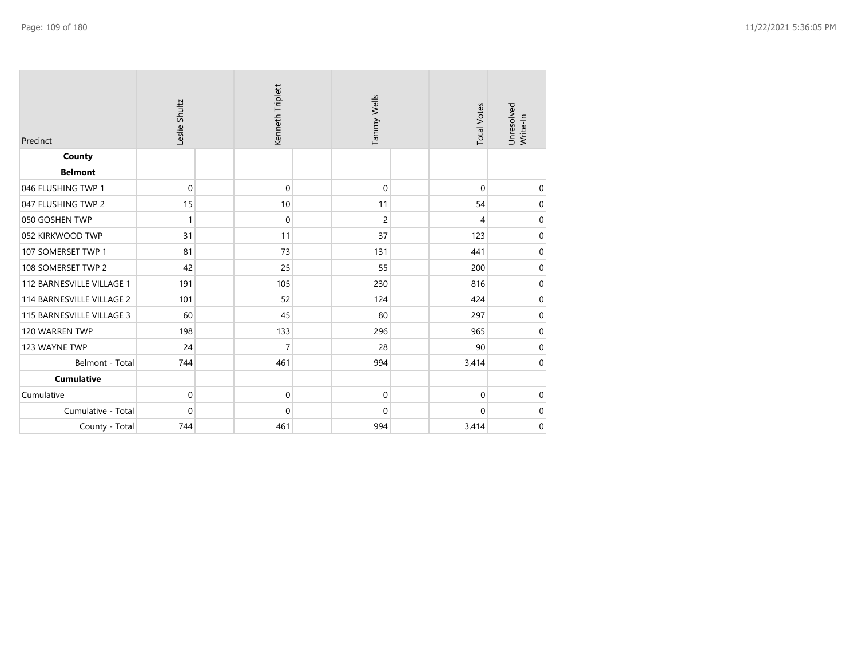| Precinct                  | Leslie Shultz | Kenneth Triplett | Tammy Wells    | <b>Total Votes</b> | Unresolved<br>Write-In |
|---------------------------|---------------|------------------|----------------|--------------------|------------------------|
| County                    |               |                  |                |                    |                        |
| <b>Belmont</b>            |               |                  |                |                    |                        |
| 046 FLUSHING TWP 1        | $\mathbf 0$   | $\mathbf 0$      | $\mathbf 0$    | $\Omega$           | 0                      |
| 047 FLUSHING TWP 2        | 15            | 10               | 11             | 54                 | 0                      |
| 050 GOSHEN TWP            | 1             | $\mathbf 0$      | $\overline{c}$ | 4                  | $\mathbf 0$            |
| 052 KIRKWOOD TWP          | 31            | 11               | 37             | 123                | $\pmb{0}$              |
| 107 SOMERSET TWP 1        | 81            | 73               | 131            | 441                | $\mathbf 0$            |
| 108 SOMERSET TWP 2        | 42            | 25               | 55             | 200                | $\mathbf 0$            |
| 112 BARNESVILLE VILLAGE 1 | 191           | 105              | 230            | 816                | $\boldsymbol{0}$       |
| 114 BARNESVILLE VILLAGE 2 | 101           | 52               | 124            | 424                | $\mathbf 0$            |
| 115 BARNESVILLE VILLAGE 3 | 60            | 45               | 80             | 297                | $\pmb{0}$              |
| 120 WARREN TWP            | 198           | 133              | 296            | 965                | $\pmb{0}$              |
| 123 WAYNE TWP             | 24            | $\overline{7}$   | 28             | 90                 | $\mathbf 0$            |
| Belmont - Total           | 744           | 461              | 994            | 3,414              | $\mathbf 0$            |
| <b>Cumulative</b>         |               |                  |                |                    |                        |
| Cumulative                | $\pmb{0}$     | $\pmb{0}$        | $\mathbf 0$    | 0                  | $\mathbf 0$            |
| Cumulative - Total        | $\mathbf 0$   | 0                | $\mathbf{0}$   | 0                  | $\pmb{0}$              |
| County - Total            | 744           | 461              | 994            | 3,414              | $\pmb{0}$              |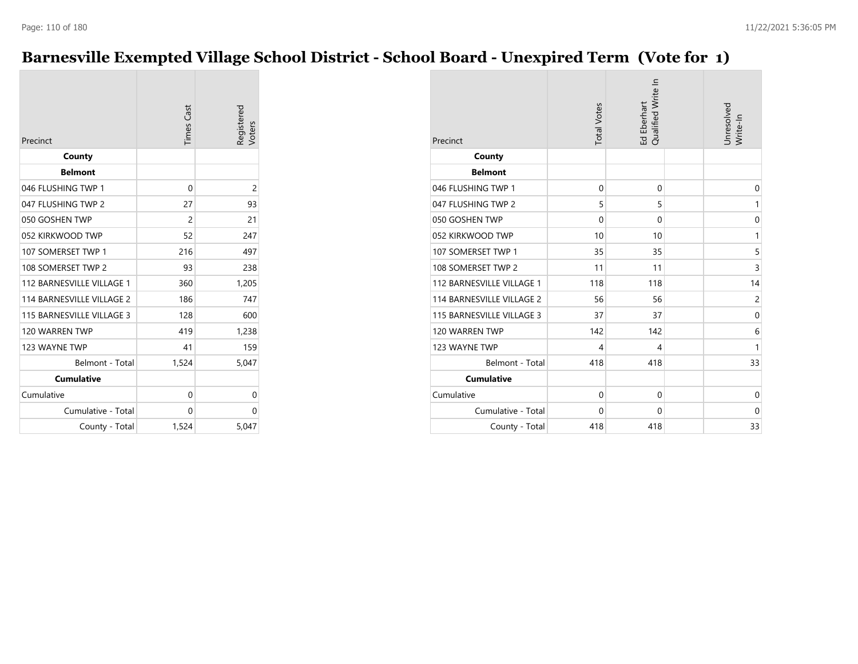# **Barnesville Exempted Village School District - School Board - Unexpired Term (Vote for 1)**

| Precinct                  | <b>Times</b> Cast | Registered<br>Voters |
|---------------------------|-------------------|----------------------|
| County                    |                   |                      |
| <b>Belmont</b>            |                   |                      |
| 046 FLUSHING TWP 1        | 0                 | 2                    |
| 047 FLUSHING TWP 2        | 27                | 93                   |
| 050 GOSHEN TWP            | 2                 | 21                   |
| 052 KIRKWOOD TWP          | 52                | 247                  |
| 107 SOMERSET TWP 1        | 216               | 497                  |
| 108 SOMERSET TWP 2        | 93                | 238                  |
| 112 BARNESVILLE VILLAGE 1 | 360               | 1,205                |
| 114 BARNESVILLE VILLAGE 2 | 186               | 747                  |
| 115 BARNESVILLE VILLAGE 3 | 128               | 600                  |
| 120 WARREN TWP            | 419               | 1,238                |
| 123 WAYNE TWP             | 41                | 159                  |
| Belmont - Total           | 1,524             | 5,047                |
| <b>Cumulative</b>         |                   |                      |
| Cumulative                | 0                 | 0                    |
| Cumulative - Total        | 0                 | 0                    |
| County - Total            | 1,524             | 5,047                |

| Precinct                  | <b>Total Votes</b> | Qualified Write In<br>Ed Eberhart | Unresolved<br>Write-In |
|---------------------------|--------------------|-----------------------------------|------------------------|
| County                    |                    |                                   |                        |
| <b>Belmont</b>            |                    |                                   |                        |
| 046 FLUSHING TWP 1        | $\mathbf 0$        | $\mathbf 0$                       | 0                      |
| 047 FLUSHING TWP 2        | 5                  | 5                                 | 1                      |
| 050 GOSHEN TWP            | $\Omega$           | $\Omega$                          | $\mathbf 0$            |
| 052 KIRKWOOD TWP          | 10                 | 10                                | $\mathbf{1}$           |
| 107 SOMERSET TWP 1        | 35                 | 35                                | 5                      |
| 108 SOMERSET TWP 2        | 11                 | 11                                | 3                      |
| 112 BARNESVILLE VILLAGE 1 | 118                | 118                               | 14                     |
| 114 BARNESVILLE VILLAGE 2 | 56                 | 56                                | $\overline{c}$         |
| 115 BARNESVILLE VILLAGE 3 | 37                 | 37                                | 0                      |
| 120 WARREN TWP            | 142                | 142                               | 6                      |
| 123 WAYNE TWP             | 4                  | 4                                 | $\mathbf{1}$           |
| Belmont - Total           | 418                | 418                               | 33                     |
| <b>Cumulative</b>         |                    |                                   |                        |
| Cumulative                | $\Omega$           | $\Omega$                          | 0                      |
| Cumulative - Total        | $\mathbf 0$        | 0                                 | 0                      |
| County - Total            | 418                | 418                               | 33                     |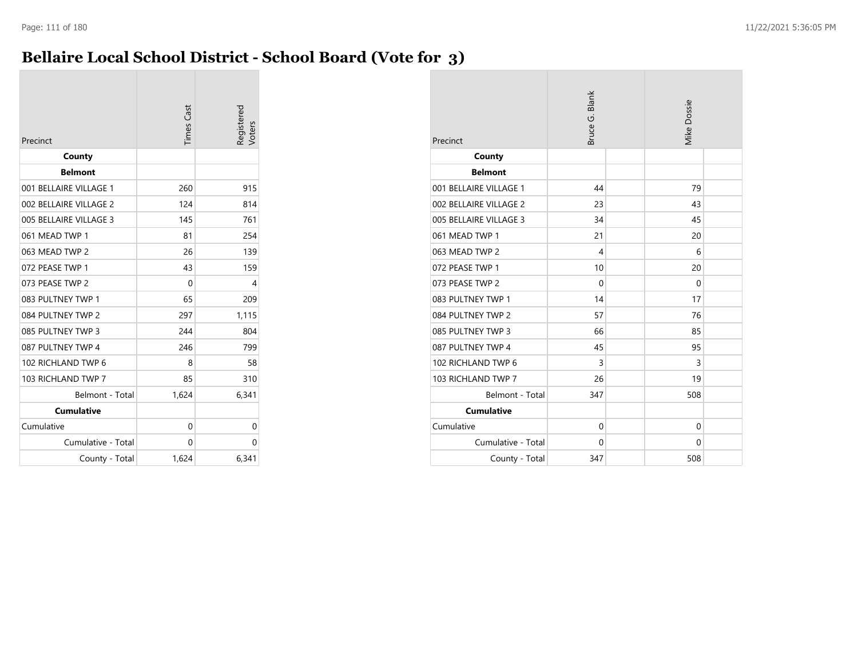### **Bellaire Local School District - School Board (Vote for 3)**

| Precinct               | <b>Times Cast</b> | Registered<br><b>Voters</b> |
|------------------------|-------------------|-----------------------------|
| County                 |                   |                             |
| <b>Belmont</b>         |                   |                             |
| 001 BELLAIRE VILLAGE 1 | 260               | 915                         |
| 002 BELLAIRE VILLAGE 2 | 124               | 814                         |
| 005 BELLAIRE VILLAGE 3 | 145               | 761                         |
| 061 MEAD TWP 1         | 81                | 254                         |
| 063 MEAD TWP 2         | 26                | 139                         |
| 072 PEASE TWP 1        | 43                | 159                         |
| 073 PEASE TWP 2        | 0                 | 4                           |
| 083 PULTNEY TWP 1      | 65                | 209                         |
| 084 PULTNEY TWP 2      | 297               | 1,115                       |
| 085 PULTNEY TWP 3      | 244               | 804                         |
| 087 PULTNEY TWP 4      | 246               | 799                         |
| 102 RICHLAND TWP 6     | 8                 | 58                          |
| 103 RICHLAND TWP 7     | 85                | 310                         |
| Belmont - Total        | 1,624             | 6,341                       |
| <b>Cumulative</b>      |                   |                             |
| Cumulative             | 0                 | 0                           |
| Cumulative - Total     | 0                 | 0                           |
| County - Total         | 1,624             | 6,341                       |

| Precinct               | Bruce G. Blank | <b>Mike Dossie</b> |  |
|------------------------|----------------|--------------------|--|
| County                 |                |                    |  |
| <b>Belmont</b>         |                |                    |  |
| 001 BELLAIRE VILLAGE 1 | 44             | 79                 |  |
| 002 BELLAIRE VILLAGE 2 | 23             | 43                 |  |
| 005 BELLAIRE VILLAGE 3 | 34             | 45                 |  |
| 061 MEAD TWP 1         | 21             | 20                 |  |
| 063 MEAD TWP 2         | 4              | 6                  |  |
| 072 PEASE TWP 1        | 10             | 20                 |  |
| 073 PEASE TWP 2        | $\Omega$       | 0                  |  |
| 083 PULTNEY TWP 1      | 14             | 17                 |  |
| 084 PULTNEY TWP 2      | 57             | 76                 |  |
| 085 PULTNEY TWP 3      | 66             | 85                 |  |
| 087 PULTNEY TWP 4      | 45             | 95                 |  |
| 102 RICHLAND TWP 6     | 3              | 3                  |  |
| 103 RICHLAND TWP 7     | 26             | 19                 |  |
| Belmont - Total        | 347            | 508                |  |
| <b>Cumulative</b>      |                |                    |  |
| Cumulative             | $\mathbf{0}$   | $\Omega$           |  |
| Cumulative - Total     | $\Omega$       | 0                  |  |
| County - Total         | 347            | 508                |  |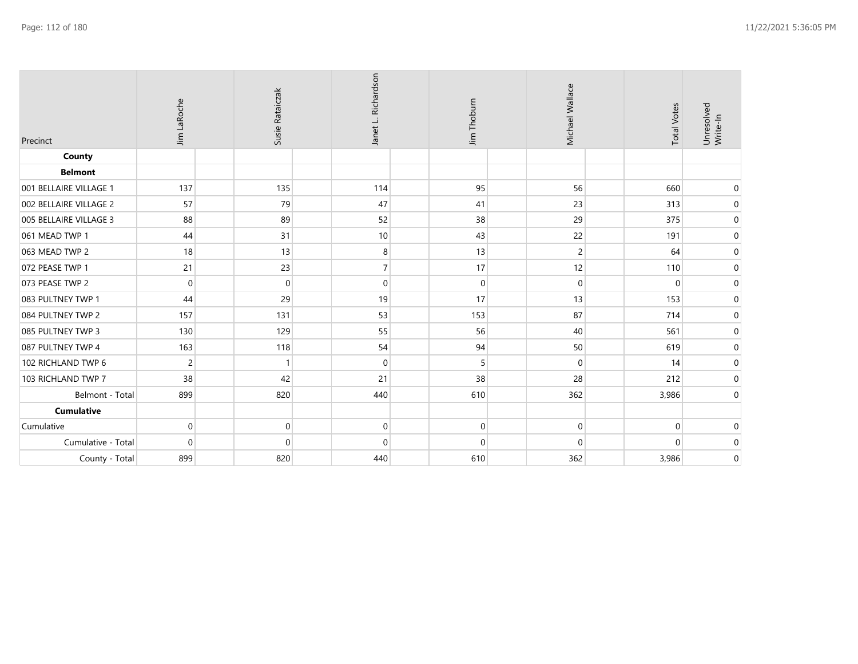| Precinct               | Jim LaRoche    | Susie Rataiczak |             | Janet L. Richardson | Jim Thoburn      | Michael Wallace | <b>Total Votes</b> | Unresolved<br>Write-In |
|------------------------|----------------|-----------------|-------------|---------------------|------------------|-----------------|--------------------|------------------------|
| County                 |                |                 |             |                     |                  |                 |                    |                        |
| <b>Belmont</b>         |                |                 |             |                     |                  |                 |                    |                        |
| 001 BELLAIRE VILLAGE 1 | 137            |                 | 135         | 114                 | 95               | 56              | 660                | $\pmb{0}$              |
| 002 BELLAIRE VILLAGE 2 | 57             |                 | 79          | 47                  | 41               | 23              | 313                | $\boldsymbol{0}$       |
| 005 BELLAIRE VILLAGE 3 | 88             |                 | 89          | 52                  | 38               | 29              | 375                | $\boldsymbol{0}$       |
| 061 MEAD TWP 1         | 44             |                 | 31          | 10                  | 43               | 22              | 191                | $\boldsymbol{0}$       |
| 063 MEAD TWP 2         | 18             |                 | 13          | 8                   | 13               | 2               | 64                 | $\mathbf 0$            |
| 072 PEASE TWP 1        | 21             |                 | 23          |                     | 17               | 12              | 110                | $\boldsymbol{0}$       |
| 073 PEASE TWP 2        | $\mathbf 0$    |                 | $\mathbf 0$ | $\Omega$            | $\boldsymbol{0}$ | 0               | $\mathbf 0$        | $\mathbf 0$            |
| 083 PULTNEY TWP 1      | 44             |                 | 29          | 19                  | 17               | 13              | 153                | $\pmb{0}$              |
| 084 PULTNEY TWP 2      | 157            |                 | 131         | 53                  | 153              | 87              | 714                | $\boldsymbol{0}$       |
| 085 PULTNEY TWP 3      | 130            |                 | 129         | 55                  | 56               | 40              | 561                | $\pmb{0}$              |
| 087 PULTNEY TWP 4      | 163            |                 | 118         | 54                  | 94               | 50              | 619                | $\mathbf 0$            |
| 102 RICHLAND TWP 6     | $\overline{c}$ |                 |             | $\mathbf 0$         | 5                | 0               | 14                 | $\mathbf 0$            |
| 103 RICHLAND TWP 7     | 38             |                 | 42          | 21                  | 38               | 28              | 212                | $\boldsymbol{0}$       |
| Belmont - Total        | 899            |                 | 820         | 440                 | 610              | 362             | 3,986              | $\pmb{0}$              |
| <b>Cumulative</b>      |                |                 |             |                     |                  |                 |                    |                        |
| Cumulative             | $\mathbf 0$    |                 | $\mathbf 0$ | $\Omega$            | $\mathbf 0$      | 0               | $\mathbf 0$        | $\mathbf 0$            |
| Cumulative - Total     | $\mathbf 0$    |                 | $\mathbf 0$ | $\Omega$            | $\mathbf 0$      | $\overline{0}$  | $\mathbf 0$        | $\mathbf 0$            |
| County - Total         | 899            |                 | 820         | 440                 | 610              | 362             | 3,986              | $\boldsymbol{0}$       |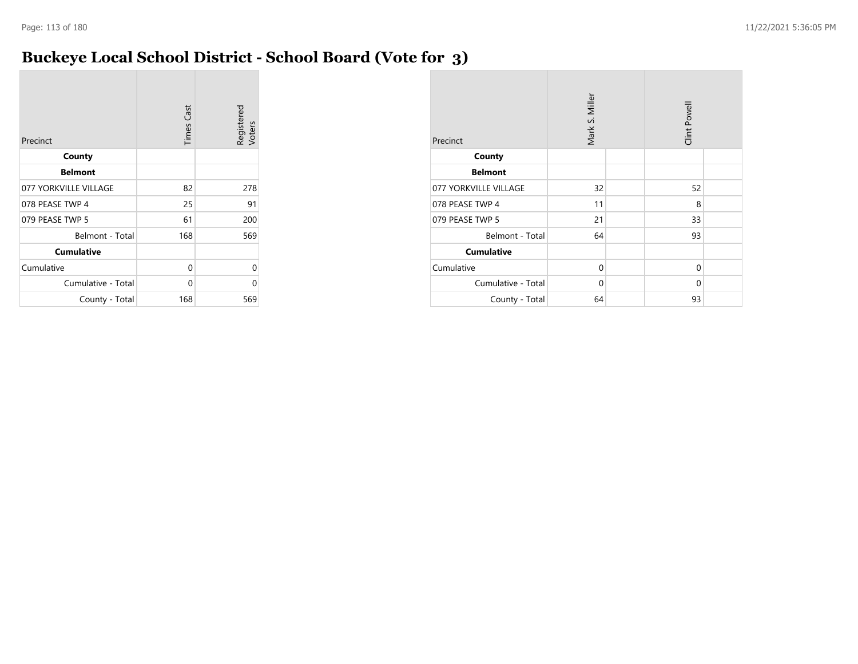### **Buckeye Local School District - School Board (Vote for 3)**

| Precinct              | <b>Times Cast</b> | Registered<br>Voters |
|-----------------------|-------------------|----------------------|
| County                |                   |                      |
| <b>Belmont</b>        |                   |                      |
| 077 YORKVILLE VILLAGE | 82                | 278                  |
| 078 PEASE TWP 4       | 25                | 91                   |
| 079 PEASE TWP 5       | 61                | 200                  |
| Belmont - Total       | 168               | 569                  |
| <b>Cumulative</b>     |                   |                      |
| Cumulative            | 0                 | 0                    |
| Cumulative - Total    | 0                 | 0                    |
| County - Total        | 168               | 569                  |

| Precinct              | Mark S. Miller |  |          |  |
|-----------------------|----------------|--|----------|--|
| County                |                |  |          |  |
| <b>Belmont</b>        |                |  |          |  |
| 077 YORKVILLE VILLAGE | 32             |  | 52       |  |
| 078 PEASE TWP 4       | 11             |  | 8        |  |
| 079 PEASE TWP 5       | 21             |  | 33       |  |
| Belmont - Total       | 64             |  | 93       |  |
| <b>Cumulative</b>     |                |  |          |  |
| Cumulative            | $\Omega$       |  | $\Omega$ |  |
| Cumulative - Total    | $\Omega$       |  | $\Omega$ |  |
| County - Total        | 64             |  | 93       |  |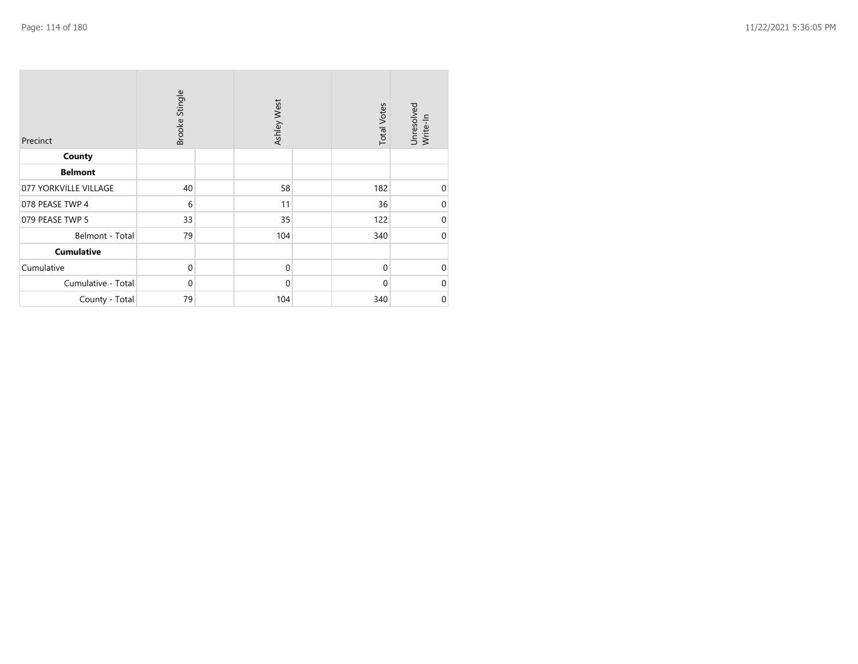| Precinct              | Brooke Stingle |  | Ashley West |  | <b>Total Votes</b> | Unresolved<br>Write-In |
|-----------------------|----------------|--|-------------|--|--------------------|------------------------|
| County                |                |  |             |  |                    |                        |
| <b>Belmont</b>        |                |  |             |  |                    |                        |
| 077 YORKVILLE VILLAGE | 40             |  | 58          |  | 182                | 0                      |
| 078 PEASE TWP 4       | 6              |  | 11          |  | 36                 | $\mathbf 0$            |
| 079 PEASE TWP 5       | 33             |  | 35          |  | 122                | $\boldsymbol{0}$       |
| Belmont - Total       | 79             |  | 104         |  | 340                | $\boldsymbol{0}$       |
| <b>Cumulative</b>     |                |  |             |  |                    |                        |
| Cumulative            | $\mathbf 0$    |  | $\mathbf 0$ |  | $\mathbf 0$        | $\mathbf 0$            |
| Cumulative - Total    | $\Omega$       |  | $\mathbf 0$ |  | $\mathbf 0$        | $\mathbf 0$            |
| County - Total        | 79             |  | 104         |  | 340                | $\boldsymbol{0}$       |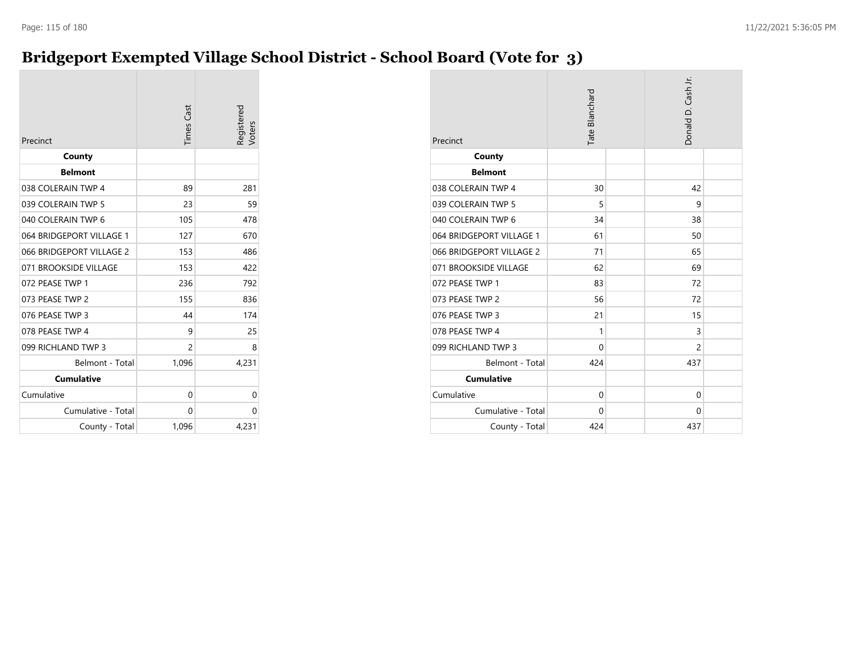### **Bridgeport Exempted Village School District - School Board (Vote for 3)**

| Precinct                 | <b>Times</b> Cast | Registered<br>/oters |
|--------------------------|-------------------|----------------------|
| County                   |                   |                      |
| <b>Belmont</b>           |                   |                      |
| 038 COLERAIN TWP 4       | 89                | 281                  |
| 039 COLERAIN TWP 5       | 23                | 59                   |
| 040 COLERAIN TWP 6       | 105               | 478                  |
| 064 BRIDGEPORT VILLAGE 1 | 127               | 670                  |
| 066 BRIDGEPORT VILLAGE 2 | 153               | 486                  |
| 071 BROOKSIDE VILLAGE    | 153               | 422                  |
| 072 PEASE TWP 1          | 236               | 792                  |
| 073 PEASE TWP 2          | 155               | 836                  |
| 076 PEASE TWP 3          | 44                | 174                  |
| 078 PEASE TWP 4          | 9                 | 25                   |
| 099 RICHLAND TWP 3       | 2                 | 8                    |
| Belmont - Total          | 1,096             | 4,231                |
| <b>Cumulative</b>        |                   |                      |
| Cumulative               | 0                 | 0                    |
| Cumulative - Total       | 0                 | 0                    |
| County - Total           | 1,096             | 4,231                |

| Precinct                 | Tate Blanchard |  | Donald D. Cash Jr. |  |
|--------------------------|----------------|--|--------------------|--|
| County                   |                |  |                    |  |
| <b>Belmont</b>           |                |  |                    |  |
| 038 COLERAIN TWP 4       | 30             |  | 42                 |  |
| 039 COLERAIN TWP 5       | 5              |  | 9                  |  |
| 040 COLERAIN TWP 6       | 34             |  | 38                 |  |
| 064 BRIDGEPORT VILLAGE 1 | 61             |  | 50                 |  |
| 066 BRIDGEPORT VILLAGE 2 | 71             |  | 65                 |  |
| 071 BROOKSIDE VILLAGE    | 62             |  | 69                 |  |
| 072 PEASE TWP 1          | 83             |  | 72                 |  |
| 073 PEASE TWP 2          | 56             |  | 72                 |  |
| 076 PEASE TWP 3          | 21             |  | 15                 |  |
| 078 PEASE TWP 4          | 1              |  | 3                  |  |
| 099 RICHLAND TWP 3       | 0              |  | 2                  |  |
| Belmont - Total          | 424            |  | 437                |  |
| <b>Cumulative</b>        |                |  |                    |  |
| Cumulative               | $\mathbf{0}$   |  | $\Omega$           |  |
| Cumulative - Total       | $\Omega$       |  | $\Omega$           |  |
| County - Total           | 424            |  | 437                |  |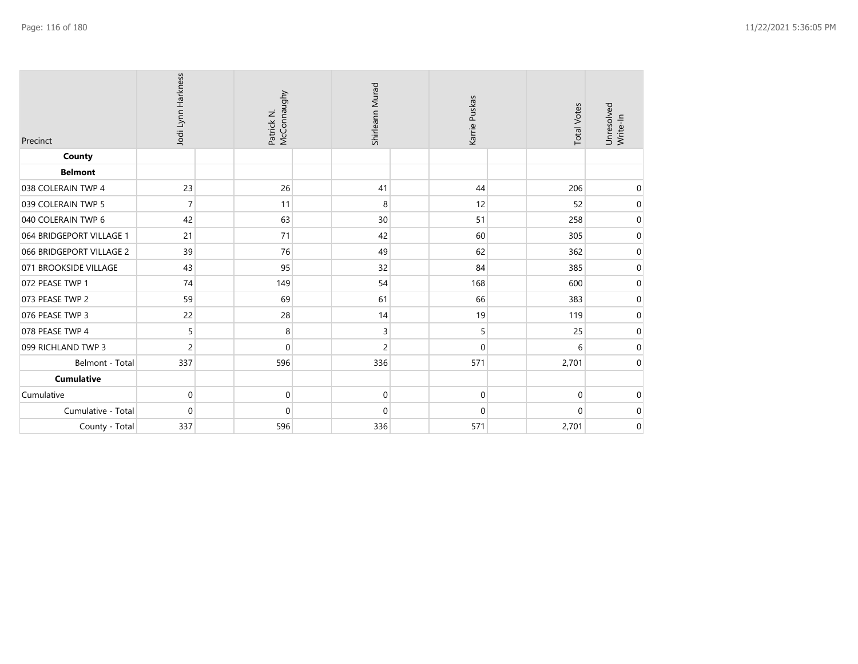| Precinct                 | Jodi Lynn Harkness | Patrick N.<br>McConnaughy | Shirleann Murad | Karrie Puskas | <b>Total Votes</b> | Unresolved<br>Write-In |
|--------------------------|--------------------|---------------------------|-----------------|---------------|--------------------|------------------------|
| <b>County</b>            |                    |                           |                 |               |                    |                        |
| <b>Belmont</b>           |                    |                           |                 |               |                    |                        |
| 038 COLERAIN TWP 4       | 23                 | 26                        | 41              | 44            | 206                | 0                      |
| 039 COLERAIN TWP 5       | $\overline{7}$     | 11                        | 8               | 12            | 52                 | $\boldsymbol{0}$       |
| 040 COLERAIN TWP 6       | 42                 | 63                        | 30              | 51            | 258                | 0                      |
| 064 BRIDGEPORT VILLAGE 1 | 21                 | 71                        | 42              | 60            | 305                | $\mathbf 0$            |
| 066 BRIDGEPORT VILLAGE 2 | 39                 | 76                        | 49              | 62            | 362                | 0                      |
| 071 BROOKSIDE VILLAGE    | 43                 | 95                        | 32              | 84            | 385                | $\pmb{0}$              |
| 072 PEASE TWP 1          | 74                 | 149                       | 54              | 168           | 600                | 0                      |
| 073 PEASE TWP 2          | 59                 | 69                        | 61              | 66            | 383                | 0                      |
| 076 PEASE TWP 3          | 22                 | 28                        | 14              | 19            | 119                | 0                      |
| 078 PEASE TWP 4          | 5                  | 8                         | 3               | 5             | 25                 | 0                      |
| 099 RICHLAND TWP 3       | $\overline{c}$     | $\mathbf 0$               | 2               | $\Omega$      | 6                  | $\pmb{0}$              |
| Belmont - Total          | 337                | 596                       | 336             | 571           | 2,701              | 0                      |
| Cumulative               |                    |                           |                 |               |                    |                        |
| Cumulative               | $\mathbf 0$        | $\mathbf{0}$              | 0               | 0             | $\Omega$           | $\mathbf 0$            |
| Cumulative - Total       | $\mathbf 0$        | 0                         | 0               | $\mathbf 0$   | $\mathbf 0$        | $\mathbf 0$            |
| County - Total           | 337                | 596                       | 336             | 571           | 2,701              | $\mathbf 0$            |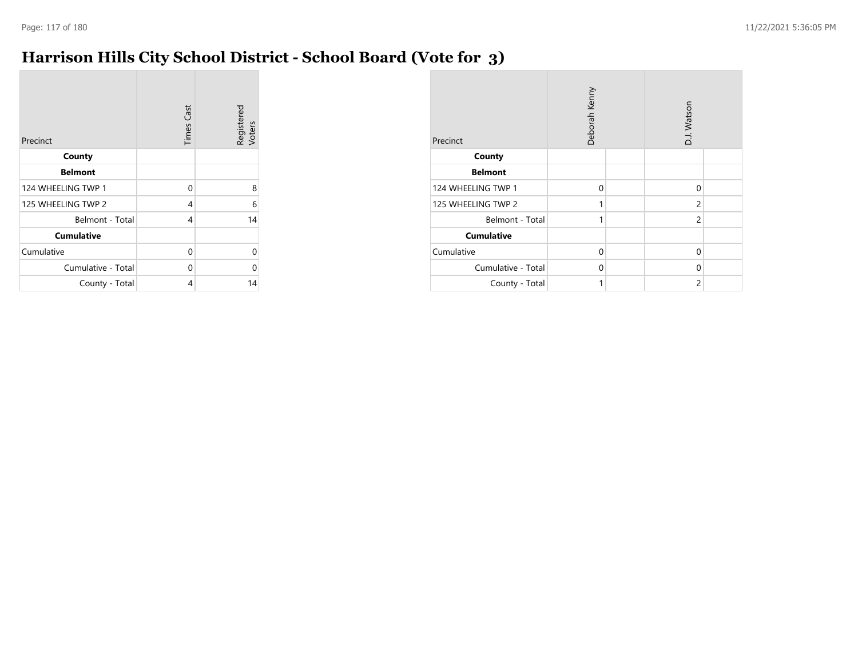### **Harrison Hills City School District - School Board (Vote for 3)**

| Precinct           | <b>Times Cast</b> | Registered<br>Voters |
|--------------------|-------------------|----------------------|
| County             |                   |                      |
| <b>Belmont</b>     |                   |                      |
| 124 WHEELING TWP 1 | 0                 | 8                    |
| 125 WHEELING TWP 2 | 4                 | 6                    |
| Belmont - Total    | 4                 | 14                   |
| <b>Cumulative</b>  |                   |                      |
| Cumulative         | 0                 | U                    |
| Cumulative - Total | 0                 | ი                    |
| County - Total     | 4                 | 14                   |

| Precinct           | Deborah Kenny |  |                |  | D.J. Watson |  |
|--------------------|---------------|--|----------------|--|-------------|--|
| County             |               |  |                |  |             |  |
| <b>Belmont</b>     |               |  |                |  |             |  |
| 124 WHEELING TWP 1 | $\mathbf 0$   |  | $\mathbf 0$    |  |             |  |
| 125 WHEELING TWP 2 | 1             |  | $\overline{c}$ |  |             |  |
| Belmont - Total    | 1             |  | $\overline{c}$ |  |             |  |
| <b>Cumulative</b>  |               |  |                |  |             |  |
| Cumulative         | $\Omega$      |  | $\Omega$       |  |             |  |
| Cumulative - Total | $\Omega$      |  | 0              |  |             |  |
| County - Total     | 1             |  | $\overline{2}$ |  |             |  |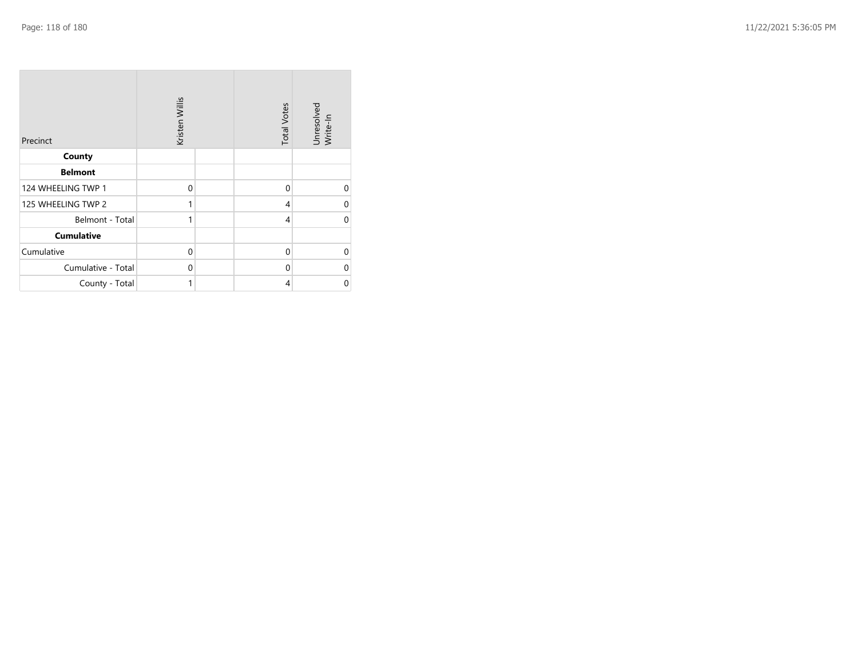| Precinct           | Kristen Willis | <b>Total Votes</b> | Unresolved<br>Write-In |
|--------------------|----------------|--------------------|------------------------|
| County             |                |                    |                        |
| <b>Belmont</b>     |                |                    |                        |
| 124 WHEELING TWP 1 | $\mathbf 0$    | $\mathbf{0}$       | $\Omega$               |
| 125 WHEELING TWP 2 | 1              | $\overline{4}$     | $\Omega$               |
| Belmont - Total    | 1              | 4                  | $\Omega$               |
| <b>Cumulative</b>  |                |                    |                        |
| Cumulative         | $\mathbf 0$    | $\mathbf 0$        | $\Omega$               |
| Cumulative - Total | 0              | $\Omega$           | $\Omega$               |
| County - Total     | 1              | 4                  | 0                      |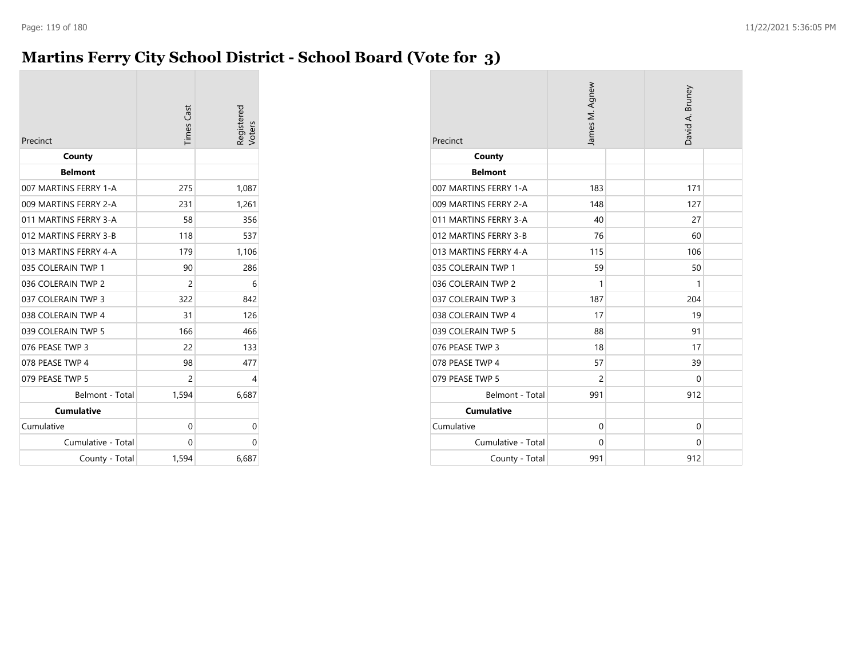## **Martins Ferry City School District - School Board (Vote for 3)**

| Precinct              | <b>Times</b> Cast | Registered |
|-----------------------|-------------------|------------|
| County                |                   |            |
| <b>Belmont</b>        |                   |            |
| 007 MARTINS FERRY 1-A | 275               | 1,087      |
| 009 MARTINS FERRY 2-A | 231               | 1,261      |
| 011 MARTINS FERRY 3-A | 58                | 356        |
| 012 MARTINS FERRY 3-B | 118               | 537        |
| 013 MARTINS FERRY 4-A | 179               | 1,106      |
| 035 COLERAIN TWP 1    | 90                | 286        |
| 036 COLERAIN TWP 2    | 2                 | 6          |
| 037 COLERAIN TWP 3    | 322               | 842        |
| 038 COLERAIN TWP 4    | 31                | 126        |
| 039 COLERAIN TWP 5    | 166               | 466        |
| 076 PEASE TWP 3       | 22                | 133        |
| 078 PEASE TWP 4       | 98                | 477        |
| 079 PEASE TWP 5       | 2                 | 4          |
| Belmont - Total       | 1,594             | 6,687      |
| <b>Cumulative</b>     |                   |            |
| Cumulative            | 0                 | 0          |
| Cumulative - Total    | 0                 | 0          |
| County - Total        | 1,594             | 6,687      |

| Precinct              | James M. Agnew | David A. Bruney |
|-----------------------|----------------|-----------------|
| County                |                |                 |
| <b>Belmont</b>        |                |                 |
| 007 MARTINS FERRY 1-A | 183            | 171             |
| 009 MARTINS FERRY 2-A | 148            | 127             |
| 011 MARTINS FERRY 3-A | 40             | 27              |
| 012 MARTINS FERRY 3-B | 76             | 60              |
| 013 MARTINS FERRY 4-A | 115            | 106             |
| 035 COLERAIN TWP 1    | 59             | 50              |
| 036 COLERAIN TWP 2    | 1              | 1               |
| 037 COLERAIN TWP 3    | 187            | 204             |
| 038 COLERAIN TWP 4    | 17             | 19              |
| 039 COLERAIN TWP 5    | 88             | 91              |
| 076 PEASE TWP 3       | 18             | 17              |
| 078 PEASE TWP 4       | 57             | 39              |
| 079 PEASE TWP 5       | $\overline{2}$ | $\Omega$        |
| Belmont - Total       | 991            | 912             |
| <b>Cumulative</b>     |                |                 |
| Cumulative            | $\mathbf{0}$   | $\Omega$        |
| Cumulative - Total    | $\Omega$       | $\Omega$        |
| County - Total        | 991            | 912             |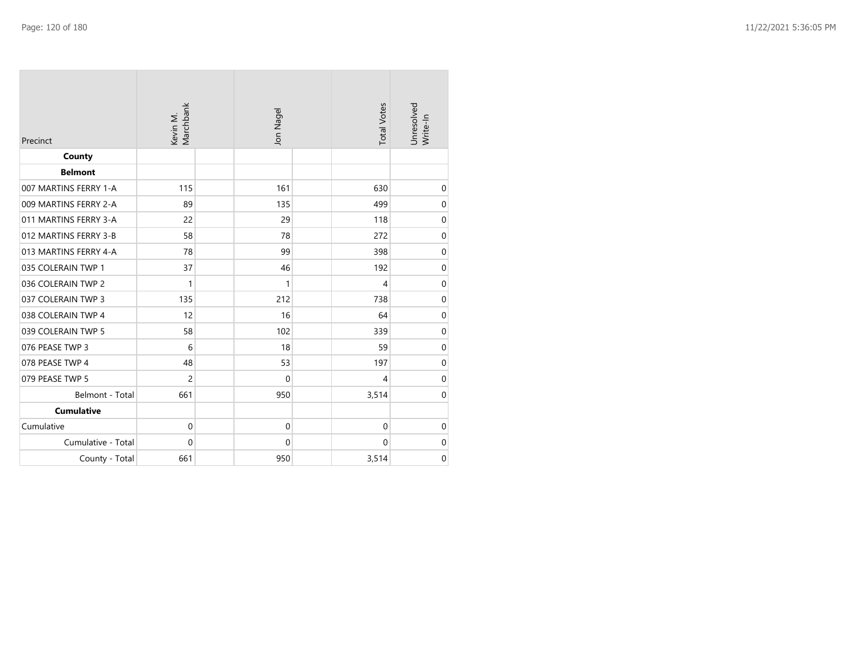| Precinct              | Kevin M.<br>Marchbank | Jon Nagel        | <b>Total Votes</b> | Unresolved<br>Write-In |
|-----------------------|-----------------------|------------------|--------------------|------------------------|
| County                |                       |                  |                    |                        |
| <b>Belmont</b>        |                       |                  |                    |                        |
| 007 MARTINS FERRY 1-A | 115                   | 161              | 630                | $\pmb{0}$              |
| 009 MARTINS FERRY 2-A | 89                    | 135              | 499                | $\boldsymbol{0}$       |
| 011 MARTINS FERRY 3-A | 22                    | 29               | 118                | $\boldsymbol{0}$       |
| 012 MARTINS FERRY 3-B | 58                    | 78               | 272                | $\mbox{O}$             |
| 013 MARTINS FERRY 4-A | 78                    | 99               | 398                | $\boldsymbol{0}$       |
| 035 COLERAIN TWP 1    | 37                    | 46               | 192                | $\boldsymbol{0}$       |
| 036 COLERAIN TWP 2    | $\mathbf{1}$          | 1                | $\overline{4}$     | $\boldsymbol{0}$       |
| 037 COLERAIN TWP 3    | 135                   | 212              | 738                | $\boldsymbol{0}$       |
| 038 COLERAIN TWP 4    | 12                    | 16               | 64                 | $\mathbf 0$            |
| 039 COLERAIN TWP 5    | 58                    | 102              | 339                | $\mbox{O}$             |
| 076 PEASE TWP 3       | 6                     | 18               | 59                 | $\boldsymbol{0}$       |
| 078 PEASE TWP 4       | 48                    | 53               | 197                | $\mbox{O}$             |
| 079 PEASE TWP 5       | $\overline{c}$        | $\mathbf 0$      | 4                  | $\boldsymbol{0}$       |
| Belmont - Total       | 661                   | 950              | 3,514              | $\boldsymbol{0}$       |
| <b>Cumulative</b>     |                       |                  |                    |                        |
| Cumulative            | $\mathbf 0$           | $\boldsymbol{0}$ | $\boldsymbol{0}$   | $\boldsymbol{0}$       |
| Cumulative - Total    | $\mathbf 0$           | 0                | $\mathbf 0$        | $\mbox{O}$             |
| County - Total        | 661                   | 950              | 3,514              | $\pmb{0}$              |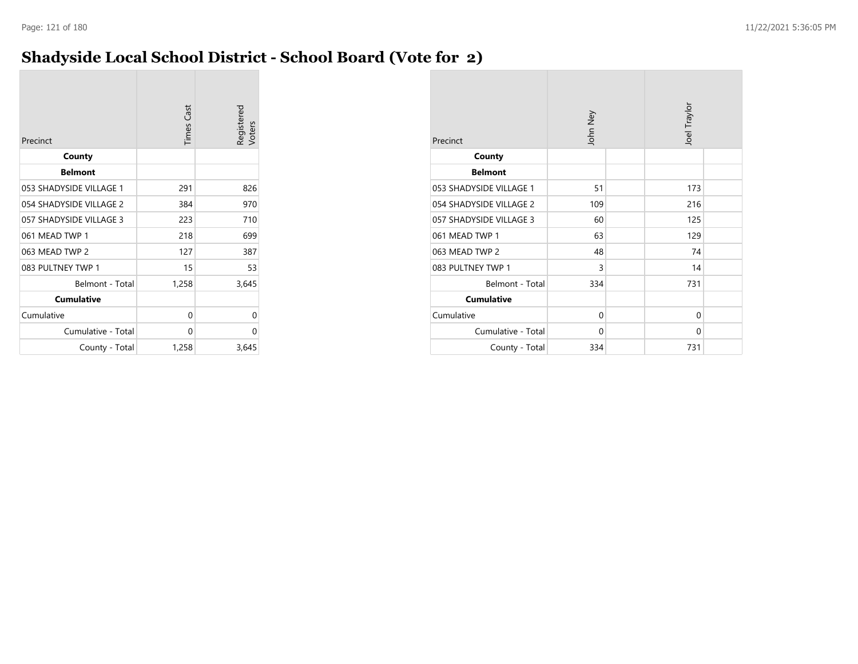### **Shadyside Local School District - School Board (Vote for 2)**

| Precinct                | <b>Times Cast</b> | Registered<br>/oters |
|-------------------------|-------------------|----------------------|
| County                  |                   |                      |
| <b>Belmont</b>          |                   |                      |
| 053 SHADYSIDE VILLAGE 1 | 291               | 826                  |
| 054 SHADYSIDE VILLAGE 2 | 384               | 970                  |
| 057 SHADYSIDE VILLAGE 3 | 223               | 710                  |
| 061 MEAD TWP 1          | 218               | 699                  |
| 063 MEAD TWP 2          | 127               | 387                  |
| 083 PULTNEY TWP 1       | 15                | 53                   |
| Belmont - Total         | 1,258             | 3,645                |
| <b>Cumulative</b>       |                   |                      |
| Cumulative              | 0                 | 0                    |
| Cumulative - Total      | 0                 | $\Omega$             |
| County - Total          | 1,258             | 3,645                |

| Precinct                | John Ney | Joel Traylor |  |
|-------------------------|----------|--------------|--|
| County                  |          |              |  |
| <b>Belmont</b>          |          |              |  |
| 053 SHADYSIDE VILLAGE 1 | 51       | 173          |  |
| 054 SHADYSIDE VILLAGE 2 | 109      | 216          |  |
| 057 SHADYSIDE VILLAGE 3 | 60       | 125          |  |
| 061 MEAD TWP 1          | 63       | 129          |  |
| 063 MEAD TWP 2          | 48       | 74           |  |
| 083 PULTNEY TWP 1       | 3        | 14           |  |
| Belmont - Total         | 334      | 731          |  |
| <b>Cumulative</b>       |          |              |  |
| Cumulative              | 0        | $\Omega$     |  |
| Cumulative - Total      | $\Omega$ | $\Omega$     |  |
| County - Total          | 334      | 731          |  |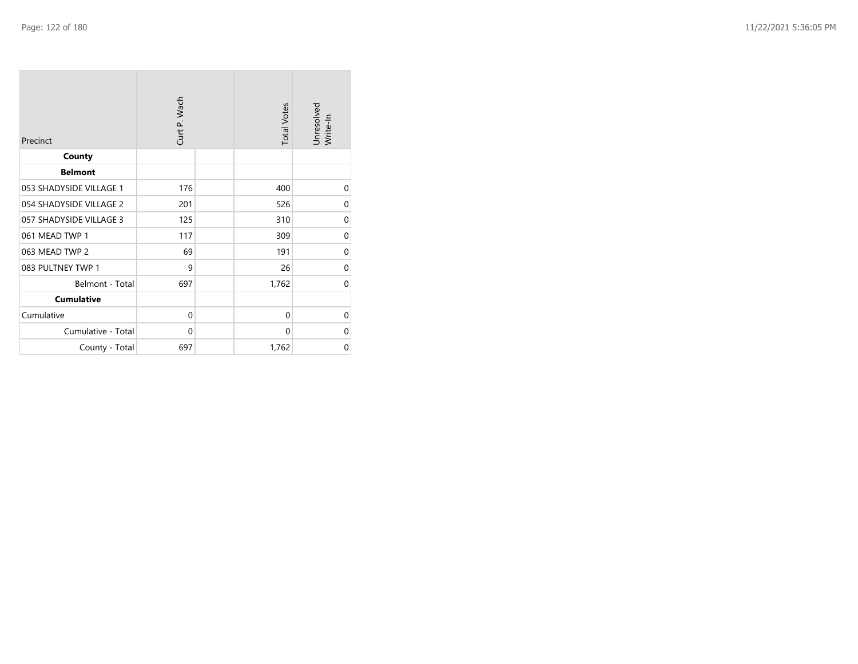| Precinct                | Curt P. Wach | <b>Total Votes</b> | Unresolved<br>Write-In |
|-------------------------|--------------|--------------------|------------------------|
| County                  |              |                    |                        |
| <b>Belmont</b>          |              |                    |                        |
| 053 SHADYSIDE VILLAGE 1 | 176          | 400                | 0                      |
| 054 SHADYSIDE VILLAGE 2 | 201          | 526                | 0                      |
| 057 SHADYSIDE VILLAGE 3 | 125          | 310                | 0                      |
| 061 MEAD TWP 1          | 117          | 309                | 0                      |
| 063 MEAD TWP 2          | 69           | 191                | $\mathbf 0$            |
| 083 PULTNEY TWP 1       | 9            | 26                 | 0                      |
| Belmont - Total         | 697          | 1,762              | 0                      |
| <b>Cumulative</b>       |              |                    |                        |
| Cumulative              | 0            | 0                  | 0                      |
| Cumulative - Total      | 0            | $\Omega$           | $\Omega$               |
| County - Total          | 697          | 1,762              | 0                      |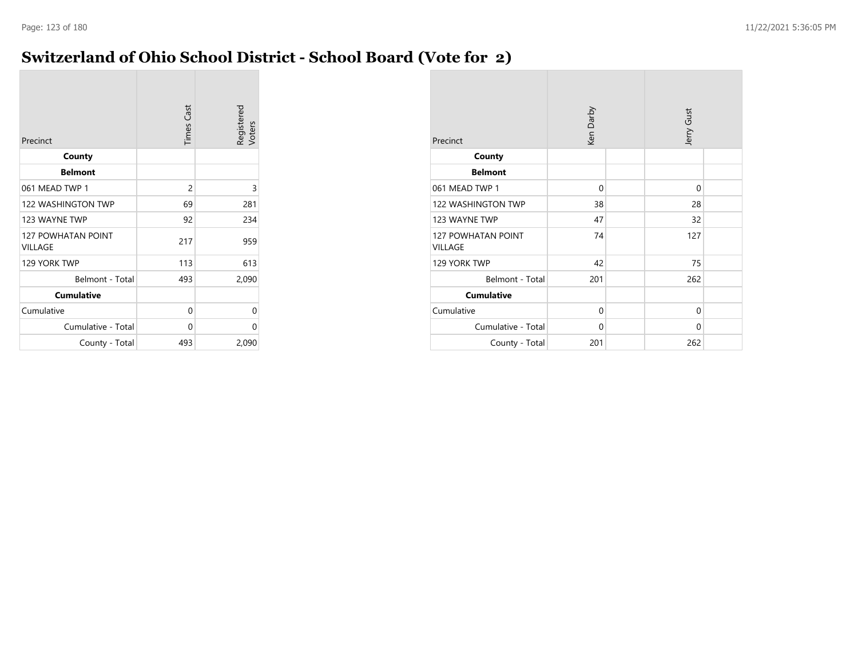### **Switzerland of Ohio School District - School Board (Vote for 2)**

| Precinct                             | <b>Times Cast</b> | Registered<br>Voters |
|--------------------------------------|-------------------|----------------------|
| County                               |                   |                      |
| <b>Belmont</b>                       |                   |                      |
| 061 MEAD TWP 1                       | 2                 | 3                    |
| <b>122 WASHINGTON TWP</b>            | 69                | 281                  |
| 123 WAYNE TWP                        | 92                | 234                  |
| <b>127 POWHATAN POINT</b><br>VILLAGE | 217               | 959                  |
| 129 YORK TWP                         | 113               | 613                  |
| Belmont - Total                      | 493               | 2,090                |
| <b>Cumulative</b>                    |                   |                      |
| Cumulative                           | 0                 | 0                    |
| Cumulative - Total                   | 0                 | 0                    |
| County - Total                       | 493               | 2,090                |

| Precinct                             | Ken Darby   |  | Jerry Gust |  |
|--------------------------------------|-------------|--|------------|--|
| County                               |             |  |            |  |
| <b>Belmont</b>                       |             |  |            |  |
| 061 MEAD TWP 1                       | $\Omega$    |  | $\Omega$   |  |
| 122 WASHINGTON TWP                   | 38          |  | 28         |  |
| 123 WAYNE TWP                        | 47          |  | 32         |  |
| <b>127 POWHATAN POINT</b><br>VILLAGE | 74          |  | 127        |  |
| 129 YORK TWP                         | 42          |  | 75         |  |
| Belmont - Total                      | 201         |  | 262        |  |
| <b>Cumulative</b>                    |             |  |            |  |
| Cumulative                           | $\Omega$    |  | 0          |  |
| Cumulative - Total                   | $\mathbf 0$ |  | 0          |  |
| County - Total                       | 201         |  | 262        |  |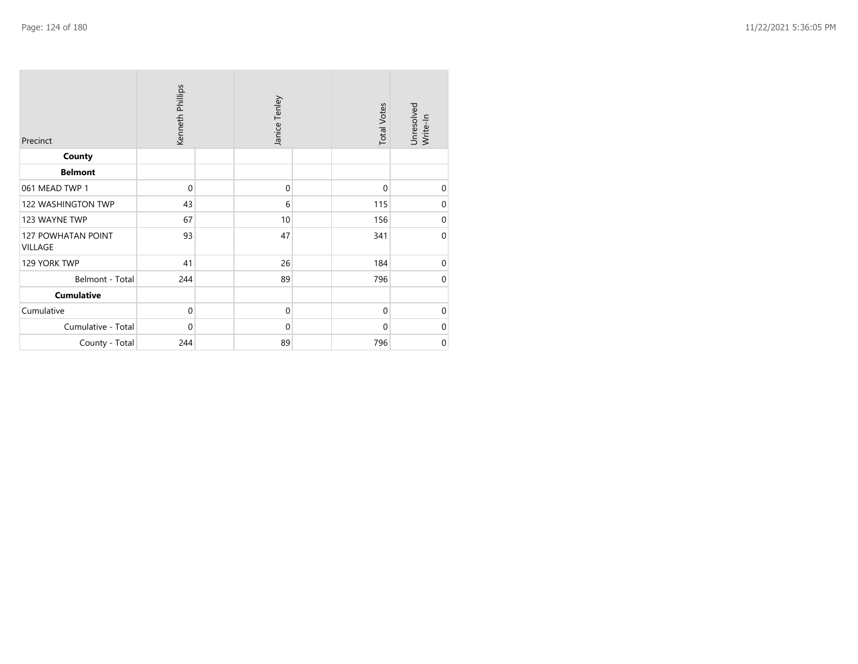| Precinct                             | Kenneth Phillips | Janice Tenley | <b>Total Votes</b> | Unresolved<br>Write-In |
|--------------------------------------|------------------|---------------|--------------------|------------------------|
| County                               |                  |               |                    |                        |
| <b>Belmont</b>                       |                  |               |                    |                        |
| 061 MEAD TWP 1                       | $\mathbf{0}$     | $\mathbf 0$   | $\mathbf 0$        | $\mathbf 0$            |
| 122 WASHINGTON TWP                   | 43               | 6             | 115                | $\mathbf 0$            |
| 123 WAYNE TWP                        | 67               | 10            | 156                | $\mathbf 0$            |
| <b>127 POWHATAN POINT</b><br>VILLAGE | 93               | 47            | 341                | $\mathbf 0$            |
| 129 YORK TWP                         | 41               | 26            | 184                | $\mathbf 0$            |
| Belmont - Total                      | 244              | 89            | 796                | $\mathbf 0$            |
| <b>Cumulative</b>                    |                  |               |                    |                        |
| Cumulative                           | $\mathbf 0$      | $\mathbf 0$   | $\mathbf{0}$       | $\mathbf 0$            |
| Cumulative - Total                   | $\mathbf{0}$     | $\mathbf 0$   | $\mathbf 0$        | $\boldsymbol{0}$       |
| County - Total                       | 244              | 89            | 796                | $\mathbf 0$            |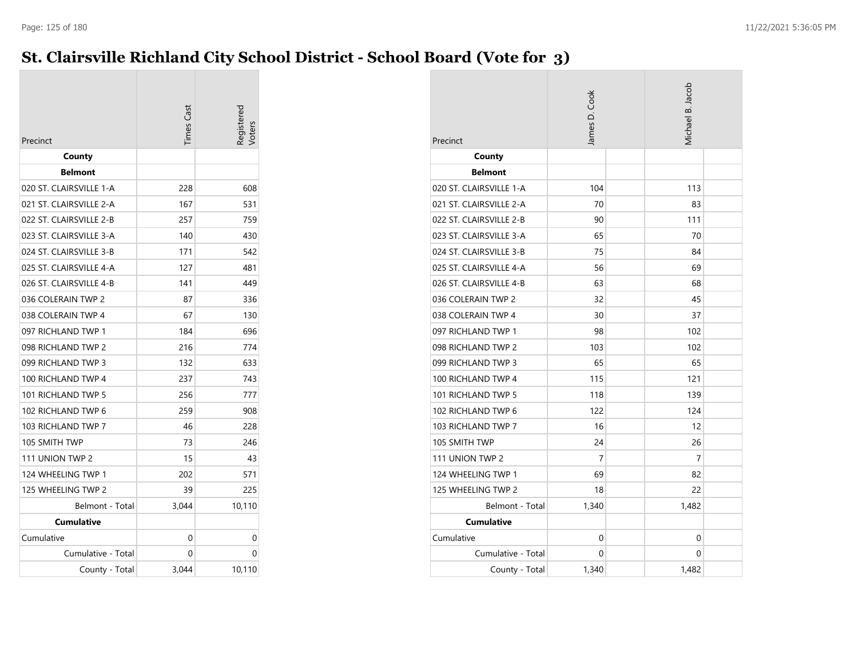### **St. Clairsville Richland City School District - School Board (Vote for 3)**

| Precinct                | <b>Times Cast</b> | Registered |
|-------------------------|-------------------|------------|
| County                  |                   |            |
| <b>Belmont</b>          |                   |            |
| 020 ST. CLAIRSVILLE 1-A | 228               | 608        |
| 021 ST. CLAIRSVILLE 2-A | 167               | 531        |
| 022 ST. CLAIRSVILLE 2-B | 257               | 759        |
| 023 ST. CLAIRSVILLE 3-A | 140               | 430        |
| 024 ST. CLAIRSVILLE 3-B | 171               | 542        |
| 025 ST. CLAIRSVILLE 4-A | 127               | 481        |
| 026 ST. CLAIRSVILLE 4-B | 141               | 449        |
| 036 COLERAIN TWP 2      | 87                | 336        |
| 038 COLERAIN TWP 4      | 67                | 130        |
| 097 RICHLAND TWP 1      | 184               | 696        |
| 098 RICHLAND TWP 2      | 216               | 774        |
| 099 RICHLAND TWP 3      | 132               | 633        |
| 100 RICHLAND TWP 4      | 237               | 743        |
| 101 RICHLAND TWP 5      | 256               | 777        |
| 102 RICHLAND TWP 6      | 259               | 908        |
| 103 RICHLAND TWP 7      | 46                | 228        |
| 105 SMITH TWP           | 73                | 246        |
| 111 UNION TWP 2         | 15                | 43         |
| 124 WHEELING TWP 1      | 202               | 571        |
| 125 WHEELING TWP 2      | 39                | 225        |
| Belmont - Total         | 3,044             | 10,110     |
| Cumulative              |                   |            |
| Cumulative              | 0                 | 0          |
| Cumulative - Total      | 0                 | 0          |
| County - Total          | 3,044             | 10,110     |

| Precinct                | James D. Cook | Michael B. Jacob |  |
|-------------------------|---------------|------------------|--|
| County                  |               |                  |  |
| <b>Belmont</b>          |               |                  |  |
| 020 ST. CLAIRSVILLE 1-A | 104           | 113              |  |
| 021 ST. CLAIRSVILLE 2-A | 70            | 83               |  |
| 022 ST. CLAIRSVILLE 2-B | 90            | 111              |  |
| 023 ST. CLAIRSVILLE 3-A | 65            | 70               |  |
| 024 ST. CLAIRSVILLE 3-B | 75            | 84               |  |
| 025 ST. CLAIRSVILLE 4-A | 56            | 69               |  |
| 026 ST. CLAIRSVILLE 4-B | 63            | 68               |  |
| 036 COLERAIN TWP 2      | 32            | 45               |  |
| 038 COLERAIN TWP 4      | 30            | 37               |  |
| 097 RICHLAND TWP 1      | 98            | 102              |  |
| 098 RICHLAND TWP 2      | 103           | 102              |  |
| 099 RICHLAND TWP 3      | 65            | 65               |  |
| 100 RICHLAND TWP 4      | 115           | 121              |  |
| 101 RICHLAND TWP 5      | 118           | 139              |  |
| 102 RICHLAND TWP 6      | 122           | 124              |  |
| 103 RICHLAND TWP 7      | 16            | 12               |  |
| 105 SMITH TWP           | 24            | 26               |  |
| 111 UNION TWP 2         | 7             | 7                |  |
| 124 WHEELING TWP 1      | 69            | 82               |  |
| 125 WHEELING TWP 2      | 18            | 22               |  |
| Belmont - Total         | 1,340         | 1,482            |  |
| <b>Cumulative</b>       |               |                  |  |
| Cumulative              | 0             | 0                |  |
| Cumulative - Total      | 0             | 0                |  |
| County - Total          | 1,340         | 1,482            |  |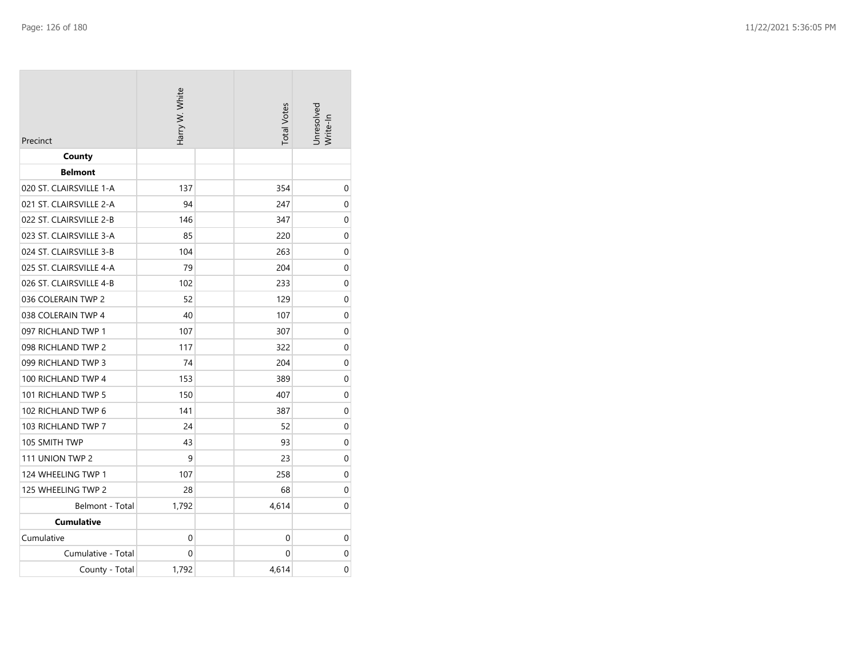| Precinct                | Harry W. White |  | <b>Total Votes</b> | Jnresolved<br>Write-In |
|-------------------------|----------------|--|--------------------|------------------------|
| County                  |                |  |                    |                        |
| <b>Belmont</b>          |                |  |                    |                        |
| 020 ST. CLAIRSVILLE 1-A | 137            |  | 354                | 0                      |
| 021 ST. CLAIRSVILLE 2-A | 94             |  | 247                | 0                      |
| 022 ST. CLAIRSVILLE 2-B | 146            |  | 347                | 0                      |
| 023 ST. CLAIRSVILLE 3-A | 85             |  | 220                | 0                      |
| 024 ST. CLAIRSVILLE 3-B | 104            |  | 263                | 0                      |
| 025 ST. CLAIRSVILLE 4-A | 79             |  | 204                | 0                      |
| 026 ST. CLAIRSVILLE 4-B | 102            |  | 233                | 0                      |
| 036 COLERAIN TWP 2      | 52             |  | 129                | 0                      |
| 038 COLERAIN TWP 4      | 40             |  | 107                | 0                      |
| 097 RICHLAND TWP 1      | 107            |  | 307                | 0                      |
| 098 RICHLAND TWP 2      | 117            |  | 322                | 0                      |
| 099 RICHLAND TWP 3      | 74             |  | 204                | 0                      |
| 100 RICHLAND TWP 4      | 153            |  | 389                | 0                      |
| 101 RICHLAND TWP 5      | 150            |  | 407                | 0                      |
| 102 RICHLAND TWP 6      | 141            |  | 387                | 0                      |
| 103 RICHLAND TWP 7      | 24             |  | 52                 | 0                      |
| 105 SMITH TWP           | 43             |  | 93                 | 0                      |
| 111 UNION TWP 2         | 9              |  | 23                 | 0                      |
| 124 WHEELING TWP 1      | 107            |  | 258                | 0                      |
| 125 WHEELING TWP 2      | 28             |  | 68                 | 0                      |
| Belmont - Total         | 1,792          |  | 4,614              | 0                      |
| <b>Cumulative</b>       |                |  |                    |                        |
| Cumulative              | 0              |  | 0                  | 0                      |
| Cumulative - Total      | 0              |  | 0                  | 0                      |
| County - Total          | 1,792          |  | 4,614              | 0                      |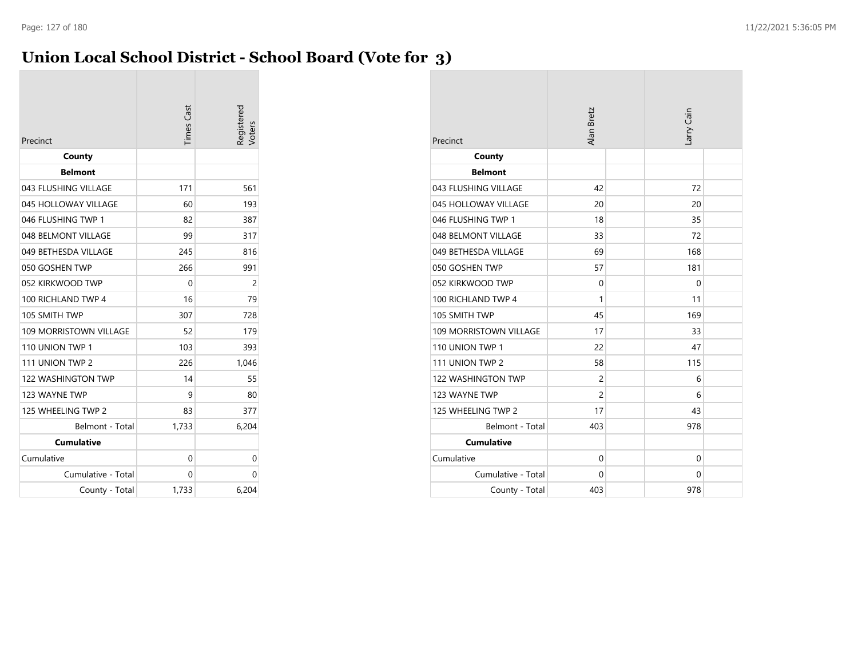### **Union Local School District - School Board (Vote for 3)**

| Precinct                      | <b>Times Cast</b> | Registered<br>/oters |
|-------------------------------|-------------------|----------------------|
| County                        |                   |                      |
| <b>Belmont</b>                |                   |                      |
| 043 FLUSHING VILLAGE          | 171               | 561                  |
| 045 HOLLOWAY VILLAGE          | 60                | 193                  |
| 046 FLUSHING TWP 1            | 82                | 387                  |
| 048 BELMONT VILLAGE           | 99                | 317                  |
| 049 BETHESDA VILLAGE          | 245               | 816                  |
| 050 GOSHEN TWP                | 266               | 991                  |
| 052 KIRKWOOD TWP              | 0                 | $\overline{c}$       |
| 100 RICHLAND TWP 4            | 16                | 79                   |
| 105 SMITH TWP                 | 307               | 728                  |
| <b>109 MORRISTOWN VILLAGE</b> | 52                | 179                  |
| 110 UNION TWP 1               | 103               | 393                  |
| 111 UNION TWP 2               | 226               | 1,046                |
| <b>122 WASHINGTON TWP</b>     | 14                | 55                   |
| 123 WAYNE TWP                 | 9                 | 80                   |
| 125 WHEELING TWP 2            | 83                | 377                  |
| Belmont - Total               | 1,733             | 6,204                |
| <b>Cumulative</b>             |                   |                      |
| Cumulative                    | 0                 | 0                    |
| Cumulative - Total            | 0                 | 0                    |
| County - Total                | 1,733             | 6,204                |

| Precinct                      | Alan Bretz     | Larry Cain |  |
|-------------------------------|----------------|------------|--|
| County                        |                |            |  |
| <b>Belmont</b>                |                |            |  |
| 043 FLUSHING VILLAGE          | 42             | 72         |  |
| 045 HOLLOWAY VILLAGE          | 20             | 20         |  |
| 046 FLUSHING TWP 1            | 18             | 35         |  |
| 048 BELMONT VILLAGE           | 33             | 72         |  |
| 049 BETHESDA VILLAGE          | 69             | 168        |  |
| 050 GOSHEN TWP                | 57             | 181        |  |
| 052 KIRKWOOD TWP              | 0              | 0          |  |
| 100 RICHLAND TWP 4            | 1              | 11         |  |
| 105 SMITH TWP                 | 45             | 169        |  |
| <b>109 MORRISTOWN VILLAGE</b> | 17             | 33         |  |
| 110 UNION TWP 1               | 22             | 47         |  |
| 111 UNION TWP 2               | 58             | 115        |  |
| <b>122 WASHINGTON TWP</b>     | $\overline{2}$ | 6          |  |
| 123 WAYNE TWP                 | $\overline{2}$ | 6          |  |
| 125 WHEELING TWP 2            | 17             | 43         |  |
| Belmont - Total               | 403            | 978        |  |
| <b>Cumulative</b>             |                |            |  |
| Cumulative                    | $\mathbf 0$    | 0          |  |
| Cumulative - Total            | 0              | 0          |  |
| County - Total                | 403            | 978        |  |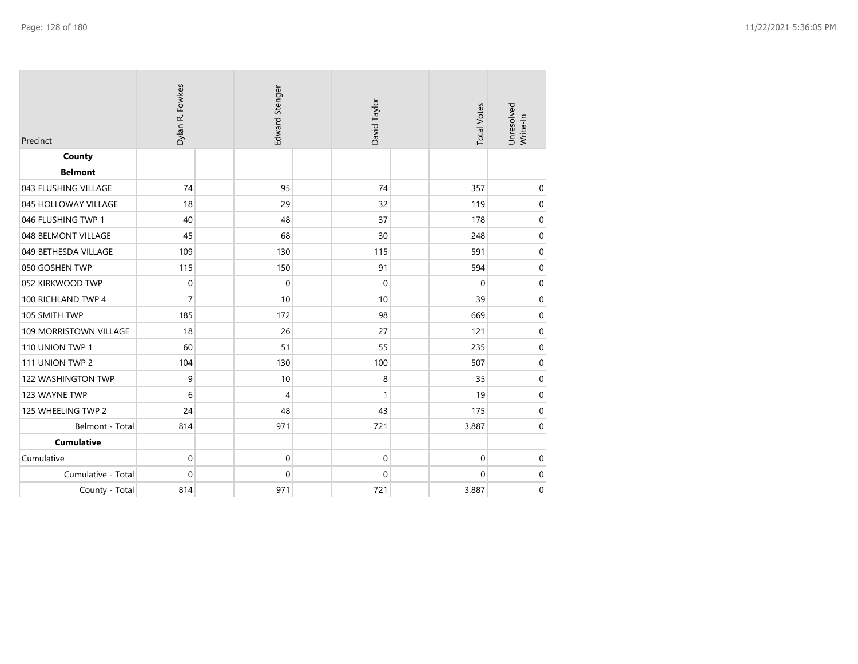| Precinct               | Dylan R. Fowkes  | Edward Stenger | David Taylor | <b>Total Votes</b> | Unresolved<br>Write-In |
|------------------------|------------------|----------------|--------------|--------------------|------------------------|
| County                 |                  |                |              |                    |                        |
| <b>Belmont</b>         |                  |                |              |                    |                        |
| 043 FLUSHING VILLAGE   | 74               | 95             | 74           | 357                | $\mathbf 0$            |
| 045 HOLLOWAY VILLAGE   | 18               | 29             | 32           | 119                | $\pmb{0}$              |
| 046 FLUSHING TWP 1     | 40               | 48             | 37           | 178                | $\boldsymbol{0}$       |
| 048 BELMONT VILLAGE    | 45               | 68             | 30           | 248                | $\mathbf 0$            |
| 049 BETHESDA VILLAGE   | 109              | 130            | 115          | 591                | $\mbox{O}$             |
| 050 GOSHEN TWP         | 115              | 150            | 91           | 594                | $\mathbf 0$            |
| 052 KIRKWOOD TWP       | $\boldsymbol{0}$ | $\mathbf 0$    | $\mathbf 0$  | $\mathbf 0$        | $\pmb{0}$              |
| 100 RICHLAND TWP 4     | $\overline{7}$   | 10             | 10           | 39                 | $\mathbf 0$            |
| 105 SMITH TWP          | 185              | 172            | 98           | 669                | $\pmb{0}$              |
| 109 MORRISTOWN VILLAGE | 18               | 26             | 27           | 121                | $\mbox{O}$             |
| 110 UNION TWP 1        | 60               | 51             | 55           | 235                | $\mathbf 0$            |
| 111 UNION TWP 2        | 104              | 130            | 100          | 507                | $\mbox{O}$             |
| 122 WASHINGTON TWP     | 9                | 10             | 8            | 35                 | $\mathbf 0$            |
| 123 WAYNE TWP          | 6                | 4              | 1            | 19                 | $\pmb{0}$              |
| 125 WHEELING TWP 2     | 24               | 48             | 43           | 175                | $\boldsymbol{0}$       |
| Belmont - Total        | 814              | 971            | 721          | 3,887              | $\mathbf 0$            |
| <b>Cumulative</b>      |                  |                |              |                    |                        |
| Cumulative             | 0                | 0              | $\mathbf 0$  | $\boldsymbol{0}$   | $\mathbf 0$            |
| Cumulative - Total     | 0                | 0              | $\mathbf 0$  | 0                  | $\boldsymbol{0}$       |
| County - Total         | 814              | 971            | 721          | 3,887              | $\mathbf 0$            |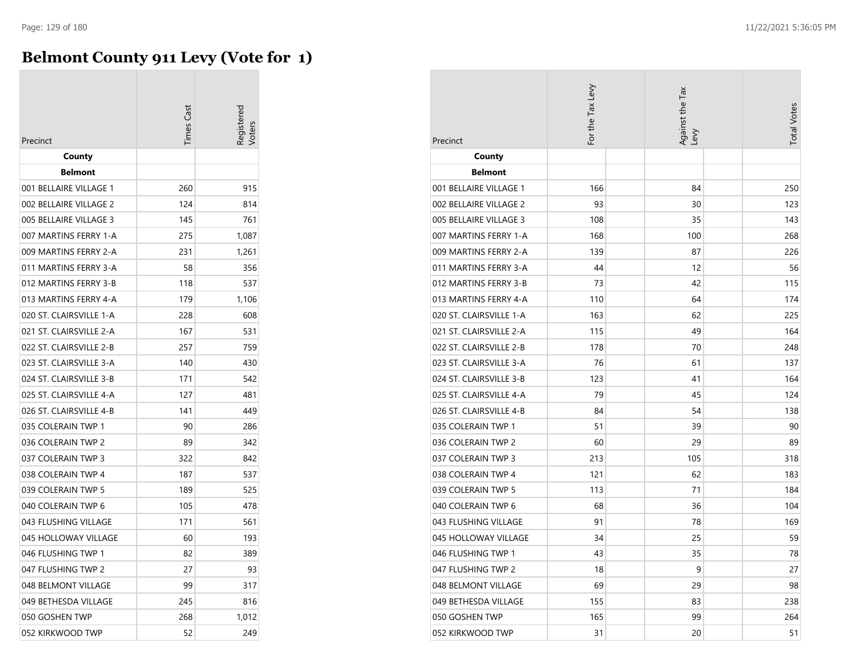### **Belmont County 911 Levy (Vote for 1)**

|                         | imes Cast |       |
|-------------------------|-----------|-------|
| Precinct                |           |       |
| County                  |           |       |
| <b>Belmont</b>          |           |       |
| 001 BELLAIRE VILLAGE 1  | 260       | 915   |
| 002 BELLAIRE VILLAGE 2  | 124       | 814   |
| 005 BELLAIRE VILLAGE 3  | 145       | 761   |
| 007 MARTINS FERRY 1-A   | 275       | 1,087 |
| 009 MARTINS FERRY 2-A   | 231       | 1,261 |
| 011 MARTINS FERRY 3-A   | 58        | 356   |
| 012 MARTINS FERRY 3-B   | 118       | 537   |
| 013 MARTINS FERRY 4-A   | 179       | 1,106 |
| 020 ST. CLAIRSVILLE 1-A | 228       | 608   |
| 021 ST. CLAIRSVILLE 2-A | 167       | 531   |
| 022 ST. CLAIRSVILLE 2-B | 257       | 759   |
| 023 ST. CLAIRSVILLE 3-A | 140       | 430   |
| 024 ST. CLAIRSVILLE 3-B | 171       | 542   |
| 025 ST. CLAIRSVILLE 4-A | 127       | 481   |
| 026 ST. CLAIRSVILLE 4-B | 141       | 449   |
| 035 COLERAIN TWP 1      | 90        | 286   |
| 036 COLERAIN TWP 2      | 89        | 342   |
| 037 COLERAIN TWP 3      | 322       | 842   |
| 038 COLERAIN TWP 4      | 187       | 537   |
| 039 COLERAIN TWP 5      | 189       | 525   |
| 040 COLERAIN TWP 6      | 105       | 478   |
| 043 FLUSHING VILLAGE    | 171       | 561   |
| 045 HOLLOWAY VILLAGE    | 60        | 193   |
| 046 FLUSHING TWP 1      | 82        | 389   |
| 047 FLUSHING TWP 2      | 27        | 93    |
| 048 BELMONT VILLAGE     | 99        | 317   |
| 049 BETHESDA VILLAGE    | 245       | 816   |
| 050 GOSHEN TWP          | 268       | 1,012 |
| 052 KIRKWOOD TWP        | 52        | 249   |

| Precinct                | For the Tax Levy | Against the Tax<br>Levy | <b>Total Votes</b> |
|-------------------------|------------------|-------------------------|--------------------|
| County                  |                  |                         |                    |
| <b>Belmont</b>          |                  |                         |                    |
| 001 BELLAIRE VILLAGE 1  | 166              | 84                      | 250                |
| 002 BELLAIRE VILLAGE 2  | 93               | 30                      | 123                |
| 005 BELLAIRE VILLAGE 3  | 108              | 35                      | 143                |
| 007 MARTINS FERRY 1-A   | 168              | 100                     | 268                |
| 009 MARTINS FERRY 2-A   | 139              | 87                      | 226                |
| 011 MARTINS FERRY 3-A   | 44               | 12                      | 56                 |
| 012 MARTINS FERRY 3-B   | 73               | 42                      | 115                |
| 013 MARTINS FERRY 4-A   | 110              | 64                      | 174                |
| 020 ST. CLAIRSVILLE 1-A | 163              | 62                      | 225                |
| 021 ST. CLAIRSVILLE 2-A | 115              | 49                      | 164                |
| 022 ST. CLAIRSVILLE 2-B | 178              | 70                      | 248                |
| 023 ST. CLAIRSVILLE 3-A | 76               | 61                      | 137                |
| 024 ST. CLAIRSVILLE 3-B | 123              | 41                      | 164                |
| 025 ST. CLAIRSVILLE 4-A | 79               | 45                      | 124                |
| 026 ST. CLAIRSVILLE 4-B | 84               | 54                      | 138                |
| 035 COLERAIN TWP 1      | 51               | 39                      | 90                 |
| 036 COLERAIN TWP 2      | 60               | 29                      | 89                 |
| 037 COLERAIN TWP 3      | 213              | 105                     | 318                |
| 038 COLERAIN TWP 4      | 121              | 62                      | 183                |
| 039 COLERAIN TWP 5      | 113              | 71                      | 184                |
| 040 COLERAIN TWP 6      | 68               | 36                      | 104                |
| 043 FLUSHING VILLAGE    | 91               | 78                      | 169                |
| 045 HOLLOWAY VILLAGE    | 34               | 25                      | 59                 |
| 046 FLUSHING TWP 1      | 43               | 35                      | 78                 |
| 047 FLUSHING TWP 2      | 18               | 9                       | 27                 |
| 048 BELMONT VILLAGE     | 69               | 29                      | 98                 |
| 049 BETHESDA VILLAGE    | 155              | 83                      | 238                |
| 050 GOSHEN TWP          | 165              | 99                      | 264                |
| 052 KIRKWOOD TWP        | 31               | 20                      | 51                 |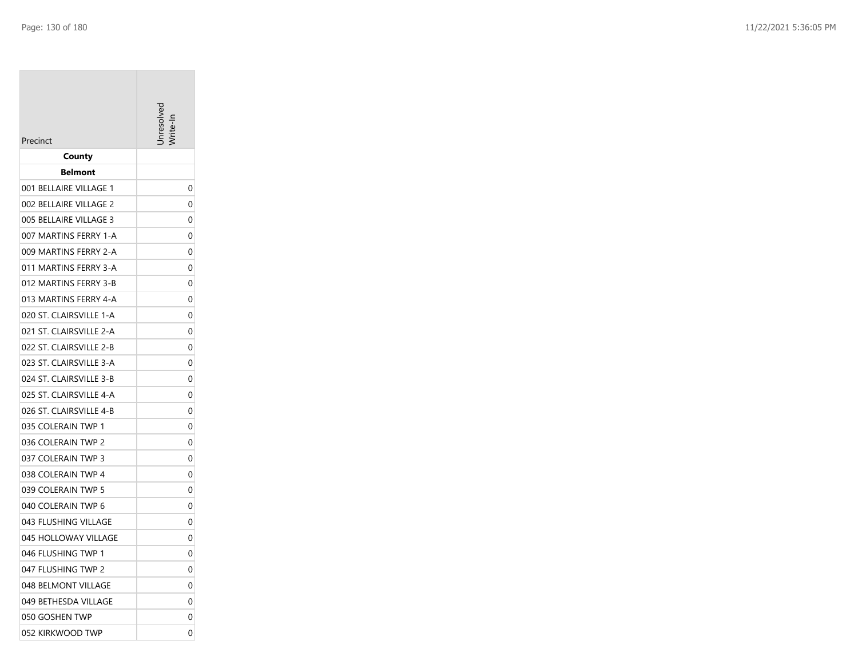| Precinct                                         |        |
|--------------------------------------------------|--------|
| County                                           |        |
| <b>Belmont</b>                                   |        |
| 001 BELLAIRE VILLAGE 1                           | 0      |
| 002 BELLAIRE VILLAGE 2<br>005 BELLAIRE VILLAGE 3 | 0<br>0 |
| 007 MARTINS FERRY 1-A                            | 0      |
| 009 MARTINS FERRY 2-A                            | 0      |
| 011 MARTINS FERRY 3-A                            | 0      |
| 012 MARTINS FERRY 3-B                            | 0      |
| 013 MARTINS FERRY 4-A                            | 0      |
| 020 ST. CLAIRSVILLE 1-A                          | 0      |
| 021 ST. CLAIRSVILLE 2-A                          | 0      |
| 022 ST. CLAIRSVILLE 2-B                          | 0      |
| 023 ST. CLAIRSVILLE 3-A                          | 0      |
| 024 ST. CLAIRSVILLE 3-B                          | 0      |
| 025 ST. CLAIRSVILLE 4-A                          | 0      |
| 026 ST. CLAIRSVILLE 4-B                          | 0      |
| 035 COLERAIN TWP 1                               | 0      |
| 036 COLERAIN TWP 2                               | 0      |
| 037 COLERAIN TWP 3                               | 0      |
| 038 COLERAIN TWP 4                               | 0      |
| 039 COLERAIN TWP 5                               | 0      |
| 040 COLERAIN TWP 6                               | 0      |
| 043 FLUSHING VILLAGE                             | 0      |
| 045 HOLLOWAY VILLAGE                             | 0      |
| 046 FLUSHING TWP 1                               | 0      |
| 047 FLUSHING TWP 2                               | 0      |
| 048 BELMONT VILLAGE                              | 0      |
| 049 BETHESDA VILLAGE                             | 0      |
| 050 GOSHEN TWP                                   | 0      |
| 052 KIRKWOOD TWP                                 | 0      |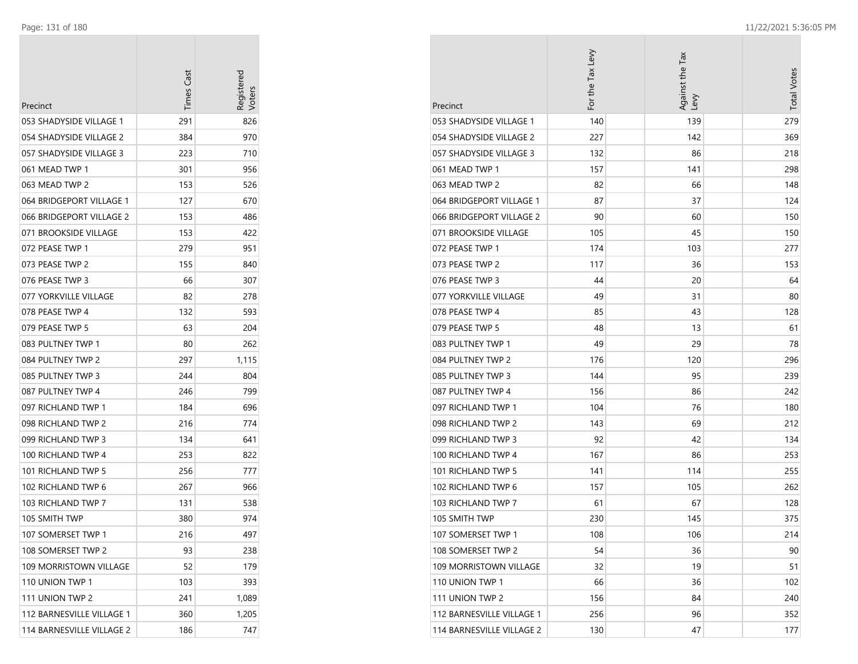| Precinct                  | <b>Times Cast</b> | Registered |
|---------------------------|-------------------|------------|
| 053 SHADYSIDE VILLAGE 1   | 291               | 826        |
| 054 SHADYSIDE VILLAGE 2   | 384               | 970        |
| 057 SHADYSIDE VILLAGE 3   | 223               | 710        |
| 061 MEAD TWP 1            | 301               | 956        |
| 063 MEAD TWP 2            | 153               | 526        |
| 064 BRIDGEPORT VILLAGE 1  | 127               | 670        |
| 066 BRIDGEPORT VILLAGE 2  | 153               | 486        |
| 071 BROOKSIDE VILLAGE     | 153               | 422        |
| 072 PEASE TWP 1           | 279               | 951        |
| 073 PEASE TWP 2           | 155               | 840        |
| 076 PEASE TWP 3           | 66                | 307        |
| 077 YORKVILLE VILLAGE     | 82                | 278        |
| 078 PEASE TWP 4           | 132               | 593        |
| 079 PEASE TWP 5           | 63                | 204        |
| 083 PULTNEY TWP 1         | 80                | 262        |
| 084 PULTNEY TWP 2         | 297               | 1,115      |
| 085 PULTNEY TWP 3         | 244               | 804        |
| 087 PULTNEY TWP 4         | 246               | 799        |
| 097 RICHLAND TWP 1        | 184               | 696        |
| 098 RICHLAND TWP 2        | 216               | 774        |
| 099 RICHLAND TWP 3        | 134               | 641        |
| 100 RICHLAND TWP 4        | 253               | 822        |
| 101 RICHLAND TWP 5        | 256               | 777        |
| 102 RICHLAND TWP 6        | 267               | 966        |
| 103 RICHLAND TWP 7        | 131               | 538        |
| 105 SMITH TWP             | 380               | 974        |
| 107 SOMERSET TWP 1        | 216               | 497        |
| 108 SOMERSET TWP 2        | 93                | 238        |
| 109 MORRISTOWN VILLAGE    | 52                | 179        |
| 110 UNION TWP 1           | 103               | 393        |
| 111 UNION TWP 2           | 241               | 1,089      |
| 112 BARNESVILLE VILLAGE 1 | 360               | 1,205      |
| 114 BARNESVILLE VILLAGE 2 | 186               | 747        |

| Precinct                      | For the Tax Levy | Against the Tax<br>Levy | <b>Total Votes</b> |
|-------------------------------|------------------|-------------------------|--------------------|
| 053 SHADYSIDE VILLAGE 1       | 140              | 139                     | 279                |
| 054 SHADYSIDE VILLAGE 2       | 227              | 142                     | 369                |
| 057 SHADYSIDE VILLAGE 3       | 132              | 86                      | 218                |
| 061 MEAD TWP 1                | 157              | 141                     | 298                |
| 063 MEAD TWP 2                | 82               | 66                      | 148                |
| 064 BRIDGEPORT VILLAGE 1      | 87               | 37                      | 124                |
| 066 BRIDGEPORT VILLAGE 2      | 90               | 60                      | 150                |
| 071 BROOKSIDE VILLAGE         | 105              | 45                      | 150                |
| 072 PEASE TWP 1               | 174              | 103                     | 277                |
| 073 PEASE TWP 2               | 117              | 36                      | 153                |
| 076 PEASE TWP 3               | 44               | 20                      | 64                 |
| 077 YORKVILLE VILLAGE         | 49               | 31                      | 80                 |
| 078 PEASE TWP 4               | 85               | 43                      | 128                |
| 079 PEASE TWP 5               | 48               | 13                      | 61                 |
| 083 PULTNEY TWP 1             | 49               | 29                      | 78                 |
| 084 PULTNEY TWP 2             | 176              | 120                     | 296                |
| 085 PULTNEY TWP 3             | 144              | 95                      | 239                |
| 087 PULTNEY TWP 4             | 156              | 86                      | 242                |
| 097 RICHLAND TWP 1            | 104              | 76                      | 180                |
| 098 RICHLAND TWP 2            | 143              | 69                      | 212                |
| 099 RICHLAND TWP 3            | 92               | 42                      | 134                |
| 100 RICHLAND TWP 4            | 167              | 86                      | 253                |
| 101 RICHLAND TWP 5            | 141              | 114                     | 255                |
| 102 RICHLAND TWP 6            | 157              | 105                     | 262                |
| 103 RICHLAND TWP 7            | 61               | 67                      | 128                |
| 105 SMITH TWP                 | 230              | 145                     | 375                |
| 107 SOMERSET TWP 1            | 108              | 106                     | 214                |
| 108 SOMERSET TWP 2            | 54               | 36                      | 90                 |
| <b>109 MORRISTOWN VILLAGE</b> | 32               | 19                      | 51                 |
| 110 UNION TWP 1               | 66               | 36                      | 102                |
| 111 UNION TWP 2               | 156              | 84                      | 240                |
| 112 BARNESVILLE VILLAGE 1     | 256              | 96                      | 352                |
| 114 BARNESVILLE VILLAGE 2     | 130              | 47                      | 177                |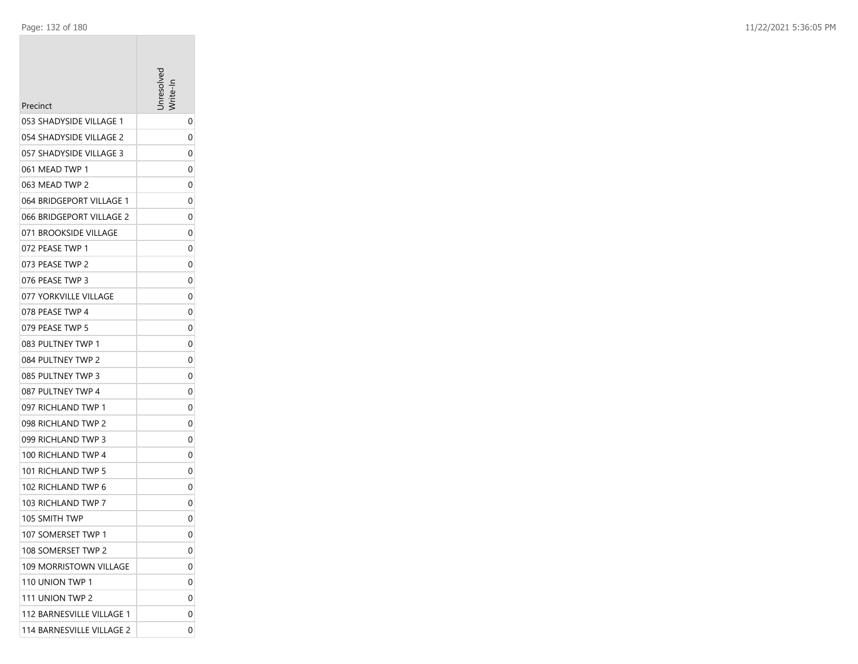| Precinct                  | <b>Tresolve</b> |
|---------------------------|-----------------|
| 053 SHADYSIDE VILLAGE 1   | 0               |
| 054 SHADYSIDE VILLAGE 2   | 0               |
| 057 SHADYSIDE VILLAGE 3   | 0               |
| 061 MEAD TWP 1            | 0               |
| 063 MEAD TWP 2            | 0               |
| 064 BRIDGEPORT VILLAGE 1  | 0               |
| 066 BRIDGEPORT VILLAGE 2  | 0               |
| 071 BROOKSIDE VILLAGE     | 0               |
| 072 PEASE TWP 1           | 0               |
| 073 PEASE TWP 2           | 0               |
| 076 PEASE TWP 3           | 0               |
| 077 YORKVILLE VILLAGE     | 0               |
| 078 PEASE TWP 4           | 0               |
| 079 PEASE TWP 5           | 0               |
| 083 PULTNEY TWP 1         | 0               |
| 084 PULTNEY TWP 2         | 0               |
| 085 PULTNEY TWP 3         | 0               |
| 087 PULTNEY TWP 4         | 0               |
| 097 RICHLAND TWP 1        | 0               |
| 098 RICHLAND TWP 2        | 0               |
| 099 RICHLAND TWP 3        | 0               |
| 100 RICHLAND TWP 4        | 0               |
| 101 RICHLAND TWP 5        | 0               |
| 102 RICHLAND TWP 6        | 0               |
| 103 RICHLAND TWP 7        | 0               |
| 105 SMITH TWP             | 0               |
| 107 SOMERSET TWP 1        | 0               |
| 108 SOMERSET TWP 2        | 0               |
| 109 MORRISTOWN VILLAGE    | 0               |
| 110 UNION TWP 1           | 0               |
| 111 UNION TWP 2           | 0               |
| 112 BARNESVILLE VILLAGE 1 | 0               |
| 114 BARNESVILLE VILLAGE 2 | 0               |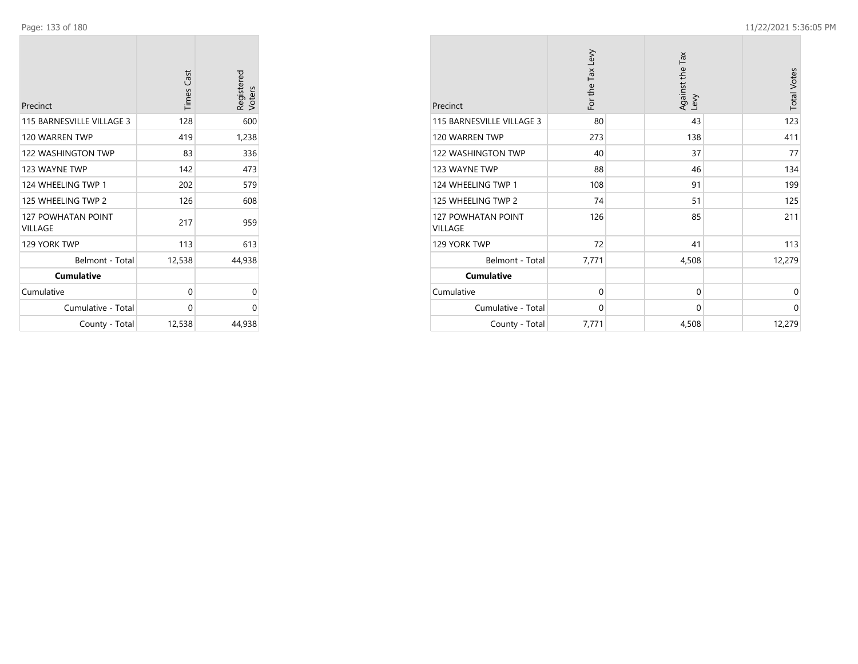| Precinct                                    | <b>Times Cast</b> | Registered<br>Voters |
|---------------------------------------------|-------------------|----------------------|
| 115 BARNESVILLE VILLAGE 3                   | 128               | 600                  |
| 120 WARREN TWP                              | 419               | 1,238                |
| 122 WASHINGTON TWP                          | 83                | 336                  |
| 123 WAYNE TWP                               | 142               | 473                  |
| 124 WHEELING TWP 1                          | 202               | 579                  |
| 125 WHEELING TWP 2                          | 126               | 608                  |
| <b>127 POWHATAN POINT</b><br><b>VILLAGE</b> | 217               | 959                  |
| 129 YORK TWP                                | 113               | 613                  |
| Belmont - Total                             | 12,538            | 44,938               |
| <b>Cumulative</b>                           |                   |                      |
| Cumulative                                  | 0                 | 0                    |
| Cumulative - Total                          | 0                 | 0                    |
| County - Total                              | 12,538            | 44,938               |

| Precinct                      | For the Tax Levy | Against the Tax<br>Levy | <b>Total Votes</b> |
|-------------------------------|------------------|-------------------------|--------------------|
| 115 BARNESVILLE VILLAGE 3     | 80               | 43                      | 123                |
| 120 WARREN TWP                | 273              | 138                     | 411                |
| 122 WASHINGTON TWP            | 40               | 37                      | 77                 |
| 123 WAYNE TWP                 | 88               | 46                      | 134                |
| 124 WHEELING TWP 1            | 108              | 91                      | 199                |
| 125 WHEELING TWP 2            | 74               | 51                      | 125                |
| 127 POWHATAN POINT<br>VILLAGE | 126              | 85                      | 211                |
| 129 YORK TWP                  | 72               | 41                      | 113                |
| Belmont - Total               | 7,771            | 4,508                   | 12,279             |
| <b>Cumulative</b>             |                  |                         |                    |
| Cumulative                    | $\mathbf 0$      | $\mathbf 0$             | 0                  |
| Cumulative - Total            | $\mathbf 0$      | $\Omega$                | 0                  |
| County - Total                | 7,771            | 4,508                   | 12,279             |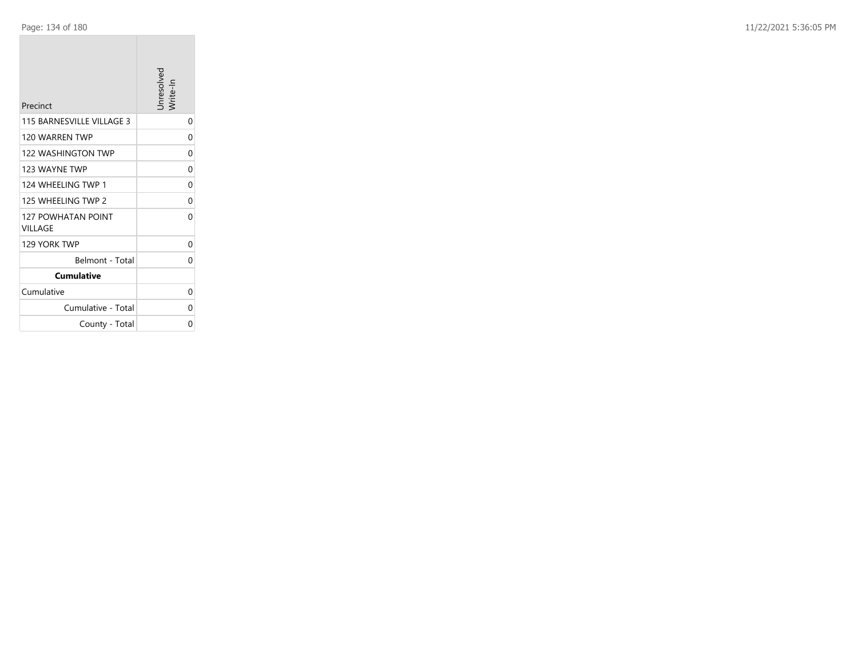| Precinct                             | Unresolved<br>Write-In |
|--------------------------------------|------------------------|
| 115 BARNESVILLE VILLAGE 3            | 0                      |
| 120 WARREN TWP                       | 0                      |
| <b>122 WASHINGTON TWP</b>            | 0                      |
| 123 WAYNE TWP                        | 0                      |
| 124 WHEELING TWP 1                   | 0                      |
| 125 WHEFI ING TWP 2                  | 0                      |
| <b>127 POWHATAN POINT</b><br>VILLAGE | 0                      |
| 129 YORK TWP                         | 0                      |
| Belmont - Total                      | 0                      |
| <b>Cumulative</b>                    |                        |
| Cumulative                           | 0                      |
| Cumulative - Total                   | 0                      |
| County - Total                       | 0                      |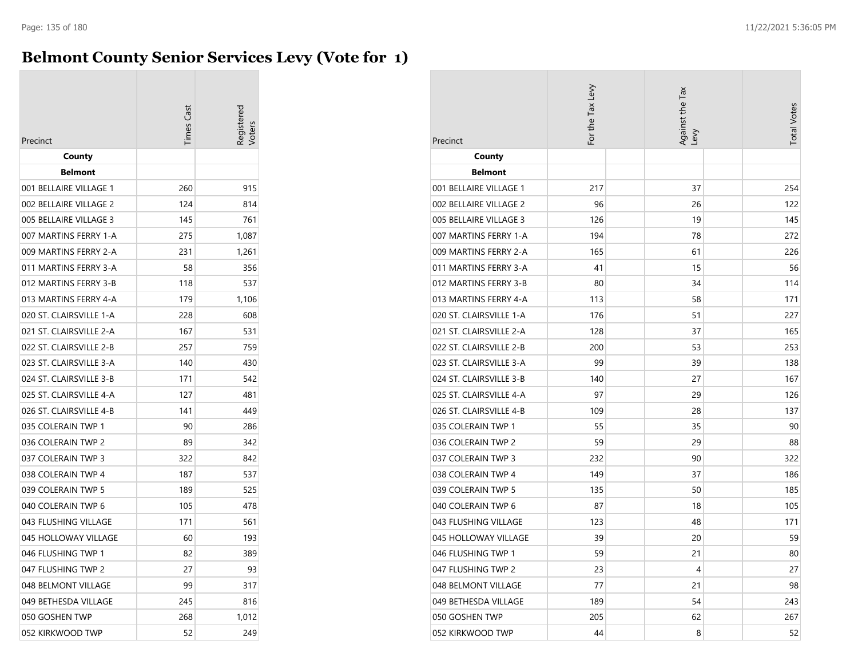### **Belmont County Senior Services Levy (Vote for 1)**

|                         | imes Cas | eqistered |
|-------------------------|----------|-----------|
| Precinct                |          |           |
| County                  |          |           |
| <b>Belmont</b>          |          |           |
| 001 BELLAIRE VILLAGE 1  | 260      | 915       |
| 002 BELLAIRE VILLAGE 2  | 124      | 814       |
| 005 BELLAIRE VILLAGE 3  | 145      | 761       |
| 007 MARTINS FERRY 1-A   | 275      | 1,087     |
| 009 MARTINS FERRY 2-A   | 231      | 1,261     |
| 011 MARTINS FERRY 3-A   | 58       | 356       |
| 012 MARTINS FERRY 3-B   | 118      | 537       |
| 013 MARTINS FERRY 4-A   | 179      | 1,106     |
| 020 ST. CLAIRSVILLE 1-A | 228      | 608       |
| 021 ST. CLAIRSVILLE 2-A | 167      | 531       |
| 022 ST. CLAIRSVILLE 2-B | 257      | 759       |
| 023 ST. CLAIRSVILLE 3-A | 140      | 430       |
| 024 ST. CLAIRSVILLE 3-B | 171      | 542       |
| 025 ST. CLAIRSVILLE 4-A | 127      | 481       |
| 026 ST. CLAIRSVILLE 4-B | 141      | 449       |
| 035 COLERAIN TWP 1      | 90       | 286       |
| 036 COLERAIN TWP 2      | 89       | 342       |
| 037 COLERAIN TWP 3      | 322      | 842       |
| 038 COLERAIN TWP 4      | 187      | 537       |
| 039 COLERAIN TWP 5      | 189      | 525       |
| 040 COLERAIN TWP 6      | 105      | 478       |
| 043 FLUSHING VILLAGE    | 171      | 561       |
| 045 HOLLOWAY VILLAGE    | 60       | 193       |
| 046 FLUSHING TWP 1      | 82       | 389       |
| 047 FLUSHING TWP 2      | 27       | 93        |
| 048 BELMONT VILLAGE     | 99       | 317       |
| 049 BETHESDA VILLAGE    | 245      | 816       |
| 050 GOSHEN TWP          | 268      | 1,012     |
| 052 KIRKWOOD TWP        | 52       | 249       |

| Precinct                | For the Tax Levy |  | Against the Tax<br>Levy |  | <b>Total Votes</b> |
|-------------------------|------------------|--|-------------------------|--|--------------------|
| County                  |                  |  |                         |  |                    |
| <b>Belmont</b>          |                  |  |                         |  |                    |
| 001 BELLAIRE VILLAGE 1  | 217              |  | 37                      |  | 254                |
| 002 BELLAIRE VILLAGE 2  | 96               |  | 26                      |  | 122                |
| 005 BELLAIRE VILLAGE 3  | 126              |  | 19                      |  | 145                |
| 007 MARTINS FERRY 1-A   | 194              |  | 78                      |  | 272                |
| 009 MARTINS FERRY 2-A   | 165              |  | 61                      |  | 226                |
| 011 MARTINS FERRY 3-A   | 41               |  | 15                      |  | 56                 |
| 012 MARTINS FERRY 3-B   | 80               |  | 34                      |  | 114                |
| 013 MARTINS FERRY 4-A   | 113              |  | 58                      |  | 171                |
| 020 ST. CLAIRSVILLE 1-A | 176              |  | 51                      |  | 227                |
| 021 ST. CLAIRSVILLE 2-A | 128              |  | 37                      |  | 165                |
| 022 ST. CLAIRSVILLE 2-B | 200              |  | 53                      |  | 253                |
| 023 ST. CLAIRSVILLE 3-A | 99               |  | 39                      |  | 138                |
| 024 ST. CLAIRSVILLE 3-B | 140              |  | 27                      |  | 167                |
| 025 ST. CLAIRSVILLE 4-A | 97               |  | 29                      |  | 126                |
| 026 ST. CLAIRSVILLE 4-B | 109              |  | 28                      |  | 137                |
| 035 COLERAIN TWP 1      | 55               |  | 35                      |  | 90                 |
| 036 COLERAIN TWP 2      | 59               |  | 29                      |  | 88                 |
| 037 COLERAIN TWP 3      | 232              |  | 90                      |  | 322                |
| 038 COLERAIN TWP 4      | 149              |  | 37                      |  | 186                |
| 039 COLERAIN TWP 5      | 135              |  | 50                      |  | 185                |
| 040 COLERAIN TWP 6      | 87               |  | 18                      |  | 105                |
| 043 FLUSHING VILLAGE    | 123              |  | 48                      |  | 171                |
| 045 HOLLOWAY VILLAGE    | 39               |  | 20                      |  | 59                 |
| 046 FLUSHING TWP 1      | 59               |  | 21                      |  | 80                 |
| 047 FLUSHING TWP 2      | 23               |  | 4                       |  | 27                 |
| 048 BELMONT VILLAGE     | 77               |  | 21                      |  | 98                 |
| 049 BETHESDA VILLAGE    | 189              |  | 54                      |  | 243                |
| 050 GOSHEN TWP          | 205              |  | 62                      |  | 267                |
| 052 KIRKWOOD TWP        | 44               |  | 8                       |  | 52                 |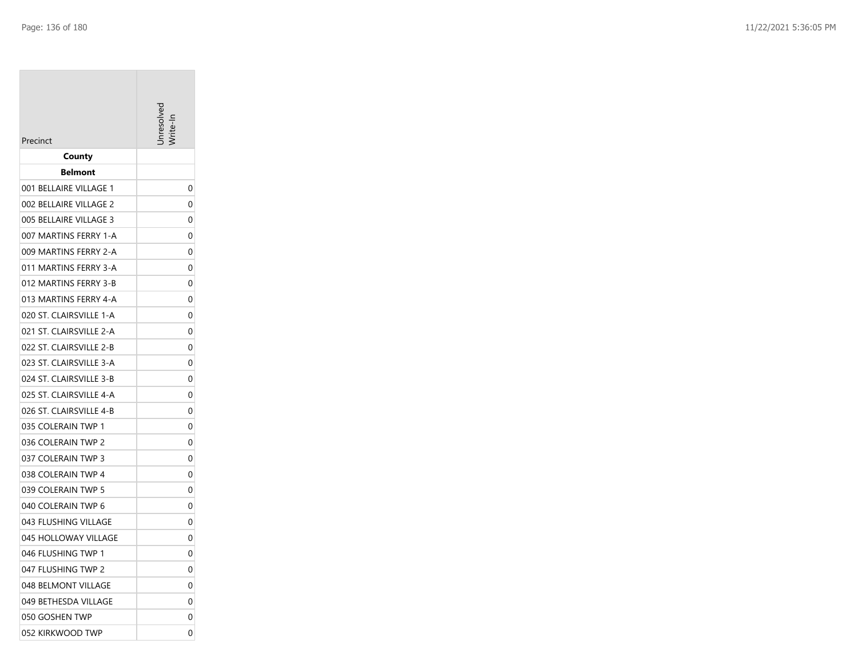|                         | hresol |
|-------------------------|--------|
| Precinct                |        |
| County                  |        |
| <b>Belmont</b>          |        |
| 001 BELLAIRE VILLAGE 1  | 0      |
| 002 BELLAIRE VILLAGE 2  | 0      |
| 005 BELLAIRE VILLAGE 3  | 0      |
| 007 MARTINS FERRY 1-A   | 0      |
| 009 MARTINS FERRY 2-A   | 0      |
| 011 MARTINS FERRY 3-A   | 0      |
| 012 MARTINS FERRY 3-B   | 0      |
| 013 MARTINS FERRY 4-A   | 0      |
| 020 ST. CLAIRSVILLE 1-A | 0      |
| 021 ST. CLAIRSVILLE 2-A | 0      |
| 022 ST. CLAIRSVILLE 2-B | 0      |
| 023 ST. CLAIRSVILLE 3-A | 0      |
| 024 ST. CLAIRSVILLE 3-B | 0      |
| 025 ST. CLAIRSVILLE 4-A | 0      |
| 026 ST. CLAIRSVILLE 4-B | 0      |
| 035 COLERAIN TWP 1      | 0      |
| 036 COLERAIN TWP 2      | 0      |
| 037 COLERAIN TWP 3      | 0      |
| 038 COLERAIN TWP 4      | 0      |
| 039 COLERAIN TWP 5      | 0      |
| 040 COLERAIN TWP 6      | 0      |
| 043 FLUSHING VILLAGE    | 0      |
| 045 HOLLOWAY VILLAGE    | 0      |
| 046 FLUSHING TWP 1      | 0      |
| 047 FLUSHING TWP 2      | 0      |
| 048 BELMONT VILLAGE     | 0      |
| 049 BETHESDA VILLAGE    | 0      |
| 050 GOSHEN TWP          | 0      |
| 052 KIRKWOOD TWP        | 0      |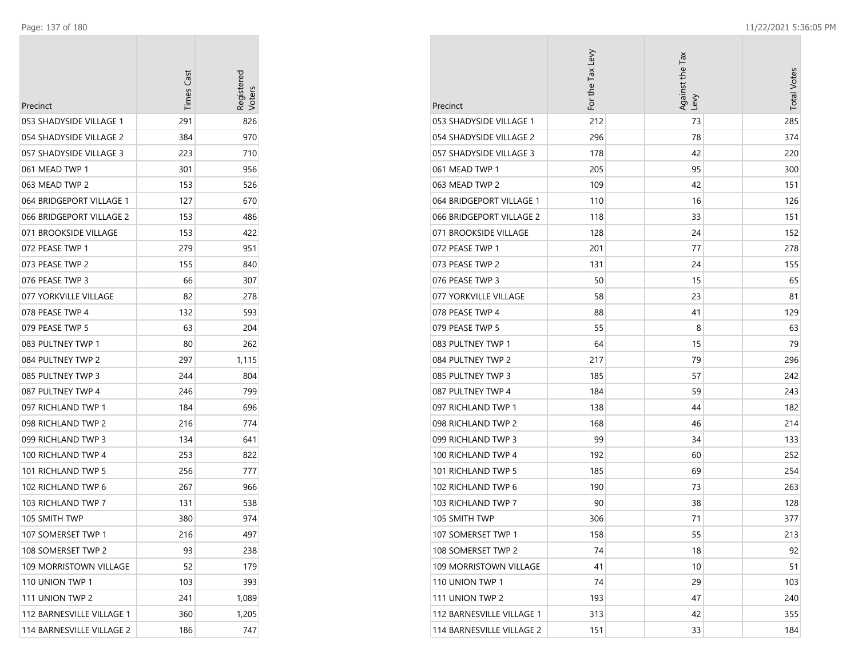| Precinct                  | <b>Times Cas</b> | Registered |
|---------------------------|------------------|------------|
| 053 SHADYSIDE VILLAGE 1   | 291              | 826        |
| 054 SHADYSIDE VILLAGE 2   | 384              | 970        |
| 057 SHADYSIDE VILLAGE 3   | 223              | 710        |
| 061 MEAD TWP 1            | 301              | 956        |
| 063 MEAD TWP 2            | 153              | 526        |
| 064 BRIDGEPORT VILLAGE 1  | 127              | 670        |
| 066 BRIDGEPORT VILLAGE 2  | 153              | 486        |
| 071 BROOKSIDE VILLAGE     | 153              | 422        |
| 072 PEASE TWP 1           | 279              | 951        |
| 073 PEASE TWP 2           | 155              | 840        |
| 076 PEASE TWP 3           | 66               | 307        |
| 077 YORKVILLE VILLAGE     | 82               | 278        |
| 078 PEASE TWP 4           | 132              | 593        |
| 079 PEASE TWP 5           | 63               | 204        |
| 083 PULTNEY TWP 1         | 80               | 262        |
| 084 PULTNEY TWP 2         | 297              | 1,115      |
| 085 PULTNEY TWP 3         | 244              | 804        |
| 087 PULTNEY TWP 4         | 246              | 799        |
| 097 RICHLAND TWP 1        | 184              | 696        |
| 098 RICHLAND TWP 2        | 216              | 774        |
| 099 RICHLAND TWP 3        | 134              | 641        |
| 100 RICHLAND TWP 4        | 253              | 822        |
| 101 RICHLAND TWP 5        | 256              | 777        |
| 102 RICHLAND TWP 6        | 267              | 966        |
| 103 RICHLAND TWP 7        | 131              | 538        |
| 105 SMITH TWP             | 380              | 974        |
| 107 SOMERSET TWP 1        | 216              | 497        |
| 108 SOMERSET TWP 2        | 93               | 238        |
| 109 MORRISTOWN VILLAGE    | 52               | 179        |
| 110 UNION TWP 1           | 103              | 393        |
| 111 UNION TWP 2           | 241              | 1,089      |
| 112 BARNESVILLE VILLAGE 1 | 360              | 1,205      |
| 114 BARNESVILLE VILLAGE 2 | 186              | 747        |

| Precinct                      | For the Tax Levy | Against the Tax<br>Lev | <b>Total Votes</b> |
|-------------------------------|------------------|------------------------|--------------------|
| 053 SHADYSIDE VILLAGE 1       | 212              | 73                     | 285                |
| 054 SHADYSIDE VILLAGE 2       | 296              | 78                     | 374                |
| 057 SHADYSIDE VILLAGE 3       | 178              | 42                     | 220                |
| 061 MEAD TWP 1                | 205              | 95                     | 300                |
| 063 MEAD TWP 2                | 109              | 42                     | 151                |
| 064 BRIDGEPORT VILLAGE 1      | 110              | 16                     | 126                |
| 066 BRIDGEPORT VILLAGE 2      | 118              | 33                     | 151                |
| 071 BROOKSIDE VILLAGE         | 128              | 24                     | 152                |
| 072 PEASE TWP 1               | 201              | 77                     | 278                |
| 073 PEASE TWP 2               | 131              | 24                     | 155                |
| 076 PEASE TWP 3               | 50               | 15                     | 65                 |
| 077 YORKVILLE VILLAGE         | 58               | 23                     | 81                 |
| 078 PEASE TWP 4               | 88               | 41                     | 129                |
| 079 PEASE TWP 5               | 55               | 8                      | 63                 |
| 083 PULTNEY TWP 1             | 64               | 15                     | 79                 |
| 084 PULTNEY TWP 2             | 217              | 79                     | 296                |
| 085 PULTNEY TWP 3             | 185              | 57                     | 242                |
| 087 PULTNEY TWP 4             | 184              | 59                     | 243                |
| 097 RICHLAND TWP 1            | 138              | 44                     | 182                |
| 098 RICHLAND TWP 2            | 168              | 46                     | 214                |
| 099 RICHLAND TWP 3            | 99               | 34                     | 133                |
| 100 RICHLAND TWP 4            | 192              | 60                     | 252                |
| 101 RICHLAND TWP 5            | 185              | 69                     | 254                |
| 102 RICHLAND TWP 6            | 190              | 73                     | 263                |
| 103 RICHLAND TWP 7            | 90               | 38                     | 128                |
| 105 SMITH TWP                 | 306              | 71                     | 377                |
| 107 SOMERSET TWP 1            | 158              | 55                     | 213                |
| 108 SOMERSET TWP 2            | 74               | 18                     | 92                 |
| <b>109 MORRISTOWN VILLAGE</b> | 41               | 10                     | 51                 |
| 110 UNION TWP 1               | 74               | 29                     | 103                |
| 111 UNION TWP 2               | 193              | 47                     | 240                |
| 112 BARNESVILLE VILLAGE 1     | 313              | 42                     | 355                |
| 114 BARNESVILLE VILLAGE 2     | 151              | 33                     | 184                |

 $\sim$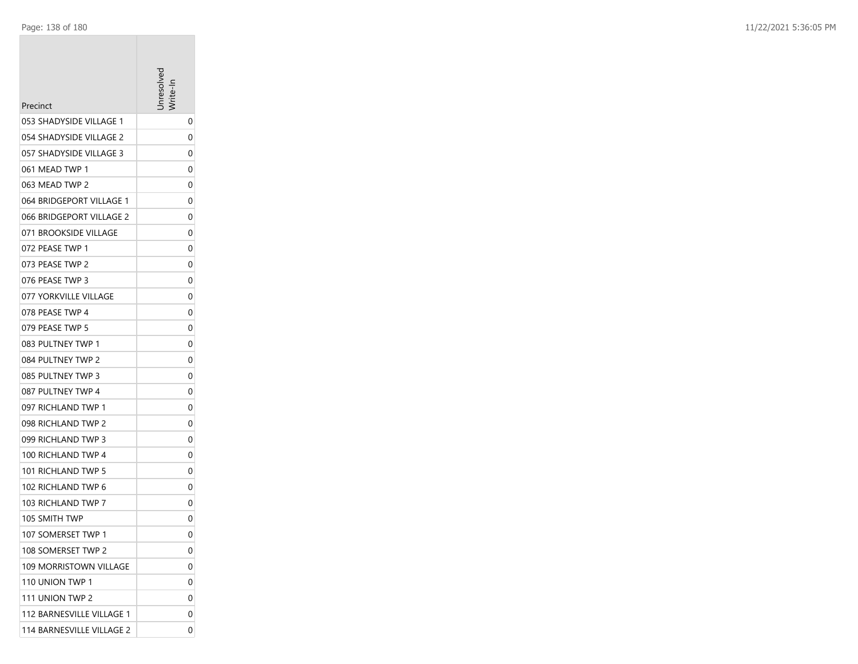| Precinct                  | <b>Tresolve</b> |
|---------------------------|-----------------|
| 053 SHADYSIDE VILLAGE 1   | 0               |
| 054 SHADYSIDE VILLAGE 2   | 0               |
| 057 SHADYSIDE VILLAGE 3   | 0               |
| 061 MEAD TWP 1            | 0               |
| 063 MEAD TWP 2            | 0               |
| 064 BRIDGEPORT VILLAGE 1  | 0               |
| 066 BRIDGEPORT VILLAGE 2  | 0               |
| 071 BROOKSIDE VILLAGE     | 0               |
| 072 PEASE TWP 1           | 0               |
| 073 PEASE TWP 2           | 0               |
| 076 PEASE TWP 3           | 0               |
| 077 YORKVILLE VILLAGE     | 0               |
| 078 PEASE TWP 4           | 0               |
| 079 PEASE TWP 5           | 0               |
| 083 PULTNEY TWP 1         | 0               |
| 084 PULTNEY TWP 2         | 0               |
| 085 PULTNEY TWP 3         | 0               |
| 087 PULTNEY TWP 4         | 0               |
| 097 RICHLAND TWP 1        | 0               |
| 098 RICHLAND TWP 2        | 0               |
| 099 RICHLAND TWP 3        | 0               |
| 100 RICHLAND TWP 4        | 0               |
| 101 RICHLAND TWP 5        | 0               |
| 102 RICHLAND TWP 6        | 0               |
| 103 RICHLAND TWP 7        | 0               |
| 105 SMITH TWP             | 0               |
| 107 SOMERSET TWP 1        | 0               |
| 108 SOMERSET TWP 2        | 0               |
| 109 MORRISTOWN VILLAGE    | 0               |
| 110 UNION TWP 1           | 0               |
| 111 UNION TWP 2           | 0               |
| 112 BARNESVILLE VILLAGE 1 | 0               |
| 114 BARNESVILLE VILLAGE 2 | 0               |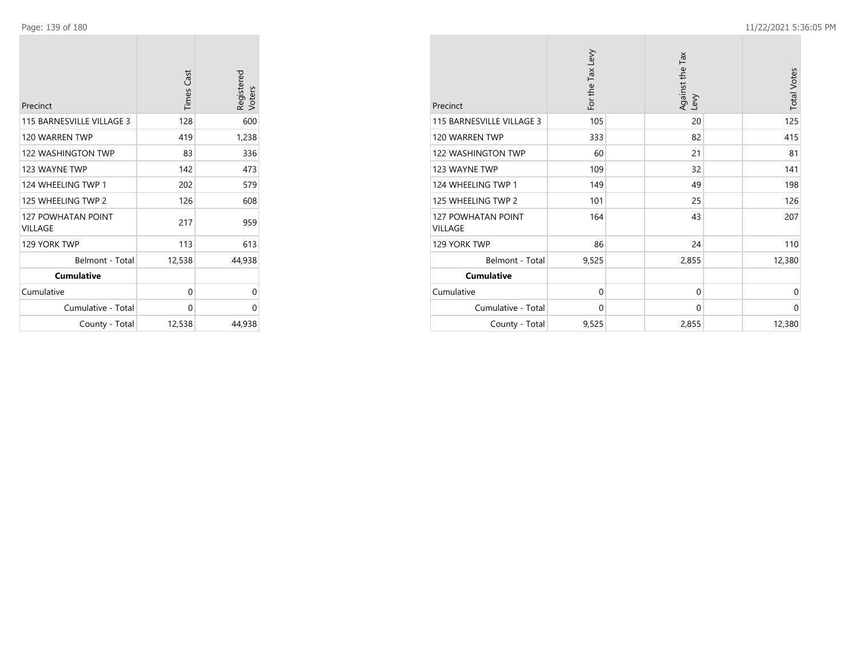| Precinct                                    | <b>Times Cast</b> | Registered<br>Voters |
|---------------------------------------------|-------------------|----------------------|
| 115 BARNESVILLE VILLAGE 3                   | 128               | 600                  |
| 120 WARREN TWP                              | 419               | 1,238                |
| 122 WASHINGTON TWP                          | 83                | 336                  |
| 123 WAYNE TWP                               | 142               | 473                  |
| 124 WHEELING TWP 1                          | 202               | 579                  |
| 125 WHEELING TWP 2                          | 126               | 608                  |
| <b>127 POWHATAN POINT</b><br><b>VILLAGE</b> | 217               | 959                  |
| 129 YORK TWP                                | 113               | 613                  |
| Belmont - Total                             | 12,538            | 44,938               |
| <b>Cumulative</b>                           |                   |                      |
| Cumulative                                  | 0                 | 0                    |
| Cumulative - Total                          | 0                 | 0                    |
| County - Total                              | 12,538            | 44,938               |

| Precinct                      | For the Tax Levy | Against the Tax<br>Levy | <b>Total Votes</b> |
|-------------------------------|------------------|-------------------------|--------------------|
| 115 BARNESVILLE VILLAGE 3     | 105              | 20                      | 125                |
| 120 WARREN TWP                | 333              | 82                      | 415                |
| 122 WASHINGTON TWP            | 60               | 21                      | 81                 |
| 123 WAYNE TWP                 | 109              | 32                      | 141                |
| 124 WHEELING TWP 1            | 149              | 49                      | 198                |
| 125 WHEELING TWP 2            | 101              | 25                      | 126                |
| 127 POWHATAN POINT<br>VILLAGE | 164              | 43                      | 207                |
| 129 YORK TWP                  | 86               | 24                      | 110                |
| Belmont - Total               | 9,525            | 2,855                   | 12,380             |
| <b>Cumulative</b>             |                  |                         |                    |
| Cumulative                    | 0                | $\Omega$                | 0                  |
| Cumulative - Total            | 0                | 0                       | 0                  |
| County - Total                | 9,525            | 2,855                   | 12,380             |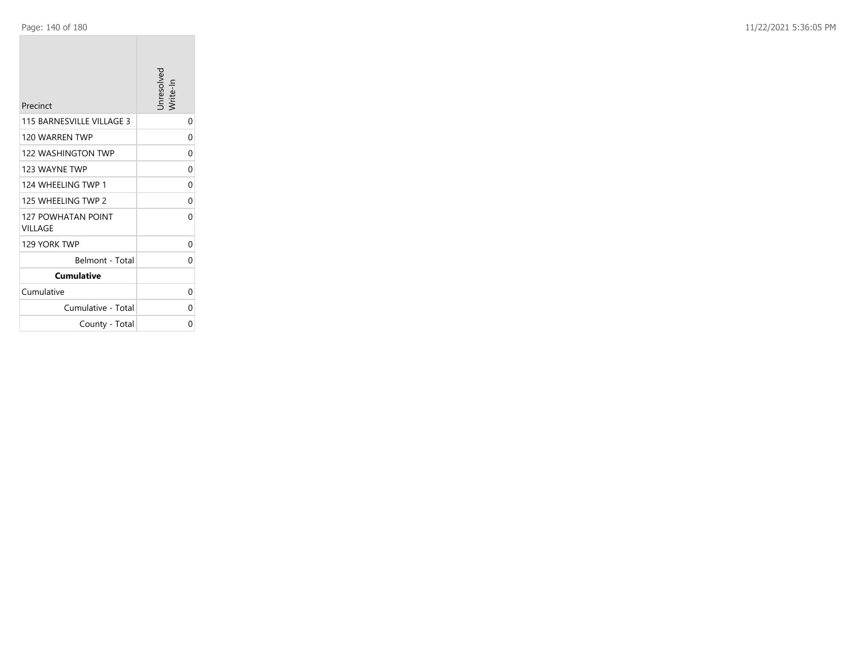| Precinct                             | Unresolved<br>Write-In |
|--------------------------------------|------------------------|
| 115 BARNESVILLE VILLAGE 3            | 0                      |
| 120 WARREN TWP                       | 0                      |
| <b>122 WASHINGTON TWP</b>            | 0                      |
| 123 WAYNE TWP                        | 0                      |
| 124 WHEELING TWP 1                   | 0                      |
| 125 WHEELING TWP 2                   | 0                      |
| <b>127 POWHATAN POINT</b><br>VILLAGE | 0                      |
| 129 YORK TWP                         | 0                      |
| Belmont - Total                      | 0                      |
| <b>Cumulative</b>                    |                        |
| Cumulative                           | 0                      |
| Cumulative - Total                   | 0                      |
| County - Total                       | 0                      |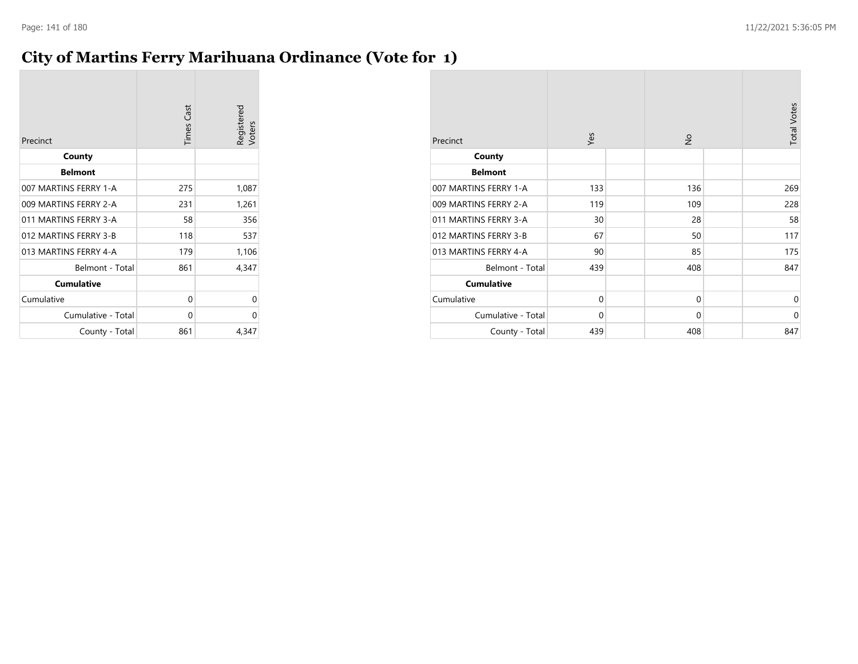### **City of Martins Ferry Marihuana Ordinance (Vote for 1)**

| Precinct              | <b>Times Cast</b> | Registered<br>Voters |
|-----------------------|-------------------|----------------------|
| County                |                   |                      |
| <b>Belmont</b>        |                   |                      |
| 007 MARTINS FERRY 1-A | 275               | 1,087                |
| 009 MARTINS FERRY 2-A | 231               | 1,261                |
| 011 MARTINS FERRY 3-A | 58                | 356                  |
| 012 MARTINS FERRY 3-B | 118               | 537                  |
| 013 MARTINS FERRY 4-A | 179               | 1,106                |
| Belmont - Total       | 861               | 4,347                |
| <b>Cumulative</b>     |                   |                      |
| Cumulative            | 0                 | 0                    |
| Cumulative - Total    | 0                 | 0                    |
| County - Total        | 861               | 4,347                |

| Precinct              | Yes         | $\frac{1}{2}$ | <b>Total Votes</b> |
|-----------------------|-------------|---------------|--------------------|
| County                |             |               |                    |
| <b>Belmont</b>        |             |               |                    |
| 007 MARTINS FERRY 1-A | 133         | 136           | 269                |
| 009 MARTINS FERRY 2-A | 119         | 109           | 228                |
| 011 MARTINS FERRY 3-A | 30          | 28            | 58                 |
| 012 MARTINS FERRY 3-B | 67          | 50            | 117                |
| 013 MARTINS FERRY 4-A | 90          | 85            | 175                |
| Belmont - Total       | 439         | 408           | 847                |
| <b>Cumulative</b>     |             |               |                    |
| Cumulative            | $\mathbf 0$ | $\mathbf 0$   | 0                  |
| Cumulative - Total    | $\mathbf 0$ | $\mathbf 0$   | $\mathbf 0$        |
| County - Total        | 439         | 408           | 847                |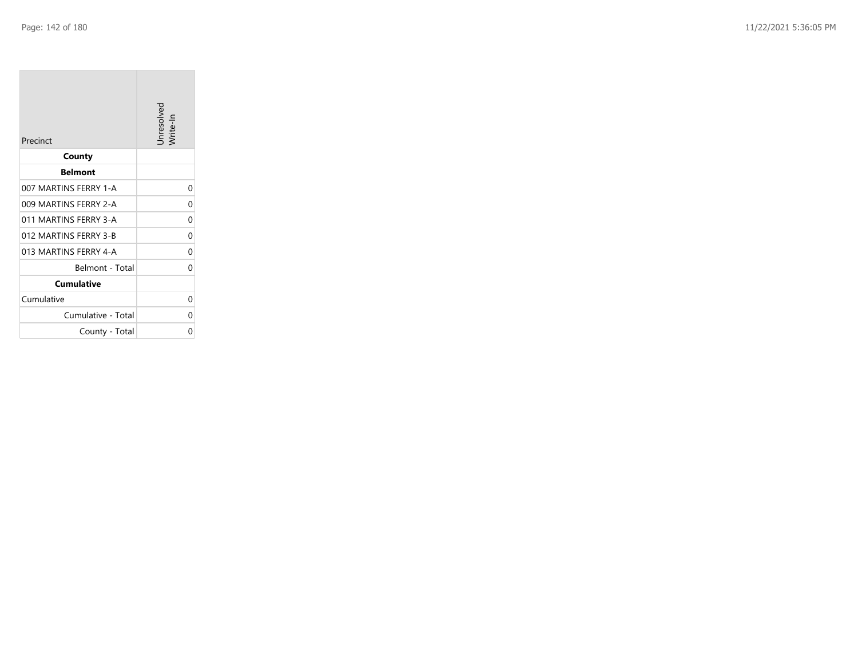**Tara** 

| Precinct              | Unresolved<br>Write-In |
|-----------------------|------------------------|
| County                |                        |
| <b>Belmont</b>        |                        |
| 007 MARTINS FERRY 1-A | 0                      |
| 009 MARTINS FERRY 2-A | 0                      |
| 011 MARTINS FERRY 3-A | 0                      |
| 012 MARTINS FERRY 3-B | 0                      |
| 013 MARTINS FERRY 4-A | 0                      |
| Belmont - Total       | 0                      |
| <b>Cumulative</b>     |                        |
| Cumulative            | 0                      |
| Cumulative - Total    | 0                      |
| County - Total        | 0                      |

the control of the control of the control of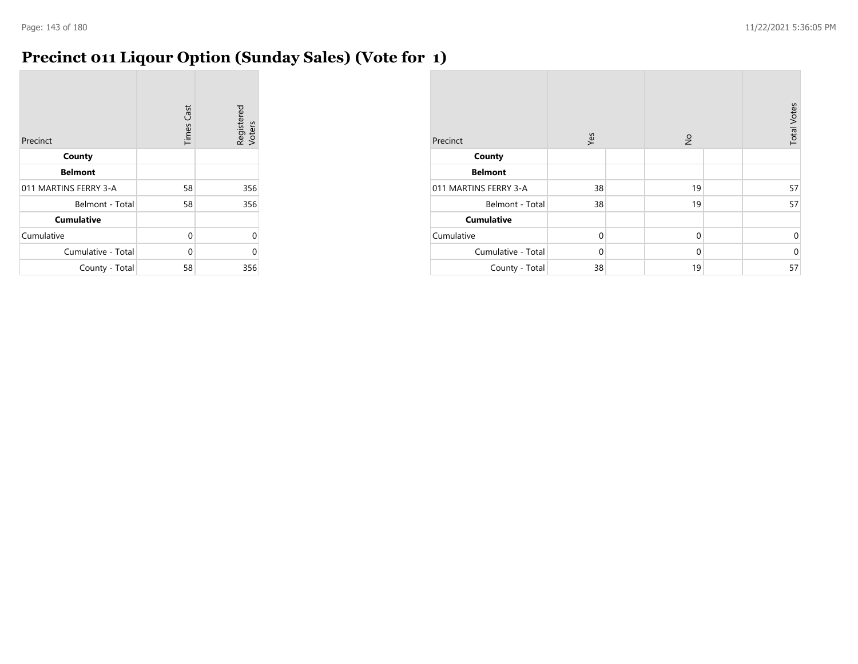### **Precinct 011 Liqour Option (Sunday Sales) (Vote for 1)**

| Precinct              | <b>Times Cast</b> | Registered<br>Voters |
|-----------------------|-------------------|----------------------|
| County                |                   |                      |
| <b>Belmont</b>        |                   |                      |
| 011 MARTINS FERRY 3-A | 58                | 356                  |
| Belmont - Total       | 58                | 356                  |
| <b>Cumulative</b>     |                   |                      |
| Cumulative            | $\Omega$          | 0                    |
| Cumulative - Total    | 0                 | U                    |
| County - Total        | 58                | 356                  |

| Precinct              | Yes         | $\frac{\circ}{\sim}$ | <b>Total Votes</b> |
|-----------------------|-------------|----------------------|--------------------|
| County                |             |                      |                    |
| <b>Belmont</b>        |             |                      |                    |
| 011 MARTINS FERRY 3-A | 38          | 19                   | 57                 |
| Belmont - Total       | 38          | 19                   | 57                 |
| <b>Cumulative</b>     |             |                      |                    |
| Cumulative            | $\mathbf 0$ | $\mathbf 0$          | 0                  |
| Cumulative - Total    | $\Omega$    | $\mathbf 0$          | $\mathbf 0$        |
| County - Total        | 38          | 19                   | 57                 |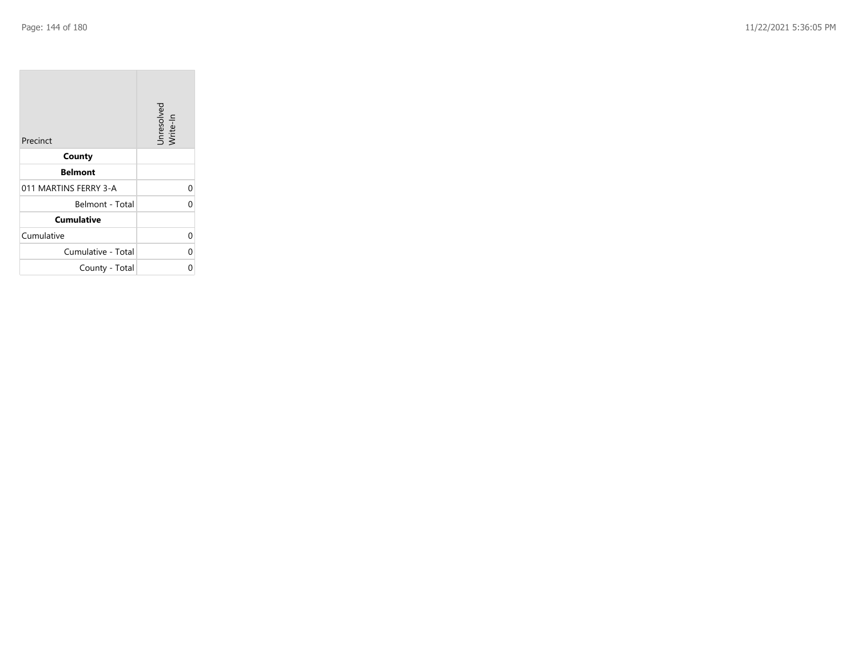| Precinct              | Unresolved<br>Write-In |
|-----------------------|------------------------|
| County                |                        |
| <b>Belmont</b>        |                        |
| 011 MARTINS FERRY 3-A | 0                      |
| Belmont - Total       |                        |
| <b>Cumulative</b>     |                        |
| Cumulative            |                        |
| Cumulative - Total    | 0                      |
| County - Total        |                        |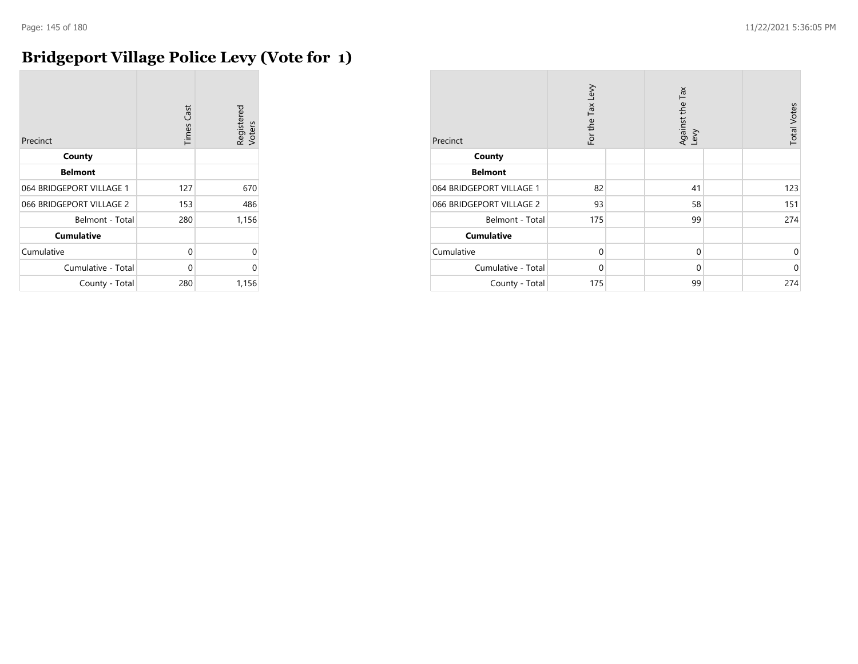# **Bridgeport Village Police Levy (Vote for 1)**

| Precinct                 | <b>Times Cast</b> | Registered<br>Voters |
|--------------------------|-------------------|----------------------|
| County                   |                   |                      |
| <b>Belmont</b>           |                   |                      |
| 064 BRIDGEPORT VILLAGE 1 | 127               | 670                  |
| 066 BRIDGEPORT VILLAGE 2 | 153               | 486                  |
| Belmont - Total          | 280               | 1,156                |
| <b>Cumulative</b>        |                   |                      |
| Cumulative               | 0                 | 0                    |
| Cumulative - Total       | 0                 | $\Omega$             |
| County - Total           | 280               | 1,156                |

| Precinct                 | For the Tax Levy | Against the Tax<br>Levy | <b>Total Votes</b> |
|--------------------------|------------------|-------------------------|--------------------|
| County                   |                  |                         |                    |
| <b>Belmont</b>           |                  |                         |                    |
| 064 BRIDGEPORT VILLAGE 1 | 82               | 41                      | 123                |
| 066 BRIDGEPORT VILLAGE 2 | 93               | 58                      | 151                |
| Belmont - Total          | 175              | 99                      | 274                |
| <b>Cumulative</b>        |                  |                         |                    |
| Cumulative               | $\Omega$         | $\mathbf 0$             | 0                  |
| Cumulative - Total       | $\Omega$         | $\mathbf 0$             | $\mathbf 0$        |
| County - Total           | 175              | 99                      | 274                |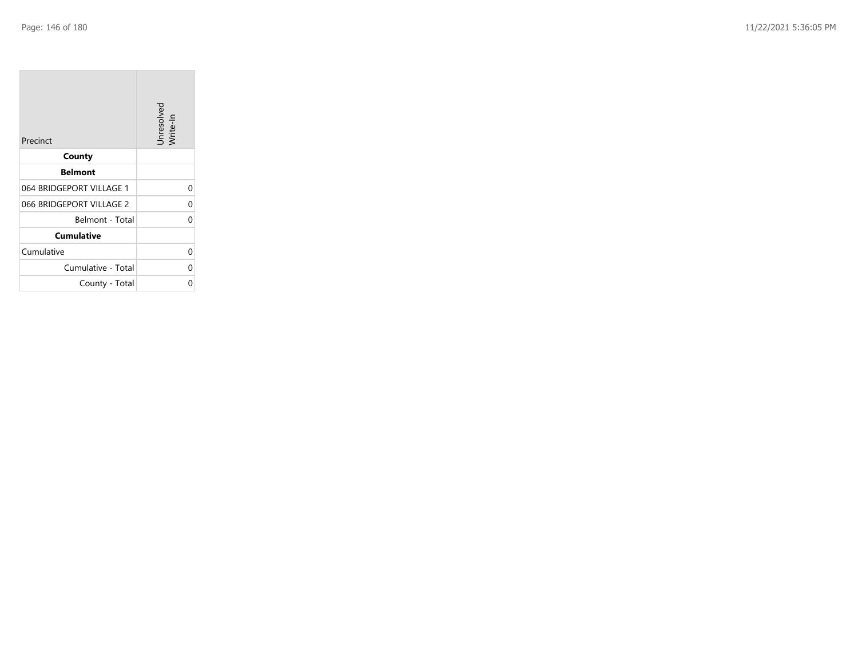$\sim$ 

| Precinct                 | Unresolved<br>Write-In |
|--------------------------|------------------------|
| County                   |                        |
| <b>Belmont</b>           |                        |
| 064 BRIDGEPORT VILLAGE 1 | U                      |
| 066 BRIDGEPORT VILLAGE 2 | 0                      |
| Belmont - Total          |                        |
| <b>Cumulative</b>        |                        |
| Cumulative               | U                      |
| Cumulative - Total       | U                      |
| County - Total           |                        |

and the control

 $\overline{\phantom{a}}$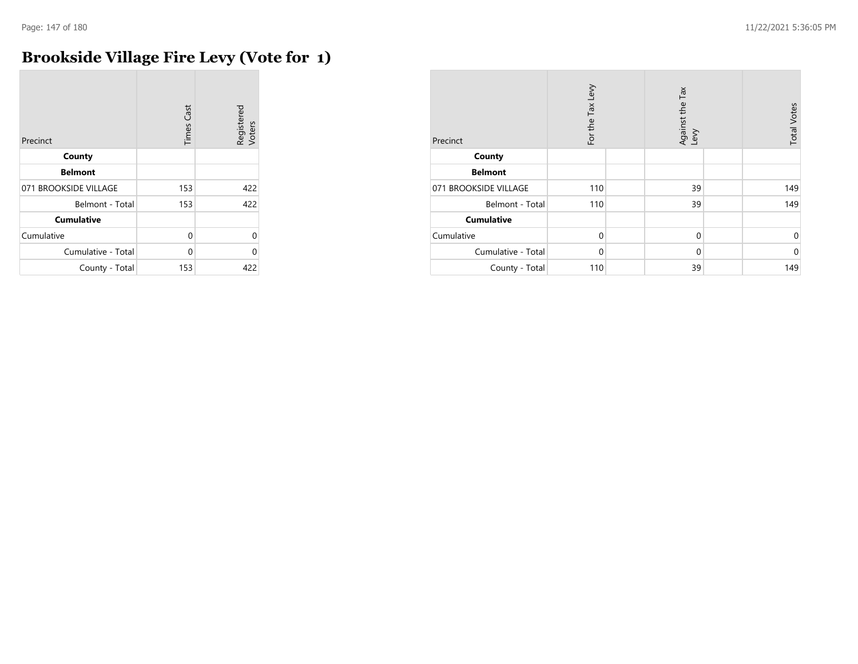$\sim$ 

# **Brookside Village Fire Levy (Vote for 1)**

| Precinct              | <b>Times Cast</b> | Registered<br>Voters |
|-----------------------|-------------------|----------------------|
| County                |                   |                      |
| <b>Belmont</b>        |                   |                      |
| 071 BROOKSIDE VILLAGE | 153               | 422                  |
| Belmont - Total       | 153               | 422                  |
| <b>Cumulative</b>     |                   |                      |
| Cumulative            | 0                 | 0                    |
| Cumulative - Total    | U                 | 0                    |
| County - Total        | 153               | 422                  |

| Precinct              | For the Tax Levy | Against the Tax<br>Levy | <b>Total Votes</b> |
|-----------------------|------------------|-------------------------|--------------------|
| County                |                  |                         |                    |
| <b>Belmont</b>        |                  |                         |                    |
| 071 BROOKSIDE VILLAGE | 110              | 39                      | 149                |
| Belmont - Total       | 110              | 39                      | 149                |
| <b>Cumulative</b>     |                  |                         |                    |
| Cumulative            | $\mathbf 0$      | $\mathbf 0$             | 0                  |
| Cumulative - Total    | $\Omega$         | $\Omega$                | $\mathbf 0$        |
| County - Total        | 110              | 39                      | 149                |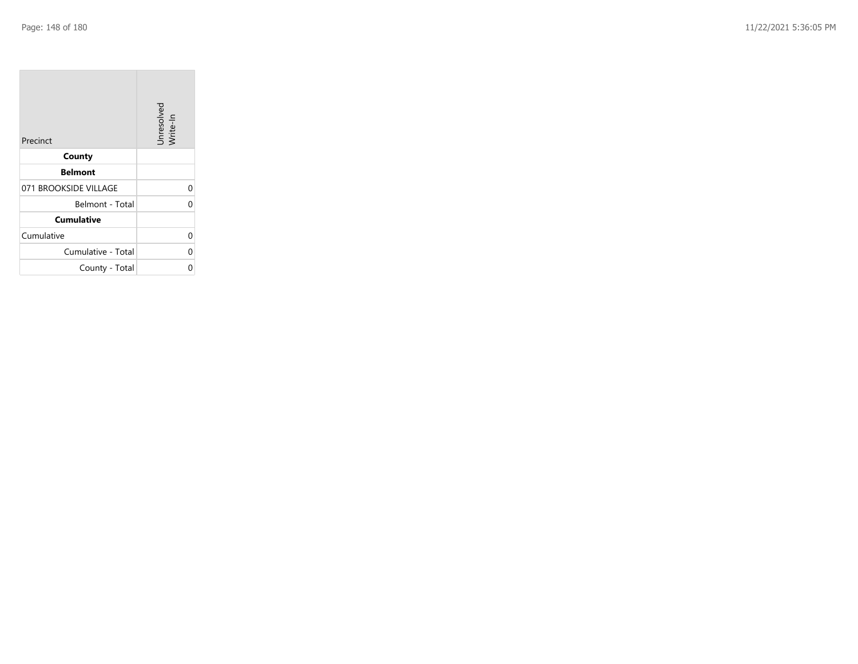| Precinct              | Unresolved<br>Write-In |
|-----------------------|------------------------|
| County                |                        |
| <b>Belmont</b>        |                        |
| 071 BROOKSIDE VILLAGE | 0                      |
| Belmont - Total       | C                      |
| <b>Cumulative</b>     |                        |
| Cumulative            | 0                      |
| Cumulative - Total    | 0                      |
| County - Total        |                        |

the property of the con-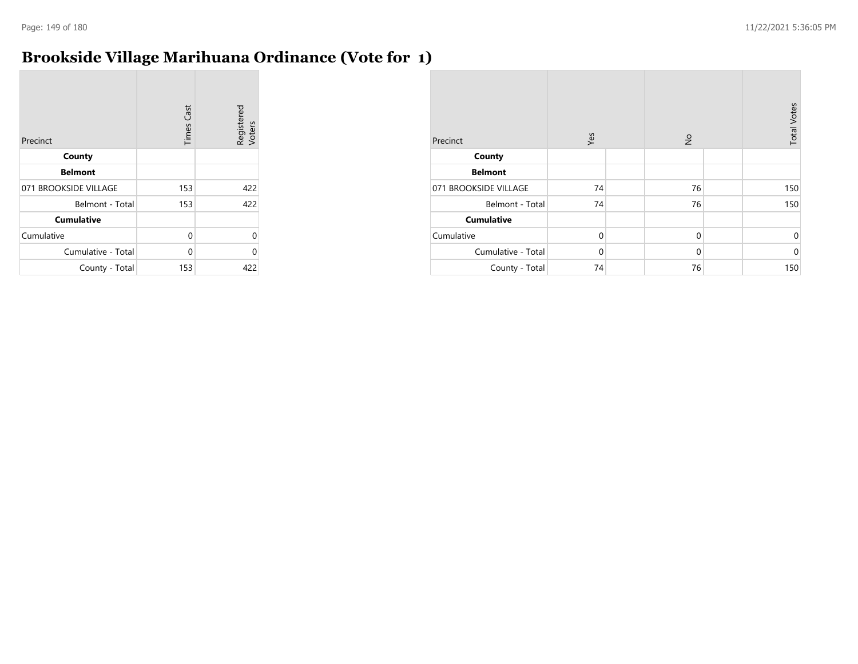# **Brookside Village Marihuana Ordinance (Vote for 1)**

| Precinct              | <b>Times Cast</b> | Registered<br>Voters |
|-----------------------|-------------------|----------------------|
| County                |                   |                      |
| <b>Belmont</b>        |                   |                      |
| 071 BROOKSIDE VILLAGE | 153               | 422                  |
| Belmont - Total       | 153               | 422                  |
| <b>Cumulative</b>     |                   |                      |
| Cumulative            | 0                 | 0                    |
| Cumulative - Total    | $\Omega$          | 0                    |
| County - Total        | 153               | 422                  |

| Precinct              | Yes         | $\frac{\circ}{\sim}$ | <b>Total Votes</b> |
|-----------------------|-------------|----------------------|--------------------|
| County                |             |                      |                    |
| <b>Belmont</b>        |             |                      |                    |
| 071 BROOKSIDE VILLAGE | 74          | 76                   | 150                |
| Belmont - Total       | 74          | 76                   | 150                |
| <b>Cumulative</b>     |             |                      |                    |
| Cumulative            | $\mathbf 0$ | $\mathbf 0$          | $\mathbf 0$        |
| Cumulative - Total    | $\Omega$    | $\mathbf 0$          | $\mathbf 0$        |
| County - Total        | 74          | 76                   | 150                |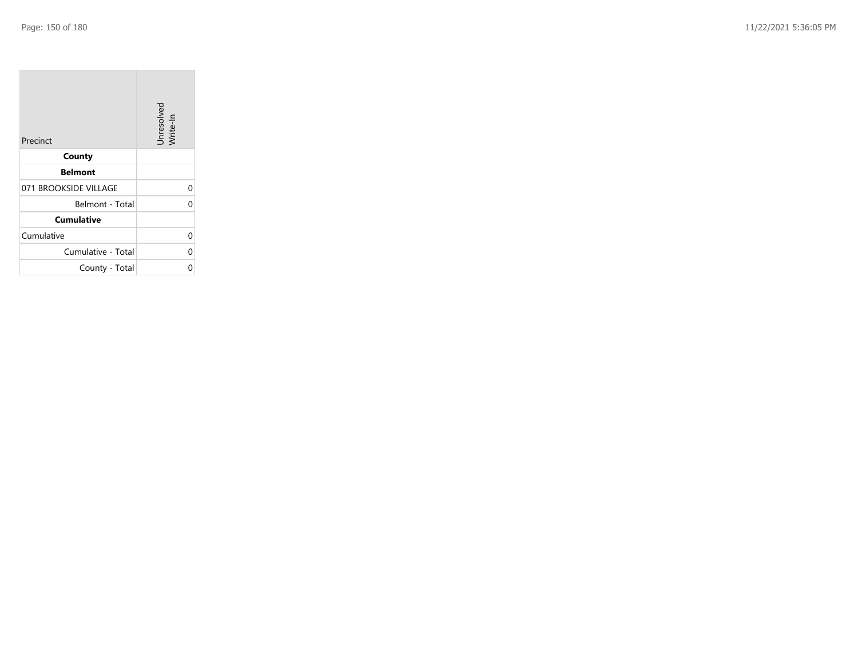| Precinct              | Unresolved<br>Write-In |
|-----------------------|------------------------|
| County                |                        |
| <b>Belmont</b>        |                        |
| 071 BROOKSIDE VILLAGE | 0                      |
| Belmont - Total       |                        |
| <b>Cumulative</b>     |                        |
| Cumulative            |                        |
| Cumulative - Total    | C                      |
| County - Total        |                        |

**The Common**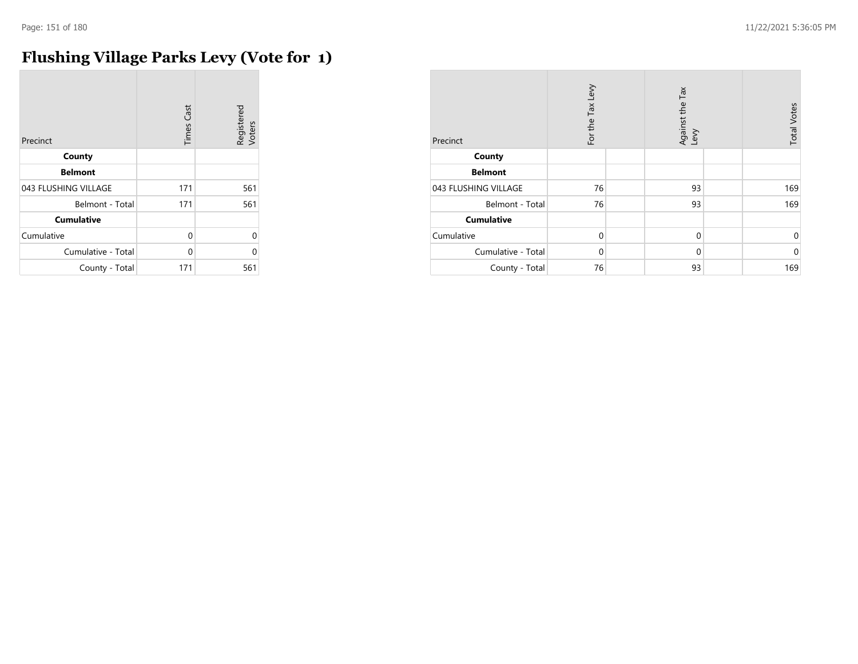# **Flushing Village Parks Levy (Vote for 1)**

| Precinct             | <b>Times Cast</b> | Registered<br>Voters |
|----------------------|-------------------|----------------------|
| County               |                   |                      |
| <b>Belmont</b>       |                   |                      |
| 043 FLUSHING VILLAGE | 171               | 561                  |
| Belmont - Total      | 171               | 561                  |
| <b>Cumulative</b>    |                   |                      |
| Cumulative           | 0                 | $\Omega$             |
| Cumulative - Total   | 0                 | በ                    |
| County - Total       | 171               | 561                  |

| Precinct             | For the Tax Levy | Against the Tax<br>Levy | <b>Total Votes</b> |
|----------------------|------------------|-------------------------|--------------------|
| County               |                  |                         |                    |
| <b>Belmont</b>       |                  |                         |                    |
| 043 FLUSHING VILLAGE | 76               | 93                      | 169                |
| Belmont - Total      | 76               | 93                      | 169                |
| <b>Cumulative</b>    |                  |                         |                    |
| Cumulative           | 0                | $\mathbf 0$             | 0                  |
| Cumulative - Total   | 0                | $\mathbf 0$             | $\mathbf 0$        |
| County - Total       | 76               | 93                      | 169                |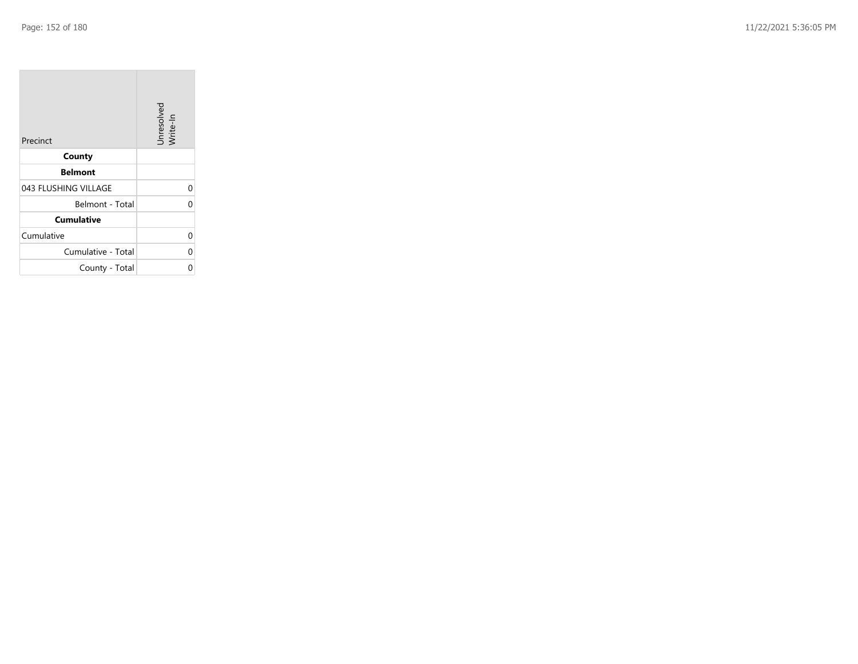| Precinct             | Unresolved<br>Write-In |
|----------------------|------------------------|
| County               |                        |
| <b>Belmont</b>       |                        |
| 043 FLUSHING VILLAGE | 0                      |
| Belmont - Total      |                        |
| <b>Cumulative</b>    |                        |
| Cumulative           |                        |
| Cumulative - Total   | 0                      |
| County - Total       |                        |

the property of the con-

m.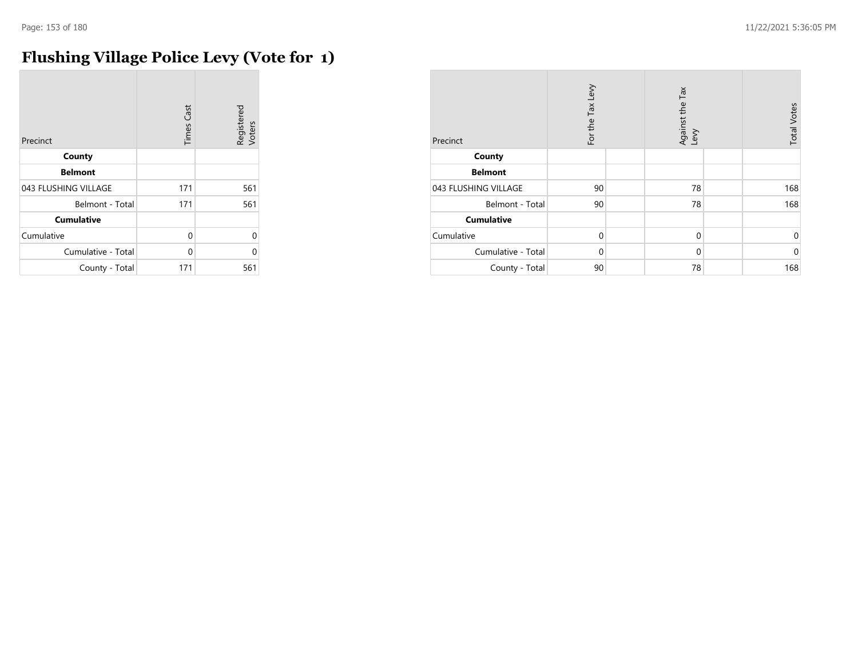# **Flushing Village Police Levy (Vote for 1)**

| Precinct             | <b>Times Cast</b> | Registered<br>Voters |
|----------------------|-------------------|----------------------|
| County               |                   |                      |
| <b>Belmont</b>       |                   |                      |
| 043 FLUSHING VILLAGE | 171               | 561                  |
| Belmont - Total      | 171               | 561                  |
| <b>Cumulative</b>    |                   |                      |
| Cumulative           | 0                 | 0                    |
| Cumulative - Total   | 0                 | U                    |
| County - Total       | 171               | 561                  |

| Precinct             | For the Tax Levy | Against the Tax<br>Levy | <b>Total Votes</b> |
|----------------------|------------------|-------------------------|--------------------|
| County               |                  |                         |                    |
| <b>Belmont</b>       |                  |                         |                    |
| 043 FLUSHING VILLAGE | 90               | 78                      | 168                |
| Belmont - Total      | 90               | 78                      | 168                |
| <b>Cumulative</b>    |                  |                         |                    |
| Cumulative           | $\mathbf 0$      | $\mathbf 0$             | 0                  |
| Cumulative - Total   | 0                | 0                       | $\mathbf 0$        |
| County - Total       | 90               | 78                      | 168                |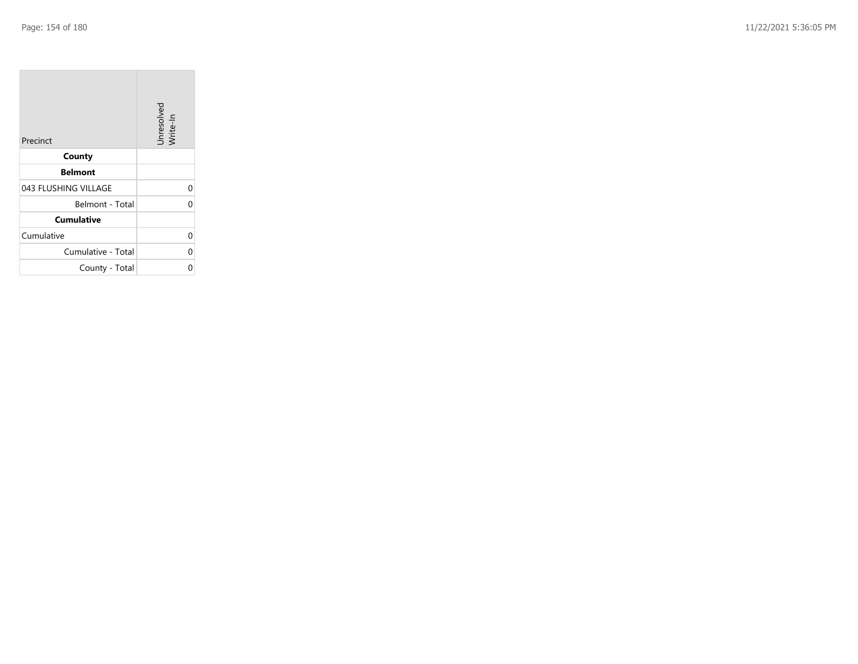| Precinct             | Unresolved<br>Write-In |
|----------------------|------------------------|
| County               |                        |
| <b>Belmont</b>       |                        |
| 043 FLUSHING VILLAGE |                        |
| Belmont - Total      |                        |
| <b>Cumulative</b>    |                        |
| Cumulative           | C                      |
| Cumulative - Total   | 0                      |
| County - Total       |                        |

the property of the con-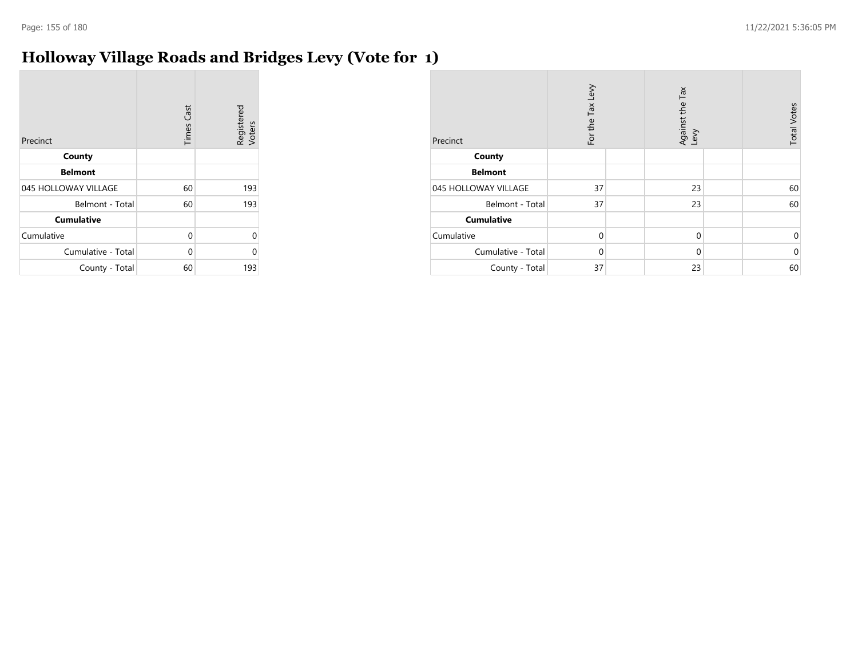# **Holloway Village Roads and Bridges Levy (Vote for 1)**

| Precinct             | <b>Times Cast</b> | Registered<br>Voters |
|----------------------|-------------------|----------------------|
| County               |                   |                      |
| <b>Belmont</b>       |                   |                      |
| 045 HOLLOWAY VILLAGE | 60                | 193                  |
| Belmont - Total      | 60                | 193                  |
| <b>Cumulative</b>    |                   |                      |
| Cumulative           | 0                 | U                    |
| Cumulative - Total   | 0                 | U                    |
| County - Total       | 60                | 193                  |

| Precinct             | For the Tax Levy | Against the Tax<br>Levy | <b>Total Votes</b> |
|----------------------|------------------|-------------------------|--------------------|
| County               |                  |                         |                    |
| <b>Belmont</b>       |                  |                         |                    |
| 045 HOLLOWAY VILLAGE | 37               | 23                      | 60                 |
| Belmont - Total      | 37               | 23                      | 60                 |
| <b>Cumulative</b>    |                  |                         |                    |
| Cumulative           | $\Omega$         | $\mathbf 0$             | $\mathbf 0$        |
| Cumulative - Total   | $\Omega$         | $\mathbf 0$             | $\mathbf 0$        |
| County - Total       | 37               | 23                      | 60                 |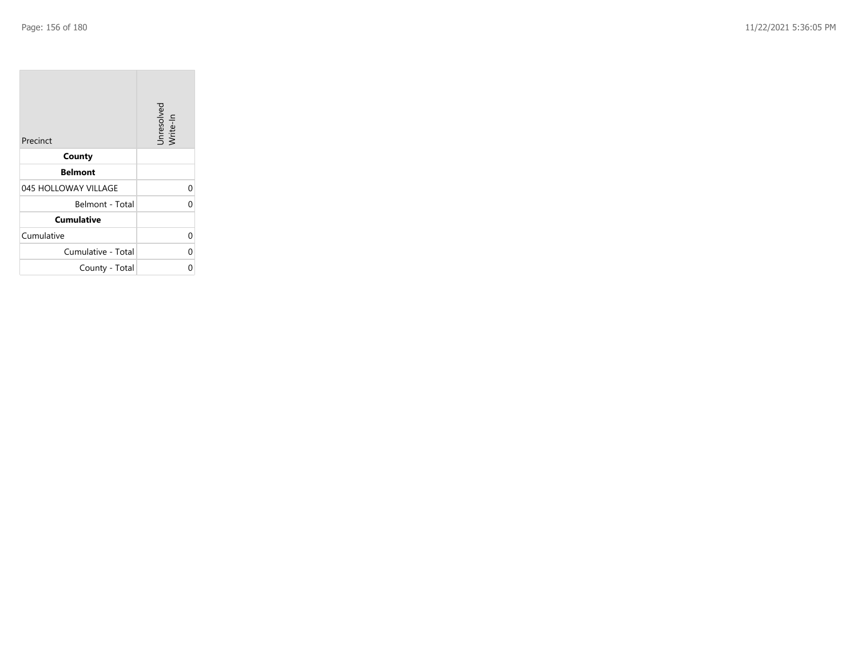| Precinct             | Unresolved<br>Write-In |
|----------------------|------------------------|
| County               |                        |
| <b>Belmont</b>       |                        |
| 045 HOLLOWAY VILLAGE | 0                      |
| Belmont - Total      |                        |
| <b>Cumulative</b>    |                        |
| Cumulative           |                        |
| Cumulative - Total   | 0                      |
| County - Total       |                        |

the property of the control of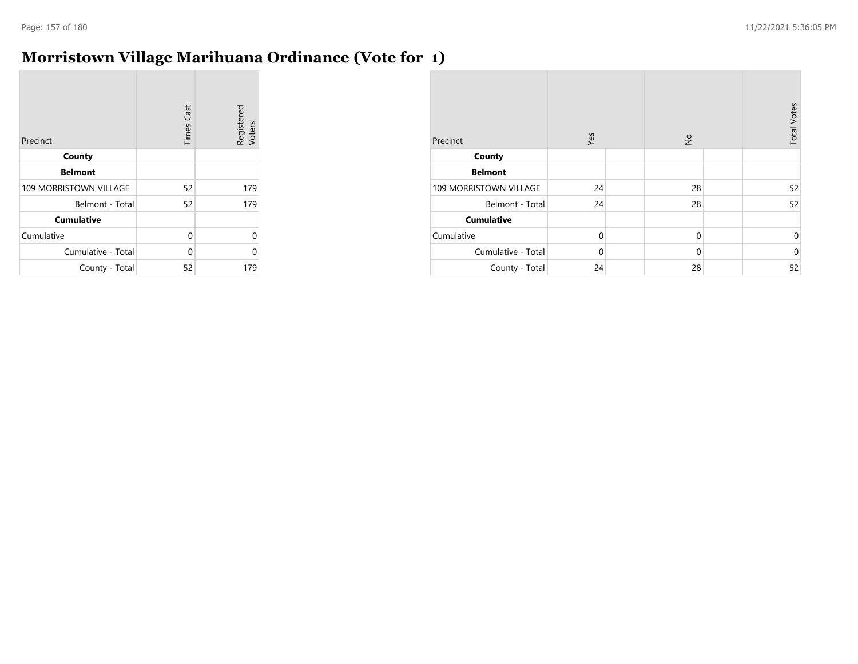$\overline{\phantom{a}}$ 

# **Morristown Village Marihuana Ordinance (Vote for 1)**

| Precinct                      | <b>Times Cast</b> | Registered<br>Voters |
|-------------------------------|-------------------|----------------------|
| County                        |                   |                      |
| <b>Belmont</b>                |                   |                      |
| <b>109 MORRISTOWN VILLAGE</b> | 52                | 179                  |
| Belmont - Total               | 52                | 179                  |
| <b>Cumulative</b>             |                   |                      |
| Cumulative                    | 0                 | 0                    |
| Cumulative - Total            | 0                 | ი                    |
| County - Total                | 52                | 179                  |

| Precinct               | Yes         | $\frac{1}{2}$ | <b>Total Votes</b> |
|------------------------|-------------|---------------|--------------------|
| County                 |             |               |                    |
| <b>Belmont</b>         |             |               |                    |
| 109 MORRISTOWN VILLAGE | 24          | 28            | 52                 |
| Belmont - Total        | 24          | 28            | 52                 |
| <b>Cumulative</b>      |             |               |                    |
| Cumulative             | $\mathbf 0$ | $\mathbf 0$   | $\mathbf 0$        |
| Cumulative - Total     | $\Omega$    | $\mathbf 0$   | $\mathbf 0$        |
| County - Total         | 24          | 28            | 52                 |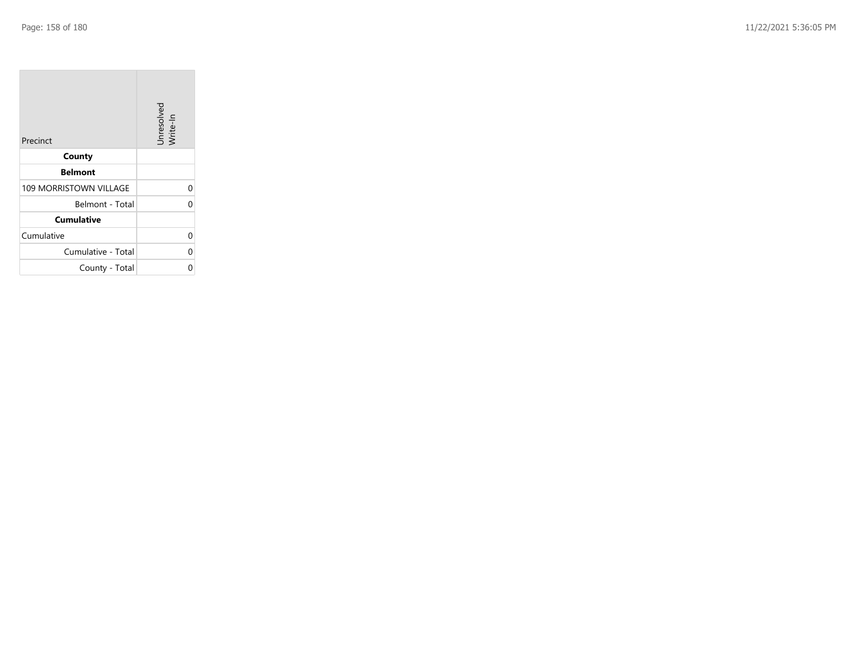| Precinct                      | Unresolved<br>Write-In |
|-------------------------------|------------------------|
| County                        |                        |
| <b>Belmont</b>                |                        |
| <b>109 MORRISTOWN VILLAGE</b> | 0                      |
| Belmont - Total               |                        |
| <b>Cumulative</b>             |                        |
| Cumulative                    |                        |
| Cumulative - Total            | C                      |
| County - Total                |                        |

the property of the con-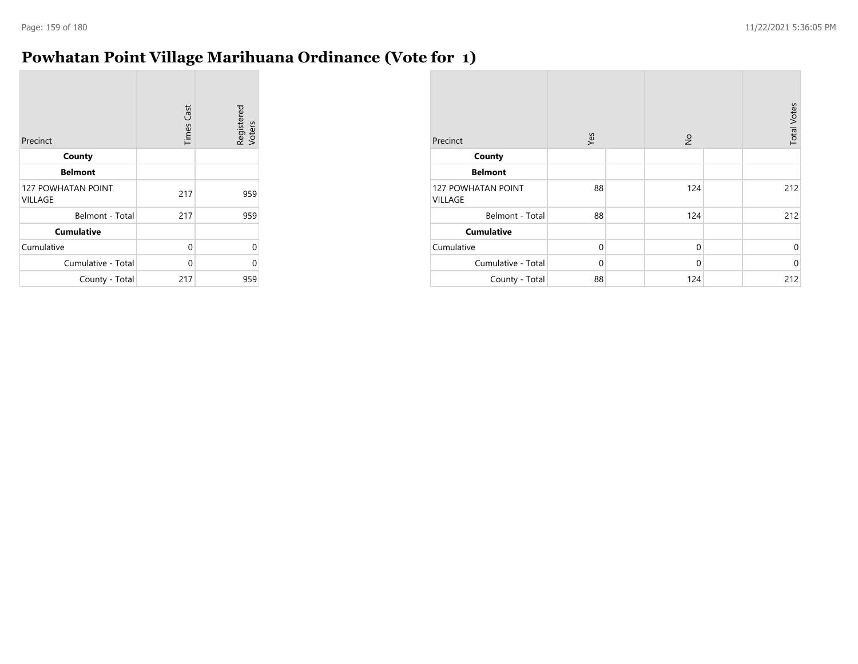# **Powhatan Point Village Marihuana Ordinance (Vote for 1)**

| Precinct                                    | <b>Times Cast</b> | Registered<br>Voters |
|---------------------------------------------|-------------------|----------------------|
| County                                      |                   |                      |
| <b>Belmont</b>                              |                   |                      |
| <b>127 POWHATAN POINT</b><br><b>VILLAGE</b> | 217               | 959                  |
| Belmont - Total                             | 217               | 959                  |
| <b>Cumulative</b>                           |                   |                      |
| Cumulative                                  | 0                 | 0                    |
| Cumulative - Total                          | 0                 | 0                    |
| County - Total                              | 217               | 959                  |

| Precinct                             | Yes         | $\frac{\circ}{\sim}$ | <b>Total Votes</b> |
|--------------------------------------|-------------|----------------------|--------------------|
| County                               |             |                      |                    |
| <b>Belmont</b>                       |             |                      |                    |
| <b>127 POWHATAN POINT</b><br>VILLAGE | 88          | 124                  | 212                |
| Belmont - Total                      | 88          | 124                  | 212                |
| <b>Cumulative</b>                    |             |                      |                    |
| Cumulative                           | $\mathbf 0$ | $\mathbf 0$          | 0                  |
| Cumulative - Total                   | $\mathbf 0$ | $\mathbf 0$          | $\mathbf 0$        |
| County - Total                       | 88          | 124                  | 212                |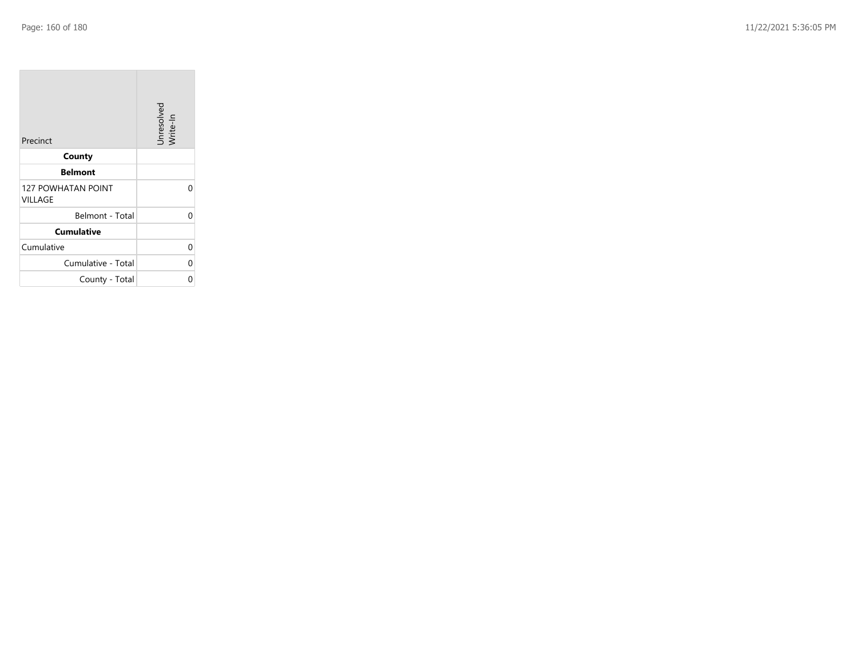| Precinct                             | Unresolved<br>Write-In |
|--------------------------------------|------------------------|
| County                               |                        |
| <b>Belmont</b>                       |                        |
| <b>127 POWHATAN POINT</b><br>VILLAGE | ი                      |
| Belmont - Total                      | 0                      |
| <b>Cumulative</b>                    |                        |
| Cumulative                           | 0                      |
| Cumulative - Total                   | 0                      |
| County - Total                       | 0                      |

**State State**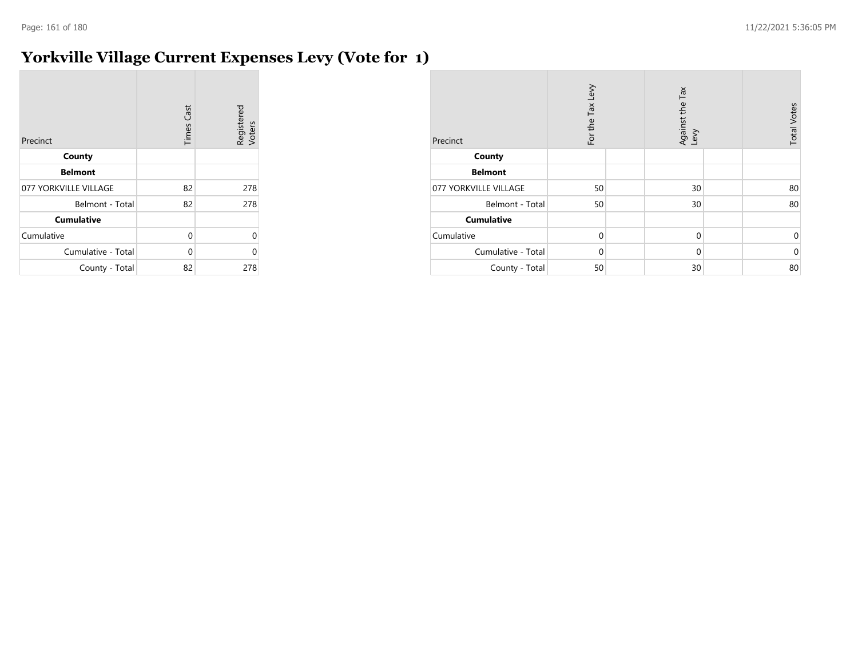# **Yorkville Village Current Expenses Levy (Vote for 1)**

| Precinct              | <b>Times Cast</b> | Registered<br>Voters |
|-----------------------|-------------------|----------------------|
| County                |                   |                      |
| <b>Belmont</b>        |                   |                      |
| 077 YORKVILLE VILLAGE | 82                | 278                  |
| Belmont - Total       | 82                | 278                  |
| <b>Cumulative</b>     |                   |                      |
| Cumulative            | 0                 | 0                    |
| Cumulative - Total    | $\Omega$          | 0                    |
| County - Total        | 82                | 278                  |

| Precinct              | For the Tax Levy | Against the Tax<br>Levy | <b>Total Votes</b> |
|-----------------------|------------------|-------------------------|--------------------|
| County                |                  |                         |                    |
| <b>Belmont</b>        |                  |                         |                    |
| 077 YORKVILLE VILLAGE | 50               | 30                      | 80                 |
| Belmont - Total       | 50               | 30                      | 80                 |
| <b>Cumulative</b>     |                  |                         |                    |
| Cumulative            | $\mathbf 0$      | $\mathbf 0$             | 0                  |
| Cumulative - Total    | $\Omega$         | $\mathbf 0$             | $\mathbf 0$        |
| County - Total        | 50               | 30                      | 80                 |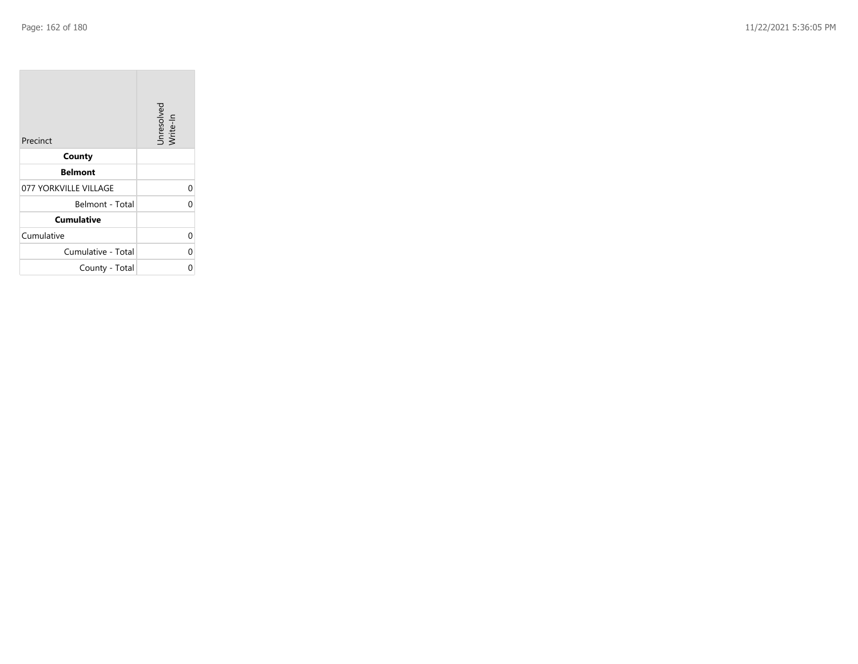| Precinct              | Unresolved<br>Write-In |
|-----------------------|------------------------|
| County                |                        |
| <b>Belmont</b>        |                        |
| 077 YORKVILLE VILLAGE | 0                      |
| Belmont - Total       | C                      |
| <b>Cumulative</b>     |                        |
| Cumulative            | 0                      |
| Cumulative - Total    | 0                      |
| County - Total        |                        |

the property of the control of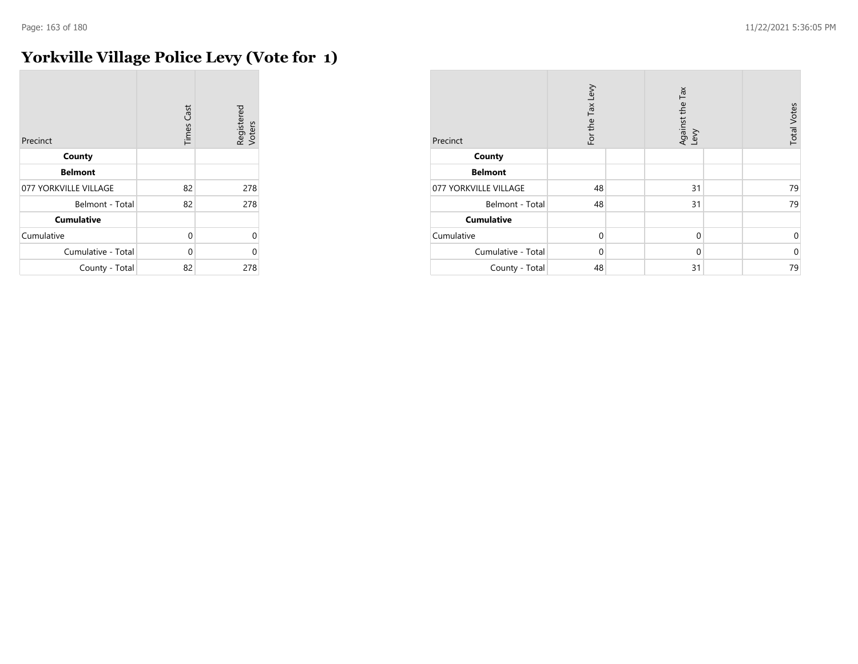$\sim$ 

# **Yorkville Village Police Levy (Vote for 1)**

| Precinct              | <b>Times Cast</b> | Registered<br>Voters |
|-----------------------|-------------------|----------------------|
| County                |                   |                      |
| <b>Belmont</b>        |                   |                      |
| 077 YORKVILLE VILLAGE | 82                | 278                  |
| Belmont - Total       | 82                | 278                  |
| <b>Cumulative</b>     |                   |                      |
| Cumulative            | 0                 | 0                    |
| Cumulative - Total    | 0                 | U                    |
| County - Total        | 82                | 278                  |

| Precinct              | For the Tax Levy | Against the Tax<br>Levy | <b>Total Votes</b> |
|-----------------------|------------------|-------------------------|--------------------|
| County                |                  |                         |                    |
| <b>Belmont</b>        |                  |                         |                    |
| 077 YORKVILLE VILLAGE | 48               | 31                      | 79                 |
| Belmont - Total       | 48               | 31                      | 79                 |
| <b>Cumulative</b>     |                  |                         |                    |
| Cumulative            | $\mathbf 0$      | $\mathbf 0$             | $\mathbf 0$        |
| Cumulative - Total    | $\Omega$         | $\mathbf 0$             | $\mathbf 0$        |
| County - Total        | 48               | 31                      | 79                 |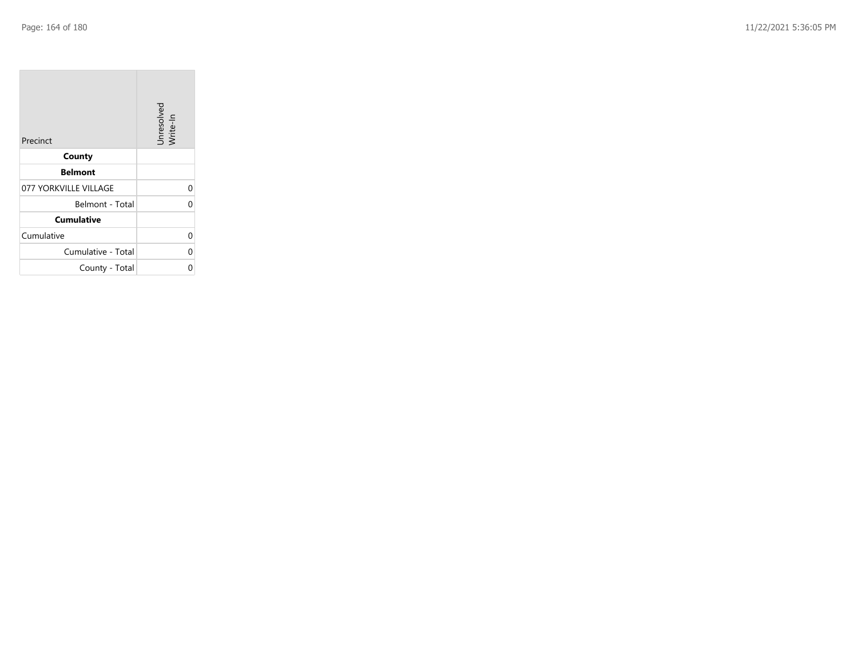| Precinct              | Unresolved<br>Write-In |
|-----------------------|------------------------|
| County                |                        |
| <b>Belmont</b>        |                        |
| 077 YORKVILLE VILLAGE | 0                      |
| Belmont - Total       |                        |
| <b>Cumulative</b>     |                        |
| Cumulative            |                        |
| Cumulative - Total    |                        |
| County - Total        |                        |

the property of the control of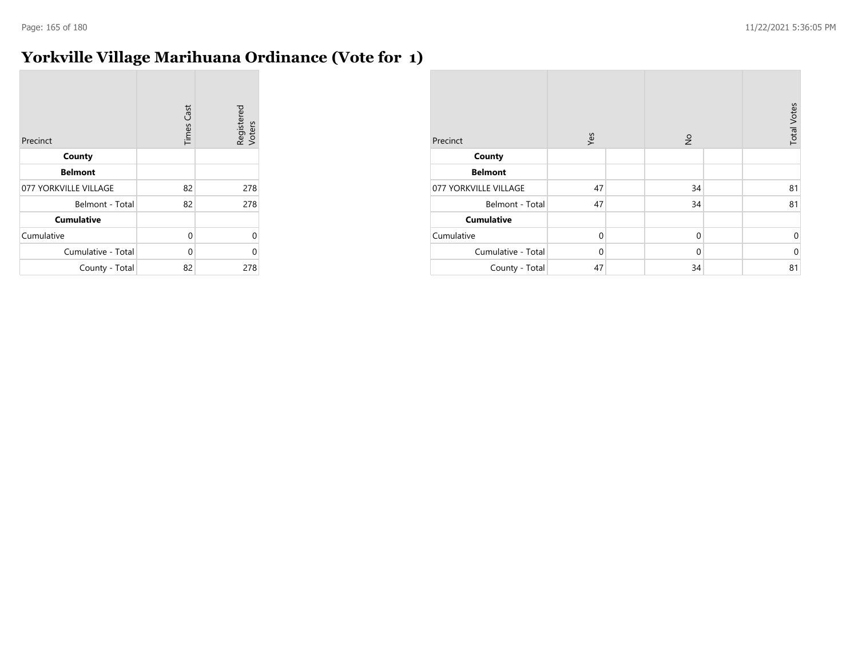# **Yorkville Village Marihuana Ordinance (Vote for 1)**

| Precinct              | <b>Times Cast</b> | Registered<br>Voters |
|-----------------------|-------------------|----------------------|
| County                |                   |                      |
| <b>Belmont</b>        |                   |                      |
| 077 YORKVILLE VILLAGE | 82                | 278                  |
| Belmont - Total       | 82                | 278                  |
| <b>Cumulative</b>     |                   |                      |
| Cumulative            | 0                 | 0                    |
| Cumulative - Total    | 0                 | U                    |
| County - Total        | 82                | 278                  |

| Precinct              | Yes         | $\frac{\circ}{\sim}$ | <b>Total Votes</b> |
|-----------------------|-------------|----------------------|--------------------|
| County                |             |                      |                    |
| <b>Belmont</b>        |             |                      |                    |
| 077 YORKVILLE VILLAGE | 47          | 34                   | 81                 |
| Belmont - Total       | 47          | 34                   | 81                 |
| <b>Cumulative</b>     |             |                      |                    |
| Cumulative            | $\mathbf 0$ | $\mathbf 0$          | $\mathbf 0$        |
| Cumulative - Total    | $\Omega$    | $\mathbf 0$          | $\mathbf 0$        |
| County - Total        | 47          | 34                   | 81                 |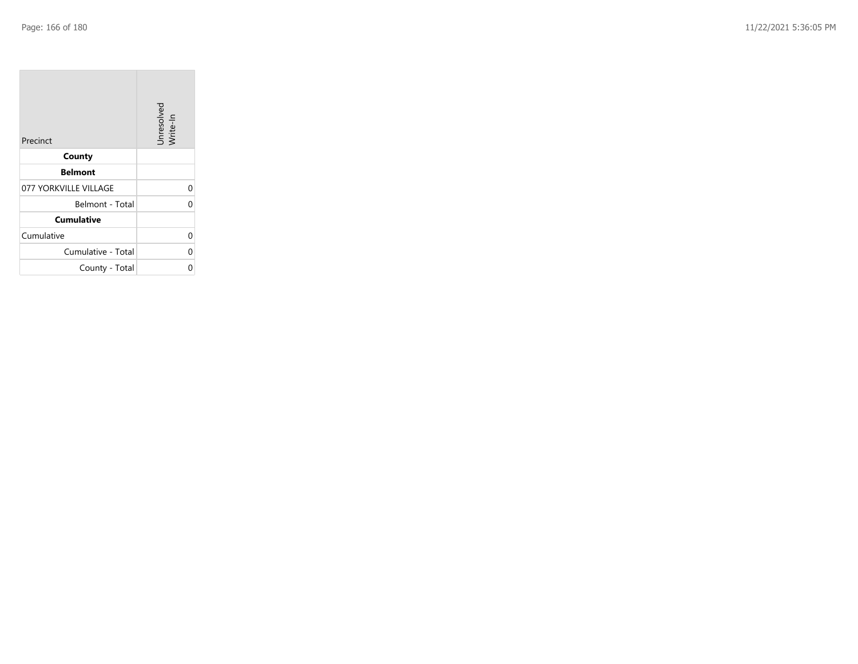| Precinct              | Unresolved<br>Write-In |
|-----------------------|------------------------|
| County                |                        |
| <b>Belmont</b>        |                        |
| 077 YORKVILLE VILLAGE | 0                      |
| Belmont - Total       |                        |
| <b>Cumulative</b>     |                        |
| Cumulative            |                        |
| Cumulative - Total    |                        |
| County - Total        |                        |

the company of the company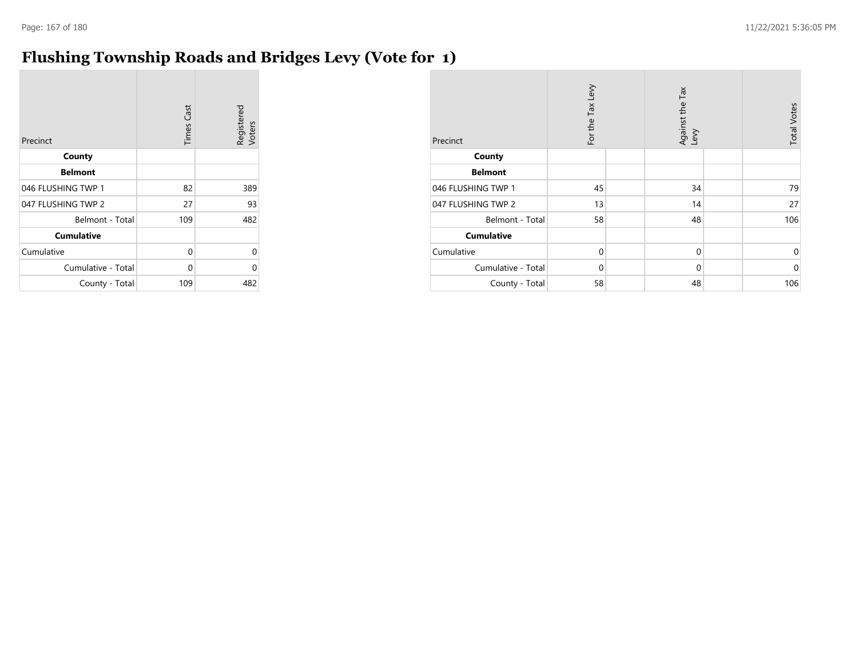# **Flushing Township Roads and Bridges Levy (Vote for 1)**

| Precinct           | <b>Times Cast</b> | Registered<br>Voters |
|--------------------|-------------------|----------------------|
| County             |                   |                      |
| <b>Belmont</b>     |                   |                      |
| 046 FLUSHING TWP 1 | 82                | 389                  |
| 047 FLUSHING TWP 2 | 27                | 93                   |
| Belmont - Total    | 109               | 482                  |
| <b>Cumulative</b>  |                   |                      |
| Cumulative         | 0                 | 0                    |
| Cumulative - Total | 0                 | 0                    |
| County - Total     | 109               | 482                  |

| Precinct           | For the Tax Levy | Against the Tax<br>Levy | <b>Total Votes</b> |
|--------------------|------------------|-------------------------|--------------------|
| County             |                  |                         |                    |
| <b>Belmont</b>     |                  |                         |                    |
| 046 FLUSHING TWP 1 | 45               | 34                      | 79                 |
| 047 FLUSHING TWP 2 | 13               | 14                      | 27                 |
| Belmont - Total    | 58               | 48                      | 106                |
| <b>Cumulative</b>  |                  |                         |                    |
| Cumulative         | $\mathbf 0$      | $\mathbf 0$             | 0                  |
| Cumulative - Total | $\Omega$         | $\mathbf 0$             | $\mathbf 0$        |
| County - Total     | 58               | 48                      | 106                |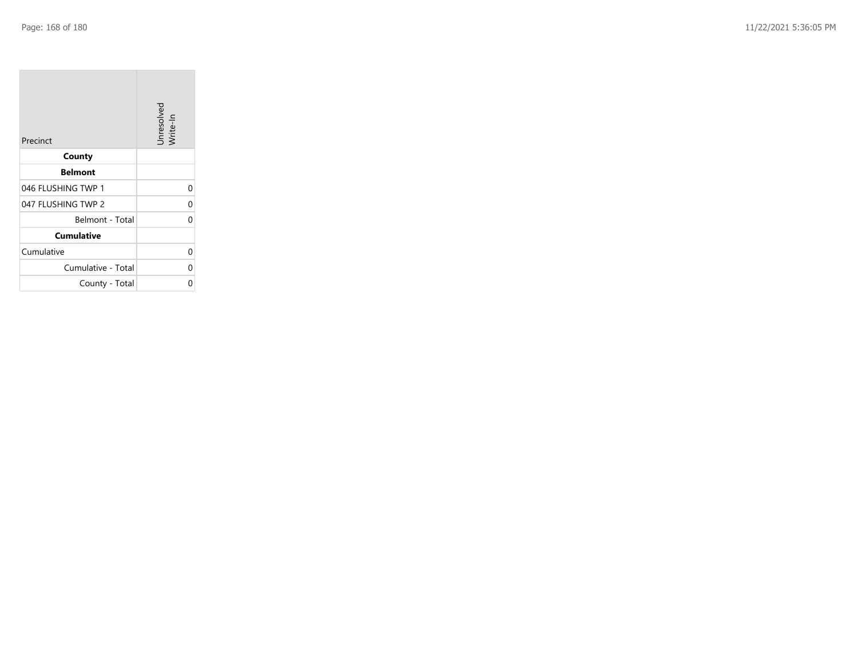| Precinct           | Unresolved<br>Write-In |
|--------------------|------------------------|
| County             |                        |
| <b>Belmont</b>     |                        |
| 046 FLUSHING TWP 1 | U                      |
| 047 FLUSHING TWP 2 | 0                      |
| Belmont - Total    | ſ                      |
| <b>Cumulative</b>  |                        |
| Cumulative         | U                      |
| Cumulative - Total | U                      |
| County - Total     |                        |

the company of the company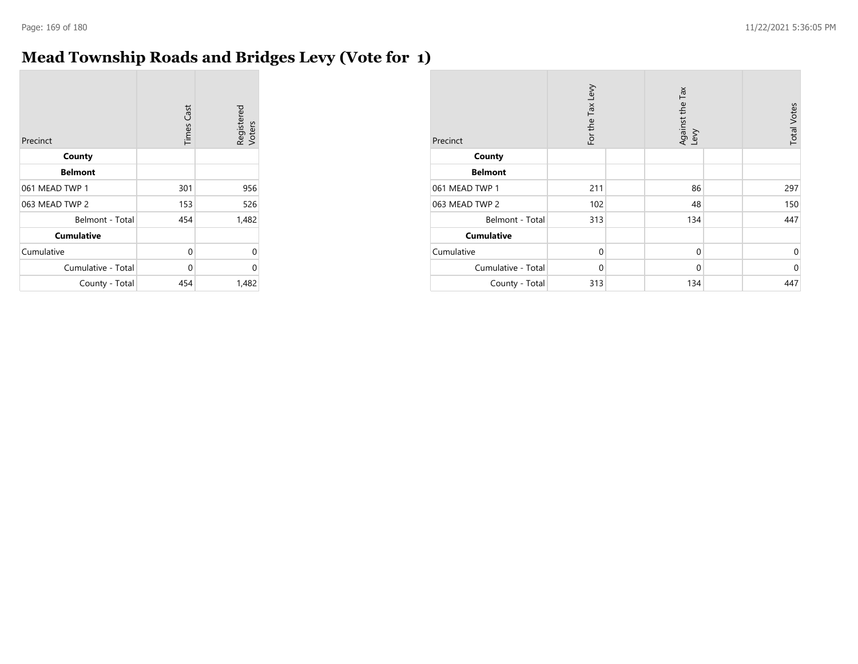# **Mead Township Roads and Bridges Levy (Vote for 1)**

| Precinct           | <b>Times Cast</b> | Registered<br>Voters |
|--------------------|-------------------|----------------------|
| County             |                   |                      |
| <b>Belmont</b>     |                   |                      |
| 061 MEAD TWP 1     | 301               | 956                  |
| 063 MEAD TWP 2     | 153               | 526                  |
| Belmont - Total    | 454               | 1,482                |
| <b>Cumulative</b>  |                   |                      |
| Cumulative         | 0                 | 0                    |
| Cumulative - Total | 0                 | 0                    |
| County - Total     | 454               | 1,482                |

| Precinct           | For the Tax Levy | Against the Tax<br>Levy | <b>Total Votes</b> |
|--------------------|------------------|-------------------------|--------------------|
| County             |                  |                         |                    |
| <b>Belmont</b>     |                  |                         |                    |
| 061 MEAD TWP 1     | 211              | 86                      | 297                |
| 063 MEAD TWP 2     | 102              | 48                      | 150                |
| Belmont - Total    | 313              | 134                     | 447                |
| <b>Cumulative</b>  |                  |                         |                    |
| Cumulative         | $\mathbf 0$      | 0                       | $\Omega$           |
| Cumulative - Total | $\mathbf 0$      | $\mathbf 0$             | $\Omega$           |
| County - Total     | 313              | 134                     | 447                |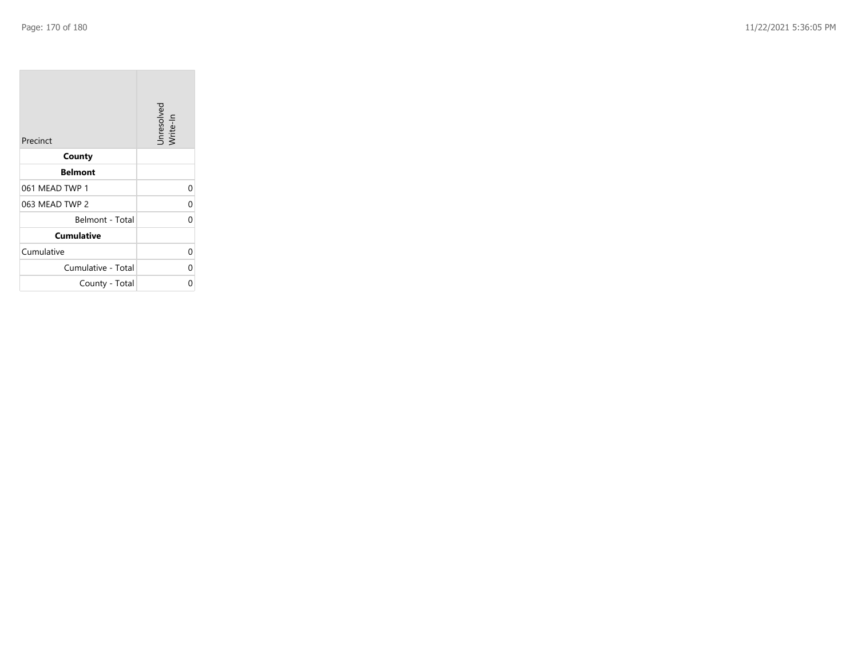| Precinct           | Unresolved<br>Write-In |
|--------------------|------------------------|
| County             |                        |
| <b>Belmont</b>     |                        |
| 061 MEAD TWP 1     | U                      |
| 063 MEAD TWP 2     | 0                      |
| Belmont - Total    | O                      |
| <b>Cumulative</b>  |                        |
| Cumulative         | 0                      |
| Cumulative - Total | U                      |
| County - Total     |                        |

the company of the company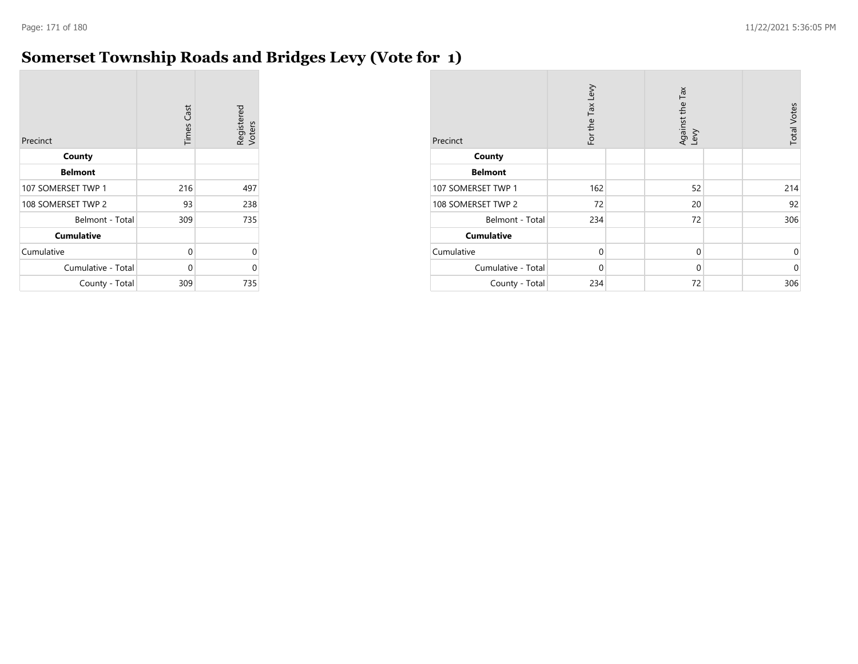# **Somerset Township Roads and Bridges Levy (Vote for 1)**

| Precinct           | <b>Times Cast</b> | Registered<br>Voters |
|--------------------|-------------------|----------------------|
| County             |                   |                      |
| <b>Belmont</b>     |                   |                      |
| 107 SOMERSET TWP 1 | 216               | 497                  |
| 108 SOMERSET TWP 2 | 93                | 238                  |
| Belmont - Total    | 309               | 735                  |
| <b>Cumulative</b>  |                   |                      |
| Cumulative         | 0                 | 0                    |
| Cumulative - Total | 0                 | 0                    |
| County - Total     | 309               | 735                  |

| Precinct           | For the Tax Levy | Against the Tax<br>Levy | <b>Total Votes</b> |
|--------------------|------------------|-------------------------|--------------------|
| County             |                  |                         |                    |
| <b>Belmont</b>     |                  |                         |                    |
| 107 SOMERSET TWP 1 | 162              | 52                      | 214                |
| 108 SOMERSET TWP 2 | 72               | 20                      | 92                 |
| Belmont - Total    | 234              | 72                      | 306                |
| <b>Cumulative</b>  |                  |                         |                    |
| Cumulative         | $\mathbf 0$      | 0                       | 0                  |
| Cumulative - Total | $\mathbf 0$      | 0                       | $\mathbf 0$        |
| County - Total     | 234              | 72                      | 306                |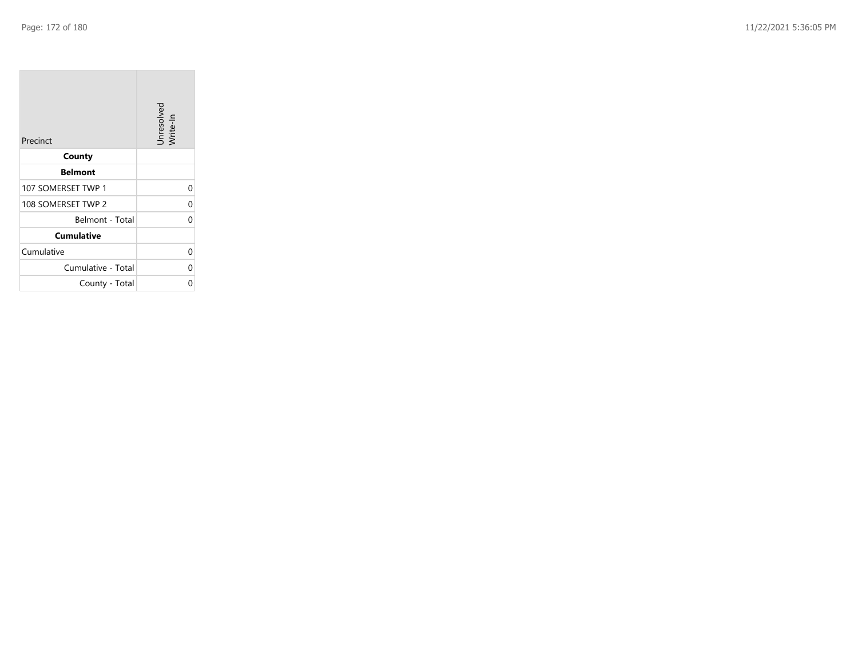$\sim$ 

| Precinct           | Unresolved<br>Write-In |
|--------------------|------------------------|
| County             |                        |
| <b>Belmont</b>     |                        |
| 107 SOMERSET TWP 1 | $\Omega$               |
| 108 SOMERSET TWP 2 | 0                      |
| Belmont - Total    | ი                      |
| <b>Cumulative</b>  |                        |
| Cumulative         | 0                      |
| Cumulative - Total | 0                      |
| County - Total     | 0                      |

the company of the company

 $\overline{\phantom{a}}$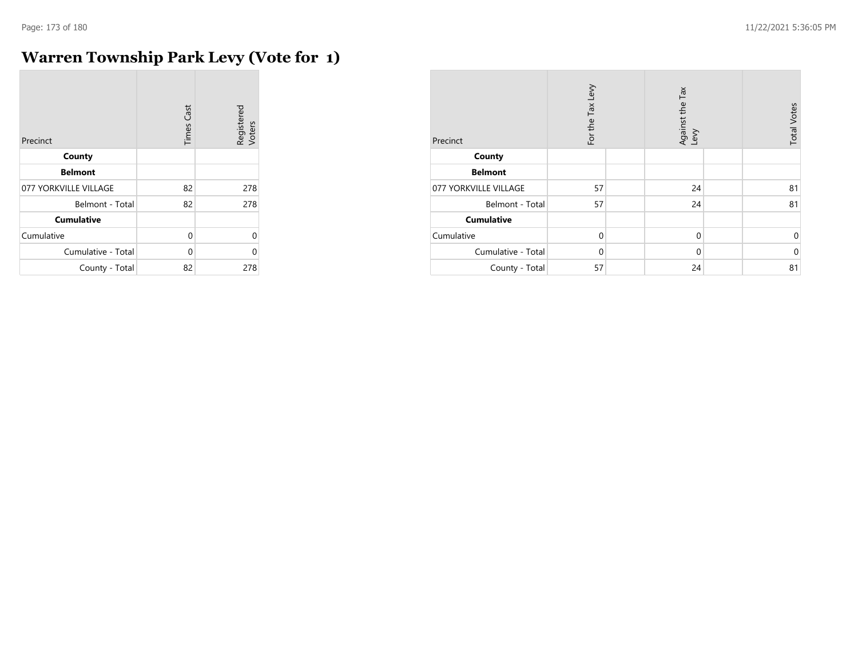r.

# **Warren Township Park Levy (Vote for 1)**

| Precinct              | <b>Times Cast</b> | Registered<br>Voters |
|-----------------------|-------------------|----------------------|
| County                |                   |                      |
| <b>Belmont</b>        |                   |                      |
| 077 YORKVILLE VILLAGE | 82                | 278                  |
| Belmont - Total       | 82                | 278                  |
| <b>Cumulative</b>     |                   |                      |
| Cumulative            | 0                 | $\Omega$             |
| Cumulative - Total    | $\Omega$          | O                    |
| County - Total        | 82                | 278                  |

| Precinct              | For the Tax Levy | Against the Tax<br>Levy | <b>Total Votes</b> |
|-----------------------|------------------|-------------------------|--------------------|
| County                |                  |                         |                    |
| <b>Belmont</b>        |                  |                         |                    |
| 077 YORKVILLE VILLAGE | 57               | 24                      | 81                 |
| Belmont - Total       | 57               | 24                      | 81                 |
| <b>Cumulative</b>     |                  |                         |                    |
| Cumulative            | $\Omega$         | $\mathbf 0$             | 0                  |
| Cumulative - Total    | $\Omega$         | $\mathbf 0$             | $\mathbf 0$        |
| County - Total        | 57               | 24                      | 81                 |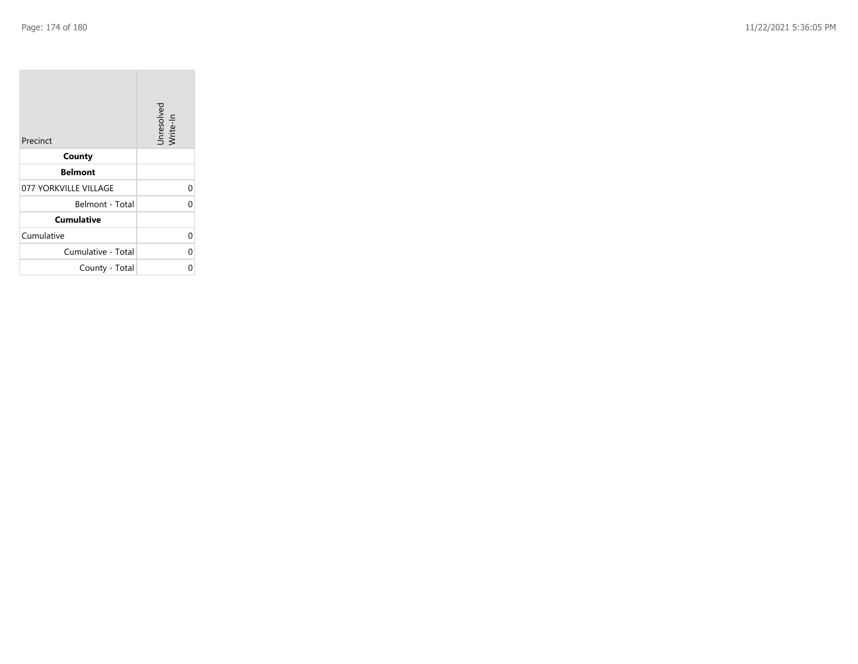| Precinct              | Unresolved<br>Write-In |
|-----------------------|------------------------|
| County                |                        |
| <b>Belmont</b>        |                        |
| 077 YORKVILLE VILLAGE | 0                      |
| Belmont - Total       | C                      |
| <b>Cumulative</b>     |                        |
| Cumulative            | 0                      |
| Cumulative - Total    | 0                      |
| County - Total        |                        |

the property of the con-

m.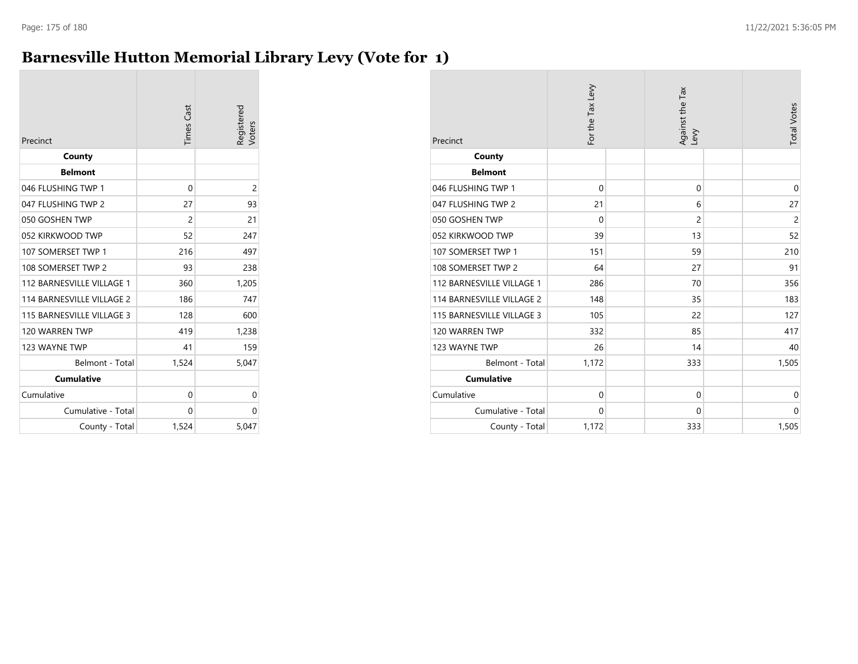# **Barnesville Hutton Memorial Library Levy (Vote for 1)**

| Precinct                  | <b>Times Cast</b> | Registered<br>Voters |
|---------------------------|-------------------|----------------------|
| County                    |                   |                      |
| <b>Belmont</b>            |                   |                      |
| 046 FLUSHING TWP 1        | 0                 | 2                    |
| 047 FLUSHING TWP 2        | 27                | 93                   |
| 050 GOSHEN TWP            | $\overline{2}$    | 21                   |
| 052 KIRKWOOD TWP          | 52                | 247                  |
| 107 SOMERSET TWP 1        | 216               | 497                  |
| 108 SOMERSET TWP 2        | 93                | 238                  |
| 112 BARNESVILLE VILLAGE 1 | 360               | 1,205                |
| 114 BARNESVILLE VILLAGE 2 | 186               | 747                  |
| 115 BARNESVILLE VILLAGE 3 | 128               | 600                  |
| 120 WARREN TWP            | 419               | 1,238                |
| 123 WAYNE TWP             | 41                | 159                  |
| Belmont - Total           | 1,524             | 5,047                |
| <b>Cumulative</b>         |                   |                      |
| Cumulative                | 0                 | 0                    |
| Cumulative - Total        | 0                 | 0                    |
| County - Total            | 1,524             | 5,047                |

| Precinct                  | For the Tax Levy | Against the Tax<br>Levy | <b>Total Votes</b> |
|---------------------------|------------------|-------------------------|--------------------|
| County                    |                  |                         |                    |
| <b>Belmont</b>            |                  |                         |                    |
| 046 FLUSHING TWP 1        | $\mathbf 0$      | $\mathbf 0$             | $\mathbf 0$        |
| 047 FLUSHING TWP 2        | 21               | 6                       | 27                 |
| 050 GOSHEN TWP            | $\Omega$         | 2                       | $\overline{c}$     |
| 052 KIRKWOOD TWP          | 39               | 13                      | 52                 |
| 107 SOMERSET TWP 1        | 151              | 59                      | 210                |
| 108 SOMERSET TWP 2        | 64               | 27                      | 91                 |
| 112 BARNESVILLE VILLAGE 1 | 286              | 70                      | 356                |
| 114 BARNESVILLE VILLAGE 2 | 148              | 35                      | 183                |
| 115 BARNESVILLE VILLAGE 3 | 105              | 22                      | 127                |
| 120 WARREN TWP            | 332              | 85                      | 417                |
| 123 WAYNE TWP             | 26               | 14                      | 40                 |
| Belmont - Total           | 1,172            | 333                     | 1,505              |
| <b>Cumulative</b>         |                  |                         |                    |
| Cumulative                | $\mathbf 0$      | $\mathbf 0$             | $\mathbf 0$        |
| Cumulative - Total        | $\mathbf 0$      | $\mathbf 0$             | $\mathbf 0$        |
| County - Total            | 1,172            | 333                     | 1,505              |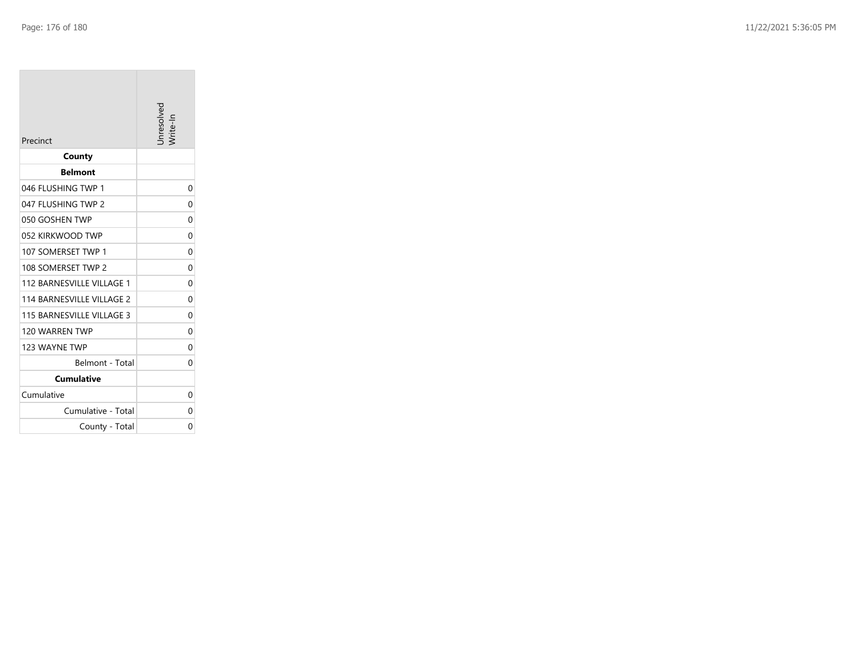| Precinct                  | Inresolved |
|---------------------------|------------|
| County                    |            |
| <b>Belmont</b>            |            |
| 046 FLUSHING TWP 1        | 0          |
| 047 FLUSHING TWP 2        | 0          |
| 050 GOSHEN TWP            | 0          |
| 052 KIRKWOOD TWP          | 0          |
| 107 SOMERSET TWP 1        | 0          |
| 108 SOMERSET TWP 2        | 0          |
| 112 BARNESVILLE VILLAGE 1 | 0          |
| 114 BARNESVILLE VILLAGE 2 | 0          |
| 115 BARNESVILLE VILLAGE 3 | 0          |
| 120 WARREN TWP            | 0          |
| 123 WAYNE TWP             | 0          |
| Belmont - Total           | 0          |
| Cumulative                |            |
| Cumulative                | 0          |
| Cumulative - Total        | 0          |
| County - Total            | 0          |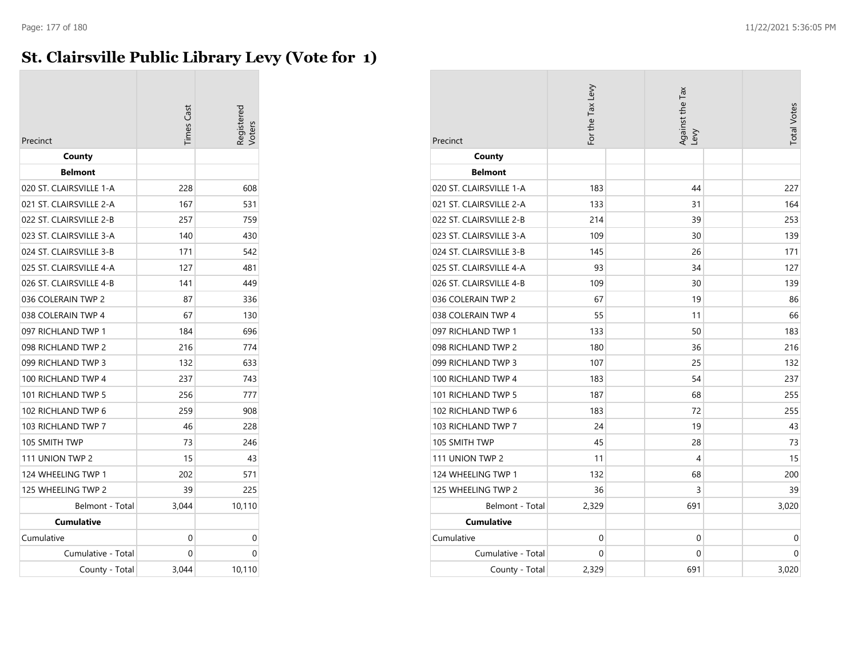# **St. Clairsville Public Library Levy (Vote for 1)**

| Precinct                | <b>Times Cast</b> | Registerec<br>oters |
|-------------------------|-------------------|---------------------|
| County                  |                   |                     |
| <b>Belmont</b>          |                   |                     |
| 020 ST. CLAIRSVILLE 1-A | 228               | 608                 |
| 021 ST. CLAIRSVILLE 2-A | 167               | 531                 |
| 022 ST. CLAIRSVILLE 2-B | 257               | 759                 |
| 023 ST. CLAIRSVILLE 3-A | 140               | 430                 |
| 024 ST. CLAIRSVILLE 3-B | 171               | 542                 |
| 025 ST. CLAIRSVILLE 4-A | 127               | 481                 |
| 026 ST. CLAIRSVILLE 4-B | 141               | 449                 |
| 036 COLERAIN TWP 2      | 87                | 336                 |
| 038 COLERAIN TWP 4      | 67                | 130                 |
| 097 RICHLAND TWP 1      | 184               | 696                 |
| 098 RICHLAND TWP 2      | 216               | 774                 |
| 099 RICHLAND TWP 3      | 132               | 633                 |
| 100 RICHLAND TWP 4      | 237               | 743                 |
| 101 RICHLAND TWP 5      | 256               | 777                 |
| 102 RICHLAND TWP 6      | 259               | 908                 |
| 103 RICHLAND TWP 7      | 46                | 228                 |
| 105 SMITH TWP           | 73                | 246                 |
| 111 UNION TWP 2         | 15                | 43                  |
| 124 WHEELING TWP 1      | 202               | 571                 |
| 125 WHEELING TWP 2      | 39                | 225                 |
| Belmont - Total         | 3,044             | 10,110              |
| <b>Cumulative</b>       |                   |                     |
| Cumulative              | 0                 | 0                   |
| Cumulative - Total      | 0                 | 0                   |
| County - Total          | 3.044             | 10,110              |

| Precinct                | For the Tax Levy | Against the Tax<br>Levy | <b>Total Votes</b> |
|-------------------------|------------------|-------------------------|--------------------|
| County                  |                  |                         |                    |
| <b>Belmont</b>          |                  |                         |                    |
| 020 ST. CLAIRSVILLE 1-A | 183              | 44                      | 227                |
| 021 ST. CLAIRSVILLE 2-A | 133              | 31                      | 164                |
| 022 ST. CLAIRSVILLE 2-B | 214              | 39                      | 253                |
| 023 ST. CLAIRSVILLE 3-A | 109              | 30                      | 139                |
| 024 ST. CLAIRSVILLE 3-B | 145              | 26                      | 171                |
| 025 ST. CLAIRSVILLE 4-A | 93               | 34                      | 127                |
| 026 ST. CLAIRSVILLE 4-B | 109              | 30                      | 139                |
| 036 COLERAIN TWP 2      | 67               | 19                      | 86                 |
| 038 COLERAIN TWP 4      | 55               | 11                      | 66                 |
| 097 RICHLAND TWP 1      | 133              | 50                      | 183                |
| 098 RICHLAND TWP 2      | 180              | 36                      | 216                |
| 099 RICHLAND TWP 3      | 107              | 25                      | 132                |
| 100 RICHLAND TWP 4      | 183              | 54                      | 237                |
| 101 RICHLAND TWP 5      | 187              | 68                      | 255                |
| 102 RICHLAND TWP 6      | 183              | 72                      | 255                |
| 103 RICHLAND TWP 7      | 24               | 19                      | 43                 |
| 105 SMITH TWP           | 45               | 28                      | 73                 |
| 111 UNION TWP 2         | 11               | 4                       | 15                 |
| 124 WHEELING TWP 1      | 132              | 68                      | 200                |
| 125 WHEELING TWP 2      | 36               | 3                       | 39                 |
| Belmont - Total         | 2,329            | 691                     | 3,020              |
| <b>Cumulative</b>       |                  |                         |                    |
| Cumulative              | $\mathbf 0$      | 0                       | $\mathbf 0$        |
| Cumulative - Total      | 0                | 0                       | 0                  |
| County - Total          | 2,329            | 691                     | 3,020              |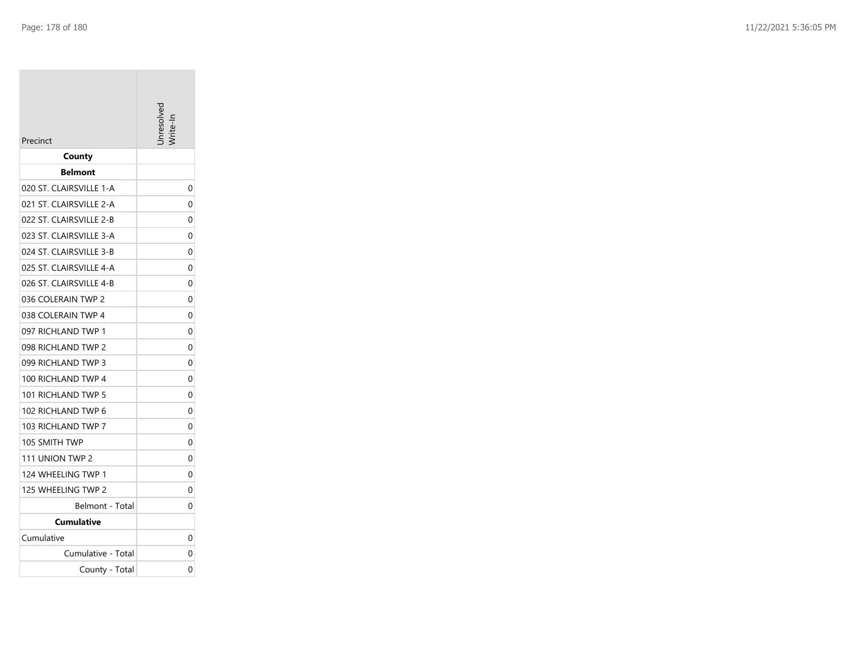| Precinct                | Inresolve |
|-------------------------|-----------|
| County                  |           |
| Belmont                 |           |
| 020 ST. CLAIRSVILLE 1-A | 0         |
| 021 ST. CLAIRSVILLE 2-A | 0         |
| 022 ST. CLAIRSVILLE 2-B | 0         |
| 023 ST. CLAIRSVILLE 3-A | 0         |
| 024 ST. CLAIRSVILLE 3-B | 0         |
| 025 ST. CLAIRSVILLE 4-A | 0         |
| 026 ST. CLAIRSVILLE 4-B | 0         |
| 036 COLERAIN TWP 2      | 0         |
| 038 COLERAIN TWP 4      | 0         |
| 097 RICHLAND TWP 1      | 0         |
| 098 RICHLAND TWP 2      | 0         |
| 099 RICHLAND TWP 3      | 0         |
| 100 RICHLAND TWP 4      | 0         |
| 101 RICHLAND TWP 5      | 0         |
| 102 RICHLAND TWP 6      | 0         |
| 103 RICHLAND TWP 7      | 0         |
| 105 SMITH TWP           | 0         |
| 111 UNION TWP 2         | 0         |
| 124 WHEELING TWP 1      | 0         |
| 125 WHEELING TWP 2      | 0         |
| Belmont - Total         | 0         |
| Cumulative              |           |
| Cumulative              | 0         |
| Cumulative - Total      | 0         |
| County - Total          | 0         |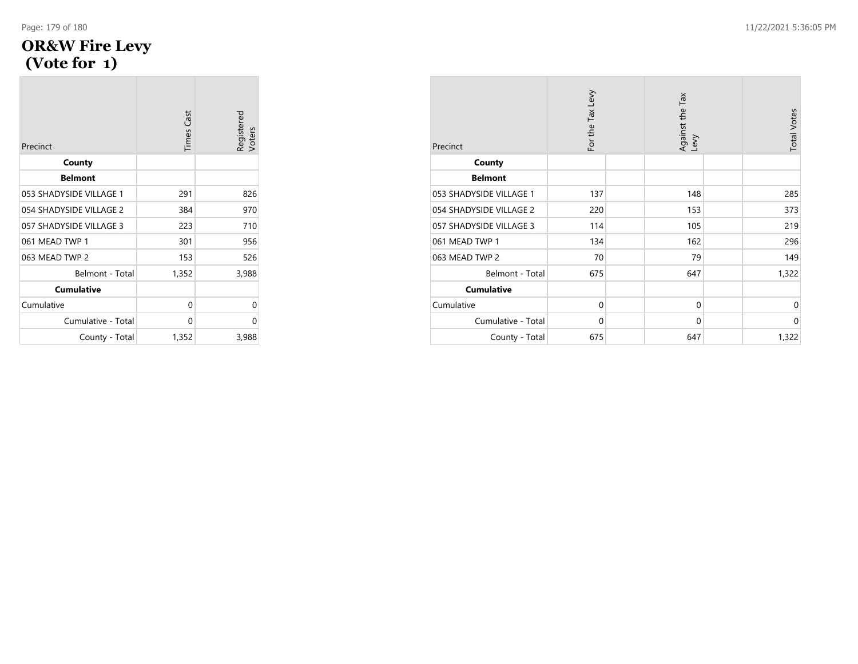### **OR&W Fire Levy (Vote for 1 )**

| Precinct                | <b>Times Cast</b> | Registered<br>Voters |
|-------------------------|-------------------|----------------------|
| County                  |                   |                      |
| <b>Belmont</b>          |                   |                      |
| 053 SHADYSIDE VILLAGE 1 | 291               | 826                  |
| 054 SHADYSIDE VILLAGE 2 | 384               | 970                  |
| 057 SHADYSIDE VILLAGE 3 | 223               | 710                  |
| 061 MEAD TWP 1          | 301               | 956                  |
| 063 MEAD TWP 2          | 153               | 526                  |
| Belmont - Total         | 1,352             | 3,988                |
| <b>Cumulative</b>       |                   |                      |
| Cumulative              | 0                 | 0                    |
| Cumulative - Total      | 0                 | 0                    |
| County - Total          | 1,352             | 3,988                |

| Precinct                | For the Tax Levy | Against the Tax<br>Levy | <b>Total Votes</b> |
|-------------------------|------------------|-------------------------|--------------------|
| County                  |                  |                         |                    |
| <b>Belmont</b>          |                  |                         |                    |
| 053 SHADYSIDE VILLAGE 1 | 137              | 148                     | 285                |
| 054 SHADYSIDE VILLAGE 2 | 220              | 153                     | 373                |
| 057 SHADYSIDE VILLAGE 3 | 114              | 105                     | 219                |
| 061 MEAD TWP 1          | 134              | 162                     | 296                |
| 063 MEAD TWP 2          | 70               | 79                      | 149                |
| Belmont - Total         | 675              | 647                     | 1,322              |
| <b>Cumulative</b>       |                  |                         |                    |
| Cumulative              | $\mathbf 0$      | 0                       | 0                  |
| Cumulative - Total      | 0                | 0                       | $\mathbf 0$        |
| County - Total          | 675              | 647                     | 1,322              |